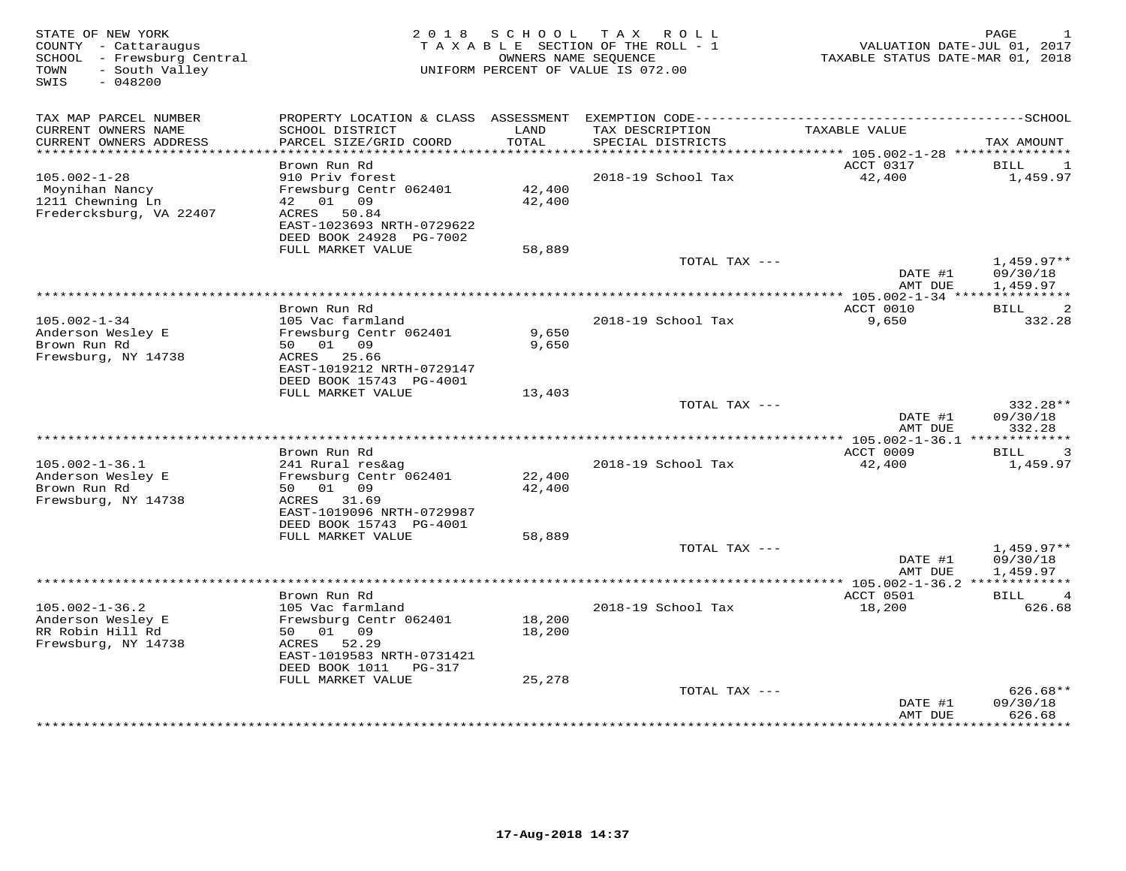| STATE OF NEW YORK<br>COUNTY - Cattaraugus<br>SCHOOL - Frewsburg Central<br>- South Valley<br>TOWN | 2 0 1 8<br>TAXABLE SECTION OF THE ROLL - 1<br>UNIFORM PERCENT OF VALUE IS 072.00                                                              | PAGE<br>1<br>VALUATION DATE-JUL 01, 2017<br>TAXABLE STATUS DATE-MAR 01, 2018 |                                      |                                                        |                                      |
|---------------------------------------------------------------------------------------------------|-----------------------------------------------------------------------------------------------------------------------------------------------|------------------------------------------------------------------------------|--------------------------------------|--------------------------------------------------------|--------------------------------------|
| SWIS<br>$-048200$                                                                                 |                                                                                                                                               |                                                                              |                                      |                                                        |                                      |
| TAX MAP PARCEL NUMBER                                                                             |                                                                                                                                               |                                                                              |                                      |                                                        |                                      |
| CURRENT OWNERS NAME<br>CURRENT OWNERS ADDRESS<br>**********************                           | SCHOOL DISTRICT<br>PARCEL SIZE/GRID COORD<br>***********************                                                                          | LAND<br>TOTAL                                                                | TAX DESCRIPTION<br>SPECIAL DISTRICTS | TAXABLE VALUE                                          | TAX AMOUNT                           |
|                                                                                                   | Brown Run Rd                                                                                                                                  |                                                                              |                                      | ACCT 0317                                              | <b>BILL</b><br>1                     |
| $105.002 - 1 - 28$<br>Moynihan Nancy<br>1211 Chewning Ln<br>Fredercksburg, VA 22407               | 910 Priv forest<br>Frewsburg Centr 062401<br>01<br>42<br>09<br>ACRES<br>50.84<br>EAST-1023693 NRTH-0729622<br>DEED BOOK 24928 PG-7002         | 42,400<br>42,400                                                             | 2018-19 School Tax                   | 42,400                                                 | 1,459.97                             |
|                                                                                                   | FULL MARKET VALUE                                                                                                                             | 58,889                                                                       |                                      |                                                        |                                      |
|                                                                                                   |                                                                                                                                               |                                                                              | TOTAL TAX ---                        | DATE #1<br>AMT DUE                                     | $1,459.97**$<br>09/30/18<br>1,459.97 |
|                                                                                                   |                                                                                                                                               |                                                                              |                                      | * $105.002 - 1 - 34$ ***                               |                                      |
| $105.002 - 1 - 34$<br>Anderson Wesley E<br>Brown Run Rd<br>Frewsburg, NY 14738                    | Brown Run Rd<br>105 Vac farmland<br>Frewsburg Centr 062401<br>50 01 09<br>ACRES 25.66<br>EAST-1019212 NRTH-0729147<br>DEED BOOK 15743 PG-4001 | 9,650<br>9,650                                                               | 2018-19 School Tax                   | ACCT 0010<br>9,650                                     | $\mathfrak{D}$<br>BILL<br>332.28     |
|                                                                                                   | FULL MARKET VALUE                                                                                                                             | 13,403                                                                       |                                      |                                                        |                                      |
|                                                                                                   |                                                                                                                                               |                                                                              | TOTAL TAX ---                        | DATE #1<br>AMT DUE                                     | 332.28**<br>09/30/18<br>332.28       |
|                                                                                                   |                                                                                                                                               |                                                                              |                                      | ** 105.002-1-36.1                                      | *************                        |
| $105.002 - 1 - 36.1$<br>Anderson Wesley E<br>Brown Run Rd<br>Frewsburg, NY 14738                  | Brown Run Rd<br>241 Rural res&ag<br>Frewsburg Centr 062401<br>01 09<br>50<br>31.69<br>ACRES<br>EAST-1019096 NRTH-0729987                      | 22,400<br>42,400                                                             | 2018-19 School Tax                   | ACCT 0009<br>42,400                                    | BILL<br>3<br>1,459.97                |
|                                                                                                   | DEED BOOK 15743 PG-4001                                                                                                                       |                                                                              |                                      |                                                        |                                      |
|                                                                                                   | FULL MARKET VALUE                                                                                                                             | 58,889                                                                       |                                      |                                                        |                                      |
|                                                                                                   |                                                                                                                                               |                                                                              | TOTAL TAX ---                        | DATE #1                                                | $1,459.97**$<br>09/30/18             |
|                                                                                                   | * * * * * * * * * * * * * * * * *<br>Brown Run Rd                                                                                             |                                                                              |                                      | AMT DUE<br>** 105.002-1-36.2 ************<br>ACCT 0501 | 1,459.97<br>BILL                     |
| $105.002 - 1 - 36.2$<br>Anderson Wesley E<br>RR Robin Hill Rd<br>Frewsburg, NY 14738              | 105 Vac farmland<br>Frewsburg Centr 062401<br>01<br>50<br>09<br>52.29<br>ACRES<br>EAST-1019583 NRTH-0731421<br>DEED BOOK 1011 PG-317          | 18,200<br>18,200                                                             | 2018-19 School Tax                   | 18,200                                                 | 626.68                               |
|                                                                                                   | FULL MARKET VALUE                                                                                                                             | 25,278                                                                       |                                      |                                                        |                                      |
|                                                                                                   |                                                                                                                                               |                                                                              | TOTAL TAX ---                        | DATE #1<br>AMT DUE                                     | $626.68**$<br>09/30/18<br>626.68     |
|                                                                                                   |                                                                                                                                               |                                                                              |                                      | * * * * * * * *                                        | *********                            |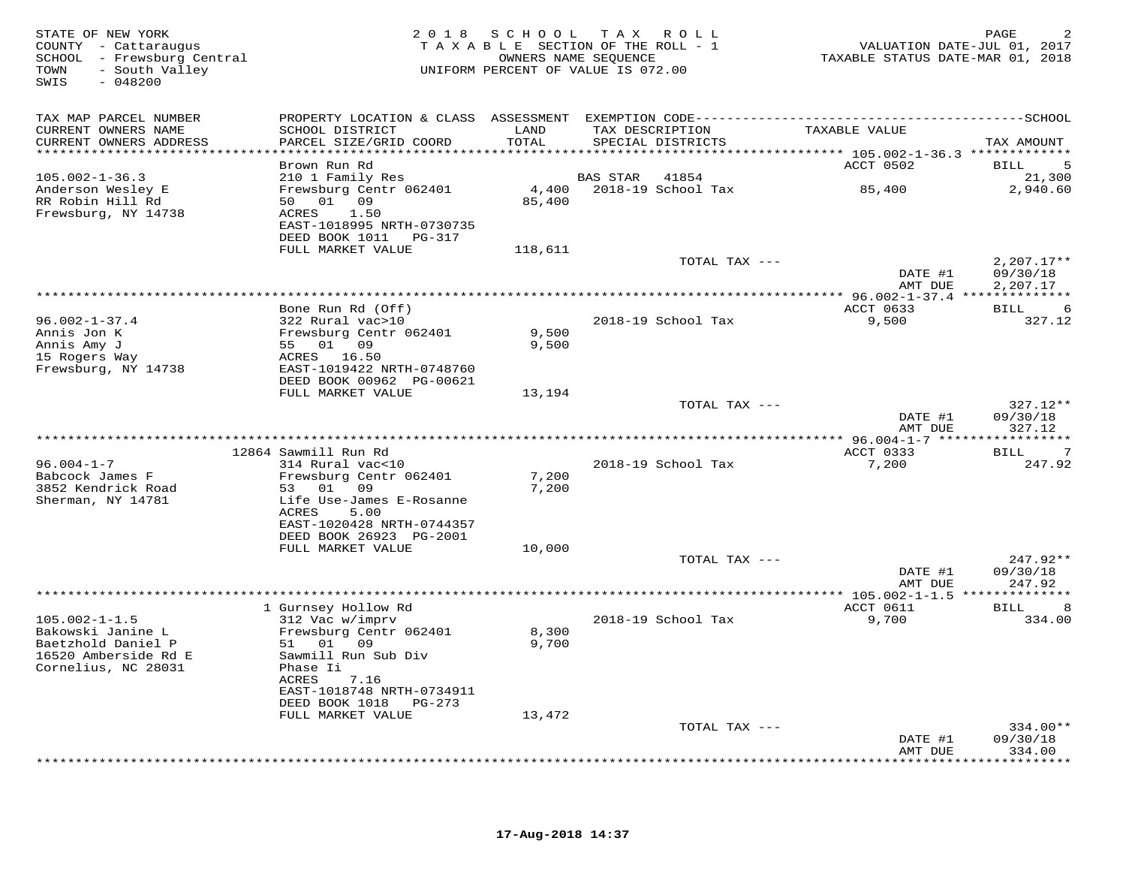| STATE OF NEW YORK<br>COUNTY - Cattaraugus<br>SCHOOL - Frewsburg Central<br>- South Valley<br>TOWN<br>$-048200$<br>SWIS |                                                    |                | 2018 SCHOOL TAX ROLL<br>TAXABLE SECTION OF THE ROLL - 1<br>OWNERS NAME SEQUENCE<br>UNIFORM PERCENT OF VALUE IS 072.00 | TAXABLE STATUS DATE-MAR 01, 2018 | PAGE<br>VALUATION DATE-JUL 01, 2017 |
|------------------------------------------------------------------------------------------------------------------------|----------------------------------------------------|----------------|-----------------------------------------------------------------------------------------------------------------------|----------------------------------|-------------------------------------|
| TAX MAP PARCEL NUMBER                                                                                                  |                                                    |                |                                                                                                                       |                                  |                                     |
| CURRENT OWNERS NAME<br>CURRENT OWNERS ADDRESS<br>**********************                                                | SCHOOL DISTRICT<br>PARCEL SIZE/GRID COORD          | LAND<br>TOTAL  | TAX DESCRIPTION<br>SPECIAL DISTRICTS                                                                                  | TAXABLE VALUE                    | TAX AMOUNT                          |
|                                                                                                                        | Brown Run Rd                                       |                |                                                                                                                       | ACCT 0502                        | 5<br>BILL                           |
| $105.002 - 1 - 36.3$                                                                                                   | 210 1 Family Res                                   |                | BAS STAR<br>41854                                                                                                     |                                  | 21,300                              |
| Anderson Wesley E                                                                                                      | Frewsburg Centr 062401                             | 4,400          | 2018-19 School Tax                                                                                                    | 85,400                           | 2,940.60                            |
| RR Robin Hill Rd<br>Frewsburg, NY 14738                                                                                | 50 01 09<br>1.50<br>ACRES                          | 85,400         |                                                                                                                       |                                  |                                     |
|                                                                                                                        | EAST-1018995 NRTH-0730735<br>DEED BOOK 1011 PG-317 |                |                                                                                                                       |                                  |                                     |
|                                                                                                                        | FULL MARKET VALUE                                  | 118,611        |                                                                                                                       |                                  |                                     |
|                                                                                                                        |                                                    |                | TOTAL TAX ---                                                                                                         | DATE #1                          | $2,207.17**$<br>09/30/18            |
|                                                                                                                        |                                                    |                |                                                                                                                       | AMT DUE                          | 2,207.17                            |
|                                                                                                                        | Bone Run Rd (Off)                                  |                |                                                                                                                       | ACCT 0633                        | BILL<br>6                           |
| $96.002 - 1 - 37.4$                                                                                                    | 322 Rural vac>10                                   |                | 2018-19 School Tax                                                                                                    | 9,500                            | 327.12                              |
| Annis Jon K                                                                                                            | Frewsburg Centr 062401                             | 9,500          |                                                                                                                       |                                  |                                     |
| Annis Amy J                                                                                                            | 55 01 09                                           | 9,500          |                                                                                                                       |                                  |                                     |
| 15 Rogers Way<br>Frewsburg, NY 14738                                                                                   | ACRES 16.50<br>EAST-1019422 NRTH-0748760           |                |                                                                                                                       |                                  |                                     |
|                                                                                                                        | DEED BOOK 00962 PG-00621                           |                |                                                                                                                       |                                  |                                     |
|                                                                                                                        | FULL MARKET VALUE                                  | 13,194         |                                                                                                                       |                                  |                                     |
|                                                                                                                        |                                                    |                | TOTAL TAX ---                                                                                                         | DATE #1<br>AMT DUE               | $327.12**$<br>09/30/18<br>327.12    |
|                                                                                                                        |                                                    |                |                                                                                                                       |                                  |                                     |
|                                                                                                                        | 12864 Sawmill Run Rd                               |                |                                                                                                                       | ACCT 0333                        | 7<br>BILL                           |
| $96.004 - 1 - 7$                                                                                                       | 314 Rural vac<10                                   |                | 2018-19 School Tax                                                                                                    | 7,200                            | 247.92                              |
| Babcock James F<br>3852 Kendrick Road                                                                                  | Frewsburg Centr 062401<br>53 01<br>09              | 7,200<br>7,200 |                                                                                                                       |                                  |                                     |
| Sherman, NY 14781                                                                                                      | Life Use-James E-Rosanne                           |                |                                                                                                                       |                                  |                                     |
|                                                                                                                        | ACRES<br>5.00                                      |                |                                                                                                                       |                                  |                                     |
|                                                                                                                        | EAST-1020428 NRTH-0744357                          |                |                                                                                                                       |                                  |                                     |
|                                                                                                                        | DEED BOOK 26923 PG-2001<br>FULL MARKET VALUE       | 10,000         |                                                                                                                       |                                  |                                     |
|                                                                                                                        |                                                    |                | TOTAL TAX ---                                                                                                         |                                  | 247.92**                            |
|                                                                                                                        |                                                    |                |                                                                                                                       | DATE #1                          | 09/30/18                            |
|                                                                                                                        |                                                    |                |                                                                                                                       | AMT DUE                          | 247.92                              |
|                                                                                                                        | 1 Gurnsey Hollow Rd                                |                |                                                                                                                       | ACCT 0611                        | 8<br>BILL                           |
| $105.002 - 1 - 1.5$                                                                                                    | 312 Vac w/imprv                                    |                | 2018-19 School Tax                                                                                                    | 9,700                            | 334.00                              |
| Bakowski Janine L                                                                                                      | Frewsburg Centr 062401                             | 8,300          |                                                                                                                       |                                  |                                     |
| Baetzhold Daniel P<br>16520 Amberside Rd E                                                                             | 51 01 09<br>Sawmill Run Sub Div                    | 9,700          |                                                                                                                       |                                  |                                     |
| Cornelius, NC 28031                                                                                                    | Phase Ii                                           |                |                                                                                                                       |                                  |                                     |
|                                                                                                                        | ACRES<br>7.16                                      |                |                                                                                                                       |                                  |                                     |
|                                                                                                                        | EAST-1018748 NRTH-0734911                          |                |                                                                                                                       |                                  |                                     |
|                                                                                                                        | DEED BOOK 1018<br>PG-273<br>FULL MARKET VALUE      | 13,472         |                                                                                                                       |                                  |                                     |
|                                                                                                                        |                                                    |                | TOTAL TAX ---                                                                                                         |                                  | $334.00**$                          |
|                                                                                                                        |                                                    |                |                                                                                                                       | DATE #1                          | 09/30/18                            |
|                                                                                                                        |                                                    |                |                                                                                                                       | AMT DUE                          | 334.00<br>* * * * * * *             |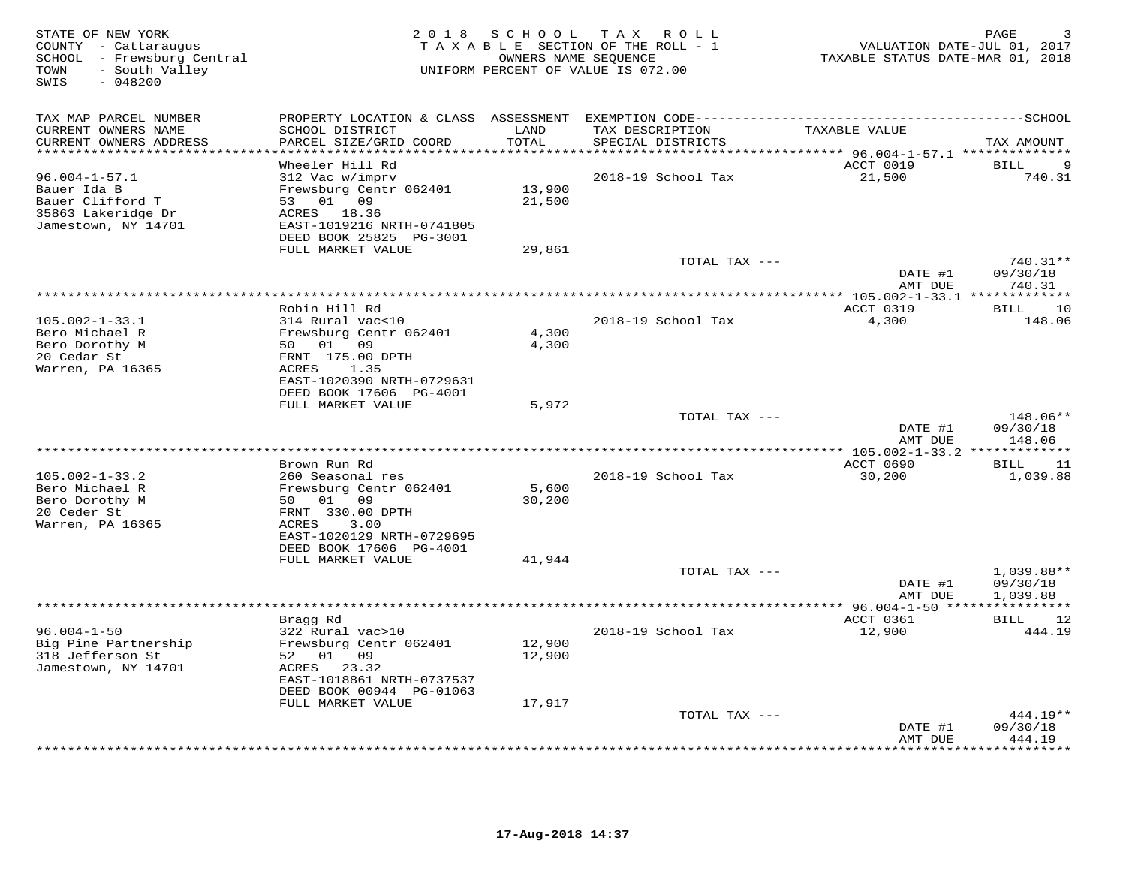| STATE OF NEW YORK<br>COUNTY - Cattaraugus<br>SCHOOL - Frewsburg Central<br>- South Valley<br>TOWN<br>SWIS<br>$-048200$ | 2 0 1 8                                                                                                                                    | SCHOOL           | T A X<br>ROLL<br>TAXABLE SECTION OF THE ROLL - 1<br>OWNERS NAME SEQUENCE<br>UNIFORM PERCENT OF VALUE IS 072.00 | VALUATION DATE-JUL 01, 2017<br>TAXABLE STATUS DATE-MAR 01, 2018 | PAGE                               |
|------------------------------------------------------------------------------------------------------------------------|--------------------------------------------------------------------------------------------------------------------------------------------|------------------|----------------------------------------------------------------------------------------------------------------|-----------------------------------------------------------------|------------------------------------|
| TAX MAP PARCEL NUMBER<br>CURRENT OWNERS NAME<br>CURRENT OWNERS ADDRESS<br>**********************                       | PROPERTY LOCATION & CLASS ASSESSMENT<br>SCHOOL DISTRICT<br>PARCEL SIZE/GRID COORD<br>***************************                           | LAND<br>TOTAL    | TAX DESCRIPTION<br>SPECIAL DISTRICTS                                                                           | TAXABLE VALUE                                                   | TAX AMOUNT                         |
|                                                                                                                        | Wheeler Hill Rd                                                                                                                            |                  |                                                                                                                | ACCT 0019                                                       | 9<br><b>BILL</b>                   |
| $96.004 - 1 - 57.1$<br>Bauer Ida B<br>Bauer Clifford T<br>35863 Lakeridge Dr<br>Jamestown, NY 14701                    | 312 Vac w/imprv<br>Frewsburg Centr 062401<br>53 01 09<br>ACRES 18.36<br>EAST-1019216 NRTH-0741805                                          | 13,900<br>21,500 | 2018-19 School Tax                                                                                             | 21,500                                                          | 740.31                             |
|                                                                                                                        | DEED BOOK 25825 PG-3001<br>FULL MARKET VALUE                                                                                               | 29,861           |                                                                                                                |                                                                 |                                    |
|                                                                                                                        |                                                                                                                                            |                  | TOTAL TAX ---                                                                                                  | DATE #1                                                         | 740.31**<br>09/30/18               |
|                                                                                                                        |                                                                                                                                            |                  |                                                                                                                | AMT DUE                                                         | 740.31                             |
|                                                                                                                        | Robin Hill Rd                                                                                                                              |                  |                                                                                                                | ACCT 0319                                                       | 10<br>BILL                         |
| $105.002 - 1 - 33.1$<br>Bero Michael R<br>Bero Dorothy M<br>20 Cedar St<br>Warren, PA 16365                            | 314 Rural vac<10<br>Frewsburg Centr 062401<br>50 01 09<br>FRNT 175.00 DPTH<br>ACRES<br>1.35                                                | 4,300<br>4,300   | 2018-19 School Tax                                                                                             | 4,300                                                           | 148.06                             |
|                                                                                                                        | EAST-1020390 NRTH-0729631<br>DEED BOOK 17606 PG-4001                                                                                       |                  |                                                                                                                |                                                                 |                                    |
|                                                                                                                        | FULL MARKET VALUE                                                                                                                          | 5,972            | TOTAL TAX ---                                                                                                  |                                                                 | 148.06**                           |
|                                                                                                                        |                                                                                                                                            |                  |                                                                                                                | DATE #1<br>AMT DUE                                              | 09/30/18<br>148.06                 |
|                                                                                                                        | Brown Run Rd                                                                                                                               |                  |                                                                                                                | ACCT 0690                                                       | 11<br>BILL                         |
| $105.002 - 1 - 33.2$<br>Bero Michael R<br>Bero Dorothy M<br>20 Ceder St<br>Warren, PA 16365                            | 260 Seasonal res<br>Frewsburg Centr 062401<br>50 01 09<br>FRNT 330.00 DPTH<br>3.00<br>ACRES<br>EAST-1020129 NRTH-0729695                   | 5,600<br>30,200  | 2018-19 School Tax                                                                                             | 30,200                                                          | 1,039.88                           |
|                                                                                                                        | DEED BOOK 17606 PG-4001                                                                                                                    |                  |                                                                                                                |                                                                 |                                    |
|                                                                                                                        | FULL MARKET VALUE                                                                                                                          | 41,944           | TOTAL TAX ---                                                                                                  | DATE #1<br>AMT DUE                                              | 1,039.88**<br>09/30/18<br>1,039.88 |
|                                                                                                                        |                                                                                                                                            |                  |                                                                                                                |                                                                 |                                    |
| $96.004 - 1 - 50$<br>Big Pine Partnership<br>318 Jefferson St<br>Jamestown, NY 14701                                   | Bragg Rd<br>322 Rural vac>10<br>Frewsburg Centr 062401<br>52 01 09<br>ACRES 23.32<br>EAST-1018861 NRTH-0737537<br>DEED BOOK 00944 PG-01063 | 12,900<br>12,900 | 2018-19 School Tax                                                                                             | ACCT 0361<br>12,900                                             | 12<br><b>BILL</b><br>444.19        |
|                                                                                                                        | FULL MARKET VALUE                                                                                                                          | 17,917           | TOTAL TAX ---                                                                                                  |                                                                 | $444.19**$                         |
|                                                                                                                        |                                                                                                                                            |                  |                                                                                                                | DATE #1<br>AMT DUE                                              | 09/30/18<br>444.19                 |
|                                                                                                                        |                                                                                                                                            |                  |                                                                                                                |                                                                 | * * * * * * * *                    |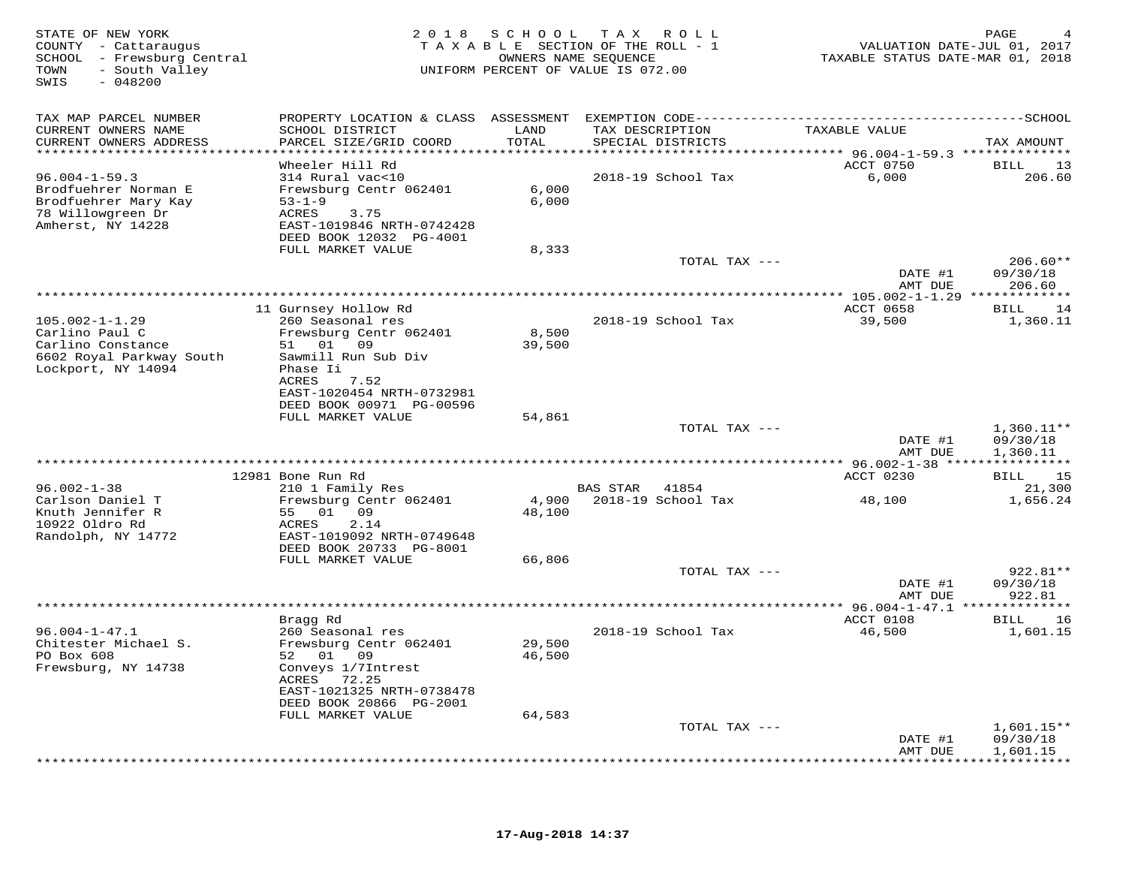| STATE OF NEW YORK<br>COUNTY - Cattaraugus<br>SCHOOL - Frewsburg Central<br>TOWN<br>- South Valley<br>SWIS<br>$-048200$                  | 2 0 1 8                                                                                                                                                                                               | SCHOOL<br>TAXABLE SECTION OF THE ROLL - 1<br>UNIFORM PERCENT OF VALUE IS 072.00 | T A X<br>OWNERS NAME SEQUENCE        | R O L L                     | VALUATION DATE-JUL 01, 2017<br>TAXABLE STATUS DATE-MAR 01, 2018 | PAGE                                                      |
|-----------------------------------------------------------------------------------------------------------------------------------------|-------------------------------------------------------------------------------------------------------------------------------------------------------------------------------------------------------|---------------------------------------------------------------------------------|--------------------------------------|-----------------------------|-----------------------------------------------------------------|-----------------------------------------------------------|
| TAX MAP PARCEL NUMBER<br>CURRENT OWNERS NAME<br>CURRENT OWNERS ADDRESS                                                                  | PROPERTY LOCATION & CLASS ASSESSMENT<br>SCHOOL DISTRICT<br>PARCEL SIZE/GRID COORD                                                                                                                     | LAND<br>TOTAL                                                                   | TAX DESCRIPTION<br>SPECIAL DISTRICTS |                             | TAXABLE VALUE                                                   | TAX AMOUNT                                                |
| **********************<br>$96.004 - 1 - 59.3$<br>Brodfuehrer Norman E<br>Brodfuehrer Mary Kay<br>78 Willowgreen Dr<br>Amherst, NY 14228 | **********************<br>Wheeler Hill Rd<br>314 Rural vac<10<br>Frewsburg Centr 062401<br>$53 - 1 - 9$<br>ACRES<br>3.75<br>EAST-1019846 NRTH-0742428<br>DEED BOOK 12032 PG-4001<br>FULL MARKET VALUE | ***********<br>6,000<br>6,000<br>8,333                                          |                                      | 2018-19 School Tax          | ACCT 0750<br>6,000                                              | 13<br>BILL<br>206.60                                      |
|                                                                                                                                         |                                                                                                                                                                                                       |                                                                                 |                                      | TOTAL TAX ---               | DATE #1<br>AMT DUE                                              | $206.60**$<br>09/30/18<br>206.60                          |
|                                                                                                                                         |                                                                                                                                                                                                       |                                                                                 |                                      |                             |                                                                 |                                                           |
| $105.002 - 1 - 1.29$<br>Carlino Paul C<br>Carlino Constance<br>6602 Royal Parkway South<br>Lockport, NY 14094                           | 11 Gurnsey Hollow Rd<br>260 Seasonal res<br>Frewsburg Centr 062401<br>01 09<br>51<br>Sawmill Run Sub Div<br>Phase Ii                                                                                  | 8,500<br>39,500                                                                 |                                      | 2018-19 School Tax          | ACCT 0658<br>39,500                                             | 14<br>BILL<br>1,360.11                                    |
|                                                                                                                                         | ACRES<br>7.52<br>EAST-1020454 NRTH-0732981<br>DEED BOOK 00971 PG-00596<br>FULL MARKET VALUE                                                                                                           | 54,861                                                                          |                                      |                             |                                                                 |                                                           |
|                                                                                                                                         |                                                                                                                                                                                                       |                                                                                 |                                      | TOTAL TAX ---               | DATE #1<br>AMT DUE                                              | $1,360.11**$<br>09/30/18<br>1,360.11                      |
|                                                                                                                                         | 12981 Bone Run Rd                                                                                                                                                                                     |                                                                                 |                                      |                             | ACCT 0230                                                       | 15<br>BILL                                                |
| $96.002 - 1 - 38$<br>Carlson Daniel T<br>Knuth Jennifer R<br>10922 Oldro Rd<br>Randolph, NY 14772                                       | 210 1 Family Res<br>Frewsburg Centr 062401<br>01 09<br>55<br>2.14<br>ACRES<br>EAST-1019092 NRTH-0749648                                                                                               | 4,900<br>48,100                                                                 | <b>BAS STAR</b>                      | 41854<br>2018-19 School Tax | 48,100                                                          | 21,300<br>1,656.24                                        |
|                                                                                                                                         | DEED BOOK 20733 PG-8001<br>FULL MARKET VALUE                                                                                                                                                          | 66,806                                                                          |                                      |                             |                                                                 |                                                           |
|                                                                                                                                         |                                                                                                                                                                                                       |                                                                                 |                                      | TOTAL TAX ---               | DATE #1<br>AMT DUE                                              | 922.81**<br>09/30/18<br>922.81                            |
|                                                                                                                                         |                                                                                                                                                                                                       |                                                                                 |                                      |                             |                                                                 |                                                           |
| $96.004 - 1 - 47.1$<br>Chitester Michael S.<br>PO Box 608<br>Frewsburg, NY 14738                                                        | Bragg Rd<br>260 Seasonal res<br>Frewsburg Centr 062401<br>52 01 09<br>Conveys 1/7Intrest<br>ACRES<br>72.25                                                                                            | 29,500<br>46,500                                                                |                                      | 2018-19 School Tax          | ACCT 0108<br>46,500                                             | 16<br>BILL<br>1,601.15                                    |
|                                                                                                                                         | EAST-1021325 NRTH-0738478<br>DEED BOOK 20866 PG-2001<br>FULL MARKET VALUE                                                                                                                             | 64,583                                                                          |                                      |                             |                                                                 |                                                           |
|                                                                                                                                         |                                                                                                                                                                                                       |                                                                                 |                                      | TOTAL TAX ---               | DATE #1<br>AMT DUE                                              | $1,601.15**$<br>09/30/18<br>1,601.15<br>* * * * * * * * * |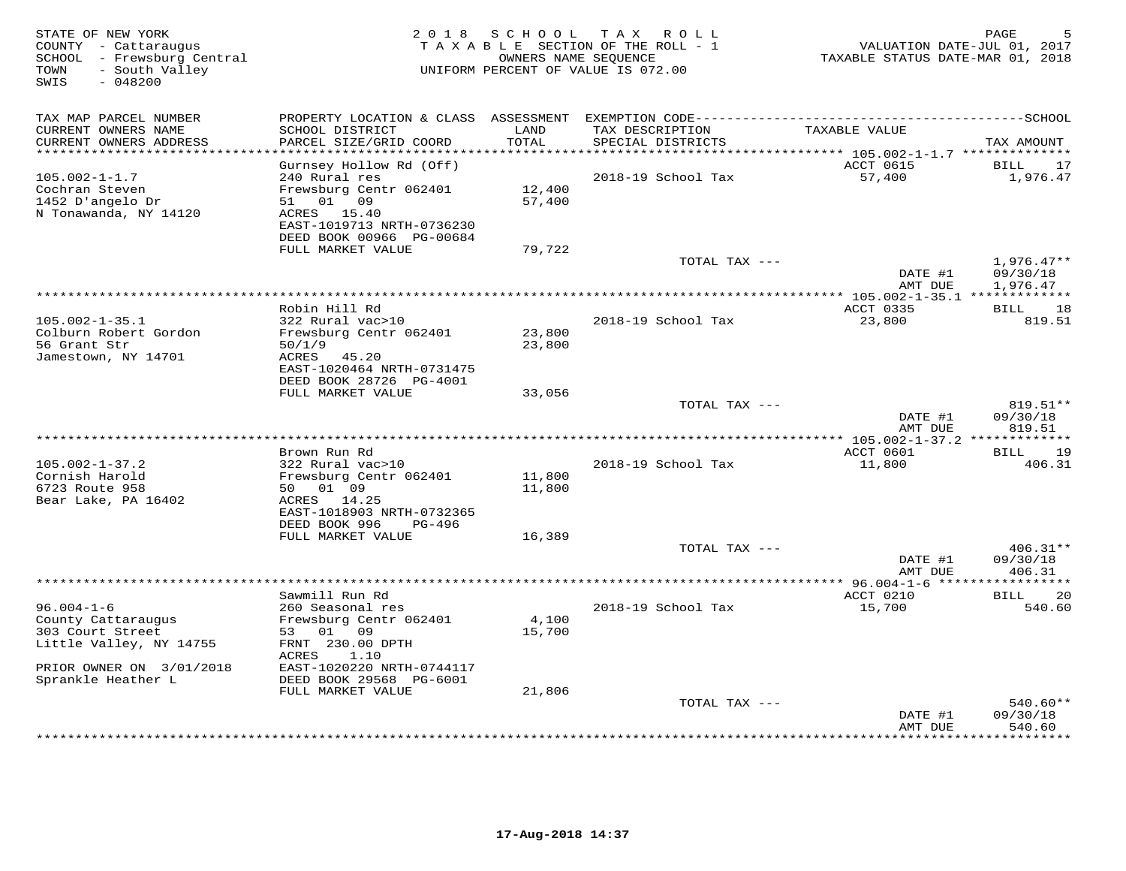| STATE OF NEW YORK<br>COUNTY - Cattaraugus<br>SCHOOL - Frewsburg Central<br>- South Valley<br>TOWN<br>SWIS<br>$-048200$ |                                                                                                                                                              |                  | 2018 SCHOOL TAX ROLL<br>TAXABLE SECTION OF THE ROLL - 1<br>OWNERS NAME SEQUENCE<br>UNIFORM PERCENT OF VALUE IS 072.00 | VALUATION DATE-JUL 01, 2017<br>TAXABLE STATUS DATE-MAR 01, 2018 | PAGE<br>5                             |
|------------------------------------------------------------------------------------------------------------------------|--------------------------------------------------------------------------------------------------------------------------------------------------------------|------------------|-----------------------------------------------------------------------------------------------------------------------|-----------------------------------------------------------------|---------------------------------------|
| TAX MAP PARCEL NUMBER<br>CURRENT OWNERS NAME<br>CURRENT OWNERS ADDRESS                                                 | SCHOOL DISTRICT<br>PARCEL SIZE/GRID COORD                                                                                                                    | LAND<br>TOTAL    | TAX DESCRIPTION<br>SPECIAL DISTRICTS                                                                                  | TAXABLE VALUE                                                   | TAX AMOUNT                            |
| *********************                                                                                                  |                                                                                                                                                              | *******          |                                                                                                                       | *********** 105.002-1-1.7 ********                              |                                       |
| $105.002 - 1 - 1.7$<br>Cochran Steven<br>1452 D'angelo Dr<br>N Tonawanda, NY 14120                                     | Gurnsey Hollow Rd (Off)<br>240 Rural res<br>Frewsburg Centr 062401<br>01 09<br>51<br>15.40<br>ACRES<br>EAST-1019713 NRTH-0736230<br>DEED BOOK 00966 PG-00684 | 12,400<br>57,400 | 2018-19 School Tax                                                                                                    | ACCT 0615<br>57,400                                             | <b>BILL</b><br>17<br>1,976.47         |
|                                                                                                                        | FULL MARKET VALUE                                                                                                                                            | 79,722           | TOTAL TAX ---                                                                                                         |                                                                 | $1,976.47**$                          |
|                                                                                                                        |                                                                                                                                                              |                  |                                                                                                                       | DATE #1<br>AMT DUE                                              | 09/30/18<br>1,976.47                  |
|                                                                                                                        |                                                                                                                                                              |                  |                                                                                                                       | ********* 105.002-1-35.1 *************                          |                                       |
| $105.002 - 1 - 35.1$<br>Colburn Robert Gordon<br>56 Grant Str<br>Jamestown, NY 14701                                   | Robin Hill Rd<br>322 Rural vac>10<br>Frewsburg Centr 062401<br>50/1/9<br>ACRES 45.20<br>EAST-1020464 NRTH-0731475                                            | 23,800<br>23,800 | 2018-19 School Tax                                                                                                    | <b>ACCT 0335</b><br>23,800                                      | 18<br>BILL<br>819.51                  |
|                                                                                                                        | DEED BOOK 28726 PG-4001                                                                                                                                      |                  |                                                                                                                       |                                                                 |                                       |
|                                                                                                                        | FULL MARKET VALUE                                                                                                                                            | 33,056           | TOTAL TAX ---                                                                                                         | DATE #1<br>AMT DUE                                              | 819.51**<br>09/30/18<br>819.51        |
|                                                                                                                        |                                                                                                                                                              |                  |                                                                                                                       |                                                                 |                                       |
|                                                                                                                        | Brown Run Rd                                                                                                                                                 |                  |                                                                                                                       | ACCT 0601                                                       | 19<br>BILL                            |
| $105.002 - 1 - 37.2$<br>Cornish Harold<br>6723 Route 958<br>Bear Lake, PA 16402                                        | 322 Rural vac>10<br>Frewsburg Centr 062401<br>50 01 09<br>ACRES<br>14.25<br>EAST-1018903 NRTH-0732365<br>DEED BOOK 996<br>PG-496                             | 11,800<br>11,800 | 2018-19 School Tax                                                                                                    | 11,800                                                          | 406.31                                |
|                                                                                                                        | FULL MARKET VALUE                                                                                                                                            | 16,389           |                                                                                                                       |                                                                 |                                       |
|                                                                                                                        |                                                                                                                                                              |                  | TOTAL TAX ---                                                                                                         | DATE #1<br>AMT DUE                                              | $406.31**$<br>09/30/18<br>406.31      |
|                                                                                                                        |                                                                                                                                                              |                  |                                                                                                                       | ** 96.004-1-6 ******************                                |                                       |
| $96.004 - 1 - 6$<br>County Cattaraugus<br>303 Court Street<br>Little Valley, NY 14755                                  | Sawmill Run Rd<br>260 Seasonal res<br>Frewsburg Centr 062401<br>53 01 09<br>FRNT 230.00 DPTH<br>ACRES<br>1.10                                                | 4,100<br>15,700  | 2018-19 School Tax                                                                                                    | ACCT 0210<br>15,700                                             | 20<br>BILL<br>540.60                  |
| PRIOR OWNER ON 3/01/2018<br>Sprankle Heather L                                                                         | EAST-1020220 NRTH-0744117<br>DEED BOOK 29568 PG-6001<br>FULL MARKET VALUE                                                                                    | 21,806           |                                                                                                                       |                                                                 |                                       |
|                                                                                                                        |                                                                                                                                                              |                  | TOTAL TAX ---                                                                                                         |                                                                 | 540.60**                              |
|                                                                                                                        |                                                                                                                                                              |                  |                                                                                                                       | DATE #1<br>AMT DUE                                              | 09/30/18<br>540.60<br>* * * * * * * * |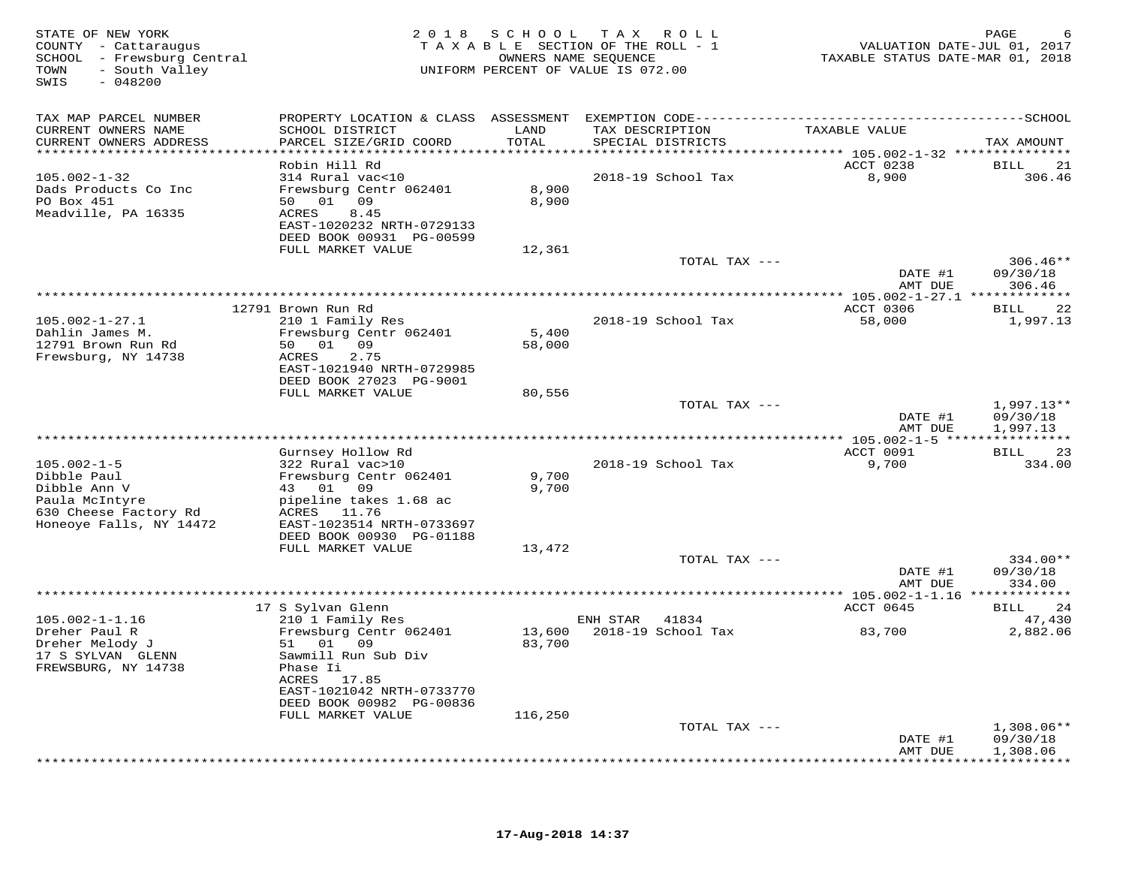| STATE OF NEW YORK<br>COUNTY - Cattaraugus<br>SCHOOL - Frewsburg Central<br>- South Valley<br>TOWN<br>SWIS<br>$-048200$ |                                                       | 2018 SCHOOL TAX ROLL<br>TAXABLE SECTION OF THE ROLL - 1<br>OWNERS NAME SEQUENCE<br>UNIFORM PERCENT OF VALUE IS 072.00 |          |                                      | TAXABLE STATUS DATE-MAR 01, 2018                     | PAGE<br>VALUATION DATE-JUL 01, 2017 |
|------------------------------------------------------------------------------------------------------------------------|-------------------------------------------------------|-----------------------------------------------------------------------------------------------------------------------|----------|--------------------------------------|------------------------------------------------------|-------------------------------------|
| TAX MAP PARCEL NUMBER                                                                                                  |                                                       |                                                                                                                       |          |                                      |                                                      |                                     |
| CURRENT OWNERS NAME<br>CURRENT OWNERS ADDRESS                                                                          | SCHOOL DISTRICT<br>PARCEL SIZE/GRID COORD             | LAND<br>TOTAL                                                                                                         |          | TAX DESCRIPTION<br>SPECIAL DISTRICTS | TAXABLE VALUE                                        | TAX AMOUNT                          |
| ***********************                                                                                                |                                                       |                                                                                                                       |          |                                      |                                                      |                                     |
|                                                                                                                        | Robin Hill Rd                                         |                                                                                                                       |          |                                      | ACCT 0238                                            | 21<br>BILL                          |
| $105.002 - 1 - 32$                                                                                                     | 314 Rural vac<10                                      |                                                                                                                       |          | 2018-19 School Tax                   | 8,900                                                | 306.46                              |
| Dads Products Co Inc                                                                                                   | Frewsburg Centr 062401                                | 8,900                                                                                                                 |          |                                      |                                                      |                                     |
| PO Box 451                                                                                                             | 50 01 09                                              | 8,900                                                                                                                 |          |                                      |                                                      |                                     |
| Meadville, PA 16335                                                                                                    | 8.45<br>ACRES                                         |                                                                                                                       |          |                                      |                                                      |                                     |
|                                                                                                                        | EAST-1020232 NRTH-0729133<br>DEED BOOK 00931 PG-00599 |                                                                                                                       |          |                                      |                                                      |                                     |
|                                                                                                                        | FULL MARKET VALUE                                     | 12,361                                                                                                                |          |                                      |                                                      |                                     |
|                                                                                                                        |                                                       |                                                                                                                       |          | TOTAL TAX ---                        |                                                      | $306.46**$                          |
|                                                                                                                        |                                                       |                                                                                                                       |          |                                      | DATE #1                                              | 09/30/18                            |
|                                                                                                                        |                                                       |                                                                                                                       |          |                                      | AMT DUE                                              | 306.46                              |
|                                                                                                                        |                                                       |                                                                                                                       |          |                                      |                                                      |                                     |
|                                                                                                                        | 12791 Brown Run Rd                                    |                                                                                                                       |          |                                      | ACCT 0306                                            | 22<br>BILL                          |
| $105.002 - 1 - 27.1$                                                                                                   | 210 1 Family Res                                      |                                                                                                                       |          | 2018-19 School Tax                   | 58,000                                               | 1,997.13                            |
| Dahlin James M.<br>12791 Brown Run Rd                                                                                  | Frewsburg Centr 062401<br>01 09<br>50                 | 5,400                                                                                                                 |          |                                      |                                                      |                                     |
| Frewsburg, NY 14738                                                                                                    | ${\tt ACRES}$<br>2.75                                 | 58,000                                                                                                                |          |                                      |                                                      |                                     |
|                                                                                                                        | EAST-1021940 NRTH-0729985                             |                                                                                                                       |          |                                      |                                                      |                                     |
|                                                                                                                        | DEED BOOK 27023 PG-9001                               |                                                                                                                       |          |                                      |                                                      |                                     |
|                                                                                                                        | FULL MARKET VALUE                                     | 80,556                                                                                                                |          |                                      |                                                      |                                     |
|                                                                                                                        |                                                       |                                                                                                                       |          | TOTAL TAX ---                        |                                                      | $1,997.13**$                        |
|                                                                                                                        |                                                       |                                                                                                                       |          |                                      | DATE #1                                              | 09/30/18                            |
|                                                                                                                        |                                                       |                                                                                                                       |          |                                      | AMT DUE                                              | 1,997.13                            |
|                                                                                                                        |                                                       |                                                                                                                       |          |                                      |                                                      |                                     |
| $105.002 - 1 - 5$                                                                                                      | Gurnsey Hollow Rd<br>322 Rural vac>10                 |                                                                                                                       |          | 2018-19 School Tax                   | ACCT 0091<br>9,700                                   | 23<br><b>BILL</b><br>334.00         |
| Dibble Paul                                                                                                            | Frewsburg Centr 062401                                | 9,700                                                                                                                 |          |                                      |                                                      |                                     |
| Dibble Ann V                                                                                                           | 43 01 09                                              | 9,700                                                                                                                 |          |                                      |                                                      |                                     |
| Paula McIntyre                                                                                                         | pipeline takes 1.68 ac                                |                                                                                                                       |          |                                      |                                                      |                                     |
| 630 Cheese Factory Rd                                                                                                  | ACRES 11.76                                           |                                                                                                                       |          |                                      |                                                      |                                     |
| Honeoye Falls, NY 14472                                                                                                | EAST-1023514 NRTH-0733697                             |                                                                                                                       |          |                                      |                                                      |                                     |
|                                                                                                                        | DEED BOOK 00930 PG-01188                              |                                                                                                                       |          |                                      |                                                      |                                     |
|                                                                                                                        | FULL MARKET VALUE                                     | 13,472                                                                                                                |          |                                      |                                                      |                                     |
|                                                                                                                        |                                                       |                                                                                                                       |          | TOTAL TAX ---                        |                                                      | 334.00**                            |
|                                                                                                                        |                                                       |                                                                                                                       |          |                                      | DATE #1                                              | 09/30/18                            |
|                                                                                                                        |                                                       |                                                                                                                       |          |                                      | AMT DUE<br>*********** 105.002-1-1.16 ************** | 334.00                              |
|                                                                                                                        | 17 S Sylvan Glenn                                     |                                                                                                                       |          |                                      | ACCT 0645                                            | BILL<br>24                          |
| $105.002 - 1 - 1.16$                                                                                                   | 210 1 Family Res                                      |                                                                                                                       | ENH STAR | 41834                                |                                                      | 47,430                              |
| Dreher Paul R                                                                                                          | Frewsburg Centr 062401                                | 13,600                                                                                                                |          | 2018-19 School Tax                   | 83,700                                               | 2,882.06                            |
| Dreher Melody J                                                                                                        | 51 01 09                                              | 83,700                                                                                                                |          |                                      |                                                      |                                     |
| 17 S SYLVAN GLENN                                                                                                      | Sawmill Run Sub Div                                   |                                                                                                                       |          |                                      |                                                      |                                     |
| FREWSBURG, NY 14738                                                                                                    | Phase Ii                                              |                                                                                                                       |          |                                      |                                                      |                                     |
|                                                                                                                        | ACRES 17.85                                           |                                                                                                                       |          |                                      |                                                      |                                     |
|                                                                                                                        | EAST-1021042 NRTH-0733770                             |                                                                                                                       |          |                                      |                                                      |                                     |
|                                                                                                                        | DEED BOOK 00982 PG-00836<br>FULL MARKET VALUE         | 116,250                                                                                                               |          |                                      |                                                      |                                     |
|                                                                                                                        |                                                       |                                                                                                                       |          | TOTAL TAX ---                        |                                                      | $1,308.06**$                        |
|                                                                                                                        |                                                       |                                                                                                                       |          |                                      | DATE #1                                              | 09/30/18                            |
|                                                                                                                        |                                                       |                                                                                                                       |          |                                      | AMT DUE                                              | 1,308.06                            |
|                                                                                                                        |                                                       |                                                                                                                       |          |                                      |                                                      | **********                          |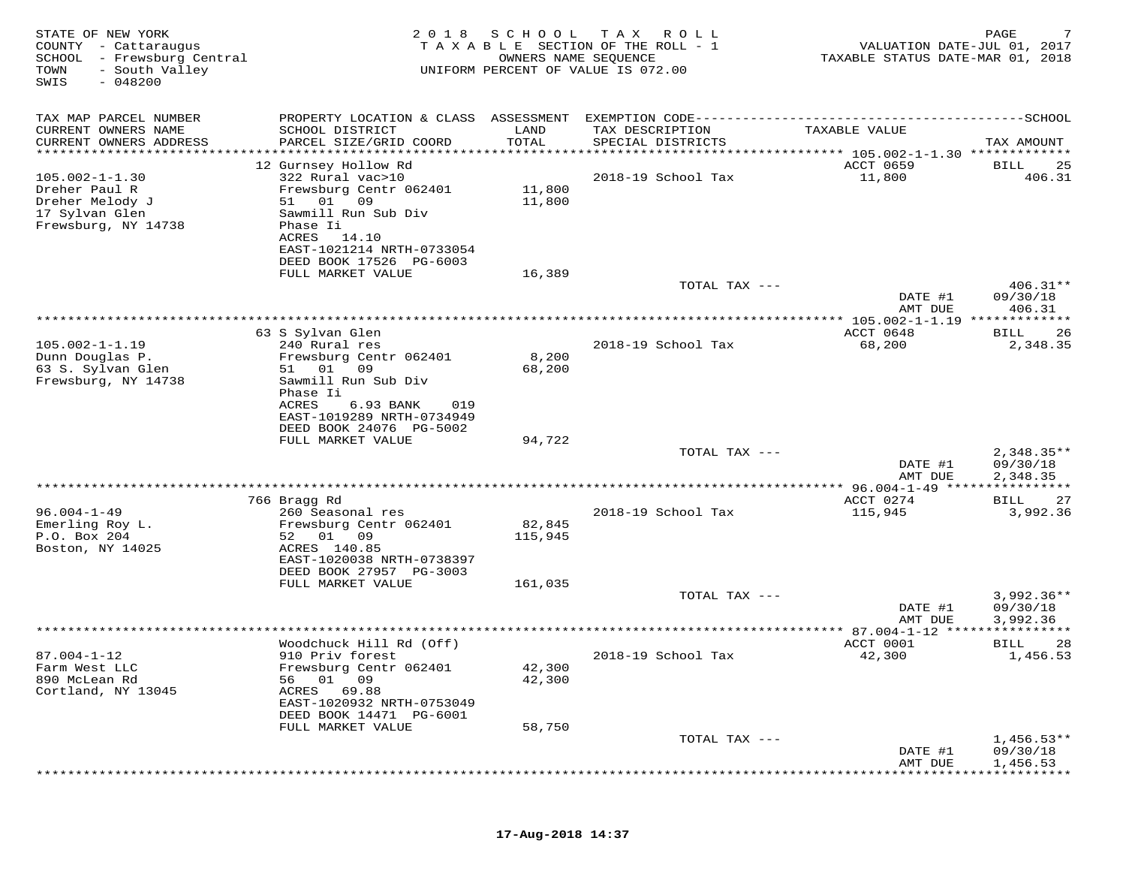| STATE OF NEW YORK<br>COUNTY - Cattaraugus<br>SCHOOL - Frewsburg Central<br>- South Valley<br>TOWN<br>$-048200$<br>SWIS | 2 0 1 8                                                                                                                                                                                        | SCHOOL<br>OWNERS NAME SEQUENCE | T A X<br>R O L L<br>TAXABLE SECTION OF THE ROLL - 1<br>UNIFORM PERCENT OF VALUE IS 072.00 | VALUATION DATE-JUL 01, 2017<br>TAXABLE STATUS DATE-MAR 01, 2018 | PAGE                                 |
|------------------------------------------------------------------------------------------------------------------------|------------------------------------------------------------------------------------------------------------------------------------------------------------------------------------------------|--------------------------------|-------------------------------------------------------------------------------------------|-----------------------------------------------------------------|--------------------------------------|
| TAX MAP PARCEL NUMBER                                                                                                  |                                                                                                                                                                                                |                                |                                                                                           |                                                                 |                                      |
| CURRENT OWNERS NAME<br>CURRENT OWNERS ADDRESS                                                                          | SCHOOL DISTRICT<br>PARCEL SIZE/GRID COORD                                                                                                                                                      | LAND<br>TOTAL                  | TAX DESCRIPTION<br>SPECIAL DISTRICTS                                                      | TAXABLE VALUE                                                   | TAX AMOUNT                           |
| **********************                                                                                                 |                                                                                                                                                                                                |                                |                                                                                           |                                                                 |                                      |
| $105.002 - 1 - 1.30$<br>Dreher Paul R<br>Dreher Melody J<br>17 Sylvan Glen<br>Frewsburg, NY 14738                      | 12 Gurnsey Hollow Rd<br>322 Rural vac>10<br>Frewsburg Centr 062401<br>51 01<br>09<br>Sawmill Run Sub Div<br>Phase Ii<br>ACRES<br>14.10<br>EAST-1021214 NRTH-0733054<br>DEED BOOK 17526 PG-6003 | 11,800<br>11,800               | 2018-19 School Tax                                                                        | ACCT 0659<br>11,800                                             | <b>BILL</b><br>25<br>406.31          |
|                                                                                                                        | FULL MARKET VALUE                                                                                                                                                                              | 16,389                         |                                                                                           |                                                                 |                                      |
|                                                                                                                        |                                                                                                                                                                                                |                                | TOTAL TAX ---                                                                             | DATE #1<br>AMT DUE                                              | 406.31**<br>09/30/18<br>406.31       |
|                                                                                                                        |                                                                                                                                                                                                |                                |                                                                                           | ** 105.002-1-1.19 ****                                          | ********                             |
|                                                                                                                        | 63 S Sylvan Glen                                                                                                                                                                               |                                |                                                                                           | ACCT 0648                                                       | 26<br>BILL                           |
| $105.002 - 1 - 1.19$<br>Dunn Douglas P.<br>63 S. Sylvan Glen<br>Frewsburg, NY 14738                                    | 240 Rural res<br>Frewsburg Centr 062401<br>51 01 09<br>Sawmill Run Sub Div<br>Phase Ii<br>ACRES<br>6.93 BANK<br>019<br>EAST-1019289 NRTH-0734949                                               | 8,200<br>68,200                | 2018-19 School Tax                                                                        | 68,200                                                          | 2,348.35                             |
|                                                                                                                        | DEED BOOK 24076 PG-5002<br>FULL MARKET VALUE                                                                                                                                                   | 94,722                         |                                                                                           |                                                                 |                                      |
|                                                                                                                        |                                                                                                                                                                                                |                                | TOTAL TAX ---                                                                             | DATE #1<br>AMT DUE                                              | $2,348.35**$<br>09/30/18<br>2,348.35 |
|                                                                                                                        |                                                                                                                                                                                                |                                | **********************                                                                    | **** 96.004-1-49 *****                                          | ***********                          |
| $96.004 - 1 - 49$<br>Emerling Roy L.<br>P.O. Box 204                                                                   | 766 Bragg Rd<br>260 Seasonal res<br>Frewsburg Centr 062401<br>01 09<br>52                                                                                                                      | 82,845<br>115,945              | 2018-19 School Tax                                                                        | ACCT 0274<br>115,945                                            | 27<br>BILL<br>3,992.36               |
| Boston, NY 14025                                                                                                       | ACRES 140.85<br>EAST-1020038 NRTH-0738397<br>DEED BOOK 27957 PG-3003                                                                                                                           |                                |                                                                                           |                                                                 |                                      |
|                                                                                                                        | FULL MARKET VALUE                                                                                                                                                                              | 161,035                        | TOTAL TAX ---                                                                             |                                                                 | $3,992.36**$                         |
|                                                                                                                        |                                                                                                                                                                                                |                                |                                                                                           | DATE #1<br>AMT DUE                                              | 09/30/18<br>3,992.36                 |
|                                                                                                                        |                                                                                                                                                                                                |                                |                                                                                           |                                                                 | <b>BILL</b>                          |
| $87.004 - 1 - 12$<br>Farm West LLC<br>890 McLean Rd<br>Cortland, NY 13045                                              | Woodchuck Hill Rd (Off)<br>910 Priv forest<br>Frewsburg Centr 062401<br>01<br>09<br>56<br>ACRES<br>69.88<br>EAST-1020932 NRTH-0753049<br>DEED BOOK 14471 PG-6001                               | 42,300<br>42,300               | 2018-19 School Tax                                                                        | ACCT 0001<br>42,300                                             | 28<br>1,456.53                       |
|                                                                                                                        | FULL MARKET VALUE                                                                                                                                                                              | 58,750                         | TOTAL TAX ---                                                                             |                                                                 | $1,456.53**$                         |
|                                                                                                                        |                                                                                                                                                                                                |                                |                                                                                           | DATE #1<br>AMT DUE                                              | 09/30/18<br>1,456.53                 |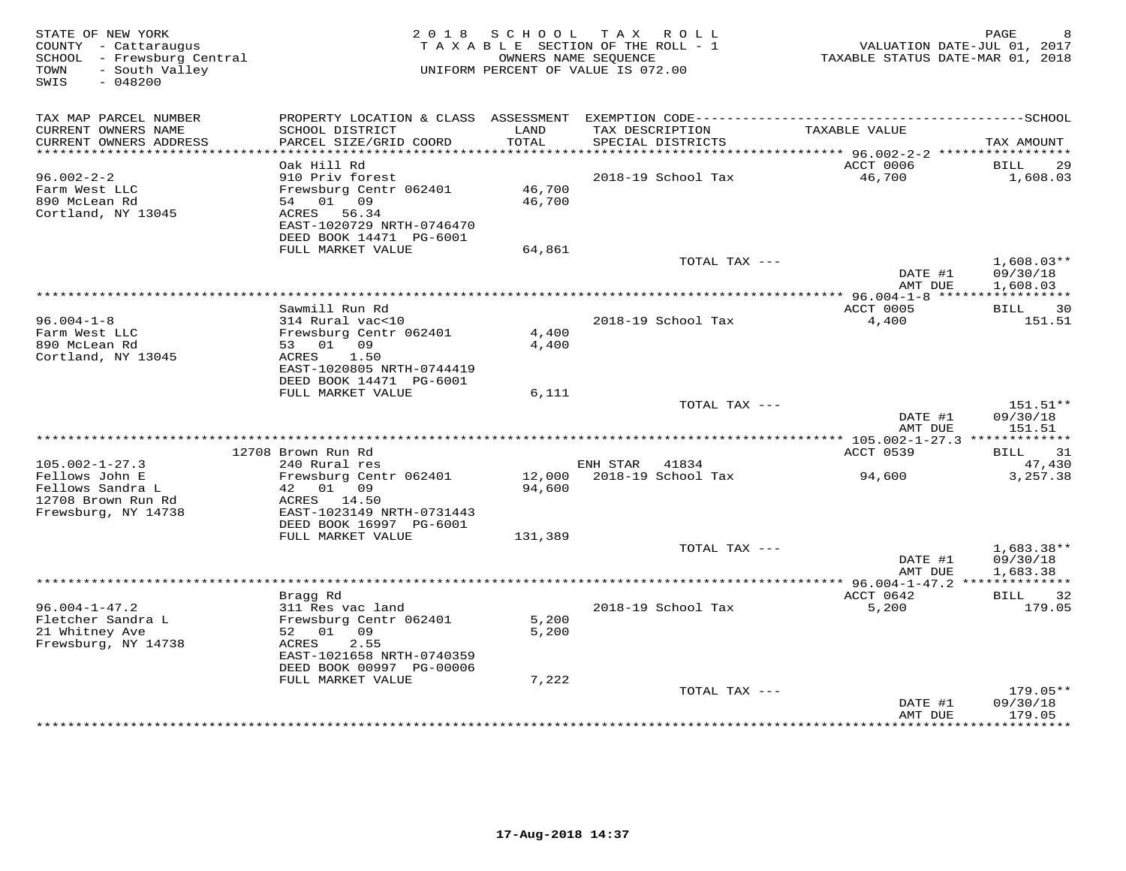| STATE OF NEW YORK<br>COUNTY - Cattaraugus<br>SCHOOL - Frewsburg Central<br>- South Valley<br>TOWN<br>SWIS<br>$-048200$ |                                                                                                             | 2018 SCHOOL      | TAX ROLL<br>TAXABLE SECTION OF THE ROLL - 1<br>OWNERS NAME SEQUENCE<br>UNIFORM PERCENT OF VALUE IS 072.00 | TAXABLE STATUS DATE-MAR 01, 2018 | PAGE<br>VALUATION DATE-JUL 01, 2017 |
|------------------------------------------------------------------------------------------------------------------------|-------------------------------------------------------------------------------------------------------------|------------------|-----------------------------------------------------------------------------------------------------------|----------------------------------|-------------------------------------|
| TAX MAP PARCEL NUMBER                                                                                                  |                                                                                                             |                  |                                                                                                           |                                  |                                     |
| CURRENT OWNERS NAME<br>CURRENT OWNERS ADDRESS                                                                          | SCHOOL DISTRICT<br>PARCEL SIZE/GRID COORD                                                                   | LAND<br>TOTAL    | TAX DESCRIPTION<br>SPECIAL DISTRICTS                                                                      | TAXABLE VALUE                    | TAX AMOUNT                          |
|                                                                                                                        |                                                                                                             |                  |                                                                                                           |                                  |                                     |
|                                                                                                                        | Oak Hill Rd                                                                                                 |                  |                                                                                                           | ACCT 0006                        | BILL<br>29                          |
| $96.002 - 2 - 2$                                                                                                       | 910 Priv forest                                                                                             |                  | 2018-19 School Tax                                                                                        | 46,700                           | 1,608.03                            |
| Farm West LLC<br>890 McLean Rd<br>Cortland, NY 13045                                                                   | Frewsburg Centr 062401<br>54 01 09<br>ACRES<br>56.34<br>EAST-1020729 NRTH-0746470                           | 46,700<br>46,700 |                                                                                                           |                                  |                                     |
|                                                                                                                        | DEED BOOK 14471 PG-6001                                                                                     |                  |                                                                                                           |                                  |                                     |
|                                                                                                                        | FULL MARKET VALUE                                                                                           | 64,861           | TOTAL TAX ---                                                                                             | DATE #1                          | $1,608.03**$<br>09/30/18            |
|                                                                                                                        |                                                                                                             |                  |                                                                                                           | AMT DUE                          | 1,608.03                            |
|                                                                                                                        | Sawmill Run Rd                                                                                              |                  |                                                                                                           | ACCT 0005                        | 30<br>BILL                          |
| $96.004 - 1 - 8$                                                                                                       | 314 Rural vac<10                                                                                            |                  | 2018-19 School Tax                                                                                        | 4,400                            | 151.51                              |
| Farm West LLC<br>890 McLean Rd<br>Cortland, NY 13045                                                                   | Frewsburg Centr 062401<br>53 01 09<br>ACRES<br>1.50<br>EAST-1020805 NRTH-0744419<br>DEED BOOK 14471 PG-6001 | 4,400<br>4,400   |                                                                                                           |                                  |                                     |
|                                                                                                                        | FULL MARKET VALUE                                                                                           | 6,111            |                                                                                                           |                                  |                                     |
|                                                                                                                        |                                                                                                             |                  | TOTAL TAX ---                                                                                             | DATE #1<br>AMT DUE               | $151.51**$<br>09/30/18<br>151.51    |
|                                                                                                                        |                                                                                                             |                  | ************************                                                                                  | ** 105.002-1-27.3 *************  |                                     |
| $105.002 - 1 - 27.3$                                                                                                   | 12708 Brown Run Rd<br>240 Rural res                                                                         |                  | ENH STAR<br>41834                                                                                         | ACCT 0539                        | <b>BILL</b><br>31<br>47,430         |
| Fellows John E<br>Fellows Sandra L                                                                                     | Frewsburg Centr 062401<br>42 01 09                                                                          | 12,000<br>94,600 | 2018-19 School Tax                                                                                        | 94,600                           | 3,257.38                            |
| 12708 Brown Run Rd<br>Frewsburg, NY 14738                                                                              | ACRES 14.50<br>EAST-1023149 NRTH-0731443<br>DEED BOOK 16997 PG-6001                                         |                  |                                                                                                           |                                  |                                     |
|                                                                                                                        | FULL MARKET VALUE                                                                                           | 131,389          | TOTAL TAX ---                                                                                             |                                  | $1,683.38**$                        |
|                                                                                                                        |                                                                                                             |                  |                                                                                                           | DATE #1<br>AMT DUE               | 09/30/18<br>1,683.38                |
|                                                                                                                        |                                                                                                             |                  |                                                                                                           |                                  |                                     |
| $96.004 - 1 - 47.2$                                                                                                    | Bragg Rd<br>311 Res vac land                                                                                |                  | 2018-19 School Tax                                                                                        | ACCT 0642<br>5,200               | 32<br>BILL<br>179.05                |
| Fletcher Sandra L<br>21 Whitney Ave                                                                                    | Frewsburg Centr 062401<br>52 01<br>09                                                                       | 5,200<br>5,200   |                                                                                                           |                                  |                                     |
| Frewsburg, NY 14738                                                                                                    | 2.55<br>ACRES<br>EAST-1021658 NRTH-0740359<br>DEED BOOK 00997 PG-00006                                      |                  |                                                                                                           |                                  |                                     |
|                                                                                                                        | FULL MARKET VALUE                                                                                           | 7,222            |                                                                                                           |                                  |                                     |
|                                                                                                                        |                                                                                                             |                  | TOTAL TAX ---                                                                                             | DATE #1<br>AMT DUE               | $179.05**$<br>09/30/18<br>179.05    |
|                                                                                                                        |                                                                                                             |                  |                                                                                                           |                                  | ********                            |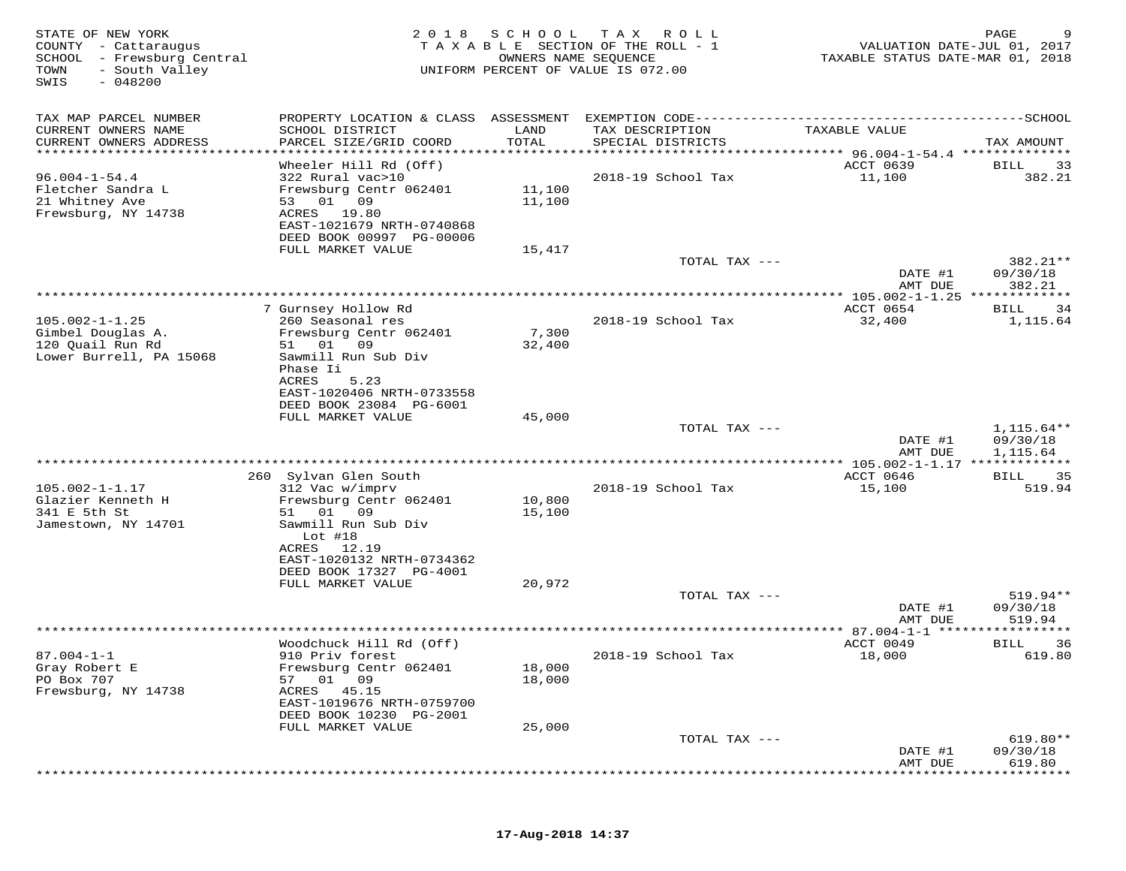| STATE OF NEW YORK<br>COUNTY - Cattaraugus<br>SCHOOL - Frewsburg Central<br>TOWN<br>- South Valley<br>SWIS<br>$-048200$ | 2 0 1 8                                                        | SCHOOL           | T A X<br>R O L L<br>TAXABLE SECTION OF THE ROLL - 1<br>OWNERS NAME SEQUENCE<br>UNIFORM PERCENT OF VALUE IS 072.00 | VALUATION DATE-JUL 01, 2017<br>TAXABLE STATUS DATE-MAR 01, 2018 | PAGE                   |
|------------------------------------------------------------------------------------------------------------------------|----------------------------------------------------------------|------------------|-------------------------------------------------------------------------------------------------------------------|-----------------------------------------------------------------|------------------------|
| TAX MAP PARCEL NUMBER                                                                                                  | PROPERTY LOCATION & CLASS ASSESSMENT                           |                  | EXEMPTION CODE-----------                                                                                         | ------------                                                    | $------SCHOOL$         |
| CURRENT OWNERS NAME<br>CURRENT OWNERS ADDRESS                                                                          | SCHOOL DISTRICT<br>PARCEL SIZE/GRID COORD                      | LAND<br>TOTAL    | TAX DESCRIPTION<br>SPECIAL DISTRICTS                                                                              | TAXABLE VALUE                                                   | TAX AMOUNT             |
| *******************                                                                                                    | * * * * * * * * * * * * * * * * * * *<br>Wheeler Hill Rd (Off) | ******           | *************                                                                                                     | ****** 96.004-1-54.4 **************<br>ACCT 0639                | 33<br>BILL             |
| $96.004 - 1 - 54.4$                                                                                                    | 322 Rural vac>10                                               |                  | 2018-19 School Tax                                                                                                | 11,100                                                          | 382.21                 |
| Fletcher Sandra L                                                                                                      | Frewsburg Centr 062401                                         | 11,100           |                                                                                                                   |                                                                 |                        |
| 21 Whitney Ave<br>Frewsburg, NY 14738                                                                                  | 01 09<br>53<br>ACRES<br>19.80                                  | 11,100           |                                                                                                                   |                                                                 |                        |
|                                                                                                                        | EAST-1021679 NRTH-0740868                                      |                  |                                                                                                                   |                                                                 |                        |
|                                                                                                                        | DEED BOOK 00997 PG-00006                                       |                  |                                                                                                                   |                                                                 |                        |
|                                                                                                                        | FULL MARKET VALUE                                              | 15,417           |                                                                                                                   |                                                                 |                        |
|                                                                                                                        |                                                                |                  | TOTAL TAX ---                                                                                                     | DATE #1                                                         | 382.21**<br>09/30/18   |
|                                                                                                                        |                                                                |                  |                                                                                                                   | AMT DUE                                                         | 382.21                 |
|                                                                                                                        |                                                                |                  | **************************************                                                                            | ** 105.002-1-1.25 **                                            | * * * * * * * *        |
| $105.002 - 1 - 1.25$                                                                                                   | 7 Gurnsey Hollow Rd<br>260 Seasonal res                        |                  | 2018-19 School Tax                                                                                                | ACCT 0654<br>32,400                                             | 34<br>BILL<br>1,115.64 |
| Gimbel Douglas A.                                                                                                      | Frewsburg Centr 062401                                         | 7,300            |                                                                                                                   |                                                                 |                        |
| 120 Quail Run Rd                                                                                                       | 01<br>09<br>51                                                 | 32,400           |                                                                                                                   |                                                                 |                        |
| Lower Burrell, PA 15068                                                                                                | Sawmill Run Sub Div<br>Phase Ii                                |                  |                                                                                                                   |                                                                 |                        |
|                                                                                                                        | ACRES<br>5.23                                                  |                  |                                                                                                                   |                                                                 |                        |
|                                                                                                                        | EAST-1020406 NRTH-0733558                                      |                  |                                                                                                                   |                                                                 |                        |
|                                                                                                                        | DEED BOOK 23084 PG-6001<br>FULL MARKET VALUE                   | 45,000           |                                                                                                                   |                                                                 |                        |
|                                                                                                                        |                                                                |                  | TOTAL TAX ---                                                                                                     |                                                                 | 1,115.64**             |
|                                                                                                                        |                                                                |                  |                                                                                                                   | DATE #1                                                         | 09/30/18               |
|                                                                                                                        |                                                                |                  |                                                                                                                   | AMT DUE                                                         | 1,115.64               |
|                                                                                                                        | 260 Sylvan Glen South                                          |                  |                                                                                                                   | ACCT 0646                                                       | 35<br>BILL             |
| $105.002 - 1 - 1.17$                                                                                                   | 312 Vac w/imprv                                                |                  | 2018-19 School Tax                                                                                                | 15,100                                                          | 519.94                 |
| Glazier Kenneth H<br>341 E 5th St                                                                                      | Frewsburg Centr 062401<br>01<br>51<br>09                       | 10,800<br>15,100 |                                                                                                                   |                                                                 |                        |
| Jamestown, NY 14701                                                                                                    | Sawmill Run Sub Div                                            |                  |                                                                                                                   |                                                                 |                        |
|                                                                                                                        | Lot $#18$                                                      |                  |                                                                                                                   |                                                                 |                        |
|                                                                                                                        | 12.19<br>ACRES<br>EAST-1020132 NRTH-0734362                    |                  |                                                                                                                   |                                                                 |                        |
|                                                                                                                        | DEED BOOK 17327 PG-4001                                        |                  |                                                                                                                   |                                                                 |                        |
|                                                                                                                        | FULL MARKET VALUE                                              | 20,972           |                                                                                                                   |                                                                 |                        |
|                                                                                                                        |                                                                |                  | TOTAL TAX ---                                                                                                     |                                                                 | $519.94**$             |
|                                                                                                                        |                                                                |                  |                                                                                                                   | DATE #1<br>AMT DUE                                              | 09/30/18<br>519.94     |
|                                                                                                                        |                                                                |                  |                                                                                                                   | $87.004 - 1 - 1$ **                                             |                        |
|                                                                                                                        | Woodchuck Hill Rd (Off)                                        |                  |                                                                                                                   | ACCT 0049                                                       | 36<br>BILL             |
| $87.004 - 1 - 1$<br>Gray Robert E                                                                                      | 910 Priv forest<br>Frewsburg Centr 062401                      | 18,000           | 2018-19 School Tax                                                                                                | 18,000                                                          | 619.80                 |
| PO Box 707                                                                                                             | 01 09<br>57                                                    | 18,000           |                                                                                                                   |                                                                 |                        |
| Frewsburg, NY 14738                                                                                                    | ACRES<br>45.15                                                 |                  |                                                                                                                   |                                                                 |                        |
|                                                                                                                        | EAST-1019676 NRTH-0759700<br>DEED BOOK 10230 PG-2001           |                  |                                                                                                                   |                                                                 |                        |
|                                                                                                                        | FULL MARKET VALUE                                              | 25,000           |                                                                                                                   |                                                                 |                        |
|                                                                                                                        |                                                                |                  | TOTAL TAX ---                                                                                                     |                                                                 | $619.80**$             |
|                                                                                                                        |                                                                |                  |                                                                                                                   | DATE #1                                                         | 09/30/18<br>619.80     |
|                                                                                                                        |                                                                |                  |                                                                                                                   | AMT DUE                                                         |                        |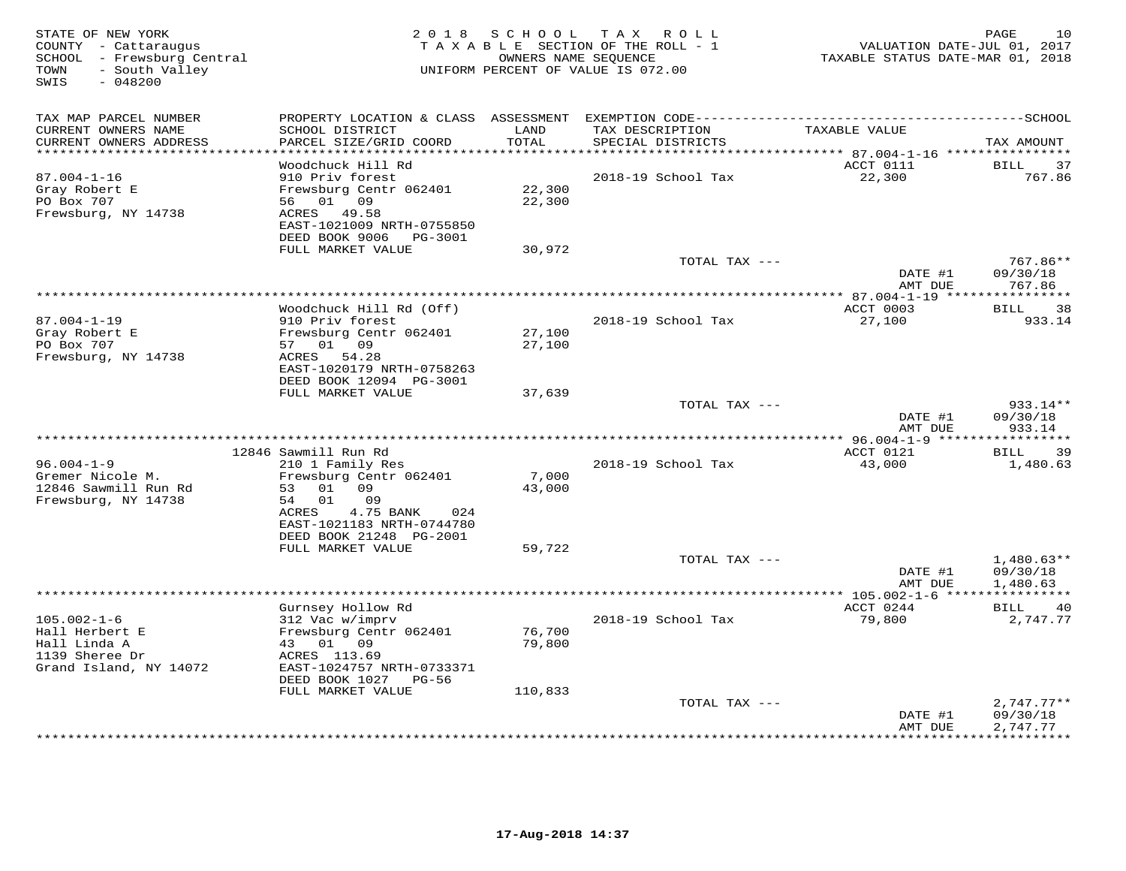| STATE OF NEW YORK<br>COUNTY - Cattaraugus<br>SCHOOL - Frewsburg Central<br>- South Valley<br>TOWN<br>SWIS<br>$-048200$ | 2 0 1 8                                                |                  | SCHOOL TAX ROLL<br>TAXABLE SECTION OF THE ROLL - 1<br>OWNERS NAME SEQUENCE<br>UNIFORM PERCENT OF VALUE IS 072.00 | VALUATION DATE-JUL 01, 2017<br>TAXABLE STATUS DATE-MAR 01, 2018 | PAGE<br>10           |
|------------------------------------------------------------------------------------------------------------------------|--------------------------------------------------------|------------------|------------------------------------------------------------------------------------------------------------------|-----------------------------------------------------------------|----------------------|
| TAX MAP PARCEL NUMBER<br>CURRENT OWNERS NAME                                                                           | SCHOOL DISTRICT                                        | LAND             | TAX DESCRIPTION                                                                                                  | TAXABLE VALUE                                                   |                      |
| CURRENT OWNERS ADDRESS<br>**********************                                                                       | PARCEL SIZE/GRID COORD                                 | <b>TOTAL</b>     | SPECIAL DISTRICTS                                                                                                |                                                                 | TAX AMOUNT           |
|                                                                                                                        | Woodchuck Hill Rd                                      |                  |                                                                                                                  | ACCT 0111                                                       | BILL<br>37           |
| $87.004 - 1 - 16$                                                                                                      | 910 Priv forest                                        |                  | 2018-19 School Tax                                                                                               | 22,300                                                          | 767.86               |
| Gray Robert E                                                                                                          | Frewsburg Centr 062401                                 | 22,300           |                                                                                                                  |                                                                 |                      |
| PO Box 707                                                                                                             | 56 01 09                                               | 22,300           |                                                                                                                  |                                                                 |                      |
| Frewsburg, NY 14738                                                                                                    | 49.58<br>ACRES                                         |                  |                                                                                                                  |                                                                 |                      |
|                                                                                                                        | EAST-1021009 NRTH-0755850                              |                  |                                                                                                                  |                                                                 |                      |
|                                                                                                                        | DEED BOOK 9006 PG-3001                                 |                  |                                                                                                                  |                                                                 |                      |
|                                                                                                                        | FULL MARKET VALUE                                      | 30,972           |                                                                                                                  |                                                                 |                      |
|                                                                                                                        |                                                        |                  | TOTAL TAX ---                                                                                                    |                                                                 | 767.86**             |
|                                                                                                                        |                                                        |                  |                                                                                                                  | DATE #1                                                         | 09/30/18             |
|                                                                                                                        |                                                        |                  |                                                                                                                  | AMT DUE                                                         | 767.86               |
|                                                                                                                        | Woodchuck Hill Rd (Off)                                |                  |                                                                                                                  | ACCT 0003                                                       | BILL 38              |
| $87.004 - 1 - 19$                                                                                                      | 910 Priv forest                                        |                  | 2018-19 School Tax                                                                                               | 27,100                                                          | 933.14               |
| Gray Robert E                                                                                                          | Frewsburg Centr 062401                                 | 27,100           |                                                                                                                  |                                                                 |                      |
| PO Box 707                                                                                                             | 57 01 09                                               | 27,100           |                                                                                                                  |                                                                 |                      |
| Frewsburg, NY 14738                                                                                                    | 54.28<br>ACRES                                         |                  |                                                                                                                  |                                                                 |                      |
|                                                                                                                        | EAST-1020179 NRTH-0758263                              |                  |                                                                                                                  |                                                                 |                      |
|                                                                                                                        | DEED BOOK 12094 PG-3001                                |                  |                                                                                                                  |                                                                 |                      |
|                                                                                                                        | FULL MARKET VALUE                                      | 37,639           |                                                                                                                  |                                                                 |                      |
|                                                                                                                        |                                                        |                  | TOTAL TAX ---                                                                                                    | DATE #1                                                         | 933.14**<br>09/30/18 |
|                                                                                                                        |                                                        |                  |                                                                                                                  | AMT DUE                                                         | 933.14               |
|                                                                                                                        |                                                        |                  |                                                                                                                  |                                                                 | ***********          |
|                                                                                                                        | 12846 Sawmill Run Rd                                   |                  |                                                                                                                  | ACCT 0121                                                       | 39<br>BILL           |
| $96.004 - 1 - 9$                                                                                                       | 210 1 Family Res                                       |                  | 2018-19 School Tax                                                                                               | 43,000                                                          | 1,480.63             |
| Gremer Nicole M.                                                                                                       | Frewsburg Centr 062401                                 | 7,000            |                                                                                                                  |                                                                 |                      |
| 12846 Sawmill Run Rd                                                                                                   | 01 09<br>53                                            | 43,000           |                                                                                                                  |                                                                 |                      |
| Frewsburg, NY 14738                                                                                                    | 54 01<br>09                                            |                  |                                                                                                                  |                                                                 |                      |
|                                                                                                                        | 4.75 BANK<br>ACRES<br>024<br>EAST-1021183 NRTH-0744780 |                  |                                                                                                                  |                                                                 |                      |
|                                                                                                                        | DEED BOOK 21248 PG-2001                                |                  |                                                                                                                  |                                                                 |                      |
|                                                                                                                        | FULL MARKET VALUE                                      | 59,722           |                                                                                                                  |                                                                 |                      |
|                                                                                                                        |                                                        |                  | TOTAL TAX ---                                                                                                    |                                                                 | $1,480.63**$         |
|                                                                                                                        |                                                        |                  |                                                                                                                  | DATE #1                                                         | 09/30/18             |
|                                                                                                                        |                                                        |                  |                                                                                                                  | AMT DUE                                                         | 1,480.63             |
|                                                                                                                        |                                                        |                  |                                                                                                                  | ****************** 105.002-1-6 ****                             |                      |
|                                                                                                                        | Gurnsey Hollow Rd                                      |                  |                                                                                                                  | ACCT 0244                                                       | BILL<br>40           |
| $105.002 - 1 - 6$                                                                                                      | 312 Vac w/imprv                                        |                  | 2018-19 School Tax                                                                                               | 79,800                                                          | 2,747.77             |
| Hall Herbert E<br>Hall Linda A                                                                                         | Frewsburg Centr 062401<br>43 01 09                     | 76,700<br>79,800 |                                                                                                                  |                                                                 |                      |
| 1139 Sheree Dr                                                                                                         | ACRES 113.69                                           |                  |                                                                                                                  |                                                                 |                      |
| Grand Island, NY 14072                                                                                                 | EAST-1024757 NRTH-0733371                              |                  |                                                                                                                  |                                                                 |                      |
|                                                                                                                        | DEED BOOK 1027 PG-56                                   |                  |                                                                                                                  |                                                                 |                      |
|                                                                                                                        | FULL MARKET VALUE                                      | 110,833          |                                                                                                                  |                                                                 |                      |
|                                                                                                                        |                                                        |                  | TOTAL TAX ---                                                                                                    |                                                                 | $2,747.77**$         |
|                                                                                                                        |                                                        |                  |                                                                                                                  | DATE #1                                                         | 09/30/18             |
|                                                                                                                        |                                                        |                  |                                                                                                                  | AMT DUE                                                         | 2,747.77             |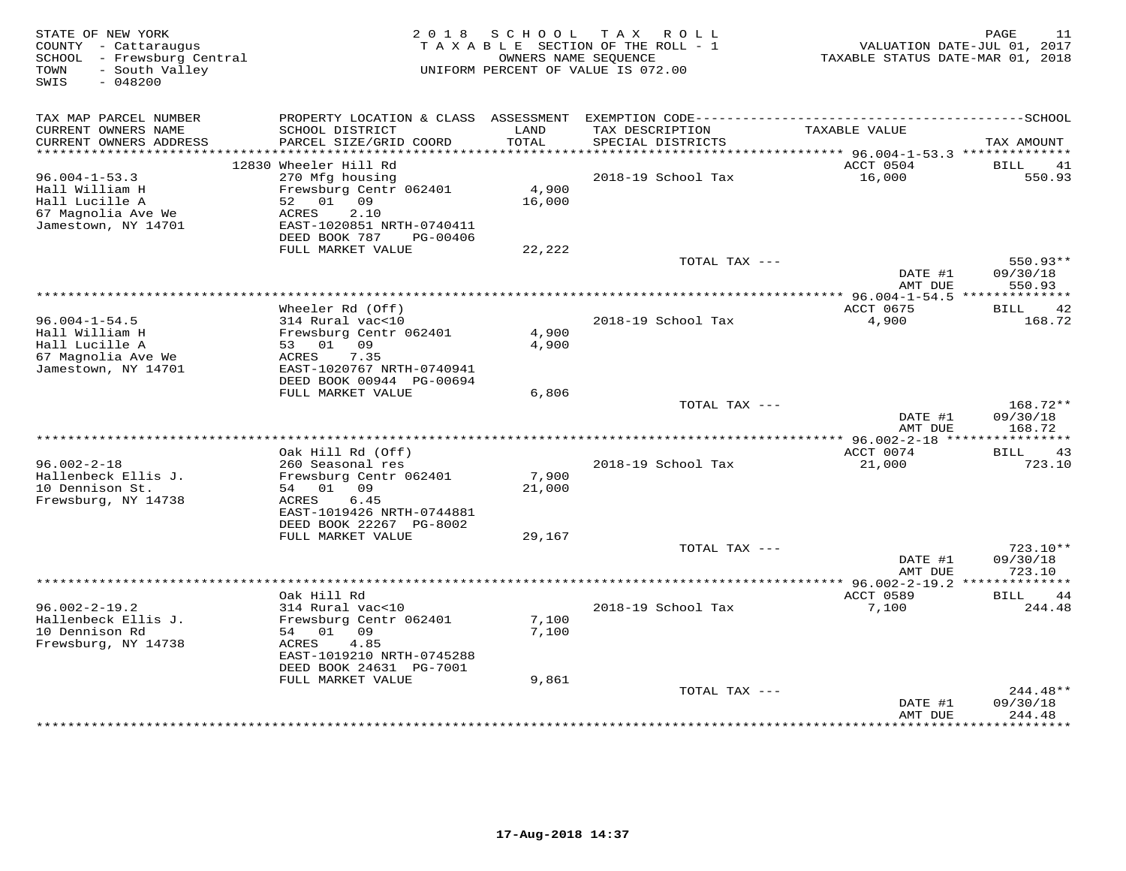| STATE OF NEW YORK<br>COUNTY - Cattaraugus<br>SCHOOL - Frewsburg Central<br>- South Valley<br>TOWN<br>$-048200$<br>SWIS |                                                                                                                                  | 2018 SCHOOL     | TAX ROLL<br>TAXABLE SECTION OF THE ROLL - 1<br>OWNERS NAME SEQUENCE<br>UNIFORM PERCENT OF VALUE IS 072.00 | TAXABLE STATUS DATE-MAR 01, 2018                      | PAGE<br>11<br>VALUATION DATE-JUL 01, 2017 |
|------------------------------------------------------------------------------------------------------------------------|----------------------------------------------------------------------------------------------------------------------------------|-----------------|-----------------------------------------------------------------------------------------------------------|-------------------------------------------------------|-------------------------------------------|
| TAX MAP PARCEL NUMBER<br>CURRENT OWNERS NAME<br>CURRENT OWNERS ADDRESS                                                 | PROPERTY LOCATION & CLASS ASSESSMENT<br>SCHOOL DISTRICT<br>PARCEL SIZE/GRID COORD                                                | LAND<br>TOTAL   | TAX DESCRIPTION<br>SPECIAL DISTRICTS                                                                      | TAXABLE VALUE                                         | TAX AMOUNT                                |
| ************************                                                                                               |                                                                                                                                  |                 |                                                                                                           |                                                       |                                           |
| $96.004 - 1 - 53.3$                                                                                                    | 12830 Wheeler Hill Rd<br>270 Mfg housing                                                                                         |                 | 2018-19 School Tax                                                                                        | ACCT 0504<br>16,000                                   | BILL<br>41<br>550.93                      |
| Hall William H<br>Hall Lucille A<br>67 Magnolia Ave We<br>Jamestown, NY 14701                                          | Frewsburg Centr 062401<br>52 01 09<br>2.10<br>ACRES<br>EAST-1020851 NRTH-0740411<br>DEED BOOK 787<br>PG-00406                    | 4,900<br>16,000 |                                                                                                           |                                                       |                                           |
|                                                                                                                        | FULL MARKET VALUE                                                                                                                | 22,222          |                                                                                                           |                                                       |                                           |
|                                                                                                                        |                                                                                                                                  |                 | TOTAL TAX ---                                                                                             | DATE #1<br>AMT DUE                                    | 550.93**<br>09/30/18<br>550.93            |
|                                                                                                                        |                                                                                                                                  |                 |                                                                                                           | ****************** 96.004-1-54.5 ***************      |                                           |
|                                                                                                                        | Wheeler Rd (Off)                                                                                                                 |                 |                                                                                                           | ACCT 0675                                             | <b>BILL</b><br>42                         |
| $96.004 - 1 - 54.5$<br>Hall William H<br>Hall Lucille A<br>67 Magnolia Ave We<br>Jamestown, NY 14701                   | 314 Rural vac<10<br>Frewsburg Centr 062401<br>53 01 09<br>ACRES<br>7.35<br>EAST-1020767 NRTH-0740941<br>DEED BOOK 00944 PG-00694 | 4,900<br>4,900  | 2018-19 School Tax                                                                                        | 4,900                                                 | 168.72                                    |
|                                                                                                                        | FULL MARKET VALUE                                                                                                                | 6,806           |                                                                                                           |                                                       |                                           |
|                                                                                                                        |                                                                                                                                  |                 | TOTAL TAX ---                                                                                             | DATE #1<br>AMT DUE                                    | $168.72**$<br>09/30/18<br>168.72          |
|                                                                                                                        | Oak Hill Rd (Off)                                                                                                                |                 |                                                                                                           | ACCT 0074                                             | BILL<br>43                                |
| $96.002 - 2 - 18$<br>Hallenbeck Ellis J.<br>10 Dennison St.<br>Frewsburg, NY 14738                                     | 260 Seasonal res<br>Frewsburg Centr 062401<br>54 01 09<br>ACRES<br>6.45                                                          | 7,900<br>21,000 | 2018-19 School Tax                                                                                        | 21,000                                                | 723.10                                    |
|                                                                                                                        | EAST-1019426 NRTH-0744881                                                                                                        |                 |                                                                                                           |                                                       |                                           |
|                                                                                                                        | DEED BOOK 22267 PG-8002<br>FULL MARKET VALUE                                                                                     | 29,167          |                                                                                                           |                                                       |                                           |
|                                                                                                                        |                                                                                                                                  |                 | TOTAL TAX ---                                                                                             | DATE #1                                               | $723.10**$<br>09/30/18                    |
|                                                                                                                        |                                                                                                                                  |                 | **********************                                                                                    | AMT DUE<br>************* 96.002-2-19.2 ************** | 723.10                                    |
| $96.002 - 2 - 19.2$                                                                                                    | Oak Hill Rd<br>314 Rural vac<10                                                                                                  |                 | 2018-19 School Tax                                                                                        | ACCT 0589<br>7,100                                    | BILL<br>-44<br>244.48                     |
| Hallenbeck Ellis J.<br>10 Dennison Rd<br>Frewsburg, NY 14738                                                           | Frewsburg Centr 062401<br>54 01 09<br>ACRES<br>4.85<br>EAST-1019210 NRTH-0745288<br>DEED BOOK 24631 PG-7001                      | 7,100<br>7,100  |                                                                                                           |                                                       |                                           |
|                                                                                                                        | FULL MARKET VALUE                                                                                                                | 9,861           | TOTAL TAX ---                                                                                             |                                                       | 244.48**                                  |
|                                                                                                                        |                                                                                                                                  |                 |                                                                                                           | DATE #1<br>AMT DUE                                    | 09/30/18<br>244.48<br>********            |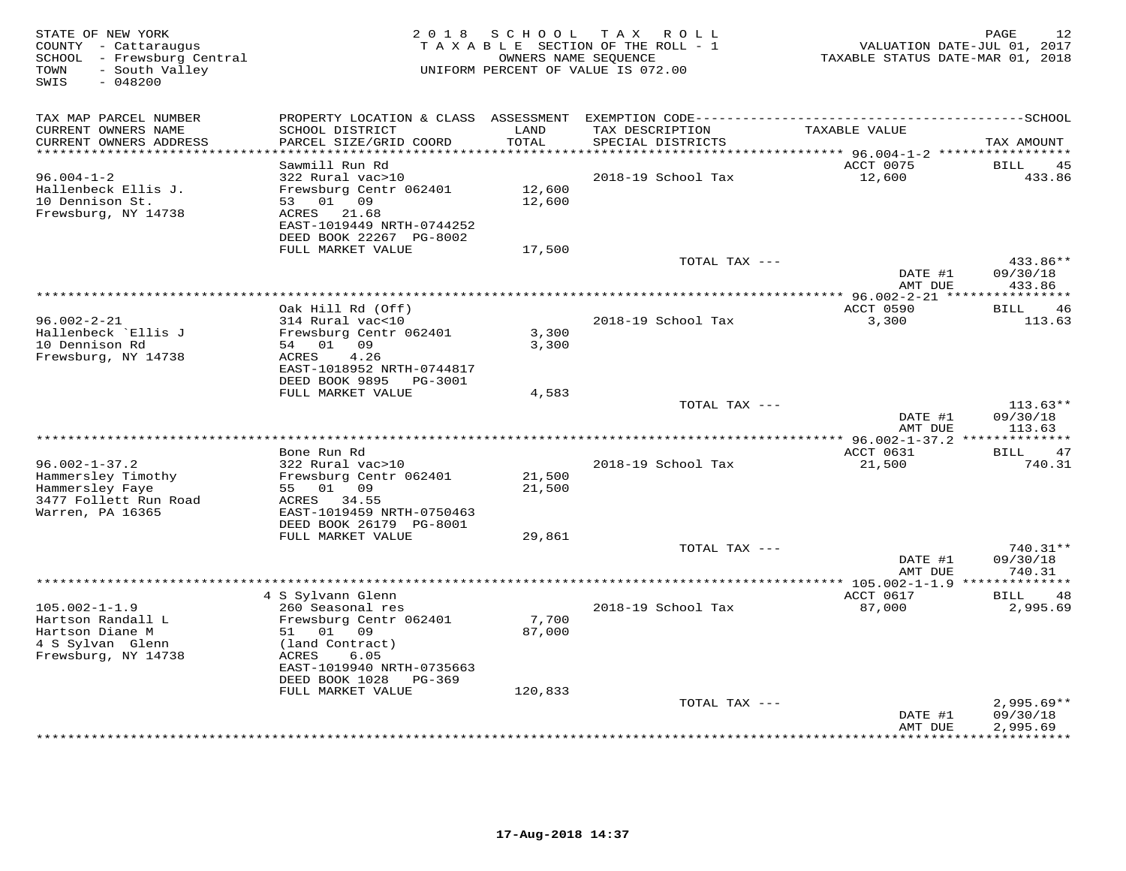| STATE OF NEW YORK<br>COUNTY - Cattaraugus<br>SCHOOL - Frewsburg Central<br>- South Valley<br>TOWN<br>$-048200$<br>SWIS | 2 0 1 8                                               |               | SCHOOL TAX ROLL<br>T A X A B L E SECTION OF THE ROLL - 1<br>OWNERS NAME SEQUENCE<br>UNIFORM PERCENT OF VALUE IS 072.00 | VALUATION DATE-JUL 01, 2017<br>TAXABLE STATUS DATE-MAR 01, 2018 | 12<br>PAGE         |
|------------------------------------------------------------------------------------------------------------------------|-------------------------------------------------------|---------------|------------------------------------------------------------------------------------------------------------------------|-----------------------------------------------------------------|--------------------|
| TAX MAP PARCEL NUMBER                                                                                                  | PROPERTY LOCATION & CLASS ASSESSMENT                  |               |                                                                                                                        |                                                                 |                    |
| CURRENT OWNERS NAME<br>CURRENT OWNERS ADDRESS<br>*********************                                                 | SCHOOL DISTRICT<br>PARCEL SIZE/GRID COORD             | LAND<br>TOTAL | TAX DESCRIPTION<br>SPECIAL DISTRICTS                                                                                   | TAXABLE VALUE                                                   | TAX AMOUNT         |
|                                                                                                                        | Sawmill Run Rd                                        |               |                                                                                                                        | ACCT 0075                                                       | BILL<br>45         |
| $96.004 - 1 - 2$                                                                                                       | 322 Rural vac>10                                      |               | 2018-19 School Tax                                                                                                     | 12,600                                                          | 433.86             |
| Hallenbeck Ellis J.                                                                                                    | Frewsburg Centr 062401                                | 12,600        |                                                                                                                        |                                                                 |                    |
| 10 Dennison St.                                                                                                        | 53<br>01 09                                           | 12,600        |                                                                                                                        |                                                                 |                    |
| Frewsburg, NY 14738                                                                                                    | ACRES<br>21.68                                        |               |                                                                                                                        |                                                                 |                    |
|                                                                                                                        | EAST-1019449 NRTH-0744252                             |               |                                                                                                                        |                                                                 |                    |
|                                                                                                                        | DEED BOOK 22267 PG-8002                               |               |                                                                                                                        |                                                                 |                    |
|                                                                                                                        | FULL MARKET VALUE                                     | 17,500        |                                                                                                                        |                                                                 |                    |
|                                                                                                                        |                                                       |               | TOTAL TAX ---                                                                                                          |                                                                 | 433.86**           |
|                                                                                                                        |                                                       |               |                                                                                                                        | DATE #1                                                         | 09/30/18<br>433.86 |
|                                                                                                                        |                                                       |               |                                                                                                                        | AMT DUE                                                         |                    |
|                                                                                                                        | Oak Hill Rd (Off)                                     |               |                                                                                                                        | ACCT 0590                                                       | 46<br>BILL         |
| $96.002 - 2 - 21$                                                                                                      | 314 Rural vac<10                                      |               | 2018-19 School Tax                                                                                                     | 3,300                                                           | 113.63             |
| Hallenbeck `Ellis J                                                                                                    | Frewsburg Centr 062401                                | 3,300         |                                                                                                                        |                                                                 |                    |
| 10 Dennison Rd                                                                                                         | 54 01 09                                              | 3,300         |                                                                                                                        |                                                                 |                    |
| Frewsburg, NY 14738                                                                                                    | 4.26<br>ACRES                                         |               |                                                                                                                        |                                                                 |                    |
|                                                                                                                        | EAST-1018952 NRTH-0744817                             |               |                                                                                                                        |                                                                 |                    |
|                                                                                                                        | DEED BOOK 9895<br>PG-3001                             |               |                                                                                                                        |                                                                 |                    |
|                                                                                                                        | FULL MARKET VALUE                                     | 4,583         |                                                                                                                        |                                                                 |                    |
|                                                                                                                        |                                                       |               | TOTAL TAX ---                                                                                                          |                                                                 | $113.63**$         |
|                                                                                                                        |                                                       |               |                                                                                                                        | DATE #1<br>AMT DUE                                              | 09/30/18<br>113.63 |
|                                                                                                                        |                                                       |               |                                                                                                                        |                                                                 |                    |
|                                                                                                                        | Bone Run Rd                                           |               |                                                                                                                        | ACCT 0631                                                       | 47<br>BILL         |
| $96.002 - 1 - 37.2$                                                                                                    | 322 Rural vac>10                                      |               | 2018-19 School Tax                                                                                                     | 21,500                                                          | 740.31             |
| Hammersley Timothy                                                                                                     | Frewsburg Centr 062401                                | 21,500        |                                                                                                                        |                                                                 |                    |
| Hammersley Faye                                                                                                        | 55<br>01 09                                           | 21,500        |                                                                                                                        |                                                                 |                    |
| 3477 Follett Run Road                                                                                                  | 34.55<br>ACRES                                        |               |                                                                                                                        |                                                                 |                    |
| Warren, PA 16365                                                                                                       | EAST-1019459 NRTH-0750463                             |               |                                                                                                                        |                                                                 |                    |
|                                                                                                                        | DEED BOOK 26179 PG-8001                               |               |                                                                                                                        |                                                                 |                    |
|                                                                                                                        | FULL MARKET VALUE                                     | 29,861        | TOTAL TAX ---                                                                                                          |                                                                 | 740.31**           |
|                                                                                                                        |                                                       |               |                                                                                                                        | DATE #1                                                         | 09/30/18           |
|                                                                                                                        |                                                       |               |                                                                                                                        | AMT DUE                                                         | 740.31             |
|                                                                                                                        |                                                       |               |                                                                                                                        | *** 105.002-1-1.9 **************                                |                    |
|                                                                                                                        | 4 S Sylvann Glenn                                     |               |                                                                                                                        | ACCT 0617                                                       | 48<br>BILL         |
| $105.002 - 1 - 1.9$                                                                                                    | 260 Seasonal res                                      |               | 2018-19 School Tax                                                                                                     | 87,000                                                          | 2,995.69           |
| Hartson Randall L                                                                                                      | Frewsburg Centr 062401                                | 7,700         |                                                                                                                        |                                                                 |                    |
| Hartson Diane M                                                                                                        | 01 09<br>51                                           | 87,000        |                                                                                                                        |                                                                 |                    |
| 4 S Sylvan Glenn                                                                                                       | (land Contract)                                       |               |                                                                                                                        |                                                                 |                    |
| Frewsburg, NY 14738                                                                                                    | ACRES<br>6.05                                         |               |                                                                                                                        |                                                                 |                    |
|                                                                                                                        | EAST-1019940 NRTH-0735663<br>DEED BOOK 1028<br>PG-369 |               |                                                                                                                        |                                                                 |                    |
|                                                                                                                        | FULL MARKET VALUE                                     | 120,833       |                                                                                                                        |                                                                 |                    |
|                                                                                                                        |                                                       |               | TOTAL TAX ---                                                                                                          |                                                                 | $2,995.69**$       |
|                                                                                                                        |                                                       |               |                                                                                                                        | DATE #1                                                         | 09/30/18           |
|                                                                                                                        |                                                       |               |                                                                                                                        | AMT DUE                                                         | 2,995.69           |
|                                                                                                                        |                                                       |               |                                                                                                                        |                                                                 | * * * * * * * * *  |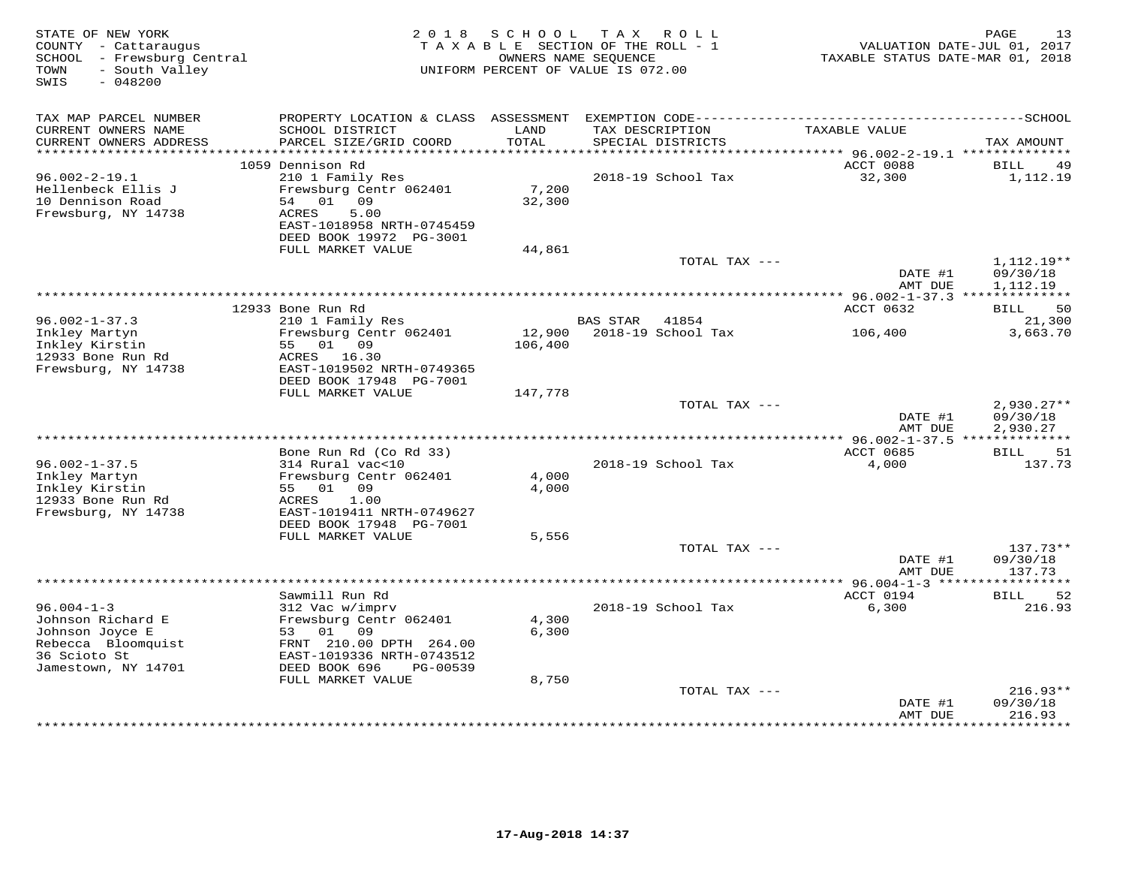| STATE OF NEW YORK<br>COUNTY - Cattaraugus<br>SCHOOL - Frewsburg Central<br>- South Valley<br>TOWN<br>SWIS<br>$-048200$ | 2 0 1 8                                             | S C H O O L   | TAX ROLL<br>TAXABLE SECTION OF THE ROLL - 1<br>OWNERS NAME SEOUENCE<br>UNIFORM PERCENT OF VALUE IS 072.00 | VALUATION DATE-JUL 01, 2017<br>TAXABLE STATUS DATE-MAR 01, 2018 | 13<br>PAGE                  |
|------------------------------------------------------------------------------------------------------------------------|-----------------------------------------------------|---------------|-----------------------------------------------------------------------------------------------------------|-----------------------------------------------------------------|-----------------------------|
| TAX MAP PARCEL NUMBER                                                                                                  | PROPERTY LOCATION & CLASS ASSESSMENT                |               |                                                                                                           |                                                                 |                             |
| CURRENT OWNERS NAME<br>CURRENT OWNERS ADDRESS                                                                          | SCHOOL DISTRICT<br>PARCEL SIZE/GRID COORD           | LAND<br>TOTAL | TAX DESCRIPTION<br>SPECIAL DISTRICTS                                                                      | TAXABLE VALUE                                                   | TAX AMOUNT                  |
| ***********************                                                                                                | *******************************<br>1059 Dennison Rd |               |                                                                                                           | ACCT 0088                                                       | BILL                        |
| $96.002 - 2 - 19.1$                                                                                                    | 210 1 Family Res                                    |               | 2018-19 School Tax                                                                                        | 32,300                                                          | 49<br>1,112.19              |
| Hellenbeck Ellis J                                                                                                     | Frewsburg Centr 062401                              | 7,200         |                                                                                                           |                                                                 |                             |
| 10 Dennison Road                                                                                                       | 01<br>09<br>54                                      | 32,300        |                                                                                                           |                                                                 |                             |
| Frewsburg, NY 14738                                                                                                    | 5.00<br>ACRES                                       |               |                                                                                                           |                                                                 |                             |
|                                                                                                                        | EAST-1018958 NRTH-0745459                           |               |                                                                                                           |                                                                 |                             |
|                                                                                                                        | DEED BOOK 19972 PG-3001<br>FULL MARKET VALUE        | 44,861        |                                                                                                           |                                                                 |                             |
|                                                                                                                        |                                                     |               | TOTAL TAX ---                                                                                             |                                                                 | $1,112.19**$                |
|                                                                                                                        |                                                     |               |                                                                                                           | DATE #1                                                         | 09/30/18                    |
|                                                                                                                        |                                                     |               |                                                                                                           | AMT DUE                                                         | 1,112.19                    |
|                                                                                                                        |                                                     |               | **********************************                                                                        | *********** 96.002-1-37.3 **************                        |                             |
| $96.002 - 1 - 37.3$                                                                                                    | 12933 Bone Run Rd<br>210 1 Family Res               |               | <b>BAS STAR</b><br>41854                                                                                  | ACCT 0632                                                       | 50<br><b>BILL</b><br>21,300 |
| Inkley Martyn                                                                                                          | Frewsburg Centr 062401                              | 12,900        | 2018-19 School Tax                                                                                        | 106,400                                                         | 3,663.70                    |
| Inkley Kirstin                                                                                                         | 01 09<br>55                                         | 106,400       |                                                                                                           |                                                                 |                             |
| 12933 Bone Run Rd                                                                                                      | ACRES 16.30                                         |               |                                                                                                           |                                                                 |                             |
| Frewsburg, NY 14738                                                                                                    | EAST-1019502 NRTH-0749365                           |               |                                                                                                           |                                                                 |                             |
|                                                                                                                        | DEED BOOK 17948 PG-7001<br>FULL MARKET VALUE        | 147,778       |                                                                                                           |                                                                 |                             |
|                                                                                                                        |                                                     |               | TOTAL TAX ---                                                                                             |                                                                 | $2,930.27**$                |
|                                                                                                                        |                                                     |               |                                                                                                           | DATE #1                                                         | 09/30/18                    |
|                                                                                                                        |                                                     |               |                                                                                                           | AMT DUE                                                         | 2,930.27                    |
|                                                                                                                        |                                                     |               |                                                                                                           |                                                                 |                             |
| $96.002 - 1 - 37.5$                                                                                                    | Bone Run Rd (Co Rd 33)<br>314 Rural vac<10          |               | 2018-19 School Tax                                                                                        | <b>ACCT 0685</b><br>4,000                                       | BILL<br>51<br>137.73        |
| Inkley Martyn                                                                                                          | Frewsburg Centr 062401                              | 4,000         |                                                                                                           |                                                                 |                             |
| Inkley Kirstin                                                                                                         | 55 01 09                                            | 4,000         |                                                                                                           |                                                                 |                             |
| 12933 Bone Run Rd                                                                                                      | ACRES<br>1.00                                       |               |                                                                                                           |                                                                 |                             |
| Frewsburg, NY 14738                                                                                                    | EAST-1019411 NRTH-0749627                           |               |                                                                                                           |                                                                 |                             |
|                                                                                                                        | DEED BOOK 17948 PG-7001<br>FULL MARKET VALUE        | 5,556         |                                                                                                           |                                                                 |                             |
|                                                                                                                        |                                                     |               | TOTAL TAX ---                                                                                             |                                                                 | 137.73**                    |
|                                                                                                                        |                                                     |               |                                                                                                           | DATE #1                                                         | 09/30/18                    |
|                                                                                                                        |                                                     |               |                                                                                                           | AMT DUE                                                         | 137.73                      |
|                                                                                                                        |                                                     |               |                                                                                                           | ***************** 96.004-1-3 ******************                 |                             |
| $96.004 - 1 - 3$                                                                                                       | Sawmill Run Rd                                      |               |                                                                                                           | ACCT 0194                                                       | BILL<br>52                  |
| Johnson Richard E                                                                                                      | 312 Vac w/imprv<br>Frewsburg Centr 062401           | 4,300         | 2018-19 School Tax                                                                                        | 6,300                                                           | 216.93                      |
| Johnson Joyce E                                                                                                        | 53<br>01<br>09                                      | 6,300         |                                                                                                           |                                                                 |                             |
| Rebecca Bloomquist                                                                                                     | FRNT 210.00 DPTH 264.00                             |               |                                                                                                           |                                                                 |                             |
| 36 Scioto St                                                                                                           | EAST-1019336 NRTH-0743512                           |               |                                                                                                           |                                                                 |                             |
| Jamestown, NY 14701                                                                                                    | DEED BOOK 696<br>PG-00539                           |               |                                                                                                           |                                                                 |                             |
|                                                                                                                        | FULL MARKET VALUE                                   | 8,750         | TOTAL TAX ---                                                                                             |                                                                 | $216.93**$                  |
|                                                                                                                        |                                                     |               |                                                                                                           | DATE #1                                                         | 09/30/18                    |
|                                                                                                                        |                                                     |               |                                                                                                           | AMT DUE<br>*********                                            | 216.93<br>.                 |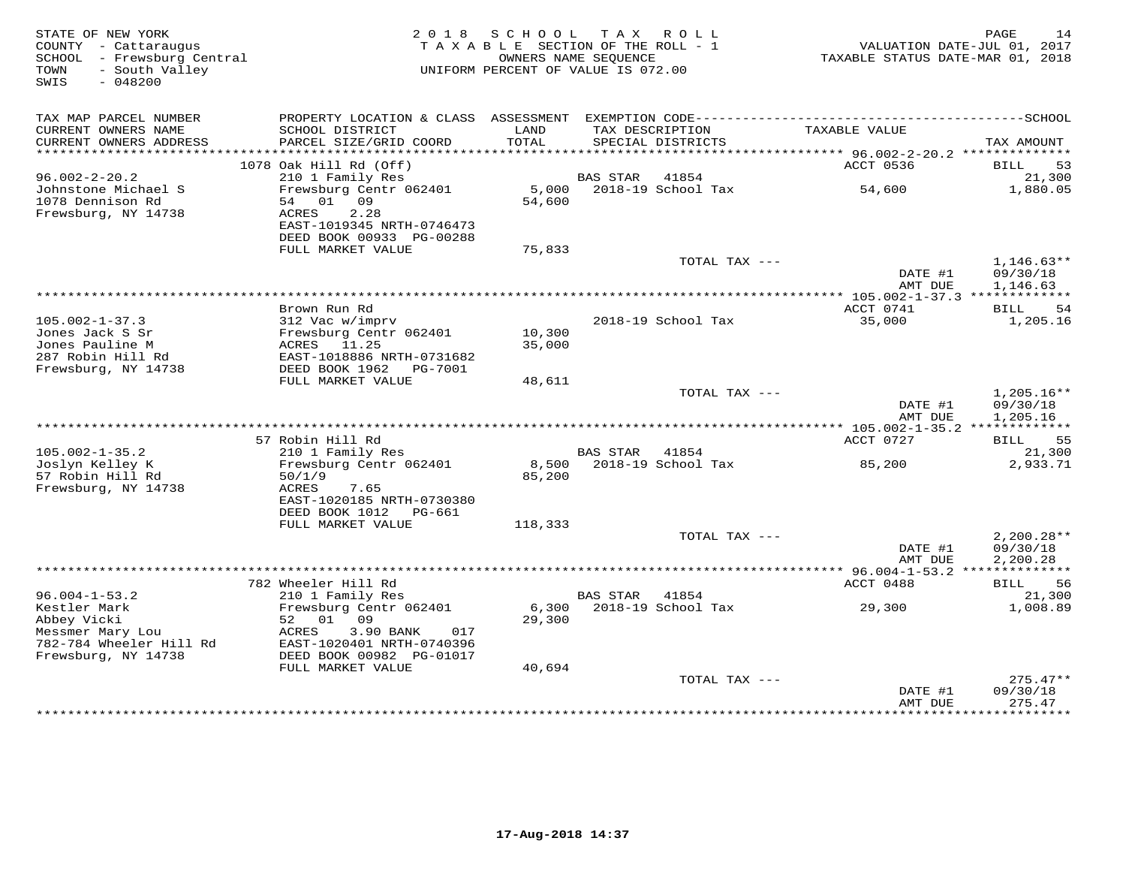| STATE OF NEW YORK<br>COUNTY - Cattaraugus<br>SCHOOL - Frewsburg Central<br>- South Valley<br>TOWN<br>$-048200$<br>SWIS |                                                                                     | 2018 SCHOOL<br>TAXABLE SECTION OF THE ROLL - 1<br>UNIFORM PERCENT OF VALUE IS 072.00 | OWNERS NAME SEQUENCE | TAX ROLL                             | VALUATION DATE-JUL 01, 2017<br>TAXABLE STATUS DATE-MAR 01, 2018 | PAGE<br>14                           |
|------------------------------------------------------------------------------------------------------------------------|-------------------------------------------------------------------------------------|--------------------------------------------------------------------------------------|----------------------|--------------------------------------|-----------------------------------------------------------------|--------------------------------------|
| TAX MAP PARCEL NUMBER<br>CURRENT OWNERS NAME<br>CURRENT OWNERS ADDRESS                                                 | SCHOOL DISTRICT<br>PARCEL SIZE/GRID COORD                                           | LAND<br>TOTAL                                                                        |                      | TAX DESCRIPTION<br>SPECIAL DISTRICTS | TAXABLE VALUE                                                   | TAX AMOUNT                           |
| **********************                                                                                                 |                                                                                     |                                                                                      |                      |                                      |                                                                 |                                      |
| $96.002 - 2 - 20.2$                                                                                                    | 1078 Oak Hill Rd (Off)<br>210 1 Family Res                                          |                                                                                      | <b>BAS STAR</b>      | 41854                                | ACCT 0536                                                       | 53<br>BILL<br>21,300                 |
| Johnstone Michael S<br>1078 Dennison Rd<br>Frewsburg, NY 14738                                                         | Frewsburg Centr 062401<br>01 09<br>54<br>ACRES<br>2.28<br>EAST-1019345 NRTH-0746473 | 5,000<br>54,600                                                                      |                      | 2018-19 School Tax                   | 54,600                                                          | 1,880.05                             |
|                                                                                                                        | DEED BOOK 00933 PG-00288                                                            |                                                                                      |                      |                                      |                                                                 |                                      |
|                                                                                                                        | FULL MARKET VALUE                                                                   | 75,833                                                                               |                      | TOTAL TAX ---                        | DATE #1                                                         | $1,146.63**$<br>09/30/18             |
|                                                                                                                        |                                                                                     |                                                                                      |                      |                                      | AMT DUE                                                         | 1,146.63                             |
|                                                                                                                        | Brown Run Rd                                                                        |                                                                                      |                      |                                      | ACCT 0741                                                       | BILL<br>54                           |
| $105.002 - 1 - 37.3$<br>Jones Jack S Sr                                                                                | 312 Vac w/imprv<br>Frewsburg Centr 062401                                           | 10,300                                                                               |                      | 2018-19 School Tax                   | 35,000                                                          | 1,205.16                             |
| Jones Pauline M<br>287 Robin Hill Rd<br>Frewsburg, NY 14738                                                            | ACRES 11.25<br>EAST-1018886 NRTH-0731682<br>DEED BOOK 1962    PG-7001               | 35,000                                                                               |                      |                                      |                                                                 |                                      |
|                                                                                                                        | FULL MARKET VALUE                                                                   | 48,611                                                                               |                      |                                      |                                                                 |                                      |
|                                                                                                                        |                                                                                     |                                                                                      |                      | TOTAL TAX ---                        | DATE #1<br>AMT DUE                                              | $1,205.16**$<br>09/30/18<br>1,205.16 |
|                                                                                                                        |                                                                                     |                                                                                      |                      |                                      |                                                                 |                                      |
|                                                                                                                        | 57 Robin Hill Rd                                                                    |                                                                                      |                      |                                      | ACCT 0727                                                       | 55<br>BILL                           |
| $105.002 - 1 - 35.2$<br>Joslyn Kelley K<br>57 Robin Hill Rd                                                            | 210 1 Family Res<br>Frewsburg Centr 062401<br>50/1/9                                | 8,500<br>85,200                                                                      | <b>BAS STAR</b>      | 41854<br>2018-19 School Tax          | 85,200                                                          | 21,300<br>2,933.71                   |
| Frewsburg, NY 14738                                                                                                    | ACRES<br>7.65<br>EAST-1020185 NRTH-0730380                                          |                                                                                      |                      |                                      |                                                                 |                                      |
|                                                                                                                        | DEED BOOK 1012 PG-661<br>FULL MARKET VALUE                                          | 118,333                                                                              |                      |                                      |                                                                 |                                      |
|                                                                                                                        |                                                                                     |                                                                                      |                      | TOTAL TAX ---                        |                                                                 | $2,200.28**$                         |
|                                                                                                                        |                                                                                     |                                                                                      |                      |                                      | DATE #1<br>AMT DUE                                              | 09/30/18<br>2,200.28                 |
|                                                                                                                        |                                                                                     |                                                                                      |                      |                                      |                                                                 |                                      |
| $96.004 - 1 - 53.2$                                                                                                    | 782 Wheeler Hill Rd<br>210 1 Family Res                                             |                                                                                      | BAS STAR             | 41854                                | ACCT 0488                                                       | BILL<br>56<br>21,300                 |
| Kestler Mark<br>Abbey Vicki                                                                                            | Frewsburg Centr 062401<br>52 01 09                                                  | 6,300<br>29,300                                                                      |                      | 2018-19 School Tax                   | 29,300                                                          | 1,008.89                             |
| Messmer Mary Lou<br>782-784 Wheeler Hill Rd<br>Frewsburg, NY 14738                                                     | ACRES<br>3.90 BANK<br>017<br>EAST-1020401 NRTH-0740396<br>DEED BOOK 00982 PG-01017  |                                                                                      |                      |                                      |                                                                 |                                      |
|                                                                                                                        | FULL MARKET VALUE                                                                   | 40,694                                                                               |                      |                                      |                                                                 |                                      |
|                                                                                                                        |                                                                                     |                                                                                      |                      | TOTAL TAX ---                        | DATE #1                                                         | $275.47**$<br>09/30/18               |
|                                                                                                                        |                                                                                     |                                                                                      |                      |                                      | AMT DUE                                                         | 275.47<br>*********                  |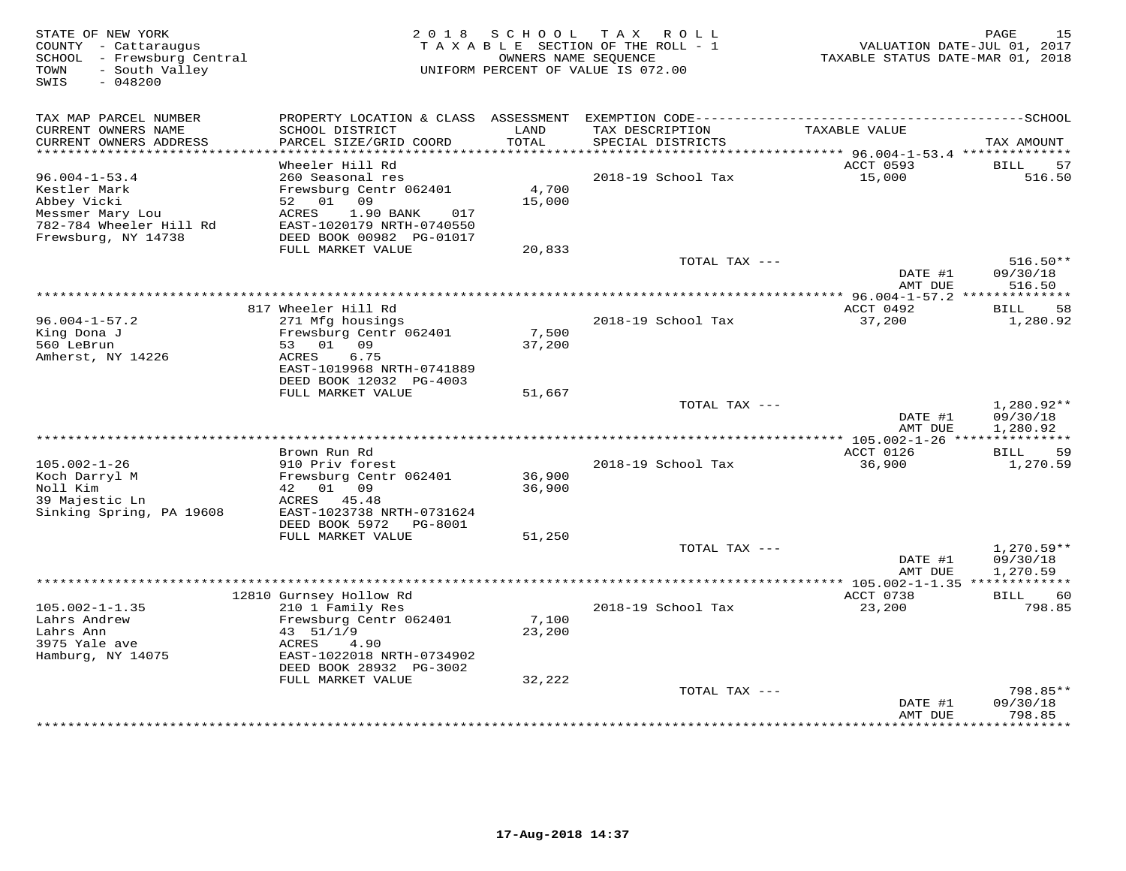| STATE OF NEW YORK<br>COUNTY - Cattaraugus<br>SCHOOL - Frewsburg Central<br>- South Valley<br>TOWN<br>SWIS<br>$-048200$ | 2 0 1 8                                       | S C H O O L   | TAX ROLL<br>TAXABLE SECTION OF THE ROLL - 1<br>OWNERS NAME SEQUENCE<br>UNIFORM PERCENT OF VALUE IS 072.00 | VALUATION DATE-JUL 01, 2017<br>TAXABLE STATUS DATE-MAR 01, 2018 | PAGE<br>15               |
|------------------------------------------------------------------------------------------------------------------------|-----------------------------------------------|---------------|-----------------------------------------------------------------------------------------------------------|-----------------------------------------------------------------|--------------------------|
| TAX MAP PARCEL NUMBER                                                                                                  |                                               |               |                                                                                                           |                                                                 |                          |
| CURRENT OWNERS NAME<br>CURRENT OWNERS ADDRESS<br>**************************                                            | SCHOOL DISTRICT<br>PARCEL SIZE/GRID COORD     | LAND<br>TOTAL | TAX DESCRIPTION<br>SPECIAL DISTRICTS                                                                      | TAXABLE VALUE                                                   | TAX AMOUNT               |
|                                                                                                                        | Wheeler Hill Rd                               |               |                                                                                                           | ACCT 0593                                                       | 57<br>BILL               |
| $96.004 - 1 - 53.4$                                                                                                    | 260 Seasonal res                              |               | 2018-19 School Tax                                                                                        | 15,000                                                          | 516.50                   |
| Kestler Mark                                                                                                           | Frewsburg Centr 062401                        | 4,700         |                                                                                                           |                                                                 |                          |
| Abbey Vicki                                                                                                            | 52 01 09                                      | 15,000        |                                                                                                           |                                                                 |                          |
| Messmer Mary Lou                                                                                                       | ACRES<br>1.90 BANK<br>017                     |               |                                                                                                           |                                                                 |                          |
| 782-784 Wheeler Hill Rd                                                                                                | EAST-1020179 NRTH-0740550                     |               |                                                                                                           |                                                                 |                          |
| Frewsburg, NY 14738                                                                                                    | DEED BOOK 00982 PG-01017<br>FULL MARKET VALUE | 20,833        |                                                                                                           |                                                                 |                          |
|                                                                                                                        |                                               |               | TOTAL TAX ---                                                                                             |                                                                 | $516.50**$               |
|                                                                                                                        |                                               |               |                                                                                                           | DATE #1                                                         | 09/30/18                 |
|                                                                                                                        |                                               |               |                                                                                                           | AMT DUE                                                         | 516.50                   |
|                                                                                                                        |                                               |               |                                                                                                           |                                                                 |                          |
|                                                                                                                        | 817 Wheeler Hill Rd                           |               |                                                                                                           | ACCT 0492                                                       | 58<br>BILL               |
| $96.004 - 1 - 57.2$<br>King Dona J                                                                                     | 271 Mfg housings<br>Frewsburg Centr 062401    | 7,500         | 2018-19 School Tax                                                                                        | 37,200                                                          | 1,280.92                 |
| 560 LeBrun                                                                                                             | 53 01 09                                      | 37,200        |                                                                                                           |                                                                 |                          |
| Amherst, NY 14226                                                                                                      | ACRES<br>6.75                                 |               |                                                                                                           |                                                                 |                          |
|                                                                                                                        | EAST-1019968 NRTH-0741889                     |               |                                                                                                           |                                                                 |                          |
|                                                                                                                        | DEED BOOK 12032 PG-4003                       |               |                                                                                                           |                                                                 |                          |
|                                                                                                                        | FULL MARKET VALUE                             | 51,667        |                                                                                                           |                                                                 |                          |
|                                                                                                                        |                                               |               | TOTAL TAX ---                                                                                             | DATE #1                                                         | $1,280.92**$<br>09/30/18 |
|                                                                                                                        |                                               |               |                                                                                                           | AMT DUE                                                         | 1,280.92                 |
|                                                                                                                        |                                               |               |                                                                                                           |                                                                 |                          |
|                                                                                                                        | Brown Run Rd                                  |               |                                                                                                           | ACCT 0126                                                       | BILL<br>59               |
| $105.002 - 1 - 26$                                                                                                     | 910 Priv forest                               |               | 2018-19 School Tax                                                                                        | 36,900                                                          | 1,270.59                 |
| Koch Darryl M                                                                                                          | Frewsburg Centr 062401                        | 36,900        |                                                                                                           |                                                                 |                          |
| Noll Kim<br>39 Majestic Ln                                                                                             | 42 01 09<br>ACRES 45.48                       | 36,900        |                                                                                                           |                                                                 |                          |
| Sinking Spring, PA 19608                                                                                               | EAST-1023738 NRTH-0731624                     |               |                                                                                                           |                                                                 |                          |
|                                                                                                                        | DEED BOOK 5972<br>PG-8001                     |               |                                                                                                           |                                                                 |                          |
|                                                                                                                        | FULL MARKET VALUE                             | 51,250        |                                                                                                           |                                                                 |                          |
|                                                                                                                        |                                               |               | TOTAL TAX ---                                                                                             |                                                                 | $1,270.59**$             |
|                                                                                                                        |                                               |               |                                                                                                           | DATE #1                                                         | 09/30/18                 |
|                                                                                                                        |                                               |               |                                                                                                           | AMT DUE                                                         | 1,270.59                 |
|                                                                                                                        | 12810 Gurnsey Hollow Rd                       |               |                                                                                                           | ACCT 0738                                                       | BILL<br>60               |
| $105.002 - 1 - 1.35$                                                                                                   | 210 1 Family Res                              |               | 2018-19 School Tax                                                                                        | 23,200                                                          | 798.85                   |
| Lahrs Andrew                                                                                                           | Frewsburg Centr 062401                        | 7,100         |                                                                                                           |                                                                 |                          |
| Lahrs Ann                                                                                                              | 43 51/1/9                                     | 23,200        |                                                                                                           |                                                                 |                          |
| 3975 Yale ave                                                                                                          | 4.90<br>ACRES                                 |               |                                                                                                           |                                                                 |                          |
| Hamburg, NY 14075                                                                                                      | EAST-1022018 NRTH-0734902                     |               |                                                                                                           |                                                                 |                          |
|                                                                                                                        | DEED BOOK 28932 PG-3002<br>FULL MARKET VALUE  | 32,222        |                                                                                                           |                                                                 |                          |
|                                                                                                                        |                                               |               | TOTAL TAX ---                                                                                             |                                                                 | 798.85**                 |
|                                                                                                                        |                                               |               |                                                                                                           | DATE #1                                                         | 09/30/18                 |
|                                                                                                                        |                                               |               |                                                                                                           | AMT DUE                                                         | 798.85                   |
|                                                                                                                        |                                               |               | ***************************                                                                               | · * * * * * * * * * * * *                                       | ********                 |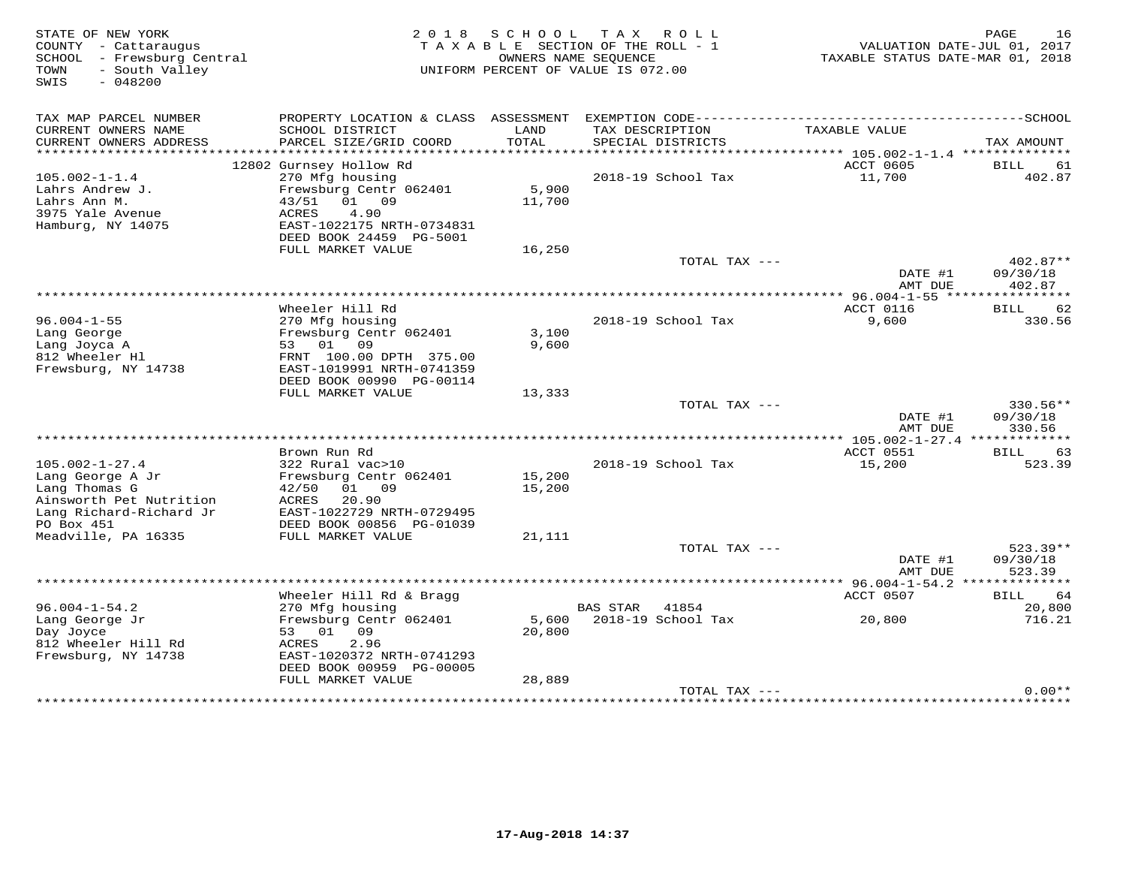| STATE OF NEW YORK<br>COUNTY - Cattaraugus<br>SCHOOL - Frewsburg Central<br>- South Valley<br>TOWN<br>$-048200$<br>SWIS |                                            | 2018 SCHOOL     | T A X<br>R O L L<br>TAXABLE SECTION OF THE ROLL - 1<br>OWNERS NAME SEOUENCE<br>UNIFORM PERCENT OF VALUE IS 072.00 | TAXABLE STATUS DATE-MAR 01, 2018         | PAGE<br>16<br>VALUATION DATE-JUL 01, 2017 |
|------------------------------------------------------------------------------------------------------------------------|--------------------------------------------|-----------------|-------------------------------------------------------------------------------------------------------------------|------------------------------------------|-------------------------------------------|
| TAX MAP PARCEL NUMBER                                                                                                  | PROPERTY LOCATION & CLASS ASSESSMENT       |                 |                                                                                                                   |                                          |                                           |
| CURRENT OWNERS NAME<br>CURRENT OWNERS ADDRESS                                                                          | SCHOOL DISTRICT<br>PARCEL SIZE/GRID COORD  | LAND<br>TOTAL   | TAX DESCRIPTION<br>SPECIAL DISTRICTS                                                                              | TAXABLE VALUE                            | TAX AMOUNT                                |
| ***********************                                                                                                |                                            |                 |                                                                                                                   |                                          |                                           |
| $105.002 - 1 - 1.4$                                                                                                    | 12802 Gurnsey Hollow Rd<br>270 Mfg housing |                 | 2018-19 School Tax                                                                                                | ACCT 0605<br>11,700                      | BILL<br>61<br>402.87                      |
| Lahrs Andrew J.                                                                                                        | Frewsburg Centr 062401                     | 5,900           |                                                                                                                   |                                          |                                           |
| Lahrs Ann M.                                                                                                           | 01 09<br>43/51                             | 11,700          |                                                                                                                   |                                          |                                           |
| 3975 Yale Avenue                                                                                                       | ACRES<br>4.90                              |                 |                                                                                                                   |                                          |                                           |
| Hamburg, NY 14075                                                                                                      | EAST-1022175 NRTH-0734831                  |                 |                                                                                                                   |                                          |                                           |
|                                                                                                                        | DEED BOOK 24459 PG-5001                    |                 |                                                                                                                   |                                          |                                           |
|                                                                                                                        | FULL MARKET VALUE                          | 16,250          |                                                                                                                   |                                          |                                           |
|                                                                                                                        |                                            |                 | TOTAL TAX ---                                                                                                     |                                          | 402.87**                                  |
|                                                                                                                        |                                            |                 |                                                                                                                   | DATE #1                                  | 09/30/18                                  |
|                                                                                                                        |                                            |                 |                                                                                                                   | AMT DUE                                  | 402.87                                    |
|                                                                                                                        | Wheeler Hill Rd                            |                 |                                                                                                                   | ACCT 0116                                | 62<br>BILL                                |
| $96.004 - 1 - 55$                                                                                                      | 270 Mfg housing                            |                 | 2018-19 School Tax                                                                                                | 9,600                                    | 330.56                                    |
| Lang George                                                                                                            | Frewsburg Centr 062401                     | 3,100           |                                                                                                                   |                                          |                                           |
| Lang Joyca A                                                                                                           | 53 01<br>09                                | 9,600           |                                                                                                                   |                                          |                                           |
| 812 Wheeler Hl                                                                                                         | FRNT 100.00 DPTH 375.00                    |                 |                                                                                                                   |                                          |                                           |
| Frewsburg, NY 14738                                                                                                    | EAST-1019991 NRTH-0741359                  |                 |                                                                                                                   |                                          |                                           |
|                                                                                                                        | DEED BOOK 00990 PG-00114                   |                 |                                                                                                                   |                                          |                                           |
|                                                                                                                        | FULL MARKET VALUE                          | 13,333          |                                                                                                                   |                                          |                                           |
|                                                                                                                        |                                            |                 | TOTAL TAX ---                                                                                                     |                                          | 330.56**                                  |
|                                                                                                                        |                                            |                 |                                                                                                                   | DATE #1                                  | 09/30/18                                  |
|                                                                                                                        |                                            |                 |                                                                                                                   | AMT DUE                                  | 330.56                                    |
|                                                                                                                        |                                            |                 | **************************************                                                                            | ********** 105.002-1-27.4 ************** |                                           |
|                                                                                                                        | Brown Run Rd                               |                 |                                                                                                                   | ACCT 0551                                | 63<br>BILL<br>523.39                      |
| $105.002 - 1 - 27.4$<br>Lang George A Jr                                                                               | 322 Rural vac>10<br>Frewsburg Centr 062401 | 15,200          | 2018-19 School Tax                                                                                                | 15,200                                   |                                           |
| Lang Thomas G                                                                                                          | 42/50<br>01<br>09                          | 15,200          |                                                                                                                   |                                          |                                           |
| Ainsworth Pet Nutrition                                                                                                | ACRES<br>20.90                             |                 |                                                                                                                   |                                          |                                           |
| Lang Richard-Richard Jr                                                                                                | EAST-1022729 NRTH-0729495                  |                 |                                                                                                                   |                                          |                                           |
| PO Box 451                                                                                                             | DEED BOOK 00856 PG-01039                   |                 |                                                                                                                   |                                          |                                           |
| Meadville, PA 16335                                                                                                    | FULL MARKET VALUE                          | 21,111          |                                                                                                                   |                                          |                                           |
|                                                                                                                        |                                            |                 | TOTAL TAX ---                                                                                                     |                                          | $523.39**$                                |
|                                                                                                                        |                                            |                 |                                                                                                                   | DATE #1                                  | 09/30/18                                  |
|                                                                                                                        |                                            |                 |                                                                                                                   | AMT DUE                                  | 523.39                                    |
|                                                                                                                        |                                            |                 |                                                                                                                   |                                          |                                           |
|                                                                                                                        | Wheeler Hill Rd & Bragg                    |                 |                                                                                                                   | ACCT 0507                                | 64<br>BILL                                |
| $96.004 - 1 - 54.2$                                                                                                    | 270 Mfg housing                            |                 | BAS STAR<br>41854<br>2018-19 School Tax                                                                           |                                          | 20,800<br>716.21                          |
| Lang George Jr<br>Day Joyce                                                                                            | Frewsburg Centr 062401<br>53 01 09         | 5,600<br>20,800 |                                                                                                                   | 20,800                                   |                                           |
| 812 Wheeler Hill Rd                                                                                                    | ACRES<br>2.96                              |                 |                                                                                                                   |                                          |                                           |
| Frewsburg, NY 14738                                                                                                    | EAST-1020372 NRTH-0741293                  |                 |                                                                                                                   |                                          |                                           |
|                                                                                                                        | DEED BOOK 00959 PG-00005                   |                 |                                                                                                                   |                                          |                                           |
|                                                                                                                        | FULL MARKET VALUE                          | 28,889          |                                                                                                                   |                                          |                                           |
|                                                                                                                        |                                            |                 | TOTAL TAX ---                                                                                                     |                                          | $0.00**$                                  |
|                                                                                                                        |                                            |                 |                                                                                                                   |                                          |                                           |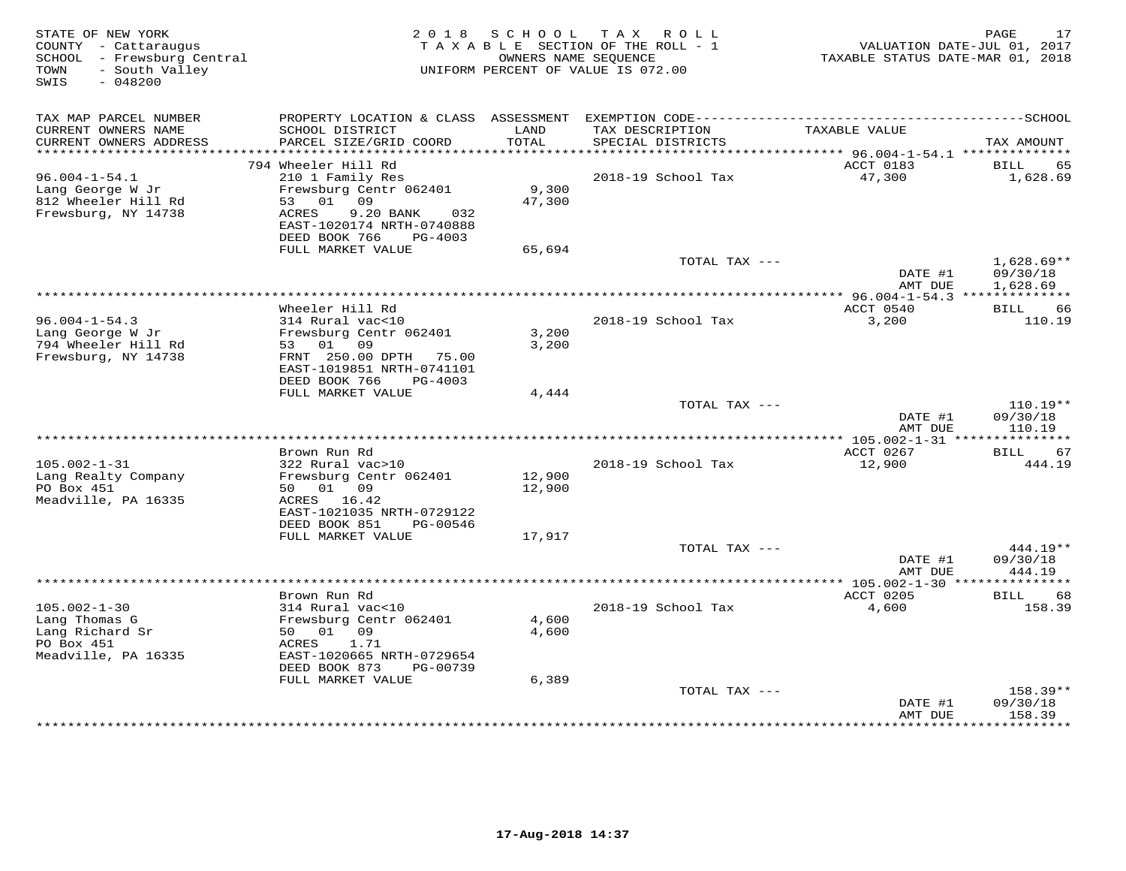| STATE OF NEW YORK<br>COUNTY - Cattaraugus<br>SCHOOL - Frewsburg Central<br>- South Valley<br>TOWN<br>SWIS<br>$-048200$ |                                                        |                | 2018 SCHOOL TAX ROLL<br>TAXABLE SECTION OF THE ROLL - 1<br>OWNERS NAME SEQUENCE<br>UNIFORM PERCENT OF VALUE IS 072.00 | VALUATION DATE-JUL 01, 2017<br>TAXABLE STATUS DATE-MAR 01, 2018 | PAGE<br>17           |
|------------------------------------------------------------------------------------------------------------------------|--------------------------------------------------------|----------------|-----------------------------------------------------------------------------------------------------------------------|-----------------------------------------------------------------|----------------------|
| TAX MAP PARCEL NUMBER                                                                                                  |                                                        |                |                                                                                                                       |                                                                 |                      |
| CURRENT OWNERS NAME<br>CURRENT OWNERS ADDRESS                                                                          | SCHOOL DISTRICT<br>PARCEL SIZE/GRID COORD              | LAND<br>TOTAL  | TAX DESCRIPTION<br>SPECIAL DISTRICTS                                                                                  | TAXABLE VALUE                                                   | TAX AMOUNT           |
|                                                                                                                        | 794 Wheeler Hill Rd                                    |                |                                                                                                                       | ACCT 0183                                                       | BILL<br>65           |
| $96.004 - 1 - 54.1$                                                                                                    | 210 1 Family Res                                       |                | 2018-19 School Tax                                                                                                    | 47,300                                                          | 1,628.69             |
| Lang George W Jr                                                                                                       | Frewsburg Centr 062401                                 | 9,300          |                                                                                                                       |                                                                 |                      |
| 812 Wheeler Hill Rd                                                                                                    | 53 01 09                                               | 47,300         |                                                                                                                       |                                                                 |                      |
| Frewsburg, NY 14738                                                                                                    | ACRES<br>9.20 BANK<br>032                              |                |                                                                                                                       |                                                                 |                      |
|                                                                                                                        | EAST-1020174 NRTH-0740888                              |                |                                                                                                                       |                                                                 |                      |
|                                                                                                                        | DEED BOOK 766<br>PG-4003                               |                |                                                                                                                       |                                                                 |                      |
|                                                                                                                        | FULL MARKET VALUE                                      | 65,694         | TOTAL TAX ---                                                                                                         |                                                                 | $1,628.69**$         |
|                                                                                                                        |                                                        |                |                                                                                                                       | DATE #1                                                         | 09/30/18             |
|                                                                                                                        |                                                        |                |                                                                                                                       | AMT DUE                                                         | 1,628.69             |
|                                                                                                                        |                                                        |                |                                                                                                                       |                                                                 |                      |
|                                                                                                                        | Wheeler Hill Rd                                        |                |                                                                                                                       | ACCT 0540                                                       | BILL<br>66           |
| $96.004 - 1 - 54.3$                                                                                                    | 314 Rural vac<10                                       |                | 2018-19 School Tax                                                                                                    | 3,200                                                           | 110.19               |
| Lang George W Jr<br>794 Wheeler Hill Rd                                                                                | Frewsburg Centr 062401<br>53 01 09                     | 3,200<br>3,200 |                                                                                                                       |                                                                 |                      |
| Frewsburg, NY 14738                                                                                                    | FRNT 250.00 DPTH 75.00                                 |                |                                                                                                                       |                                                                 |                      |
|                                                                                                                        | EAST-1019851 NRTH-0741101                              |                |                                                                                                                       |                                                                 |                      |
|                                                                                                                        | DEED BOOK 766<br>PG-4003                               |                |                                                                                                                       |                                                                 |                      |
|                                                                                                                        | FULL MARKET VALUE                                      | 4,444          |                                                                                                                       |                                                                 |                      |
|                                                                                                                        |                                                        |                | TOTAL TAX ---                                                                                                         |                                                                 | $110.19**$           |
|                                                                                                                        |                                                        |                |                                                                                                                       | DATE #1<br>AMT DUE                                              | 09/30/18<br>110.19   |
|                                                                                                                        |                                                        |                |                                                                                                                       |                                                                 |                      |
|                                                                                                                        | Brown Run Rd                                           |                |                                                                                                                       | ACCT 0267                                                       | <b>BILL</b><br>67    |
| $105.002 - 1 - 31$                                                                                                     | 322 Rural vac>10                                       |                | 2018-19 School Tax                                                                                                    | 12,900                                                          | 444.19               |
| Lang Realty Company                                                                                                    | Frewsburg Centr 062401                                 | 12,900         |                                                                                                                       |                                                                 |                      |
| PO Box 451                                                                                                             | 50 01 09                                               | 12,900         |                                                                                                                       |                                                                 |                      |
| Meadville, PA 16335                                                                                                    | ACRES 16.42                                            |                |                                                                                                                       |                                                                 |                      |
|                                                                                                                        | EAST-1021035 NRTH-0729122<br>DEED BOOK 851<br>PG-00546 |                |                                                                                                                       |                                                                 |                      |
|                                                                                                                        | FULL MARKET VALUE                                      | 17,917         |                                                                                                                       |                                                                 |                      |
|                                                                                                                        |                                                        |                | TOTAL TAX $---$                                                                                                       |                                                                 | $444.19**$           |
|                                                                                                                        |                                                        |                |                                                                                                                       | DATE #1                                                         | 09/30/18             |
|                                                                                                                        |                                                        |                |                                                                                                                       | AMT DUE                                                         | 444.19               |
|                                                                                                                        |                                                        |                |                                                                                                                       | ************* 105.002-1-30 ****************                     |                      |
| $105.002 - 1 - 30$                                                                                                     | Brown Run Rd<br>314 Rural vac<10                       |                | 2018-19 School Tax                                                                                                    | ACCT 0205<br>4,600                                              | 68<br>BILL<br>158.39 |
| Lang Thomas G                                                                                                          | Frewsburg Centr 062401                                 | 4,600          |                                                                                                                       |                                                                 |                      |
| Lang Richard Sr                                                                                                        | 50 01 09                                               | 4,600          |                                                                                                                       |                                                                 |                      |
| PO Box 451                                                                                                             | ACRES<br>1.71                                          |                |                                                                                                                       |                                                                 |                      |
| Meadville, PA 16335                                                                                                    | EAST-1020665 NRTH-0729654                              |                |                                                                                                                       |                                                                 |                      |
|                                                                                                                        | DEED BOOK 873<br>PG-00739                              |                |                                                                                                                       |                                                                 |                      |
|                                                                                                                        | FULL MARKET VALUE                                      | 6,389          |                                                                                                                       |                                                                 |                      |
|                                                                                                                        |                                                        |                | TOTAL TAX ---                                                                                                         | DATE #1                                                         | 158.39**<br>09/30/18 |
|                                                                                                                        |                                                        |                |                                                                                                                       | AMT DUE                                                         | 158.39               |
|                                                                                                                        |                                                        |                |                                                                                                                       | * * * * * * * * * * * *                                         | * * * * * * * * * *  |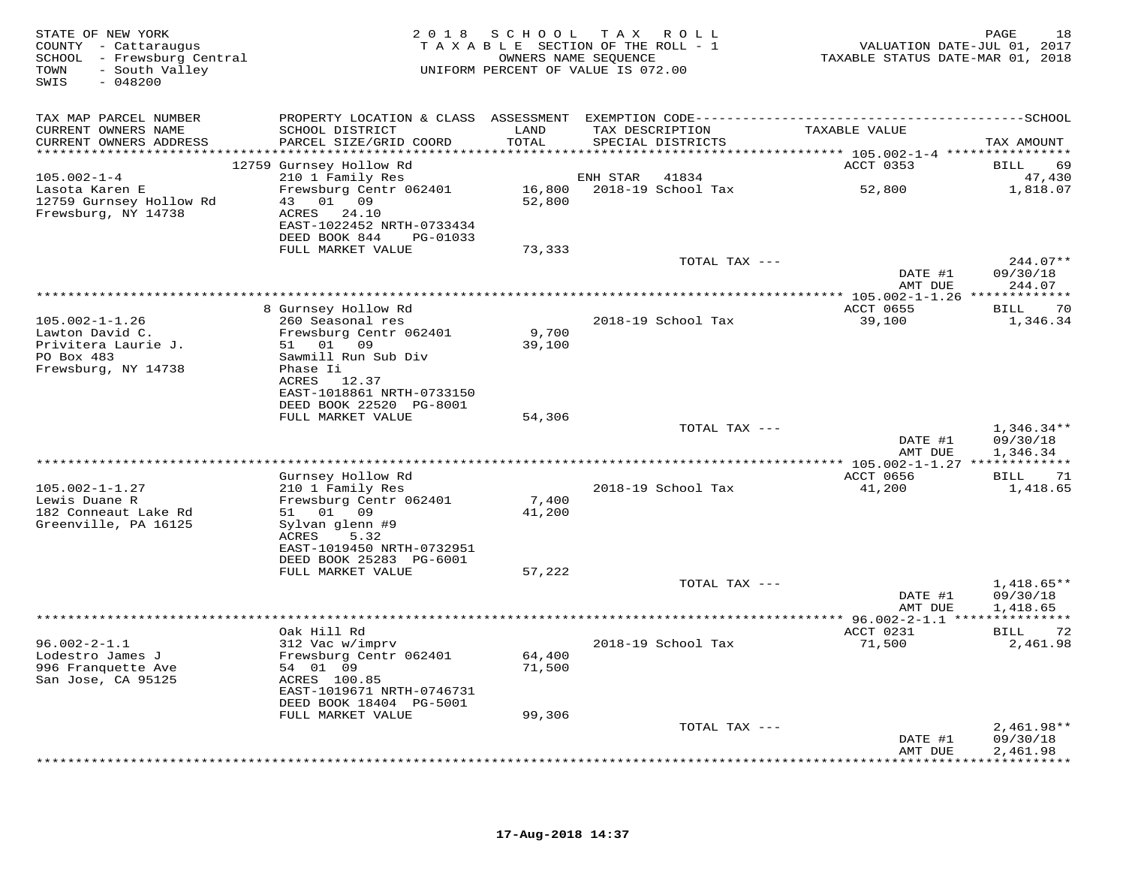| STATE OF NEW YORK<br>COUNTY - Cattaraugus<br>SCHOOL - Frewsburg Central<br>- South Valley<br>TOWN<br>$-048200$<br>SWIS |                                            | 2018 SCHOOL TAX<br>OWNERS NAME SEQUENCE | R O L L<br>TAXABLE SECTION OF THE ROLL - 1<br>UNIFORM PERCENT OF VALUE IS 072.00 | VALUATION DATE-JUL 01, 2017<br>TAXABLE STATUS DATE-MAR 01, 2018 | PAGE<br>18             |
|------------------------------------------------------------------------------------------------------------------------|--------------------------------------------|-----------------------------------------|----------------------------------------------------------------------------------|-----------------------------------------------------------------|------------------------|
| TAX MAP PARCEL NUMBER                                                                                                  |                                            |                                         |                                                                                  |                                                                 |                        |
| CURRENT OWNERS NAME                                                                                                    | SCHOOL DISTRICT                            | LAND                                    | TAX DESCRIPTION                                                                  | TAXABLE VALUE                                                   |                        |
| CURRENT OWNERS ADDRESS<br>***********************                                                                      | PARCEL SIZE/GRID COORD                     | TOTAL                                   | SPECIAL DISTRICTS                                                                |                                                                 | TAX AMOUNT             |
|                                                                                                                        | 12759 Gurnsey Hollow Rd                    |                                         |                                                                                  | ACCT 0353                                                       | BILL<br>69             |
| $105.002 - 1 - 4$                                                                                                      | 210 1 Family Res                           |                                         | ENH STAR<br>41834                                                                |                                                                 | 47,430                 |
| Lasota Karen E                                                                                                         | Frewsburg Centr 062401                     | 16,800                                  | 2018-19 School Tax                                                               | 52,800                                                          | 1,818.07               |
| 12759 Gurnsey Hollow Rd<br>Frewsburg, NY 14738                                                                         | 43 01 09<br>ACRES 24.10                    | 52,800                                  |                                                                                  |                                                                 |                        |
|                                                                                                                        | EAST-1022452 NRTH-0733434                  |                                         |                                                                                  |                                                                 |                        |
|                                                                                                                        | DEED BOOK 844<br>PG-01033                  |                                         |                                                                                  |                                                                 |                        |
|                                                                                                                        | FULL MARKET VALUE                          | 73,333                                  | TOTAL TAX ---                                                                    |                                                                 | 244.07**               |
|                                                                                                                        |                                            |                                         |                                                                                  | DATE #1<br>AMT DUE                                              | 09/30/18<br>244.07     |
|                                                                                                                        |                                            |                                         |                                                                                  |                                                                 |                        |
|                                                                                                                        | 8 Gurnsey Hollow Rd                        |                                         |                                                                                  | ACCT 0655                                                       | 70<br>BILL             |
| $105.002 - 1 - 1.26$<br>Lawton David C.                                                                                | 260 Seasonal res<br>Frewsburg Centr 062401 | 9,700                                   | 2018-19 School Tax                                                               | 39,100                                                          | 1,346.34               |
| Privitera Laurie J.                                                                                                    | 51 01 09                                   | 39,100                                  |                                                                                  |                                                                 |                        |
| PO Box 483                                                                                                             | Sawmill Run Sub Div                        |                                         |                                                                                  |                                                                 |                        |
| Frewsburg, NY 14738                                                                                                    | Phase Ii<br>ACRES 12.37                    |                                         |                                                                                  |                                                                 |                        |
|                                                                                                                        | EAST-1018861 NRTH-0733150                  |                                         |                                                                                  |                                                                 |                        |
|                                                                                                                        | DEED BOOK 22520 PG-8001                    |                                         |                                                                                  |                                                                 |                        |
|                                                                                                                        | FULL MARKET VALUE                          | 54,306                                  | TOTAL TAX ---                                                                    |                                                                 | $1,346.34**$           |
|                                                                                                                        |                                            |                                         |                                                                                  | DATE #1                                                         | 09/30/18               |
|                                                                                                                        |                                            |                                         |                                                                                  | AMT DUE                                                         | 1,346.34               |
|                                                                                                                        | ************<br>Gurnsey Hollow Rd          |                                         |                                                                                  | ******** 105.002-1-1.27 *************<br>ACCT 0656              | 71<br>BILL             |
| $105.002 - 1 - 1.27$                                                                                                   | 210 1 Family Res                           |                                         | 2018-19 School Tax                                                               | 41,200                                                          | 1,418.65               |
| Lewis Duane R                                                                                                          | Frewsburg Centr 062401                     | 7,400                                   |                                                                                  |                                                                 |                        |
| 182 Conneaut Lake Rd                                                                                                   | 51 01 09                                   | 41,200                                  |                                                                                  |                                                                 |                        |
| Greenville, PA 16125                                                                                                   | Sylvan glenn #9<br>ACRES<br>5.32           |                                         |                                                                                  |                                                                 |                        |
|                                                                                                                        | EAST-1019450 NRTH-0732951                  |                                         |                                                                                  |                                                                 |                        |
|                                                                                                                        | DEED BOOK 25283 PG-6001                    |                                         |                                                                                  |                                                                 |                        |
|                                                                                                                        | FULL MARKET VALUE                          | 57,222                                  | TOTAL TAX ---                                                                    |                                                                 | $1,418.65**$           |
|                                                                                                                        |                                            |                                         |                                                                                  | DATE #1                                                         | 09/30/18               |
|                                                                                                                        |                                            |                                         |                                                                                  | AMT DUE                                                         | 1,418.65               |
|                                                                                                                        |                                            |                                         |                                                                                  |                                                                 |                        |
| $96.002 - 2 - 1.1$                                                                                                     | Oak Hill Rd<br>312 Vac w/imprv             |                                         | 2018-19 School Tax                                                               | ACCT 0231<br>71,500                                             | 72<br>BILL<br>2,461.98 |
| Lodestro James J                                                                                                       | Frewsburg Centr 062401                     | 64,400                                  |                                                                                  |                                                                 |                        |
| 996 Franquette Ave                                                                                                     | 54 01 09                                   | 71,500                                  |                                                                                  |                                                                 |                        |
| San Jose, CA 95125                                                                                                     | ACRES 100.85<br>EAST-1019671 NRTH-0746731  |                                         |                                                                                  |                                                                 |                        |
|                                                                                                                        | DEED BOOK 18404 PG-5001                    |                                         |                                                                                  |                                                                 |                        |
|                                                                                                                        | FULL MARKET VALUE                          | 99,306                                  |                                                                                  |                                                                 |                        |
|                                                                                                                        |                                            |                                         | TOTAL TAX ---                                                                    |                                                                 | $2,461.98**$           |
|                                                                                                                        |                                            |                                         |                                                                                  | DATE #1<br>AMT DUE                                              | 09/30/18<br>2,461.98   |
|                                                                                                                        |                                            |                                         |                                                                                  |                                                                 |                        |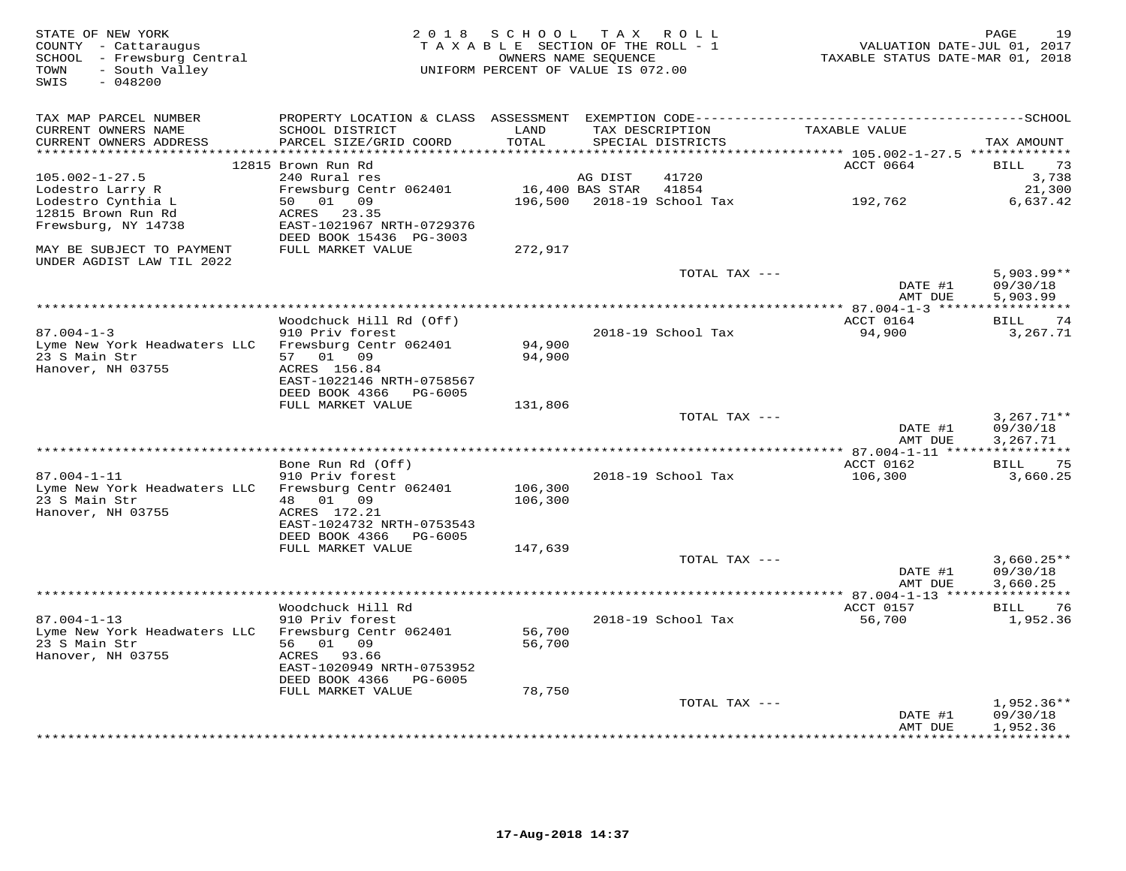| STATE OF NEW YORK<br>COUNTY - Cattaraugus<br>SCHOOL - Frewsburg Central<br>- South Valley<br>TOWN<br>SWIS<br>$-048200$ |                                                                                       | 2018 SCHOOL TAX ROLL<br>TAXABLE SECTION OF THE ROLL - 1<br>UNIFORM PERCENT OF VALUE IS 072.00 | OWNERS NAME SEQUENCE       |                    | TAXABLE STATUS DATE-MAR 01, 2018     | 19<br>PAGE<br>VALUATION DATE-JUL 01, 2017 |
|------------------------------------------------------------------------------------------------------------------------|---------------------------------------------------------------------------------------|-----------------------------------------------------------------------------------------------|----------------------------|--------------------|--------------------------------------|-------------------------------------------|
| TAX MAP PARCEL NUMBER<br>CURRENT OWNERS NAME                                                                           | SCHOOL DISTRICT                                                                       | LAND                                                                                          | TAX DESCRIPTION            |                    | TAXABLE VALUE                        |                                           |
| CURRENT OWNERS ADDRESS                                                                                                 | PARCEL SIZE/GRID COORD                                                                | TOTAL                                                                                         |                            | SPECIAL DISTRICTS  |                                      | TAX AMOUNT                                |
|                                                                                                                        |                                                                                       | ******                                                                                        |                            |                    | ******* 105.002-1-27.5 ************* |                                           |
| $105.002 - 1 - 27.5$                                                                                                   | 12815 Brown Run Rd<br>240 Rural res                                                   |                                                                                               | AG DIST                    | 41720              | ACCT 0664                            | 73<br>BILL<br>3,738                       |
| Lodestro Larry R                                                                                                       | Frewsburg Centr 062401                                                                |                                                                                               | 16,400 BAS STAR            | 41854              |                                      | 21,300                                    |
| Lodestro Cynthia L                                                                                                     | 50 01 09                                                                              |                                                                                               | 196,500 2018-19 School Tax |                    | 192,762                              | 6,637.42                                  |
| 12815 Brown Run Rd<br>Frewsburg, NY 14738                                                                              | ACRES 23.35<br>EAST-1021967 NRTH-0729376                                              |                                                                                               |                            |                    |                                      |                                           |
| MAY BE SUBJECT TO PAYMENT<br>UNDER AGDIST LAW TIL 2022                                                                 | DEED BOOK 15436 PG-3003<br>FULL MARKET VALUE                                          | 272,917                                                                                       |                            |                    |                                      |                                           |
|                                                                                                                        |                                                                                       |                                                                                               |                            | TOTAL TAX ---      |                                      | $5,903.99**$                              |
|                                                                                                                        |                                                                                       |                                                                                               |                            |                    | DATE #1<br>AMT DUE                   | 09/30/18<br>5,903.99                      |
|                                                                                                                        | Woodchuck Hill Rd (Off)                                                               |                                                                                               |                            |                    | ACCT 0164                            |                                           |
| $87.004 - 1 - 3$                                                                                                       | 910 Priv forest                                                                       |                                                                                               |                            | 2018-19 School Tax | 94,900                               | 74<br>BILL<br>3,267.71                    |
| Lyme New York Headwaters LLC<br>23 S Main Str<br>Hanover, NH 03755                                                     | Frewsburg Centr 062401<br>57 01 09<br>ACRES 156.84<br>EAST-1022146 NRTH-0758567       | 94,900<br>94,900                                                                              |                            |                    |                                      |                                           |
|                                                                                                                        | DEED BOOK 4366<br>PG-6005                                                             |                                                                                               |                            |                    |                                      |                                           |
|                                                                                                                        | FULL MARKET VALUE                                                                     | 131,806                                                                                       |                            | TOTAL TAX ---      |                                      | $3,267.71**$                              |
|                                                                                                                        |                                                                                       |                                                                                               |                            |                    | DATE #1<br>AMT DUE                   | 09/30/18<br>3,267.71                      |
|                                                                                                                        |                                                                                       |                                                                                               |                            |                    |                                      |                                           |
| $87.004 - 1 - 11$                                                                                                      | Bone Run Rd (Off)                                                                     |                                                                                               |                            | 2018-19 School Tax | ACCT 0162                            | 75<br>BILL                                |
| Lyme New York Headwaters LLC                                                                                           | 910 Priv forest<br>Frewsburg Centr 062401                                             | 106,300                                                                                       |                            |                    | 106,300                              | 3,660.25                                  |
| 23 S Main Str<br>Hanover, NH 03755                                                                                     | 48 01<br>09<br>ACRES 172.21<br>EAST-1024732 NRTH-0753543<br>DEED BOOK 4366<br>PG-6005 | 106,300                                                                                       |                            |                    |                                      |                                           |
|                                                                                                                        | FULL MARKET VALUE                                                                     | 147,639                                                                                       |                            |                    |                                      |                                           |
|                                                                                                                        |                                                                                       |                                                                                               |                            | TOTAL TAX ---      | DATE #1<br>AMT DUE                   | $3,660.25**$<br>09/30/18<br>3,660.25      |
|                                                                                                                        |                                                                                       |                                                                                               |                            |                    |                                      |                                           |
| $87.004 - 1 - 13$                                                                                                      | Woodchuck Hill Rd<br>910 Priv forest                                                  |                                                                                               |                            | 2018-19 School Tax | ACCT 0157<br>56,700                  | 76<br>BILL<br>1,952.36                    |
| Lyme New York Headwaters LLC<br>23 S Main Str                                                                          | Frewsburg Centr 062401<br>56 01 09                                                    | 56,700<br>56,700                                                                              |                            |                    |                                      |                                           |
| Hanover, NH 03755                                                                                                      | ACRES 93.66<br>EAST-1020949 NRTH-0753952<br>DEED BOOK 4366<br>PG-6005                 |                                                                                               |                            |                    |                                      |                                           |
|                                                                                                                        | FULL MARKET VALUE                                                                     | 78,750                                                                                        |                            |                    |                                      |                                           |
|                                                                                                                        |                                                                                       |                                                                                               |                            | TOTAL TAX ---      | DATE #1<br>AMT DUE                   | $1,952.36**$<br>09/30/18<br>1,952.36      |
|                                                                                                                        |                                                                                       |                                                                                               |                            |                    |                                      |                                           |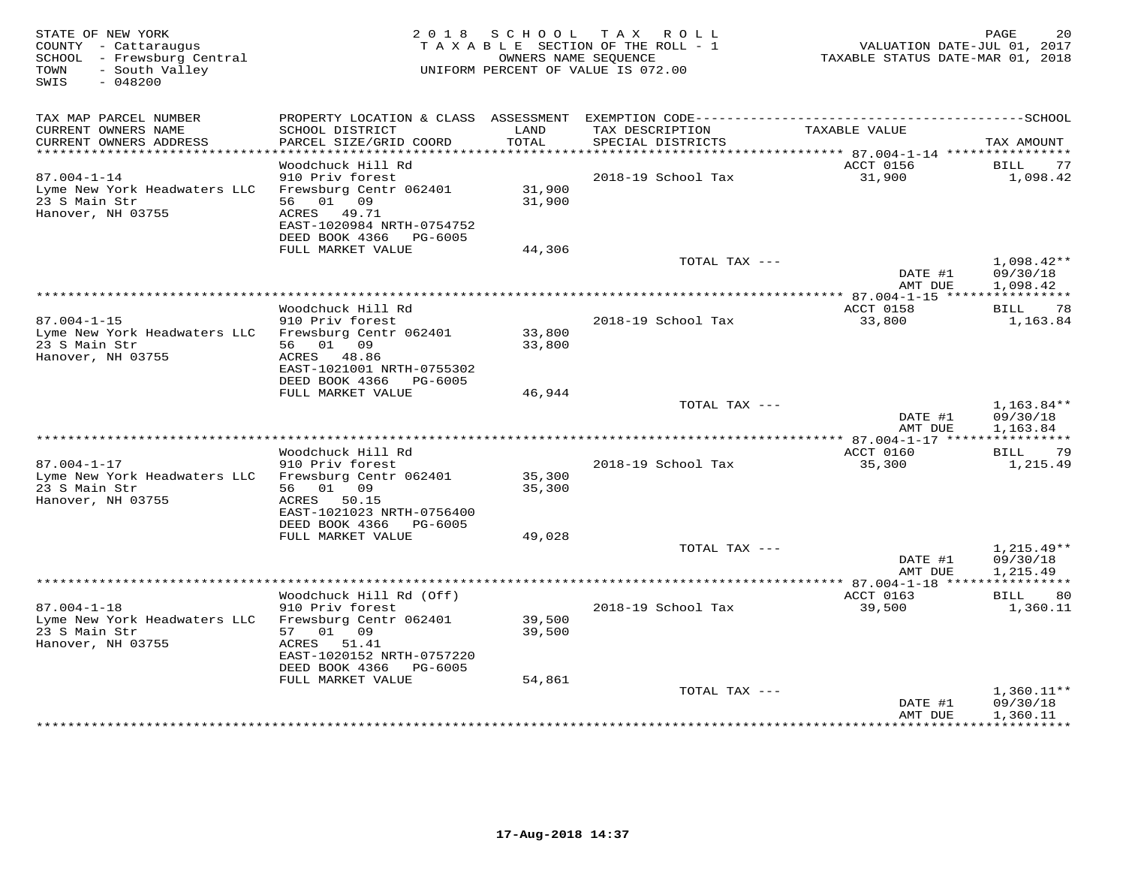| STATE OF NEW YORK<br>COUNTY - Cattaraugus<br>SCHOOL - Frewsburg Central<br>- South Valley<br>TOWN<br>$-048200$<br>SWIS |                                                     |               | 2018 SCHOOL TAX ROLL<br>TAXABLE SECTION OF THE ROLL - 1<br>OWNERS NAME SEQUENCE<br>UNIFORM PERCENT OF VALUE IS 072.00 | VALUATION DATE-JUL 01, 2017<br>TAXABLE STATUS DATE-MAR 01, 2018 | PAGE<br>20               |
|------------------------------------------------------------------------------------------------------------------------|-----------------------------------------------------|---------------|-----------------------------------------------------------------------------------------------------------------------|-----------------------------------------------------------------|--------------------------|
| TAX MAP PARCEL NUMBER                                                                                                  |                                                     |               |                                                                                                                       |                                                                 |                          |
| CURRENT OWNERS NAME<br>CURRENT OWNERS ADDRESS<br>**********************                                                | SCHOOL DISTRICT<br>PARCEL SIZE/GRID COORD           | LAND<br>TOTAL | TAX DESCRIPTION<br>SPECIAL DISTRICTS                                                                                  | TAXABLE VALUE                                                   | TAX AMOUNT               |
|                                                                                                                        | Woodchuck Hill Rd                                   |               |                                                                                                                       | ACCT 0156                                                       | BILL<br>77               |
| $87.004 - 1 - 14$                                                                                                      | 910 Priv forest                                     |               | 2018-19 School Tax                                                                                                    | 31,900                                                          | 1,098.42                 |
| Lyme New York Headwaters LLC                                                                                           | Frewsburg Centr 062401                              | 31,900        |                                                                                                                       |                                                                 |                          |
| 23 S Main Str                                                                                                          | 56 01 09                                            | 31,900        |                                                                                                                       |                                                                 |                          |
| Hanover, NH 03755                                                                                                      | ACRES 49.71<br>EAST-1020984 NRTH-0754752            |               |                                                                                                                       |                                                                 |                          |
|                                                                                                                        | DEED BOOK 4366 PG-6005                              |               |                                                                                                                       |                                                                 |                          |
|                                                                                                                        | FULL MARKET VALUE                                   | 44,306        |                                                                                                                       |                                                                 |                          |
|                                                                                                                        |                                                     |               | TOTAL TAX ---                                                                                                         |                                                                 | $1,098.42**$             |
|                                                                                                                        |                                                     |               |                                                                                                                       | DATE #1<br>AMT DUE                                              | 09/30/18<br>1,098.42     |
|                                                                                                                        |                                                     |               |                                                                                                                       | ************** 87.004-1-15 *****                                | ***********              |
|                                                                                                                        | Woodchuck Hill Rd                                   |               |                                                                                                                       | ACCT 0158                                                       | BILL 78                  |
| $87.004 - 1 - 15$                                                                                                      | 910 Priv forest                                     |               | 2018-19 School Tax                                                                                                    | 33,800                                                          | 1,163.84                 |
| Lyme New York Headwaters LLC                                                                                           | Frewsburg Centr 062401<br>56 01 09                  | 33,800        |                                                                                                                       |                                                                 |                          |
| 23 S Main Str<br>Hanover, NH 03755                                                                                     | ACRES 48.86                                         | 33,800        |                                                                                                                       |                                                                 |                          |
|                                                                                                                        | EAST-1021001 NRTH-0755302                           |               |                                                                                                                       |                                                                 |                          |
|                                                                                                                        | DEED BOOK 4366 PG-6005                              |               |                                                                                                                       |                                                                 |                          |
|                                                                                                                        | FULL MARKET VALUE                                   | 46,944        |                                                                                                                       |                                                                 |                          |
|                                                                                                                        |                                                     |               | TOTAL TAX ---                                                                                                         | DATE #1                                                         | 1,163.84**<br>09/30/18   |
|                                                                                                                        |                                                     |               |                                                                                                                       | AMT DUE                                                         | 1,163.84                 |
|                                                                                                                        |                                                     |               |                                                                                                                       |                                                                 |                          |
|                                                                                                                        | Woodchuck Hill Rd                                   |               |                                                                                                                       | ACCT 0160                                                       | 79<br>BILL               |
| $87.004 - 1 - 17$<br>Lyme New York Headwaters LLC                                                                      | 910 Priv forest<br>Frewsburg Centr 062401           | 35,300        | 2018-19 School Tax                                                                                                    | 35,300                                                          | 1,215.49                 |
| 23 S Main Str                                                                                                          | 56 01 09                                            | 35,300        |                                                                                                                       |                                                                 |                          |
| Hanover, NH 03755                                                                                                      | ACRES 50.15                                         |               |                                                                                                                       |                                                                 |                          |
|                                                                                                                        | EAST-1021023 NRTH-0756400                           |               |                                                                                                                       |                                                                 |                          |
|                                                                                                                        | DEED BOOK 4366 PG-6005<br>FULL MARKET VALUE         | 49,028        |                                                                                                                       |                                                                 |                          |
|                                                                                                                        |                                                     |               | TOTAL TAX ---                                                                                                         |                                                                 | $1,215.49**$             |
|                                                                                                                        |                                                     |               |                                                                                                                       | DATE #1                                                         | 09/30/18                 |
|                                                                                                                        |                                                     |               |                                                                                                                       | AMT DUE                                                         | 1,215.49                 |
|                                                                                                                        |                                                     |               |                                                                                                                       |                                                                 |                          |
| $87.004 - 1 - 18$                                                                                                      | Woodchuck Hill Rd (Off)<br>910 Priv forest          |               | 2018-19 School Tax                                                                                                    | ACCT 0163<br>39,500                                             | BILL<br>80<br>1,360.11   |
| Lyme New York Headwaters LLC                                                                                           | Frewsburg Centr 062401                              | 39,500        |                                                                                                                       |                                                                 |                          |
| 23 S Main Str                                                                                                          | 57 01 09                                            | 39,500        |                                                                                                                       |                                                                 |                          |
| Hanover, NH 03755                                                                                                      | ACRES 51.41                                         |               |                                                                                                                       |                                                                 |                          |
|                                                                                                                        | EAST-1020152 NRTH-0757220<br>DEED BOOK 4366 PG-6005 |               |                                                                                                                       |                                                                 |                          |
|                                                                                                                        | FULL MARKET VALUE                                   | 54,861        |                                                                                                                       |                                                                 |                          |
|                                                                                                                        |                                                     |               | TOTAL TAX ---                                                                                                         |                                                                 | $1,360.11**$             |
|                                                                                                                        |                                                     |               |                                                                                                                       | DATE #1                                                         | 09/30/18                 |
|                                                                                                                        |                                                     |               |                                                                                                                       | AMT DUE<br>*************                                        | 1,360.11<br>************ |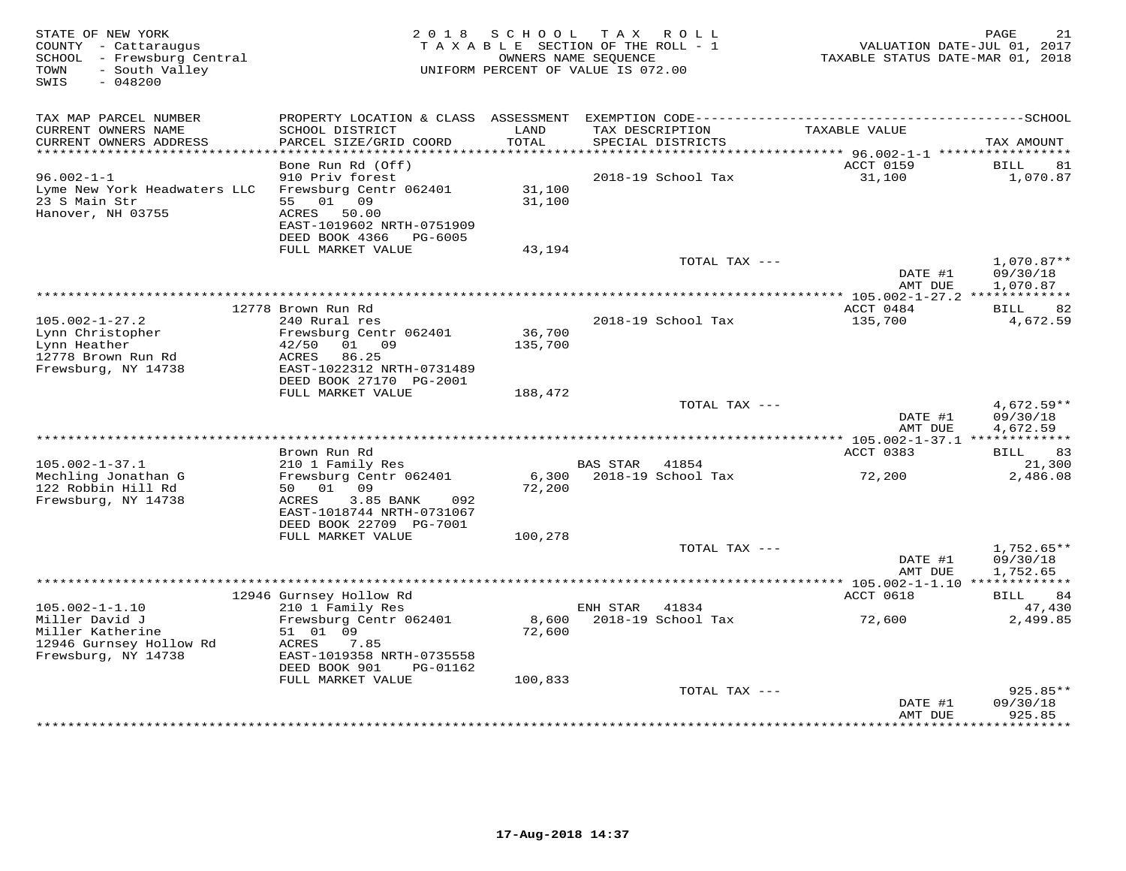| STATE OF NEW YORK<br>COUNTY - Cattaraugus<br>SCHOOL - Frewsburg Central<br>- South Valley<br>TOWN<br>SWIS<br>$-048200$ | 2 0 1 8                                                | SCHOOL           | TAX ROLL<br>TAXABLE SECTION OF THE ROLL - 1<br>OWNERS NAME SEQUENCE<br>UNIFORM PERCENT OF VALUE IS 072.00 | VALUATION DATE-JUL 01, 2017<br>TAXABLE STATUS DATE-MAR 01, 2018 | PAGE<br>21               |
|------------------------------------------------------------------------------------------------------------------------|--------------------------------------------------------|------------------|-----------------------------------------------------------------------------------------------------------|-----------------------------------------------------------------|--------------------------|
| TAX MAP PARCEL NUMBER                                                                                                  | SCHOOL DISTRICT                                        | LAND             |                                                                                                           | TAXABLE VALUE                                                   |                          |
| CURRENT OWNERS NAME<br>CURRENT OWNERS ADDRESS<br>***********************                                               | PARCEL SIZE/GRID COORD                                 | TOTAL            | TAX DESCRIPTION<br>SPECIAL DISTRICTS                                                                      |                                                                 | TAX AMOUNT               |
|                                                                                                                        | Bone Run Rd (Off)                                      |                  |                                                                                                           | ACCT 0159                                                       | <b>BILL</b><br>81        |
| $96.002 - 1 - 1$                                                                                                       | 910 Priv forest                                        |                  | 2018-19 School Tax                                                                                        | 31,100                                                          | 1,070.87                 |
| Lyme New York Headwaters LLC<br>23 S Main Str                                                                          | Frewsburg Centr 062401<br>01 09<br>55                  | 31,100<br>31,100 |                                                                                                           |                                                                 |                          |
| Hanover, NH 03755                                                                                                      | 50.00<br>ACRES<br>EAST-1019602 NRTH-0751909            |                  |                                                                                                           |                                                                 |                          |
|                                                                                                                        | DEED BOOK 4366<br>PG-6005<br>FULL MARKET VALUE         | 43,194           |                                                                                                           |                                                                 |                          |
|                                                                                                                        |                                                        |                  | TOTAL TAX ---                                                                                             | DATE #1                                                         | $1,070.87**$<br>09/30/18 |
|                                                                                                                        |                                                        |                  | ***********************************                                                                       | AMT DUE                                                         | 1,070.87                 |
|                                                                                                                        | 12778 Brown Run Rd                                     |                  |                                                                                                           | *** 105.002-1-27.2 *************<br>ACCT 0484                   | 82<br>BILL               |
| $105.002 - 1 - 27.2$                                                                                                   | 240 Rural res                                          |                  | 2018-19 School Tax                                                                                        | 135,700                                                         | 4,672.59                 |
| Lynn Christopher                                                                                                       | Frewsburg Centr 062401                                 | 36,700           |                                                                                                           |                                                                 |                          |
| Lynn Heather                                                                                                           | 01 09<br>42/50                                         | 135,700          |                                                                                                           |                                                                 |                          |
| 12778 Brown Run Rd                                                                                                     | ACRES<br>86.25                                         |                  |                                                                                                           |                                                                 |                          |
| Frewsburg, NY 14738                                                                                                    | EAST-1022312 NRTH-0731489<br>DEED BOOK 27170 PG-2001   |                  |                                                                                                           |                                                                 |                          |
|                                                                                                                        | FULL MARKET VALUE                                      | 188,472          |                                                                                                           |                                                                 |                          |
|                                                                                                                        |                                                        |                  | TOTAL TAX ---                                                                                             |                                                                 | $4,672.59**$             |
|                                                                                                                        |                                                        |                  |                                                                                                           | DATE #1                                                         | 09/30/18                 |
|                                                                                                                        |                                                        |                  |                                                                                                           | AMT DUE                                                         | 4,672.59                 |
|                                                                                                                        | Brown Run Rd                                           |                  |                                                                                                           | ACCT 0383                                                       | 83<br>BILL               |
| $105.002 - 1 - 37.1$                                                                                                   | 210 1 Family Res                                       |                  | BAS STAR<br>41854                                                                                         |                                                                 | 21,300                   |
| Mechling Jonathan G                                                                                                    | Frewsburg Centr 062401                                 |                  | 6,300 2018-19 School Tax                                                                                  | 72,200                                                          | 2,486.08                 |
| 122 Robbin Hill Rd                                                                                                     | 50 01<br>09                                            | 72,200           |                                                                                                           |                                                                 |                          |
| Frewsburg, NY 14738                                                                                                    | ACRES<br>3.85 BANK<br>092<br>EAST-1018744 NRTH-0731067 |                  |                                                                                                           |                                                                 |                          |
|                                                                                                                        | DEED BOOK 22709 PG-7001                                |                  |                                                                                                           |                                                                 |                          |
|                                                                                                                        | FULL MARKET VALUE                                      | 100,278          |                                                                                                           |                                                                 |                          |
|                                                                                                                        |                                                        |                  | TOTAL TAX ---                                                                                             |                                                                 | $1,752.65**$             |
|                                                                                                                        |                                                        |                  |                                                                                                           | DATE #1<br>AMT DUE                                              | 09/30/18<br>1,752.65     |
|                                                                                                                        |                                                        |                  |                                                                                                           |                                                                 |                          |
|                                                                                                                        | 12946 Gurnsey Hollow Rd                                |                  |                                                                                                           | ACCT 0618                                                       | BILL<br>84               |
| $105.002 - 1 - 1.10$                                                                                                   | 210 1 Family Res                                       |                  | ENH STAR<br>41834                                                                                         |                                                                 | 47,430                   |
| Miller David J                                                                                                         | Frewsburg Centr 062401                                 | 8,600            | 2018-19 School Tax                                                                                        | 72,600                                                          | 2,499.85                 |
| Miller Katherine<br>12946 Gurnsey Hollow Rd                                                                            | 51 01 09<br>ACRES<br>7.85                              | 72,600           |                                                                                                           |                                                                 |                          |
| Frewsburg, NY 14738                                                                                                    | EAST-1019358 NRTH-0735558                              |                  |                                                                                                           |                                                                 |                          |
|                                                                                                                        | DEED BOOK 901<br>PG-01162                              |                  |                                                                                                           |                                                                 |                          |
|                                                                                                                        | FULL MARKET VALUE                                      | 100,833          |                                                                                                           |                                                                 |                          |
|                                                                                                                        |                                                        |                  | TOTAL TAX ---                                                                                             |                                                                 | 925.85**                 |
|                                                                                                                        |                                                        |                  |                                                                                                           | DATE #1<br>AMT DUE                                              | 09/30/18<br>925.85       |
|                                                                                                                        |                                                        |                  | ****************************                                                                              | ************                                                    | **********               |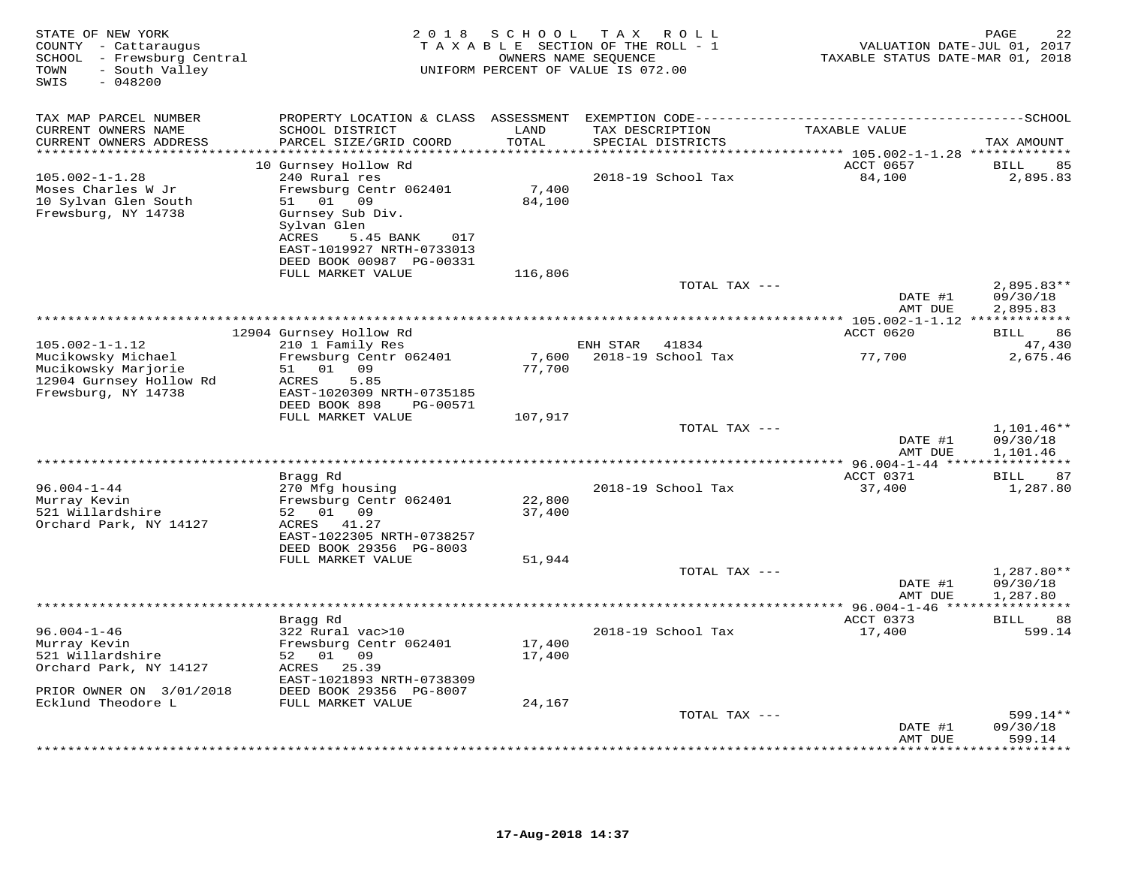| STATE OF NEW YORK<br>COUNTY - Cattaraugus<br>SCHOOL - Frewsburg Central<br>- South Valley<br>TOWN<br>SWIS<br>$-048200$ | 2 0 1 8                                                                                                                                                                     | S C H O O L             | TAX ROLL<br>TAXABLE SECTION OF THE ROLL - 1<br>OWNERS NAME SEQUENCE<br>UNIFORM PERCENT OF VALUE IS 072.00 | VALUATION DATE-JUL 01, 2017<br>TAXABLE STATUS DATE-MAR 01, 2018 | 22<br>PAGE                           |
|------------------------------------------------------------------------------------------------------------------------|-----------------------------------------------------------------------------------------------------------------------------------------------------------------------------|-------------------------|-----------------------------------------------------------------------------------------------------------|-----------------------------------------------------------------|--------------------------------------|
| TAX MAP PARCEL NUMBER                                                                                                  |                                                                                                                                                                             |                         |                                                                                                           |                                                                 |                                      |
| CURRENT OWNERS NAME<br>CURRENT OWNERS ADDRESS<br>********************                                                  | SCHOOL DISTRICT<br>PARCEL SIZE/GRID COORD                                                                                                                                   | LAND<br>TOTAL<br>****** | TAX DESCRIPTION<br>SPECIAL DISTRICTS<br>**************                                                    | TAXABLE VALUE<br>******** 105.002-1-1.28 *************          | TAX AMOUNT                           |
| $105.002 - 1 - 1.28$<br>Moses Charles W Jr<br>10 Sylvan Glen South<br>Frewsburg, NY 14738                              | 10 Gurnsey Hollow Rd<br>240 Rural res<br>Frewsburg Centr 062401<br>51 01<br>09<br>Gurnsey Sub Div.<br>Sylvan Glen<br>ACRES<br>5.45 BANK<br>017<br>EAST-1019927 NRTH-0733013 | 7,400<br>84,100         | 2018-19 School Tax                                                                                        | ACCT 0657<br>84,100                                             | <b>BILL</b><br>85<br>2,895.83        |
|                                                                                                                        | DEED BOOK 00987 PG-00331<br>FULL MARKET VALUE                                                                                                                               | 116,806                 | TOTAL TAX ---                                                                                             | DATE #1                                                         | $2,895.83**$<br>09/30/18             |
|                                                                                                                        |                                                                                                                                                                             |                         |                                                                                                           | AMT DUE                                                         | 2,895.83                             |
| $105.002 - 1 - 1.12$                                                                                                   | 12904 Gurnsey Hollow Rd<br>210 1 Family Res                                                                                                                                 |                         | ENH STAR 41834                                                                                            | ACCT 0620                                                       | 86<br>BILL<br>47,430                 |
| Mucikowsky Michael<br>Mucikowsky Marjorie<br>12904 Gurnsey Hollow Rd<br>Frewsburg, NY 14738                            | Frewsburg Centr 062401<br>0109<br>51<br>5.85<br>ACRES<br>EAST-1020309 NRTH-0735185<br>DEED BOOK 898<br>PG-00571                                                             | 7,600<br>77,700         | 2018-19 School Tax                                                                                        | 77,700                                                          | 2,675.46                             |
|                                                                                                                        | FULL MARKET VALUE                                                                                                                                                           | 107,917                 | TOTAL TAX ---                                                                                             |                                                                 | $1,101.46**$                         |
|                                                                                                                        |                                                                                                                                                                             |                         |                                                                                                           | DATE #1<br>AMT DUE                                              | 09/30/18<br>1,101.46                 |
|                                                                                                                        | Bragg Rd                                                                                                                                                                    |                         | ***********************************                                                                       | ********** 96.004-1-44 *****<br>ACCT 0371                       | ***********<br><b>BILL</b><br>87     |
| $96.004 - 1 - 44$<br>Murray Kevin<br>521 Willardshire<br>Orchard Park, NY 14127                                        | 270 Mfg housing<br>Frewsburg Centr 062401<br>52<br>01<br>09<br>ACRES 41.27<br>EAST-1022305 NRTH-0738257<br>DEED BOOK 29356 PG-8003                                          | 22,800<br>37,400        | 2018-19 School Tax                                                                                        | 37,400                                                          | 1,287.80                             |
|                                                                                                                        | FULL MARKET VALUE                                                                                                                                                           | 51,944                  |                                                                                                           |                                                                 |                                      |
|                                                                                                                        |                                                                                                                                                                             |                         | TOTAL TAX ---                                                                                             | DATE #1<br>AMT DUE                                              | $1,287.80**$<br>09/30/18<br>1,287.80 |
| *****************************                                                                                          |                                                                                                                                                                             |                         |                                                                                                           | ACCT 0373                                                       | 88<br>BILL                           |
| $96.004 - 1 - 46$<br>Murray Kevin<br>521 Willardshire<br>Orchard Park, NY 14127                                        | Bragg Rd<br>322 Rural vac>10<br>Frewsburg Centr 062401<br>52 01 09<br>ACRES 25.39<br>EAST-1021893 NRTH-0738309                                                              | 17,400<br>17,400        | 2018-19 School Tax                                                                                        | 17,400                                                          | 599.14                               |
| PRIOR OWNER ON 3/01/2018<br>Ecklund Theodore L                                                                         | DEED BOOK 29356 PG-8007<br>FULL MARKET VALUE                                                                                                                                | 24,167                  |                                                                                                           |                                                                 |                                      |
|                                                                                                                        |                                                                                                                                                                             |                         | TOTAL TAX ---                                                                                             | DATE #1<br>AMT DUE                                              | $599.14**$<br>09/30/18<br>599.14     |
|                                                                                                                        |                                                                                                                                                                             |                         |                                                                                                           |                                                                 | .                                    |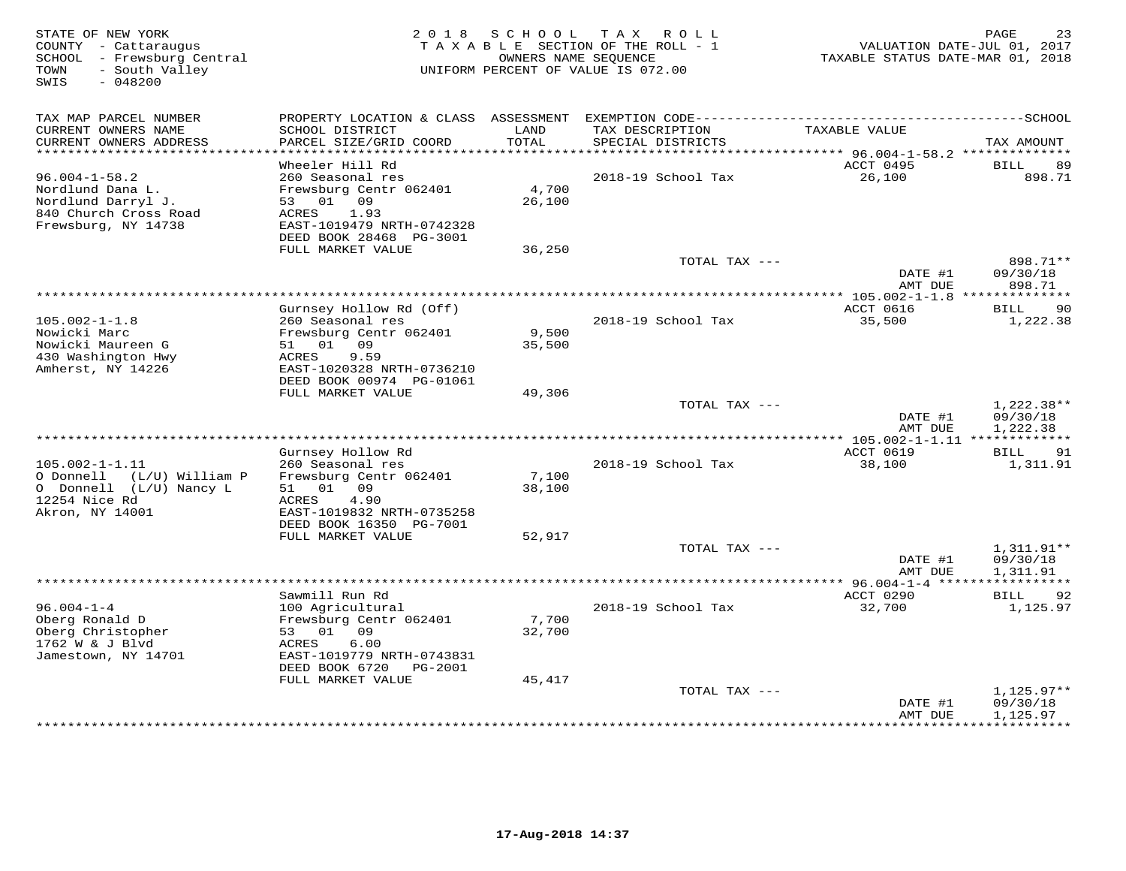| STATE OF NEW YORK<br>COUNTY - Cattaraugus<br>SCHOOL - Frewsburg Central<br>- South Valley<br>TOWN<br>SWIS<br>$-048200$ | 2 0 1 8                                                                          | S C H O O L     | TAX ROLL<br>TAXABLE SECTION OF THE ROLL - 1<br>OWNERS NAME SEQUENCE<br>UNIFORM PERCENT OF VALUE IS 072.00 | VALUATION DATE-JUL 01, 2017<br>TAXABLE STATUS DATE-MAR 01, 2018 | PAGE<br>23                     |
|------------------------------------------------------------------------------------------------------------------------|----------------------------------------------------------------------------------|-----------------|-----------------------------------------------------------------------------------------------------------|-----------------------------------------------------------------|--------------------------------|
| TAX MAP PARCEL NUMBER<br>CURRENT OWNERS NAME                                                                           | SCHOOL DISTRICT                                                                  | LAND            | TAX DESCRIPTION                                                                                           | TAXABLE VALUE                                                   |                                |
| CURRENT OWNERS ADDRESS                                                                                                 | PARCEL SIZE/GRID COORD                                                           | TOTAL           | SPECIAL DISTRICTS                                                                                         |                                                                 | TAX AMOUNT                     |
| ******************************                                                                                         | Wheeler Hill Rd                                                                  |                 |                                                                                                           | ACCT 0495                                                       | 89<br><b>BILL</b>              |
| $96.004 - 1 - 58.2$                                                                                                    | 260 Seasonal res                                                                 |                 | 2018-19 School Tax                                                                                        | 26,100                                                          | 898.71                         |
| Nordlund Dana L.<br>Nordlund Darryl J.<br>840 Church Cross Road<br>Frewsburg, NY 14738                                 | Frewsburg Centr 062401<br>53 01 09<br>1.93<br>ACRES<br>EAST-1019479 NRTH-0742328 | 4,700<br>26,100 |                                                                                                           |                                                                 |                                |
|                                                                                                                        | DEED BOOK 28468 PG-3001                                                          |                 |                                                                                                           |                                                                 |                                |
|                                                                                                                        | FULL MARKET VALUE                                                                | 36,250          |                                                                                                           |                                                                 |                                |
|                                                                                                                        |                                                                                  |                 | TOTAL TAX ---                                                                                             | DATE #1<br>AMT DUE                                              | 898.71**<br>09/30/18<br>898.71 |
|                                                                                                                        |                                                                                  |                 |                                                                                                           |                                                                 |                                |
|                                                                                                                        | Gurnsey Hollow Rd (Off)                                                          |                 | 2018-19 School Tax                                                                                        | ACCT 0616                                                       | 90<br>BILL                     |
| $105.002 - 1 - 1.8$<br>Nowicki Marc                                                                                    | 260 Seasonal res<br>Frewsburg Centr 062401                                       | 9,500           |                                                                                                           | 35,500                                                          | 1,222.38                       |
| Nowicki Maureen G                                                                                                      | 51 01 09                                                                         | 35,500          |                                                                                                           |                                                                 |                                |
| 430 Washington Hwy                                                                                                     | 9.59<br>ACRES                                                                    |                 |                                                                                                           |                                                                 |                                |
| Amherst, NY 14226                                                                                                      | EAST-1020328 NRTH-0736210<br>DEED BOOK 00974 PG-01061                            |                 |                                                                                                           |                                                                 |                                |
|                                                                                                                        | FULL MARKET VALUE                                                                | 49,306          |                                                                                                           |                                                                 |                                |
|                                                                                                                        |                                                                                  |                 | TOTAL TAX ---                                                                                             | DATE #1                                                         | 1,222.38**<br>09/30/18         |
|                                                                                                                        |                                                                                  |                 |                                                                                                           | AMT DUE                                                         | 1,222.38                       |
|                                                                                                                        |                                                                                  |                 |                                                                                                           | *** 105.002-1-1.11 *************                                |                                |
| $105.002 - 1 - 1.11$                                                                                                   | Gurnsey Hollow Rd<br>260 Seasonal res                                            |                 | 2018-19 School Tax                                                                                        | ACCT 0619<br>38,100                                             | <b>BILL</b><br>91<br>1,311.91  |
| O Donnell (L/U) William P                                                                                              | Frewsburg Centr 062401                                                           | 7,100           |                                                                                                           |                                                                 |                                |
| O Donnell (L/U) Nancy L                                                                                                | 51 01 09                                                                         | 38,100          |                                                                                                           |                                                                 |                                |
| 12254 Nice Rd<br>Akron, NY 14001                                                                                       | 4.90<br>ACRES<br>EAST-1019832 NRTH-0735258                                       |                 |                                                                                                           |                                                                 |                                |
|                                                                                                                        | DEED BOOK 16350 PG-7001                                                          |                 |                                                                                                           |                                                                 |                                |
|                                                                                                                        | FULL MARKET VALUE                                                                | 52,917          |                                                                                                           |                                                                 |                                |
|                                                                                                                        |                                                                                  |                 | TOTAL TAX ---                                                                                             | DATE #1                                                         | 1,311.91**<br>09/30/18         |
|                                                                                                                        |                                                                                  |                 |                                                                                                           | AMT DUE                                                         | 1,311.91<br>***********        |
|                                                                                                                        | Sawmill Run Rd                                                                   |                 |                                                                                                           | ACCT 0290                                                       | BILL<br>92                     |
| $96.004 - 1 - 4$                                                                                                       | 100 Agricultural                                                                 |                 | 2018-19 School Tax                                                                                        | 32,700                                                          | 1,125.97                       |
| Oberg Ronald D<br>Oberg Christopher                                                                                    | Frewsburg Centr 062401<br>09<br>53 01                                            | 7,700<br>32,700 |                                                                                                           |                                                                 |                                |
| 1762 W & J Blvd                                                                                                        | 6.00<br>ACRES                                                                    |                 |                                                                                                           |                                                                 |                                |
| Jamestown, NY 14701                                                                                                    | EAST-1019779 NRTH-0743831<br>DEED BOOK 6720<br>PG-2001                           |                 |                                                                                                           |                                                                 |                                |
|                                                                                                                        | FULL MARKET VALUE                                                                | 45,417          |                                                                                                           |                                                                 |                                |
|                                                                                                                        |                                                                                  |                 | TOTAL TAX ---                                                                                             |                                                                 | $1,125.97**$                   |
|                                                                                                                        |                                                                                  |                 |                                                                                                           | DATE #1<br>AMT DUE                                              | 09/30/18<br>1,125.97           |
|                                                                                                                        |                                                                                  |                 | ++++++++++++++++++++++++++++++++++++                                                                      |                                                                 | <b>+++++++++</b>               |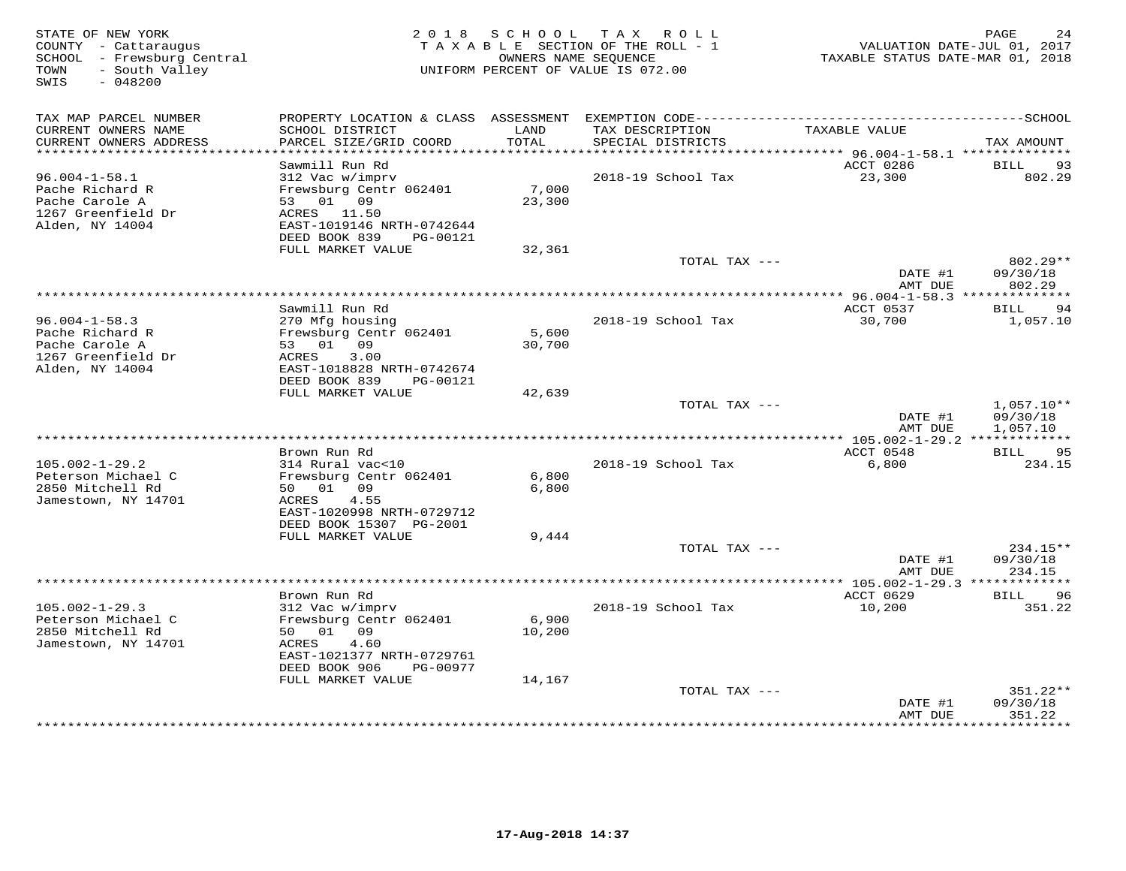| STATE OF NEW YORK<br>COUNTY - Cattaraugus<br>SCHOOL - Frewsburg Central<br>- South Valley<br>TOWN<br>SWIS<br>$-048200$ |                                                                                                                                  | 2018 SCHOOL     | TAX ROLL<br>TAXABLE SECTION OF THE ROLL - 1<br>OWNERS NAME SEQUENCE<br>UNIFORM PERCENT OF VALUE IS 072.00 | VALUATION DATE-JUL 01, 2017<br>TAXABLE STATUS DATE-MAR 01, 2018 | PAGE<br>24                           |
|------------------------------------------------------------------------------------------------------------------------|----------------------------------------------------------------------------------------------------------------------------------|-----------------|-----------------------------------------------------------------------------------------------------------|-----------------------------------------------------------------|--------------------------------------|
| TAX MAP PARCEL NUMBER                                                                                                  |                                                                                                                                  |                 |                                                                                                           |                                                                 |                                      |
| CURRENT OWNERS NAME<br>CURRENT OWNERS ADDRESS<br>*************************                                             | SCHOOL DISTRICT<br>PARCEL SIZE/GRID COORD                                                                                        | LAND<br>TOTAL   | TAX DESCRIPTION<br>SPECIAL DISTRICTS                                                                      | TAXABLE VALUE                                                   | TAX AMOUNT                           |
|                                                                                                                        | Sawmill Run Rd                                                                                                                   |                 |                                                                                                           | ACCT 0286                                                       | BILL<br>93                           |
| $96.004 - 1 - 58.1$<br>Pache Richard R<br>Pache Carole A<br>1267 Greenfield Dr<br>Alden, NY 14004                      | 312 Vac w/imprv<br>Frewsburg Centr 062401<br>53 01 09<br>ACRES 11.50<br>EAST-1019146 NRTH-0742644<br>DEED BOOK 839<br>PG-00121   | 7,000<br>23,300 | 2018-19 School Tax                                                                                        | 23,300                                                          | 802.29                               |
|                                                                                                                        | FULL MARKET VALUE                                                                                                                | 32,361          |                                                                                                           |                                                                 |                                      |
|                                                                                                                        |                                                                                                                                  |                 | TOTAL TAX ---                                                                                             | DATE #1<br>AMT DUE                                              | $802.29**$<br>09/30/18<br>802.29     |
|                                                                                                                        |                                                                                                                                  |                 |                                                                                                           |                                                                 |                                      |
|                                                                                                                        | Sawmill Run Rd                                                                                                                   |                 |                                                                                                           | ACCT 0537                                                       | 94<br>BILL                           |
| $96.004 - 1 - 58.3$<br>Pache Richard R<br>Pache Carole A<br>1267 Greenfield Dr<br>Alden, NY 14004                      | 270 Mfg housing<br>Frewsburg Centr 062401<br>53 01 09<br>3.00<br>ACRES<br>EAST-1018828 NRTH-0742674<br>DEED BOOK 839<br>PG-00121 | 5,600<br>30,700 | 2018-19 School Tax                                                                                        | 30,700                                                          | 1,057.10                             |
|                                                                                                                        | FULL MARKET VALUE                                                                                                                | 42,639          |                                                                                                           |                                                                 |                                      |
|                                                                                                                        |                                                                                                                                  |                 | TOTAL TAX ---                                                                                             | DATE #1<br>AMT DUE                                              | $1.057.10**$<br>09/30/18<br>1,057.10 |
|                                                                                                                        | Brown Run Rd                                                                                                                     |                 |                                                                                                           | ACCT 0548                                                       | <b>BILL</b><br>95                    |
| $105.002 - 1 - 29.2$<br>Peterson Michael C<br>2850 Mitchell Rd<br>Jamestown, NY 14701                                  | 314 Rural vac<10<br>Frewsburg Centr 062401<br>50 01 09<br>4.55<br>ACRES                                                          | 6,800<br>6,800  | 2018-19 School Tax                                                                                        | 6,800                                                           | 234.15                               |
|                                                                                                                        | EAST-1020998 NRTH-0729712<br>DEED BOOK 15307 PG-2001                                                                             |                 |                                                                                                           |                                                                 |                                      |
|                                                                                                                        | FULL MARKET VALUE                                                                                                                | 9,444           |                                                                                                           |                                                                 |                                      |
|                                                                                                                        |                                                                                                                                  |                 | TOTAL TAX ---                                                                                             | DATE #1<br>AMT DUE                                              | 234.15**<br>09/30/18<br>234.15       |
|                                                                                                                        |                                                                                                                                  |                 |                                                                                                           | ****************** 105.002-1-29.3 *************                 |                                      |
|                                                                                                                        | Brown Run Rd                                                                                                                     |                 |                                                                                                           | ACCT 0629                                                       | BILL<br>96                           |
| $105.002 - 1 - 29.3$<br>Peterson Michael C<br>2850 Mitchell Rd<br>Jamestown, NY 14701                                  | 312 Vac w/imprv<br>Frewsburg Centr 062401<br>50 01 09<br>ACRES<br>4.60<br>EAST-1021377 NRTH-0729761<br>DEED BOOK 906<br>PG-00977 | 6,900<br>10,200 | 2018-19 School Tax                                                                                        | 10,200                                                          | 351.22                               |
|                                                                                                                        | FULL MARKET VALUE                                                                                                                | 14,167          |                                                                                                           |                                                                 |                                      |
|                                                                                                                        |                                                                                                                                  |                 | TOTAL TAX ---                                                                                             | DATE #1<br>AMT DUE                                              | 351.22**<br>09/30/18<br>351.22       |
|                                                                                                                        |                                                                                                                                  |                 | ***************************                                                                               | *************                                                   | . * * * * * * * * *                  |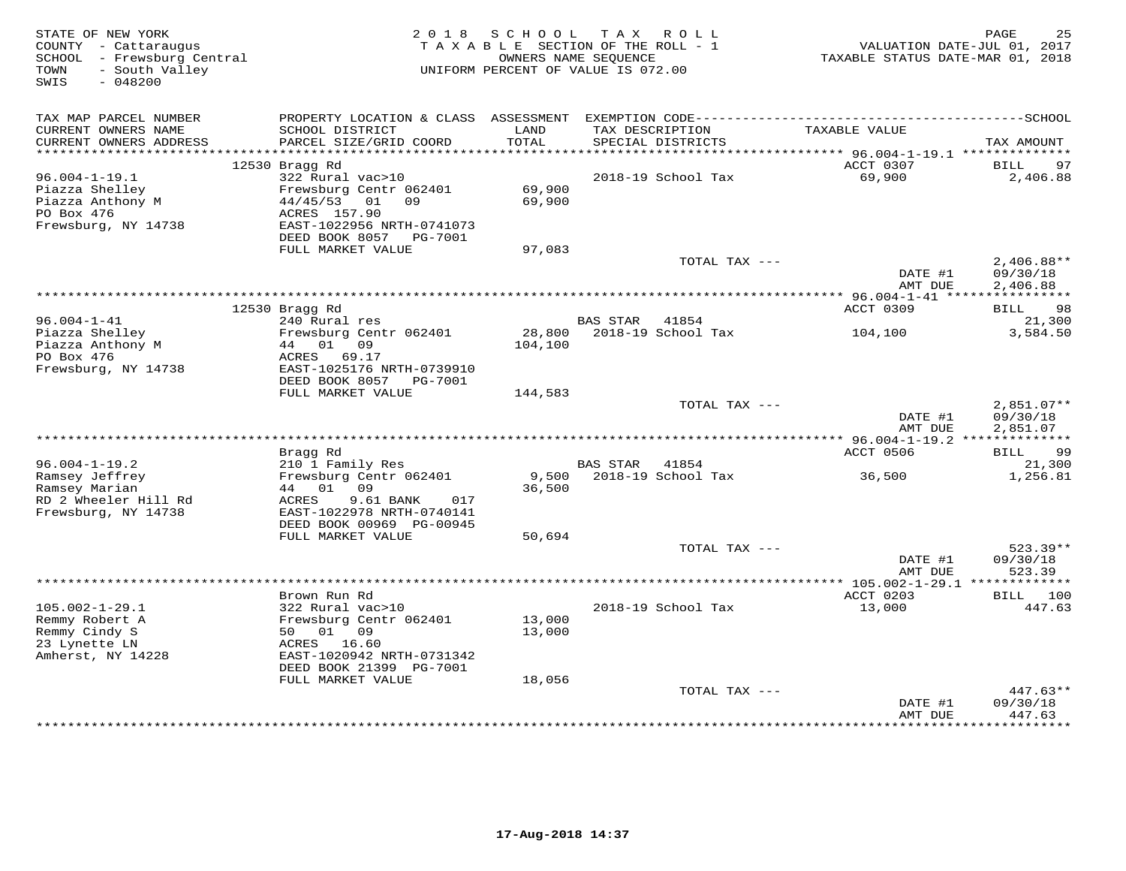| STATE OF NEW YORK<br>COUNTY - Cattaraugus<br>SCHOOL - Frewsburg Central  | 2 0 1 8                                             | SCHOOL           | T A X<br>R O L L<br>TAXABLE SECTION OF THE ROLL - 1<br>OWNERS NAME SEQUENCE | VALUATION DATE-JUL 01, 2017<br>TAXABLE STATUS DATE-MAR 01, 2018 | PAGE<br>25                    |
|--------------------------------------------------------------------------|-----------------------------------------------------|------------------|-----------------------------------------------------------------------------|-----------------------------------------------------------------|-------------------------------|
| - South Valley<br>TOWN<br>SWIS<br>$-048200$                              |                                                     |                  | UNIFORM PERCENT OF VALUE IS 072.00                                          |                                                                 |                               |
| TAX MAP PARCEL NUMBER                                                    |                                                     |                  |                                                                             |                                                                 |                               |
| CURRENT OWNERS NAME<br>CURRENT OWNERS ADDRESS<br>*********************** | SCHOOL DISTRICT<br>PARCEL SIZE/GRID COORD           | LAND<br>TOTAL    | TAX DESCRIPTION<br>SPECIAL DISTRICTS                                        | TAXABLE VALUE                                                   | TAX AMOUNT                    |
|                                                                          | 12530 Bragg Rd                                      |                  |                                                                             | ACCT 0307                                                       | <b>BILL</b><br>97             |
| $96.004 - 1 - 19.1$                                                      | 322 Rural vac>10                                    |                  | 2018-19 School Tax                                                          | 69,900                                                          | 2,406.88                      |
| Piazza Shelley<br>Piazza Anthony M                                       | Frewsburg Centr 062401<br>44/45/53<br>01<br>09      | 69,900<br>69,900 |                                                                             |                                                                 |                               |
| PO Box 476                                                               | ACRES 157.90                                        |                  |                                                                             |                                                                 |                               |
| Frewsburg, NY 14738                                                      | EAST-1022956 NRTH-0741073<br>DEED BOOK 8057 PG-7001 |                  |                                                                             |                                                                 |                               |
|                                                                          | FULL MARKET VALUE                                   | 97,083           |                                                                             |                                                                 |                               |
|                                                                          |                                                     |                  | TOTAL TAX ---                                                               | DATE #1                                                         | $2,406.88**$<br>09/30/18      |
|                                                                          |                                                     |                  |                                                                             | AMT DUE                                                         | 2,406.88                      |
|                                                                          |                                                     |                  |                                                                             | ***************** 96.004-1-41 *****                             | ***********                   |
| $96.004 - 1 - 41$                                                        | 12530 Bragg Rd<br>240 Rural res                     |                  | <b>BAS STAR</b><br>41854                                                    | ACCT 0309                                                       | 98<br>BILL<br>21,300          |
| Piazza Shelley                                                           | Frewsburg Centr 062401                              | 28,800           | 2018-19 School Tax                                                          | 104,100                                                         | 3,584.50                      |
| Piazza Anthony M                                                         | 44 01 09                                            | 104,100          |                                                                             |                                                                 |                               |
| PO Box 476                                                               | ACRES 69.17                                         |                  |                                                                             |                                                                 |                               |
| Frewsburg, NY 14738                                                      | EAST-1025176 NRTH-0739910<br>DEED BOOK 8057 PG-7001 |                  |                                                                             |                                                                 |                               |
|                                                                          | FULL MARKET VALUE                                   | 144,583          |                                                                             |                                                                 |                               |
|                                                                          |                                                     |                  | TOTAL TAX ---                                                               |                                                                 | $2,851.07**$                  |
|                                                                          |                                                     |                  |                                                                             | DATE #1                                                         | 09/30/18                      |
|                                                                          |                                                     |                  |                                                                             | AMT DUE                                                         | 2,851.07                      |
|                                                                          | Bragg Rd                                            |                  |                                                                             | ACCT 0506                                                       | 99<br>BILL                    |
| $96.004 - 1 - 19.2$                                                      | 210 1 Family Res                                    |                  | BAS STAR<br>41854                                                           |                                                                 | 21,300                        |
| Ramsey Jeffrey                                                           | Frewsburg Centr 062401                              |                  | 9,500 2018-19 School Tax                                                    | 36,500                                                          | 1,256.81                      |
| Ramsey Marian<br>RD 2 Wheeler Hill Rd                                    | 44 01 09<br>ACRES<br>9.61 BANK<br>017               | 36,500           |                                                                             |                                                                 |                               |
| Frewsburg, NY 14738                                                      | EAST-1022978 NRTH-0740141                           |                  |                                                                             |                                                                 |                               |
|                                                                          | DEED BOOK 00969 PG-00945                            |                  |                                                                             |                                                                 |                               |
|                                                                          | FULL MARKET VALUE                                   | 50,694           |                                                                             |                                                                 |                               |
|                                                                          |                                                     |                  | TOTAL TAX ---                                                               | DATE #1                                                         | $523.39**$<br>09/30/18        |
|                                                                          |                                                     |                  |                                                                             | AMT DUE                                                         | 523.39                        |
|                                                                          |                                                     |                  |                                                                             |                                                                 |                               |
|                                                                          | Brown Run Rd                                        |                  |                                                                             | ACCT 0203                                                       | <b>BILL</b> 100               |
| $105.002 - 1 - 29.1$<br>Remmy Robert A                                   | 322 Rural vac>10<br>Frewsburg Centr 062401          | 13,000           | 2018-19 School Tax                                                          | 13,000                                                          | 447.63                        |
| Remmy Cindy S                                                            | 01 09<br>50                                         | 13,000           |                                                                             |                                                                 |                               |
| 23 Lynette LN                                                            | ACRES 16.60                                         |                  |                                                                             |                                                                 |                               |
| Amherst, NY 14228                                                        | EAST-1020942 NRTH-0731342                           |                  |                                                                             |                                                                 |                               |
|                                                                          | DEED BOOK 21399 PG-7001<br>FULL MARKET VALUE        | 18,056           |                                                                             |                                                                 |                               |
|                                                                          |                                                     |                  | TOTAL TAX ---                                                               |                                                                 | $447.63**$                    |
|                                                                          |                                                     |                  |                                                                             | DATE #1                                                         | 09/30/18                      |
|                                                                          |                                                     |                  | ***************************                                                 | AMT DUE<br>*************                                        | 447.63<br>* * * * * * * * * * |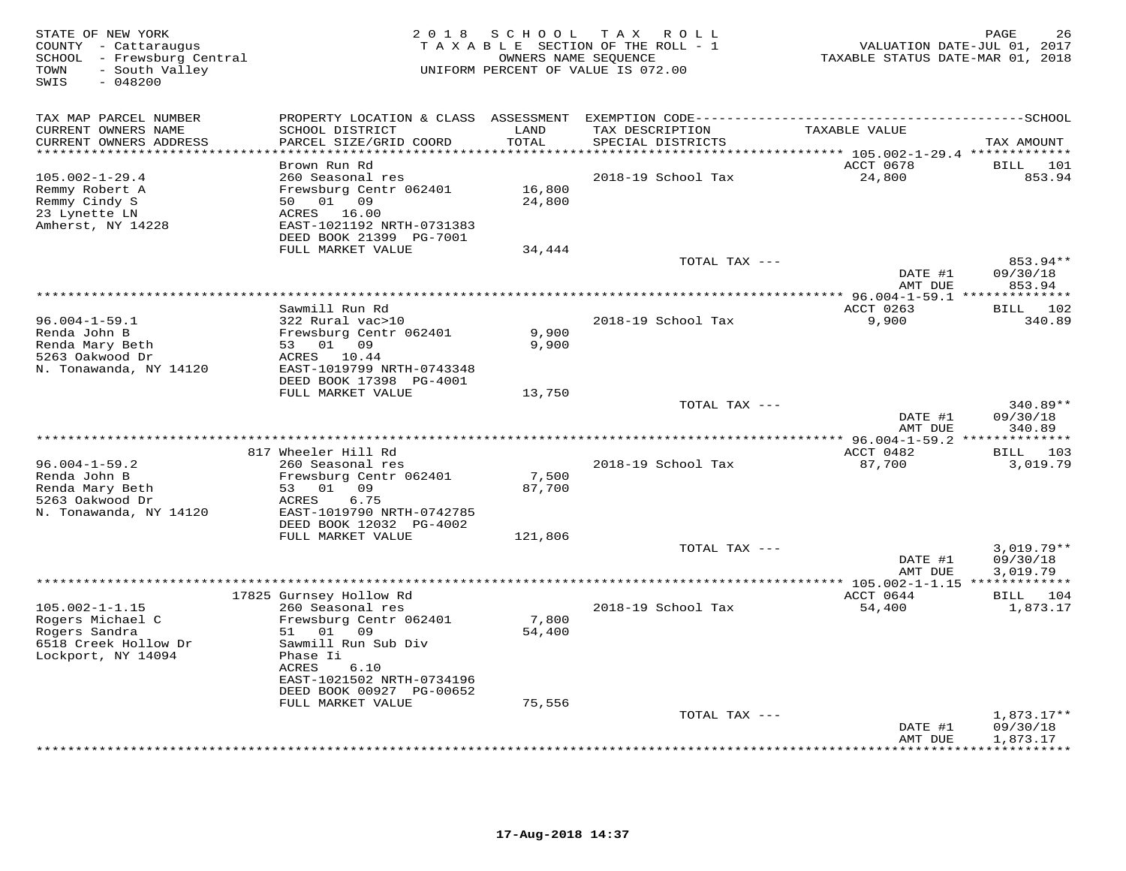| STATE OF NEW YORK<br>COUNTY - Cattaraugus<br>SCHOOL - Frewsburg Central<br>TOWN<br>- South Valley<br>SWIS<br>$-048200$ | 2 0 1 8                                                                                                                                                                                        | SCHOOL                    | TAX ROLL<br>T A X A B L E SECTION OF THE ROLL - 1<br>OWNERS NAME SEQUENCE<br>UNIFORM PERCENT OF VALUE IS 072.00 | VALUATION DATE-JUL 01, 2017<br>TAXABLE STATUS DATE-MAR 01, 2018 | 26<br>PAGE                           |
|------------------------------------------------------------------------------------------------------------------------|------------------------------------------------------------------------------------------------------------------------------------------------------------------------------------------------|---------------------------|-----------------------------------------------------------------------------------------------------------------|-----------------------------------------------------------------|--------------------------------------|
| TAX MAP PARCEL NUMBER                                                                                                  |                                                                                                                                                                                                |                           |                                                                                                                 |                                                                 |                                      |
| CURRENT OWNERS NAME<br>CURRENT OWNERS ADDRESS<br>***************                                                       | SCHOOL DISTRICT<br>PARCEL SIZE/GRID COORD                                                                                                                                                      | LAND<br>TOTAL<br>******   | TAX DESCRIPTION<br>SPECIAL DISTRICTS                                                                            | TAXABLE VALUE                                                   | TAX AMOUNT                           |
|                                                                                                                        | Brown Run Rd                                                                                                                                                                                   |                           |                                                                                                                 | ******* 105.002-1-29.4 *************<br>ACCT 0678               | <b>BILL</b><br>101                   |
| $105.002 - 1 - 29.4$<br>Remmy Robert A<br>Remmy Cindy S<br>23 Lynette LN<br>Amherst, NY 14228                          | 260 Seasonal res<br>Frewsburg Centr 062401<br>01 09<br>50<br>ACRES 16.00<br>EAST-1021192 NRTH-0731383<br>DEED BOOK 21399 PG-7001                                                               | 16,800<br>24,800          | 2018-19 School Tax                                                                                              | 24,800                                                          | 853.94                               |
|                                                                                                                        | FULL MARKET VALUE                                                                                                                                                                              | 34,444                    |                                                                                                                 |                                                                 |                                      |
|                                                                                                                        |                                                                                                                                                                                                |                           | TOTAL TAX ---                                                                                                   |                                                                 | 853.94**                             |
|                                                                                                                        |                                                                                                                                                                                                |                           |                                                                                                                 | DATE #1<br>AMT DUE                                              | 09/30/18<br>853.94                   |
| **************************                                                                                             |                                                                                                                                                                                                |                           |                                                                                                                 | **** 96.004-1-59.1 ****                                         | * * * * * * * * *                    |
|                                                                                                                        | Sawmill Run Rd                                                                                                                                                                                 |                           |                                                                                                                 | ACCT 0263                                                       | 102<br>BILL                          |
| $96.004 - 1 - 59.1$<br>Renda John B<br>Renda Mary Beth<br>5263 Oakwood Dr<br>N. Tonawanda, NY 14120                    | 322 Rural vac>10<br>Frewsburg Centr 062401<br>53 01 09<br>ACRES 10.44<br>EAST-1019799 NRTH-0743348                                                                                             | 9,900<br>9,900            | 2018-19 School Tax                                                                                              | 9,900                                                           | 340.89                               |
|                                                                                                                        | DEED BOOK 17398 PG-4001                                                                                                                                                                        |                           |                                                                                                                 |                                                                 |                                      |
|                                                                                                                        | FULL MARKET VALUE                                                                                                                                                                              | 13,750                    | TOTAL TAX ---                                                                                                   | DATE #1<br>AMT DUE                                              | 340.89**<br>09/30/18<br>340.89       |
|                                                                                                                        |                                                                                                                                                                                                |                           | *********************                                                                                           | ** $96.004 - 1 - 59.2$ ***                                      | * * * * * * * * *                    |
| $96.004 - 1 - 59.2$<br>Renda John B<br>Renda Mary Beth<br>5263 Oakwood Dr<br>N. Tonawanda, NY 14120                    | 817 Wheeler Hill Rd<br>260 Seasonal res<br>Frewsburg Centr 062401<br>53 01 09<br>6.75<br>ACRES<br>EAST-1019790 NRTH-0742785<br>DEED BOOK 12032 PG-4002                                         | 7,500<br>87,700           | 2018-19 School Tax                                                                                              | ACCT 0482<br>87,700                                             | BILL 103<br>3,019.79                 |
|                                                                                                                        | FULL MARKET VALUE                                                                                                                                                                              | 121,806                   |                                                                                                                 |                                                                 |                                      |
|                                                                                                                        |                                                                                                                                                                                                |                           | TOTAL TAX ---                                                                                                   | DATE #1<br>AMT DUE                                              | $3,019.79**$<br>09/30/18<br>3,019.79 |
|                                                                                                                        |                                                                                                                                                                                                |                           |                                                                                                                 |                                                                 |                                      |
|                                                                                                                        | 17825 Gurnsey Hollow Rd                                                                                                                                                                        |                           |                                                                                                                 | ACCT 0644                                                       | BILL 104                             |
| $105.002 - 1 - 1.15$<br>Rogers Michael C<br>Rogers Sandra<br>6518 Creek Hollow Dr<br>Lockport, NY 14094                | 260 Seasonal res<br>Frewsburg Centr 062401<br>51<br>01<br>09<br>Sawmill Run Sub Div<br>Phase Ii<br>ACRES<br>6.10<br>EAST-1021502 NRTH-0734196<br>DEED BOOK 00927 PG-00652<br>FULL MARKET VALUE | 7,800<br>54,400<br>75,556 | 2018-19 School Tax                                                                                              | 54,400                                                          | 1,873.17                             |
|                                                                                                                        |                                                                                                                                                                                                |                           | TOTAL TAX ---                                                                                                   |                                                                 | $1,873.17**$                         |
|                                                                                                                        |                                                                                                                                                                                                |                           |                                                                                                                 | DATE #1<br>AMT DUE                                              | 09/30/18<br>1,873.17                 |
|                                                                                                                        |                                                                                                                                                                                                |                           |                                                                                                                 |                                                                 | .                                    |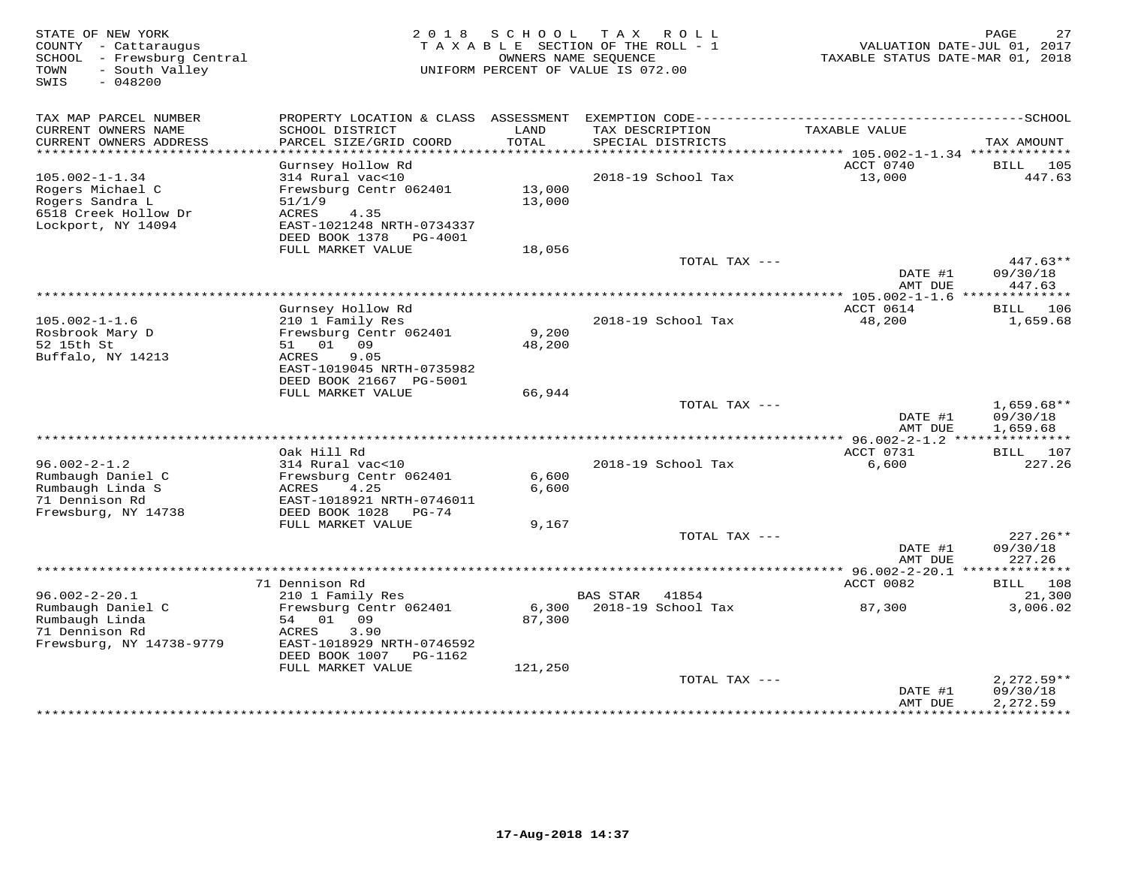| STATE OF NEW YORK<br>COUNTY - Cattaraugus<br>SCHOOL - Frewsburg Central<br>- South Valley<br>TOWN<br>SWIS<br>$-048200$ |                                                                                                                                                             | 2018 SCHOOL<br>TAXABLE SECTION OF THE ROLL - 1<br>UNIFORM PERCENT OF VALUE IS 072.00 | OWNERS NAME SEOUENCE | TAX ROLL                    | TAXABLE STATUS DATE-MAR 01, 2018 | PAGE<br>27<br>VALUATION DATE-JUL 01, 2017 |
|------------------------------------------------------------------------------------------------------------------------|-------------------------------------------------------------------------------------------------------------------------------------------------------------|--------------------------------------------------------------------------------------|----------------------|-----------------------------|----------------------------------|-------------------------------------------|
| TAX MAP PARCEL NUMBER<br>CURRENT OWNERS NAME<br>CURRENT OWNERS ADDRESS                                                 | SCHOOL DISTRICT<br>PARCEL SIZE/GRID COORD                                                                                                                   | LAND<br>TOTAL                                                                        | TAX DESCRIPTION      | SPECIAL DISTRICTS           | TAXABLE VALUE                    | TAX AMOUNT                                |
| ********************                                                                                                   |                                                                                                                                                             |                                                                                      |                      |                             |                                  |                                           |
| $105.002 - 1 - 1.34$<br>Rogers Michael C<br>Rogers Sandra L<br>6518 Creek Hollow Dr<br>Lockport, NY 14094              | Gurnsey Hollow Rd<br>314 Rural vac<10<br>Frewsburg Centr 062401<br>51/1/9<br><b>ACRES</b><br>4.35<br>EAST-1021248 NRTH-0734337<br>DEED BOOK 1378<br>PG-4001 | 13,000<br>13,000                                                                     |                      | 2018-19 School Tax          | ACCT 0740<br>13,000              | BILL 105<br>447.63                        |
|                                                                                                                        | FULL MARKET VALUE                                                                                                                                           | 18,056                                                                               |                      |                             |                                  |                                           |
|                                                                                                                        |                                                                                                                                                             |                                                                                      |                      | TOTAL TAX ---               | DATE #1<br>AMT DUE               | $447.63**$<br>09/30/18<br>447.63          |
|                                                                                                                        |                                                                                                                                                             |                                                                                      |                      |                             |                                  |                                           |
| $105.002 - 1 - 1.6$<br>Rosbrook Mary D                                                                                 | Gurnsey Hollow Rd<br>210 1 Family Res<br>Frewsburg Centr 062401                                                                                             | 9,200                                                                                |                      | 2018-19 School Tax          | ACCT 0614<br>48,200              | BILL 106<br>1,659.68                      |
| 52 15th St<br>Buffalo, NY 14213                                                                                        | 01 09<br>51<br>ACRES<br>9.05<br>EAST-1019045 NRTH-0735982<br>DEED BOOK 21667 PG-5001                                                                        | 48,200                                                                               |                      |                             |                                  |                                           |
|                                                                                                                        | FULL MARKET VALUE                                                                                                                                           | 66,944                                                                               |                      |                             |                                  |                                           |
|                                                                                                                        |                                                                                                                                                             |                                                                                      |                      | TOTAL TAX ---               | DATE #1<br>AMT DUE               | $1,659.68**$<br>09/30/18<br>1,659.68      |
|                                                                                                                        |                                                                                                                                                             |                                                                                      |                      |                             |                                  |                                           |
| $96.002 - 2 - 1.2$<br>Rumbaugh Daniel C<br>Rumbaugh Linda S<br>71 Dennison Rd                                          | Oak Hill Rd<br>314 Rural vac<10<br>Frewsburg Centr 062401<br>4.25<br>ACRES<br>EAST-1018921 NRTH-0746011                                                     | 6,600<br>6,600                                                                       |                      | 2018-19 School Tax          | ACCT 0731<br>6,600               | BILL 107<br>227.26                        |
| Frewsburg, NY 14738                                                                                                    | DEED BOOK 1028 PG-74<br>FULL MARKET VALUE                                                                                                                   | 9,167                                                                                |                      |                             |                                  |                                           |
|                                                                                                                        |                                                                                                                                                             |                                                                                      |                      | TOTAL TAX ---               | DATE #1<br>AMT DUE               | $227.26**$<br>09/30/18<br>227.26          |
|                                                                                                                        |                                                                                                                                                             |                                                                                      |                      |                             |                                  |                                           |
|                                                                                                                        | 71 Dennison Rd                                                                                                                                              |                                                                                      |                      |                             | ACCT 0082                        | BILL 108                                  |
| $96.002 - 2 - 20.1$<br>Rumbaugh Daniel C<br>Rumbaugh Linda<br>71 Dennison Rd<br>Frewsburg, NY 14738-9779               | 210 1 Family Res<br>Frewsburg Centr 062401<br>54 01 09<br>ACRES<br>3.90<br>EAST-1018929 NRTH-0746592                                                        | 6,300<br>87,300                                                                      | BAS STAR             | 41854<br>2018-19 School Tax | 87,300                           | 21,300<br>3,006.02                        |
|                                                                                                                        | DEED BOOK 1007 PG-1162<br>FULL MARKET VALUE                                                                                                                 | 121,250                                                                              |                      |                             |                                  |                                           |
|                                                                                                                        |                                                                                                                                                             |                                                                                      |                      | TOTAL TAX ---               | DATE #1<br>AMT DUE               | $2,272.59**$<br>09/30/18<br>2,272.59      |
|                                                                                                                        |                                                                                                                                                             |                                                                                      |                      |                             | *****************                | ***********                               |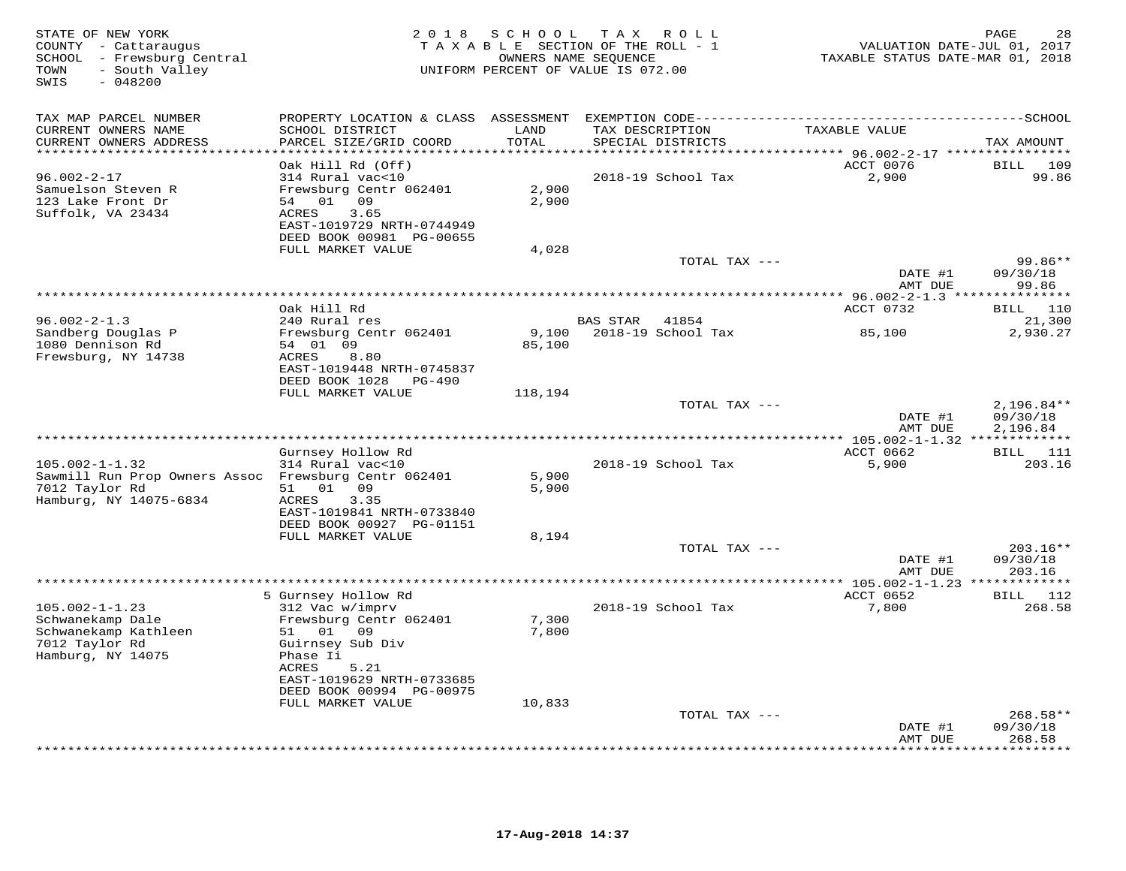| TAX MAP PARCEL NUMBER<br>PROPERTY LOCATION & CLASS ASSESSMENT<br>CURRENT OWNERS NAME<br>SCHOOL DISTRICT<br>LAND<br>TAX DESCRIPTION<br>TAXABLE VALUE<br>CURRENT OWNERS ADDRESS<br>TOTAL<br>SPECIAL DISTRICTS<br>PARCEL SIZE/GRID COORD<br>TAX AMOUNT<br>*******************<br>*********<br>Oak Hill Rd (Off)<br>ACCT 0076<br>109<br>BILL<br>$96.002 - 2 - 17$<br>314 Rural vac<10<br>2018-19 School Tax<br>2,900<br>99.86<br>Frewsburg Centr 062401<br>2,900<br>Samuelson Steven R<br>123 Lake Front Dr<br>54 01 09<br>2,900<br>Suffolk, VA 23434<br>3.65<br>ACRES<br>EAST-1019729 NRTH-0744949<br>DEED BOOK 00981 PG-00655<br>FULL MARKET VALUE<br>4,028<br>TOTAL TAX ---<br>$99.86**$<br>09/30/18<br>DATE #1<br>99.86<br>AMT DUE<br>ACCT 0732<br>Oak Hill Rd<br>BILL 110<br>$96.002 - 2 - 1.3$<br>240 Rural res<br>BAS STAR<br>41854<br>21,300<br>Sandberg Douglas P<br>Frewsburg Centr 062401<br>9,100<br>2018-19 School Tax<br>85,100<br>2,930.27<br>1080 Dennison Rd<br>54 01 09<br>85,100<br>Frewsburg, NY 14738<br>ACRES<br>8.80<br>EAST-1019448 NRTH-0745837<br>DEED BOOK 1028 PG-490<br>FULL MARKET VALUE<br>118,194<br>$2,196.84**$<br>TOTAL TAX ---<br>DATE #1<br>09/30/18<br>2,196.84<br>AMT DUE<br>Gurnsey Hollow Rd<br>ACCT 0662<br>BILL 111<br>$105.002 - 1 - 1.32$<br>314 Rural vac<10<br>2018-19 School Tax<br>5,900<br>203.16<br>Sawmill Run Prop Owners Assoc Frewsburg Centr 062401<br>5,900<br>7012 Taylor Rd<br>51 01 09<br>5,900<br>Hamburg, NY 14075-6834<br>3.35<br>ACRES<br>EAST-1019841 NRTH-0733840<br>DEED BOOK 00927 PG-01151<br>FULL MARKET VALUE<br>8,194<br>TOTAL TAX ---<br>$203.16**$<br>09/30/18<br>DATE #1<br>203.16<br>AMT DUE<br>5 Gurnsey Hollow Rd<br>ACCT 0652<br>112<br>BILL<br>$105.002 - 1 - 1.23$<br>312 Vac w/imprv<br>2018-19 School Tax<br>7,800<br>268.58<br>Frewsburg Centr 062401<br>7,300<br>Schwanekamp Dale<br>Schwanekamp Kathleen<br>01<br>09<br>7,800<br>51<br>7012 Taylor Rd<br>Guirnsey Sub Div<br>Hamburg, NY 14075<br>Phase Ii<br>ACRES<br>5.21<br>EAST-1019629 NRTH-0733685<br>DEED BOOK 00994 PG-00975<br>FULL MARKET VALUE<br>10,833<br>TOTAL TAX ---<br>$268.58**$<br>09/30/18<br>DATE #1<br>268.58<br>AMT DUE | STATE OF NEW YORK<br>COUNTY - Cattaraugus<br>SCHOOL - Frewsburg Central<br>- South Valley<br>TOWN<br>SWIS<br>$-048200$ | 2 0 1 8 | S C H O O L | TAX ROLL<br>TAXABLE SECTION OF THE ROLL - 1<br>OWNERS NAME SEQUENCE<br>UNIFORM PERCENT OF VALUE IS 072.00 | VALUATION DATE-JUL 01, 2017<br>TAXABLE STATUS DATE-MAR 01, 2018 | PAGE<br>28 |
|----------------------------------------------------------------------------------------------------------------------------------------------------------------------------------------------------------------------------------------------------------------------------------------------------------------------------------------------------------------------------------------------------------------------------------------------------------------------------------------------------------------------------------------------------------------------------------------------------------------------------------------------------------------------------------------------------------------------------------------------------------------------------------------------------------------------------------------------------------------------------------------------------------------------------------------------------------------------------------------------------------------------------------------------------------------------------------------------------------------------------------------------------------------------------------------------------------------------------------------------------------------------------------------------------------------------------------------------------------------------------------------------------------------------------------------------------------------------------------------------------------------------------------------------------------------------------------------------------------------------------------------------------------------------------------------------------------------------------------------------------------------------------------------------------------------------------------------------------------------------------------------------------------------------------------------------------------------------------------------------------------------------------------------------------------------------------------------------------------------------------------------------------------------------------------|------------------------------------------------------------------------------------------------------------------------|---------|-------------|-----------------------------------------------------------------------------------------------------------|-----------------------------------------------------------------|------------|
|                                                                                                                                                                                                                                                                                                                                                                                                                                                                                                                                                                                                                                                                                                                                                                                                                                                                                                                                                                                                                                                                                                                                                                                                                                                                                                                                                                                                                                                                                                                                                                                                                                                                                                                                                                                                                                                                                                                                                                                                                                                                                                                                                                                  |                                                                                                                        |         |             |                                                                                                           |                                                                 |            |
|                                                                                                                                                                                                                                                                                                                                                                                                                                                                                                                                                                                                                                                                                                                                                                                                                                                                                                                                                                                                                                                                                                                                                                                                                                                                                                                                                                                                                                                                                                                                                                                                                                                                                                                                                                                                                                                                                                                                                                                                                                                                                                                                                                                  |                                                                                                                        |         |             |                                                                                                           |                                                                 |            |
|                                                                                                                                                                                                                                                                                                                                                                                                                                                                                                                                                                                                                                                                                                                                                                                                                                                                                                                                                                                                                                                                                                                                                                                                                                                                                                                                                                                                                                                                                                                                                                                                                                                                                                                                                                                                                                                                                                                                                                                                                                                                                                                                                                                  |                                                                                                                        |         |             |                                                                                                           |                                                                 |            |
|                                                                                                                                                                                                                                                                                                                                                                                                                                                                                                                                                                                                                                                                                                                                                                                                                                                                                                                                                                                                                                                                                                                                                                                                                                                                                                                                                                                                                                                                                                                                                                                                                                                                                                                                                                                                                                                                                                                                                                                                                                                                                                                                                                                  |                                                                                                                        |         |             |                                                                                                           |                                                                 |            |
|                                                                                                                                                                                                                                                                                                                                                                                                                                                                                                                                                                                                                                                                                                                                                                                                                                                                                                                                                                                                                                                                                                                                                                                                                                                                                                                                                                                                                                                                                                                                                                                                                                                                                                                                                                                                                                                                                                                                                                                                                                                                                                                                                                                  |                                                                                                                        |         |             |                                                                                                           |                                                                 |            |
|                                                                                                                                                                                                                                                                                                                                                                                                                                                                                                                                                                                                                                                                                                                                                                                                                                                                                                                                                                                                                                                                                                                                                                                                                                                                                                                                                                                                                                                                                                                                                                                                                                                                                                                                                                                                                                                                                                                                                                                                                                                                                                                                                                                  |                                                                                                                        |         |             |                                                                                                           |                                                                 |            |
|                                                                                                                                                                                                                                                                                                                                                                                                                                                                                                                                                                                                                                                                                                                                                                                                                                                                                                                                                                                                                                                                                                                                                                                                                                                                                                                                                                                                                                                                                                                                                                                                                                                                                                                                                                                                                                                                                                                                                                                                                                                                                                                                                                                  |                                                                                                                        |         |             |                                                                                                           |                                                                 |            |
|                                                                                                                                                                                                                                                                                                                                                                                                                                                                                                                                                                                                                                                                                                                                                                                                                                                                                                                                                                                                                                                                                                                                                                                                                                                                                                                                                                                                                                                                                                                                                                                                                                                                                                                                                                                                                                                                                                                                                                                                                                                                                                                                                                                  |                                                                                                                        |         |             |                                                                                                           |                                                                 |            |
|                                                                                                                                                                                                                                                                                                                                                                                                                                                                                                                                                                                                                                                                                                                                                                                                                                                                                                                                                                                                                                                                                                                                                                                                                                                                                                                                                                                                                                                                                                                                                                                                                                                                                                                                                                                                                                                                                                                                                                                                                                                                                                                                                                                  |                                                                                                                        |         |             |                                                                                                           |                                                                 |            |
|                                                                                                                                                                                                                                                                                                                                                                                                                                                                                                                                                                                                                                                                                                                                                                                                                                                                                                                                                                                                                                                                                                                                                                                                                                                                                                                                                                                                                                                                                                                                                                                                                                                                                                                                                                                                                                                                                                                                                                                                                                                                                                                                                                                  |                                                                                                                        |         |             |                                                                                                           |                                                                 |            |
|                                                                                                                                                                                                                                                                                                                                                                                                                                                                                                                                                                                                                                                                                                                                                                                                                                                                                                                                                                                                                                                                                                                                                                                                                                                                                                                                                                                                                                                                                                                                                                                                                                                                                                                                                                                                                                                                                                                                                                                                                                                                                                                                                                                  |                                                                                                                        |         |             |                                                                                                           |                                                                 |            |
|                                                                                                                                                                                                                                                                                                                                                                                                                                                                                                                                                                                                                                                                                                                                                                                                                                                                                                                                                                                                                                                                                                                                                                                                                                                                                                                                                                                                                                                                                                                                                                                                                                                                                                                                                                                                                                                                                                                                                                                                                                                                                                                                                                                  |                                                                                                                        |         |             |                                                                                                           |                                                                 |            |
|                                                                                                                                                                                                                                                                                                                                                                                                                                                                                                                                                                                                                                                                                                                                                                                                                                                                                                                                                                                                                                                                                                                                                                                                                                                                                                                                                                                                                                                                                                                                                                                                                                                                                                                                                                                                                                                                                                                                                                                                                                                                                                                                                                                  |                                                                                                                        |         |             |                                                                                                           |                                                                 |            |
|                                                                                                                                                                                                                                                                                                                                                                                                                                                                                                                                                                                                                                                                                                                                                                                                                                                                                                                                                                                                                                                                                                                                                                                                                                                                                                                                                                                                                                                                                                                                                                                                                                                                                                                                                                                                                                                                                                                                                                                                                                                                                                                                                                                  |                                                                                                                        |         |             |                                                                                                           |                                                                 |            |
|                                                                                                                                                                                                                                                                                                                                                                                                                                                                                                                                                                                                                                                                                                                                                                                                                                                                                                                                                                                                                                                                                                                                                                                                                                                                                                                                                                                                                                                                                                                                                                                                                                                                                                                                                                                                                                                                                                                                                                                                                                                                                                                                                                                  |                                                                                                                        |         |             |                                                                                                           |                                                                 |            |
|                                                                                                                                                                                                                                                                                                                                                                                                                                                                                                                                                                                                                                                                                                                                                                                                                                                                                                                                                                                                                                                                                                                                                                                                                                                                                                                                                                                                                                                                                                                                                                                                                                                                                                                                                                                                                                                                                                                                                                                                                                                                                                                                                                                  |                                                                                                                        |         |             |                                                                                                           |                                                                 |            |
|                                                                                                                                                                                                                                                                                                                                                                                                                                                                                                                                                                                                                                                                                                                                                                                                                                                                                                                                                                                                                                                                                                                                                                                                                                                                                                                                                                                                                                                                                                                                                                                                                                                                                                                                                                                                                                                                                                                                                                                                                                                                                                                                                                                  |                                                                                                                        |         |             |                                                                                                           |                                                                 |            |
|                                                                                                                                                                                                                                                                                                                                                                                                                                                                                                                                                                                                                                                                                                                                                                                                                                                                                                                                                                                                                                                                                                                                                                                                                                                                                                                                                                                                                                                                                                                                                                                                                                                                                                                                                                                                                                                                                                                                                                                                                                                                                                                                                                                  |                                                                                                                        |         |             |                                                                                                           |                                                                 |            |
|                                                                                                                                                                                                                                                                                                                                                                                                                                                                                                                                                                                                                                                                                                                                                                                                                                                                                                                                                                                                                                                                                                                                                                                                                                                                                                                                                                                                                                                                                                                                                                                                                                                                                                                                                                                                                                                                                                                                                                                                                                                                                                                                                                                  |                                                                                                                        |         |             |                                                                                                           |                                                                 |            |
|                                                                                                                                                                                                                                                                                                                                                                                                                                                                                                                                                                                                                                                                                                                                                                                                                                                                                                                                                                                                                                                                                                                                                                                                                                                                                                                                                                                                                                                                                                                                                                                                                                                                                                                                                                                                                                                                                                                                                                                                                                                                                                                                                                                  |                                                                                                                        |         |             |                                                                                                           |                                                                 |            |
|                                                                                                                                                                                                                                                                                                                                                                                                                                                                                                                                                                                                                                                                                                                                                                                                                                                                                                                                                                                                                                                                                                                                                                                                                                                                                                                                                                                                                                                                                                                                                                                                                                                                                                                                                                                                                                                                                                                                                                                                                                                                                                                                                                                  |                                                                                                                        |         |             |                                                                                                           |                                                                 |            |
|                                                                                                                                                                                                                                                                                                                                                                                                                                                                                                                                                                                                                                                                                                                                                                                                                                                                                                                                                                                                                                                                                                                                                                                                                                                                                                                                                                                                                                                                                                                                                                                                                                                                                                                                                                                                                                                                                                                                                                                                                                                                                                                                                                                  |                                                                                                                        |         |             |                                                                                                           |                                                                 |            |
|                                                                                                                                                                                                                                                                                                                                                                                                                                                                                                                                                                                                                                                                                                                                                                                                                                                                                                                                                                                                                                                                                                                                                                                                                                                                                                                                                                                                                                                                                                                                                                                                                                                                                                                                                                                                                                                                                                                                                                                                                                                                                                                                                                                  |                                                                                                                        |         |             |                                                                                                           |                                                                 |            |
|                                                                                                                                                                                                                                                                                                                                                                                                                                                                                                                                                                                                                                                                                                                                                                                                                                                                                                                                                                                                                                                                                                                                                                                                                                                                                                                                                                                                                                                                                                                                                                                                                                                                                                                                                                                                                                                                                                                                                                                                                                                                                                                                                                                  |                                                                                                                        |         |             |                                                                                                           |                                                                 |            |
|                                                                                                                                                                                                                                                                                                                                                                                                                                                                                                                                                                                                                                                                                                                                                                                                                                                                                                                                                                                                                                                                                                                                                                                                                                                                                                                                                                                                                                                                                                                                                                                                                                                                                                                                                                                                                                                                                                                                                                                                                                                                                                                                                                                  |                                                                                                                        |         |             |                                                                                                           |                                                                 |            |
|                                                                                                                                                                                                                                                                                                                                                                                                                                                                                                                                                                                                                                                                                                                                                                                                                                                                                                                                                                                                                                                                                                                                                                                                                                                                                                                                                                                                                                                                                                                                                                                                                                                                                                                                                                                                                                                                                                                                                                                                                                                                                                                                                                                  |                                                                                                                        |         |             |                                                                                                           |                                                                 |            |
|                                                                                                                                                                                                                                                                                                                                                                                                                                                                                                                                                                                                                                                                                                                                                                                                                                                                                                                                                                                                                                                                                                                                                                                                                                                                                                                                                                                                                                                                                                                                                                                                                                                                                                                                                                                                                                                                                                                                                                                                                                                                                                                                                                                  |                                                                                                                        |         |             |                                                                                                           |                                                                 |            |
|                                                                                                                                                                                                                                                                                                                                                                                                                                                                                                                                                                                                                                                                                                                                                                                                                                                                                                                                                                                                                                                                                                                                                                                                                                                                                                                                                                                                                                                                                                                                                                                                                                                                                                                                                                                                                                                                                                                                                                                                                                                                                                                                                                                  |                                                                                                                        |         |             |                                                                                                           |                                                                 |            |
|                                                                                                                                                                                                                                                                                                                                                                                                                                                                                                                                                                                                                                                                                                                                                                                                                                                                                                                                                                                                                                                                                                                                                                                                                                                                                                                                                                                                                                                                                                                                                                                                                                                                                                                                                                                                                                                                                                                                                                                                                                                                                                                                                                                  |                                                                                                                        |         |             |                                                                                                           |                                                                 |            |
|                                                                                                                                                                                                                                                                                                                                                                                                                                                                                                                                                                                                                                                                                                                                                                                                                                                                                                                                                                                                                                                                                                                                                                                                                                                                                                                                                                                                                                                                                                                                                                                                                                                                                                                                                                                                                                                                                                                                                                                                                                                                                                                                                                                  |                                                                                                                        |         |             |                                                                                                           |                                                                 |            |
|                                                                                                                                                                                                                                                                                                                                                                                                                                                                                                                                                                                                                                                                                                                                                                                                                                                                                                                                                                                                                                                                                                                                                                                                                                                                                                                                                                                                                                                                                                                                                                                                                                                                                                                                                                                                                                                                                                                                                                                                                                                                                                                                                                                  |                                                                                                                        |         |             |                                                                                                           |                                                                 |            |
|                                                                                                                                                                                                                                                                                                                                                                                                                                                                                                                                                                                                                                                                                                                                                                                                                                                                                                                                                                                                                                                                                                                                                                                                                                                                                                                                                                                                                                                                                                                                                                                                                                                                                                                                                                                                                                                                                                                                                                                                                                                                                                                                                                                  |                                                                                                                        |         |             |                                                                                                           |                                                                 |            |
|                                                                                                                                                                                                                                                                                                                                                                                                                                                                                                                                                                                                                                                                                                                                                                                                                                                                                                                                                                                                                                                                                                                                                                                                                                                                                                                                                                                                                                                                                                                                                                                                                                                                                                                                                                                                                                                                                                                                                                                                                                                                                                                                                                                  |                                                                                                                        |         |             |                                                                                                           |                                                                 |            |
|                                                                                                                                                                                                                                                                                                                                                                                                                                                                                                                                                                                                                                                                                                                                                                                                                                                                                                                                                                                                                                                                                                                                                                                                                                                                                                                                                                                                                                                                                                                                                                                                                                                                                                                                                                                                                                                                                                                                                                                                                                                                                                                                                                                  |                                                                                                                        |         |             |                                                                                                           |                                                                 |            |
|                                                                                                                                                                                                                                                                                                                                                                                                                                                                                                                                                                                                                                                                                                                                                                                                                                                                                                                                                                                                                                                                                                                                                                                                                                                                                                                                                                                                                                                                                                                                                                                                                                                                                                                                                                                                                                                                                                                                                                                                                                                                                                                                                                                  |                                                                                                                        |         |             |                                                                                                           |                                                                 |            |
|                                                                                                                                                                                                                                                                                                                                                                                                                                                                                                                                                                                                                                                                                                                                                                                                                                                                                                                                                                                                                                                                                                                                                                                                                                                                                                                                                                                                                                                                                                                                                                                                                                                                                                                                                                                                                                                                                                                                                                                                                                                                                                                                                                                  |                                                                                                                        |         |             |                                                                                                           |                                                                 |            |
|                                                                                                                                                                                                                                                                                                                                                                                                                                                                                                                                                                                                                                                                                                                                                                                                                                                                                                                                                                                                                                                                                                                                                                                                                                                                                                                                                                                                                                                                                                                                                                                                                                                                                                                                                                                                                                                                                                                                                                                                                                                                                                                                                                                  |                                                                                                                        |         |             |                                                                                                           |                                                                 |            |
|                                                                                                                                                                                                                                                                                                                                                                                                                                                                                                                                                                                                                                                                                                                                                                                                                                                                                                                                                                                                                                                                                                                                                                                                                                                                                                                                                                                                                                                                                                                                                                                                                                                                                                                                                                                                                                                                                                                                                                                                                                                                                                                                                                                  |                                                                                                                        |         |             |                                                                                                           |                                                                 |            |
|                                                                                                                                                                                                                                                                                                                                                                                                                                                                                                                                                                                                                                                                                                                                                                                                                                                                                                                                                                                                                                                                                                                                                                                                                                                                                                                                                                                                                                                                                                                                                                                                                                                                                                                                                                                                                                                                                                                                                                                                                                                                                                                                                                                  |                                                                                                                        |         |             |                                                                                                           |                                                                 |            |
|                                                                                                                                                                                                                                                                                                                                                                                                                                                                                                                                                                                                                                                                                                                                                                                                                                                                                                                                                                                                                                                                                                                                                                                                                                                                                                                                                                                                                                                                                                                                                                                                                                                                                                                                                                                                                                                                                                                                                                                                                                                                                                                                                                                  |                                                                                                                        |         |             |                                                                                                           |                                                                 |            |
|                                                                                                                                                                                                                                                                                                                                                                                                                                                                                                                                                                                                                                                                                                                                                                                                                                                                                                                                                                                                                                                                                                                                                                                                                                                                                                                                                                                                                                                                                                                                                                                                                                                                                                                                                                                                                                                                                                                                                                                                                                                                                                                                                                                  |                                                                                                                        |         |             |                                                                                                           |                                                                 |            |
| * * * * * * * *                                                                                                                                                                                                                                                                                                                                                                                                                                                                                                                                                                                                                                                                                                                                                                                                                                                                                                                                                                                                                                                                                                                                                                                                                                                                                                                                                                                                                                                                                                                                                                                                                                                                                                                                                                                                                                                                                                                                                                                                                                                                                                                                                                  |                                                                                                                        |         |             |                                                                                                           |                                                                 |            |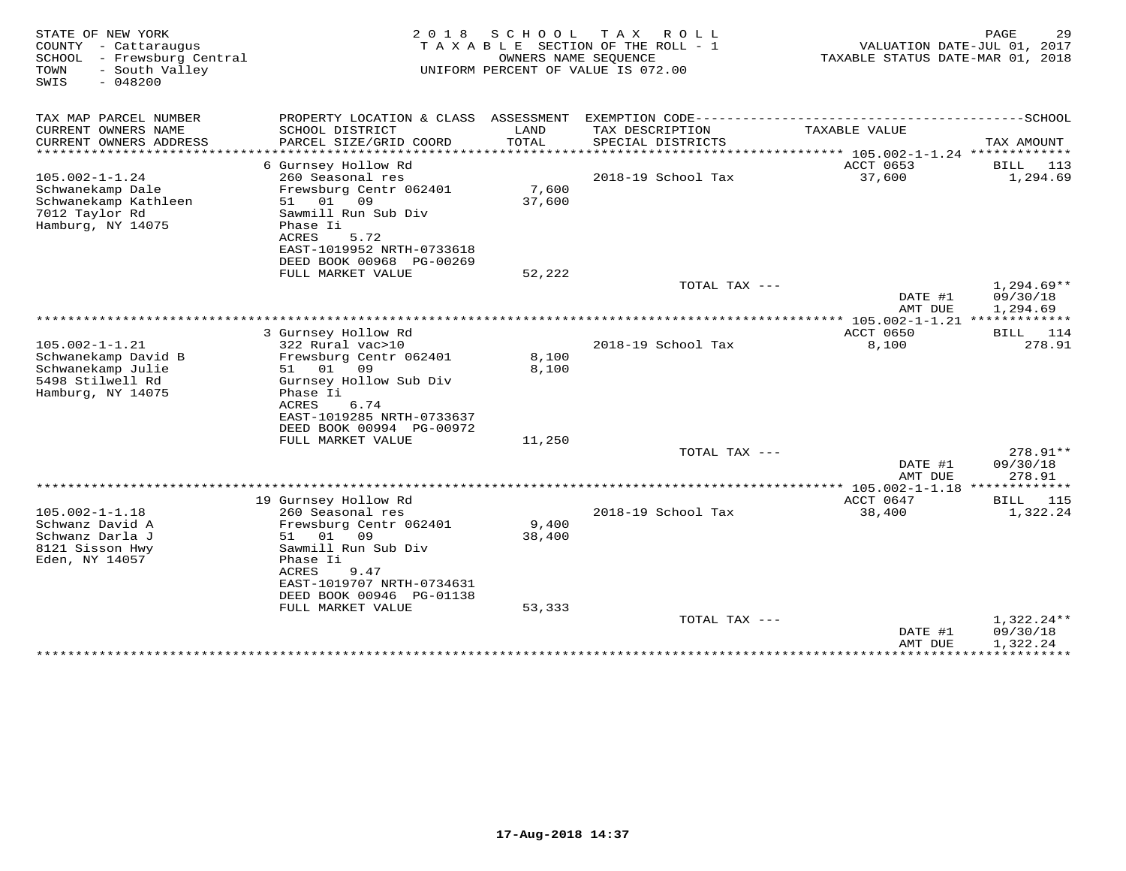| STATE OF NEW YORK<br>COUNTY - Cattaraugus<br>SCHOOL - Frewsburg Central<br>- South Valley<br>TOWN<br>SWIS<br>$-048200$           | 2 0 1 8                                                                                                                                                                                                 | SCHOOL          | TAX ROLL<br>TAXABLE SECTION OF THE ROLL - 1<br>OWNERS NAME SEQUENCE<br>UNIFORM PERCENT OF VALUE IS 072.00 | VALUATION DATE-JUL 01, 2017<br>TAXABLE STATUS DATE-MAR 01, 2018       | PAGE<br>29                                          |
|----------------------------------------------------------------------------------------------------------------------------------|---------------------------------------------------------------------------------------------------------------------------------------------------------------------------------------------------------|-----------------|-----------------------------------------------------------------------------------------------------------|-----------------------------------------------------------------------|-----------------------------------------------------|
| TAX MAP PARCEL NUMBER<br>CURRENT OWNERS NAME<br>CURRENT OWNERS ADDRESS                                                           | PROPERTY LOCATION & CLASS ASSESSMENT<br>SCHOOL DISTRICT<br>PARCEL SIZE/GRID COORD                                                                                                                       | LAND<br>TOTAL   | TAX DESCRIPTION<br>SPECIAL DISTRICTS                                                                      | TAXABLE VALUE                                                         | TAX AMOUNT                                          |
| *********************<br>$105.002 - 1 - 1.24$<br>Schwanekamp Dale<br>Schwanekamp Kathleen<br>7012 Taylor Rd<br>Hamburg, NY 14075 | 6 Gurnsey Hollow Rd<br>260 Seasonal res<br>Frewsburg Centr 062401<br>51 01 09<br>Sawmill Run Sub Div<br>Phase Ii<br>ACRES<br>5.72<br>EAST-1019952 NRTH-0733618<br>DEED BOOK 00968 PG-00269              | 7,600<br>37,600 | 2018-19 School Tax                                                                                        | <b>ACCT 0653</b><br>37,600                                            | BILL<br>113<br>1,294.69                             |
|                                                                                                                                  | FULL MARKET VALUE                                                                                                                                                                                       | 52,222          | TOTAL TAX ---                                                                                             | DATE #1<br>AMT DUE                                                    | $1,294.69**$<br>09/30/18<br>1,294.69                |
| $105.002 - 1 - 1.21$<br>Schwanekamp David B<br>Schwanekamp Julie<br>5498 Stilwell Rd<br>Hamburg, NY 14075                        | 3 Gurnsey Hollow Rd<br>322 Rural vac>10<br>Frewsburg Centr 062401<br>51 01<br>09<br>Gurnsey Hollow Sub Div<br>Phase Ii<br><b>ACRES</b><br>6.74<br>EAST-1019285 NRTH-0733637<br>DEED BOOK 00994 PG-00972 | 8,100<br>8,100  | 2018-19 School Tax                                                                                        | <b>ACCT 0650</b><br>8,100                                             | BILL<br>114<br>278.91                               |
|                                                                                                                                  | FULL MARKET VALUE                                                                                                                                                                                       | 11,250          | TOTAL TAX ---                                                                                             | DATE #1<br>AMT DUE                                                    | 278.91**<br>09/30/18<br>278.91                      |
| $105.002 - 1 - 1.18$                                                                                                             | 19 Gurnsey Hollow Rd<br>260 Seasonal res                                                                                                                                                                |                 | 2018-19 School Tax                                                                                        | ***************** 105.002-1-1.18 *************<br>ACCT 0647<br>38,400 | BILL<br>115<br>1,322.24                             |
| Schwanz David A<br>Schwanz Darla J<br>8121 Sisson Hwy<br>Eden, NY 14057                                                          | Frewsburg Centr 062401<br>01<br>09<br>51<br>Sawmill Run Sub Div<br>Phase Ii<br><b>ACRES</b><br>9.47<br>EAST-1019707 NRTH-0734631<br>DEED BOOK 00946 PG-01138                                            | 9,400<br>38,400 |                                                                                                           |                                                                       |                                                     |
|                                                                                                                                  | FULL MARKET VALUE                                                                                                                                                                                       | 53,333          | TOTAL TAX ---                                                                                             | DATE #1<br>AMT DUE<br>************                                    | $1,322.24**$<br>09/30/18<br>1,322.24<br>*********** |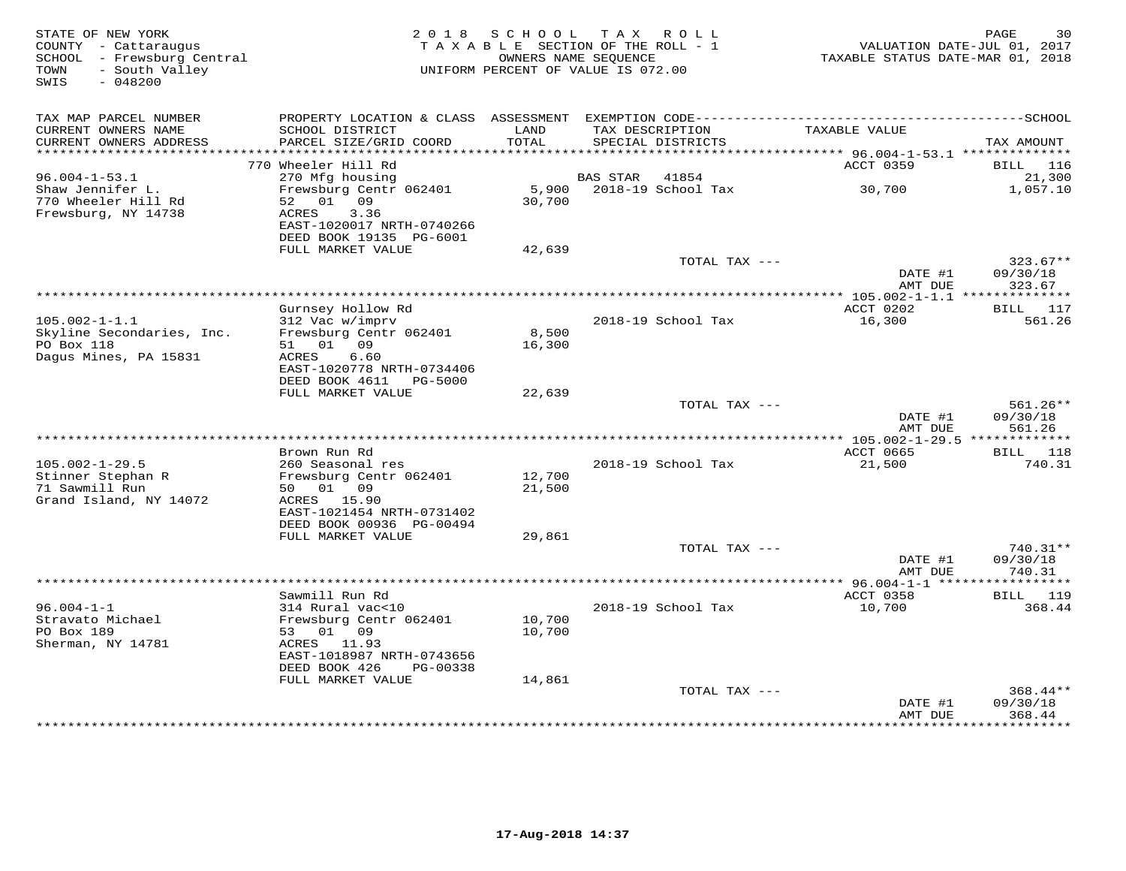| STATE OF NEW YORK<br>COUNTY - Cattaraugus<br>SCHOOL - Frewsburg Central<br>TOWN<br>- South Valley | 2 0 1 8                                                | SCHOOL<br>TAXABLE SECTION OF THE ROLL - 1<br>OWNERS NAME SEOUENCE<br>UNIFORM PERCENT OF VALUE IS 072.00 |                 | TAX ROLL           | VALUATION DATE-JUL 01, 2017<br>TAXABLE STATUS DATE-MAR 01, 2018 | 30<br>PAGE             |
|---------------------------------------------------------------------------------------------------|--------------------------------------------------------|---------------------------------------------------------------------------------------------------------|-----------------|--------------------|-----------------------------------------------------------------|------------------------|
| SWIS<br>$-048200$                                                                                 |                                                        |                                                                                                         |                 |                    |                                                                 |                        |
| TAX MAP PARCEL NUMBER                                                                             |                                                        |                                                                                                         |                 |                    |                                                                 |                        |
| CURRENT OWNERS NAME                                                                               | SCHOOL DISTRICT                                        | LAND                                                                                                    |                 | TAX DESCRIPTION    | TAXABLE VALUE                                                   |                        |
| CURRENT OWNERS ADDRESS<br>**********************                                                  | PARCEL SIZE/GRID COORD                                 | TOTAL                                                                                                   |                 | SPECIAL DISTRICTS  |                                                                 | TAX AMOUNT             |
|                                                                                                   | 770 Wheeler Hill Rd                                    |                                                                                                         |                 |                    | ACCT 0359                                                       | <b>BILL</b><br>116     |
| $96.004 - 1 - 53.1$                                                                               | 270 Mfg housing                                        |                                                                                                         | <b>BAS STAR</b> | 41854              |                                                                 | 21,300                 |
| Shaw Jennifer L.                                                                                  | Frewsburg Centr 062401                                 | 5,900                                                                                                   |                 | 2018-19 School Tax | 30,700                                                          | 1,057.10               |
| 770 Wheeler Hill Rd<br>Frewsburg, NY 14738                                                        | 01 09<br>52<br>ACRES<br>3.36                           | 30,700                                                                                                  |                 |                    |                                                                 |                        |
|                                                                                                   | EAST-1020017 NRTH-0740266                              |                                                                                                         |                 |                    |                                                                 |                        |
|                                                                                                   | DEED BOOK 19135 PG-6001                                |                                                                                                         |                 |                    |                                                                 |                        |
|                                                                                                   | FULL MARKET VALUE                                      | 42,639                                                                                                  |                 |                    |                                                                 |                        |
|                                                                                                   |                                                        |                                                                                                         |                 | TOTAL TAX ---      | DATE #1                                                         | $323.67**$<br>09/30/18 |
|                                                                                                   |                                                        |                                                                                                         |                 |                    | AMT DUE                                                         | 323.67                 |
|                                                                                                   |                                                        | ***********************************                                                                     |                 |                    | * 105.002-1-1.1 **************                                  |                        |
|                                                                                                   | Gurnsey Hollow Rd                                      |                                                                                                         |                 |                    | ACCT 0202                                                       | BILL<br>117            |
| $105.002 - 1 - 1.1$<br>Skyline Secondaries, Inc.                                                  | 312 Vac w/imprv<br>Frewsburg Centr 062401              | 8,500                                                                                                   |                 | 2018-19 School Tax | 16,300                                                          | 561.26                 |
| PO Box 118                                                                                        | 51 01 09                                               | 16,300                                                                                                  |                 |                    |                                                                 |                        |
| Dagus Mines, PA 15831                                                                             | ACRES<br>6.60                                          |                                                                                                         |                 |                    |                                                                 |                        |
|                                                                                                   | EAST-1020778 NRTH-0734406<br>DEED BOOK 4611<br>PG-5000 |                                                                                                         |                 |                    |                                                                 |                        |
|                                                                                                   | FULL MARKET VALUE                                      | 22,639                                                                                                  |                 |                    |                                                                 |                        |
|                                                                                                   |                                                        |                                                                                                         |                 | TOTAL TAX ---      |                                                                 | $561.26**$             |
|                                                                                                   |                                                        |                                                                                                         |                 |                    | DATE #1                                                         | 09/30/18               |
|                                                                                                   |                                                        |                                                                                                         |                 |                    | AMT DUE<br>*** 105.002-1-29.5 *************                     | 561.26                 |
|                                                                                                   | Brown Run Rd                                           |                                                                                                         |                 |                    | ACCT 0665                                                       | BILL 118               |
| $105.002 - 1 - 29.5$                                                                              | 260 Seasonal res                                       |                                                                                                         |                 | 2018-19 School Tax | 21,500                                                          | 740.31                 |
| Stinner Stephan R                                                                                 | Frewsburg Centr 062401                                 | 12,700                                                                                                  |                 |                    |                                                                 |                        |
| 71 Sawmill Run<br>Grand Island, NY 14072                                                          | 01 09<br>50<br>15.90<br>ACRES                          | 21,500                                                                                                  |                 |                    |                                                                 |                        |
|                                                                                                   | EAST-1021454 NRTH-0731402                              |                                                                                                         |                 |                    |                                                                 |                        |
|                                                                                                   | DEED BOOK 00936 PG-00494                               |                                                                                                         |                 |                    |                                                                 |                        |
|                                                                                                   | FULL MARKET VALUE                                      | 29,861                                                                                                  |                 |                    |                                                                 |                        |
|                                                                                                   |                                                        |                                                                                                         |                 | TOTAL TAX ---      | DATE #1                                                         | 740.31**<br>09/30/18   |
|                                                                                                   |                                                        |                                                                                                         |                 |                    | AMT DUE                                                         | 740.31                 |
|                                                                                                   |                                                        |                                                                                                         |                 |                    | ********* $96.004 - 1 - 1$ *****                                | * * * * * * * * *      |
|                                                                                                   | Sawmill Run Rd                                         |                                                                                                         |                 |                    | ACCT 0358                                                       | 119<br>BILL            |
| $96.004 - 1 - 1$<br>Stravato Michael                                                              | 314 Rural vac<10<br>Frewsburg Centr 062401             | 10,700                                                                                                  |                 | 2018-19 School Tax | 10,700                                                          | 368.44                 |
| PO Box 189                                                                                        | 01 09<br>53                                            | 10,700                                                                                                  |                 |                    |                                                                 |                        |
| Sherman, NY 14781                                                                                 | ACRES<br>11.93                                         |                                                                                                         |                 |                    |                                                                 |                        |
|                                                                                                   | EAST-1018987 NRTH-0743656                              |                                                                                                         |                 |                    |                                                                 |                        |
|                                                                                                   | DEED BOOK 426<br>PG-00338<br>FULL MARKET VALUE         | 14,861                                                                                                  |                 |                    |                                                                 |                        |
|                                                                                                   |                                                        |                                                                                                         |                 | TOTAL TAX ---      |                                                                 | 368.44**               |
|                                                                                                   |                                                        |                                                                                                         |                 |                    | DATE #1                                                         | 09/30/18               |
|                                                                                                   |                                                        |                                                                                                         |                 |                    | AMT DUE<br>* * * * * * * *                                      | 368.44<br>*********    |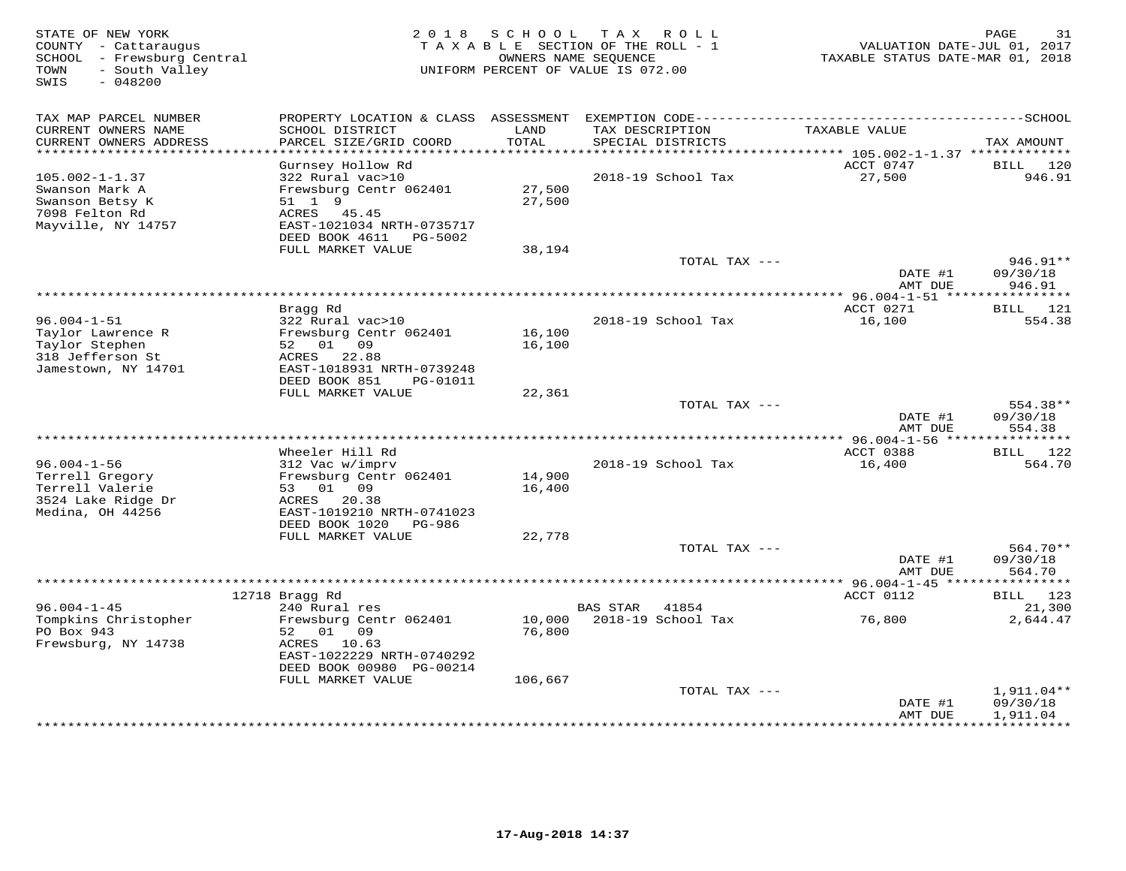| STATE OF NEW YORK<br>COUNTY - Cattaraugus<br>SCHOOL - Frewsburg Central<br>- South Valley<br>TOWN<br>SWIS<br>$-048200$ | 2 0 1 8                                        | SCHOOL<br>TAXABLE SECTION OF THE ROLL - 1<br>OWNERS NAME SEOUENCE<br>UNIFORM PERCENT OF VALUE IS 072.00 | T A X           | R O L L                              | TAXABLE STATUS DATE-MAR 01, 2018  | 31<br>PAGE<br>VALUATION DATE-JUL 01, 2017 |
|------------------------------------------------------------------------------------------------------------------------|------------------------------------------------|---------------------------------------------------------------------------------------------------------|-----------------|--------------------------------------|-----------------------------------|-------------------------------------------|
| TAX MAP PARCEL NUMBER                                                                                                  |                                                |                                                                                                         |                 |                                      |                                   |                                           |
| CURRENT OWNERS NAME<br>CURRENT OWNERS ADDRESS                                                                          | SCHOOL DISTRICT<br>PARCEL SIZE/GRID COORD      | LAND<br>TOTAL                                                                                           |                 | TAX DESCRIPTION<br>SPECIAL DISTRICTS | TAXABLE VALUE                     | TAX AMOUNT                                |
| ***********************                                                                                                |                                                |                                                                                                         |                 |                                      | ACCT 0747                         |                                           |
| $105.002 - 1 - 1.37$                                                                                                   | Gurnsey Hollow Rd<br>322 Rural vac>10          |                                                                                                         |                 | 2018-19 School Tax                   | 27,500                            | <b>BILL</b><br>120<br>946.91              |
| Swanson Mark A                                                                                                         | Frewsburg Centr 062401                         | 27,500                                                                                                  |                 |                                      |                                   |                                           |
| Swanson Betsy K                                                                                                        | 51 1 9                                         | 27,500                                                                                                  |                 |                                      |                                   |                                           |
| 7098 Felton Rd                                                                                                         | ACRES<br>45.45                                 |                                                                                                         |                 |                                      |                                   |                                           |
| Mayville, NY 14757                                                                                                     | EAST-1021034 NRTH-0735717                      |                                                                                                         |                 |                                      |                                   |                                           |
|                                                                                                                        | DEED BOOK 4611 PG-5002<br>FULL MARKET VALUE    | 38,194                                                                                                  |                 |                                      |                                   |                                           |
|                                                                                                                        |                                                |                                                                                                         |                 | TOTAL TAX ---                        |                                   | 946.91**                                  |
|                                                                                                                        |                                                |                                                                                                         |                 |                                      | DATE #1                           | 09/30/18                                  |
|                                                                                                                        |                                                |                                                                                                         |                 |                                      | AMT DUE                           | 946.91                                    |
|                                                                                                                        |                                                | *********************************                                                                       |                 |                                      | **** 96.004-1-51 **************** |                                           |
| $96.004 - 1 - 51$                                                                                                      | Bragg Rd<br>322 Rural vac>10                   |                                                                                                         |                 | 2018-19 School Tax                   | ACCT 0271<br>16,100               | BILL 121<br>554.38                        |
| Taylor Lawrence R                                                                                                      | Frewsburg Centr 062401                         | 16,100                                                                                                  |                 |                                      |                                   |                                           |
| Taylor Stephen                                                                                                         | 52 01 09                                       | 16,100                                                                                                  |                 |                                      |                                   |                                           |
| 318 Jefferson St                                                                                                       | ACRES 22.88                                    |                                                                                                         |                 |                                      |                                   |                                           |
| Jamestown, NY 14701                                                                                                    | EAST-1018931 NRTH-0739248                      |                                                                                                         |                 |                                      |                                   |                                           |
|                                                                                                                        | DEED BOOK 851<br>PG-01011<br>FULL MARKET VALUE | 22,361                                                                                                  |                 |                                      |                                   |                                           |
|                                                                                                                        |                                                |                                                                                                         |                 | TOTAL TAX ---                        |                                   | 554.38**                                  |
|                                                                                                                        |                                                |                                                                                                         |                 |                                      | DATE #1                           | 09/30/18                                  |
|                                                                                                                        |                                                |                                                                                                         |                 |                                      | AMT DUE                           | 554.38                                    |
|                                                                                                                        |                                                |                                                                                                         |                 |                                      |                                   |                                           |
| $96.004 - 1 - 56$                                                                                                      | Wheeler Hill Rd<br>312 Vac w/imprv             |                                                                                                         |                 | 2018-19 School Tax                   | ACCT 0388<br>16,400               | BILL 122<br>564.70                        |
| Terrell Gregory                                                                                                        | Frewsburg Centr 062401                         | 14,900                                                                                                  |                 |                                      |                                   |                                           |
| Terrell Valerie                                                                                                        | 53 01 09                                       | 16,400                                                                                                  |                 |                                      |                                   |                                           |
| 3524 Lake Ridge Dr                                                                                                     | ACRES<br>20.38                                 |                                                                                                         |                 |                                      |                                   |                                           |
| Medina, OH 44256                                                                                                       | EAST-1019210 NRTH-0741023                      |                                                                                                         |                 |                                      |                                   |                                           |
|                                                                                                                        | DEED BOOK 1020<br>PG-986<br>FULL MARKET VALUE  | 22,778                                                                                                  |                 |                                      |                                   |                                           |
|                                                                                                                        |                                                |                                                                                                         |                 | TOTAL TAX ---                        |                                   | $564.70**$                                |
|                                                                                                                        |                                                |                                                                                                         |                 |                                      | DATE #1                           | 09/30/18                                  |
|                                                                                                                        |                                                |                                                                                                         |                 |                                      | AMT DUE                           | 564.70                                    |
|                                                                                                                        |                                                |                                                                                                         |                 |                                      | ********** 96.004-1-45 *****      | ********                                  |
| $96.004 - 1 - 45$                                                                                                      | 12718 Bragg Rd<br>240 Rural res                |                                                                                                         | <b>BAS STAR</b> | 41854                                | ACCT 0112                         | BILL 123<br>21,300                        |
| Tompkins Christopher                                                                                                   | Frewsburg Centr 062401                         | 10,000                                                                                                  |                 | 2018-19 School Tax                   | 76,800                            | 2,644.47                                  |
| PO Box 943                                                                                                             | 52<br>01<br>09                                 | 76,800                                                                                                  |                 |                                      |                                   |                                           |
| Frewsburg, NY 14738                                                                                                    | ACRES<br>10.63                                 |                                                                                                         |                 |                                      |                                   |                                           |
|                                                                                                                        | EAST-1022229 NRTH-0740292                      |                                                                                                         |                 |                                      |                                   |                                           |
|                                                                                                                        | DEED BOOK 00980 PG-00214                       |                                                                                                         |                 |                                      |                                   |                                           |
|                                                                                                                        | FULL MARKET VALUE                              | 106,667                                                                                                 |                 | TOTAL TAX ---                        |                                   | 1,911.04**                                |
|                                                                                                                        |                                                |                                                                                                         |                 |                                      | DATE #1                           | 09/30/18                                  |
|                                                                                                                        |                                                |                                                                                                         |                 |                                      | AMT DUE                           | 1,911.04                                  |
|                                                                                                                        |                                                |                                                                                                         |                 |                                      | **********                        | * * * * * * * * * *                       |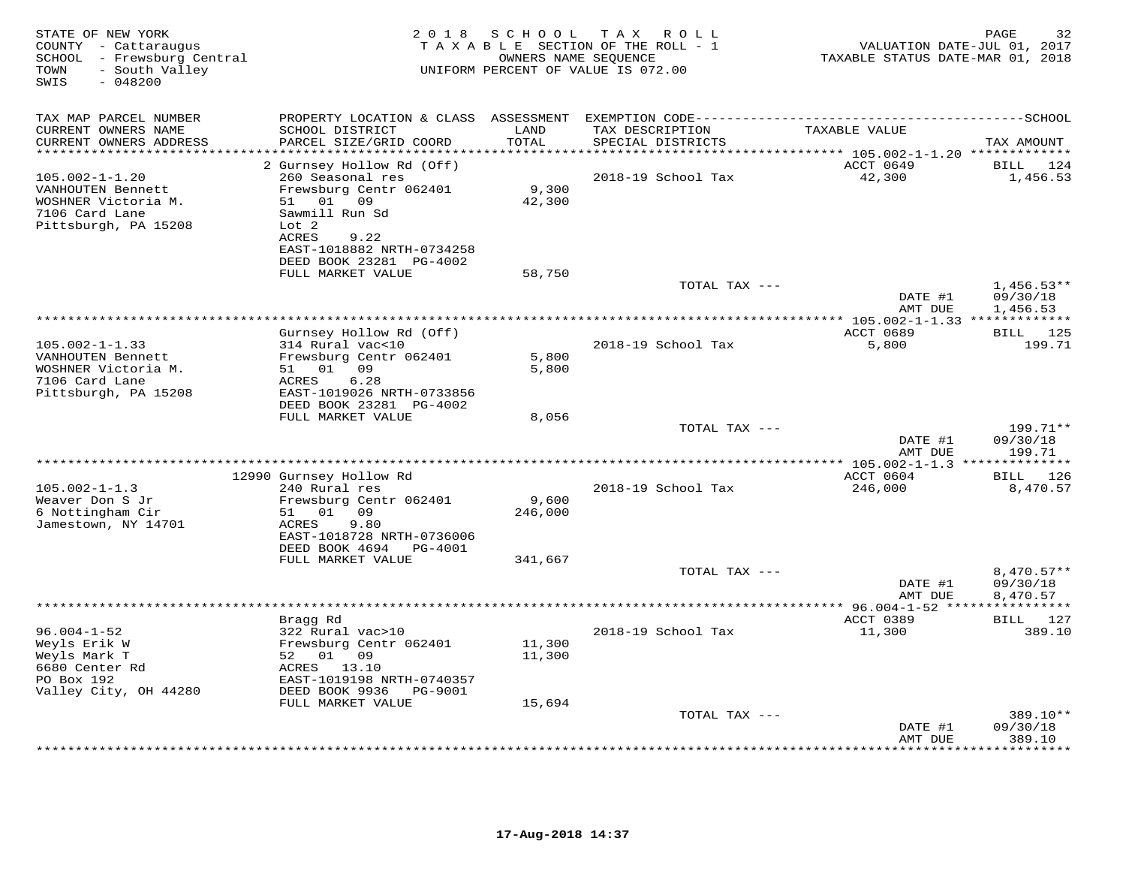| STATE OF NEW YORK<br>COUNTY - Cattaraugus<br>SCHOOL - Frewsburg Central<br>- South Valley<br>TOWN<br>$-048200$<br>SWIS | 2 0 1 8                                                                                                                                                               | S C H O O L      | T A X<br>R O L L<br>TAXABLE SECTION OF THE ROLL - 1<br>OWNERS NAME SEQUENCE<br>UNIFORM PERCENT OF VALUE IS 072.00 | VALUATION DATE-JUL 01, 2017<br>TAXABLE STATUS DATE-MAR 01, 2018 | PAGE<br>32                           |
|------------------------------------------------------------------------------------------------------------------------|-----------------------------------------------------------------------------------------------------------------------------------------------------------------------|------------------|-------------------------------------------------------------------------------------------------------------------|-----------------------------------------------------------------|--------------------------------------|
| TAX MAP PARCEL NUMBER<br>CURRENT OWNERS NAME                                                                           | PROPERTY LOCATION & CLASS ASSESSMENT<br>SCHOOL DISTRICT                                                                                                               | LAND             | TAX DESCRIPTION                                                                                                   | TAXABLE VALUE                                                   |                                      |
| CURRENT OWNERS ADDRESS                                                                                                 | PARCEL SIZE/GRID COORD                                                                                                                                                | TOTAL            | SPECIAL DISTRICTS                                                                                                 |                                                                 | TAX AMOUNT                           |
|                                                                                                                        | 2 Gurnsey Hollow Rd (Off)                                                                                                                                             | *******          |                                                                                                                   | ******* 105.002-1-1.20 *************<br>ACCT 0649               | BILL 124                             |
| $105.002 - 1 - 1.20$<br>VANHOUTEN Bennett<br>WOSHNER Victoria M.<br>7106 Card Lane<br>Pittsburgh, PA 15208             | 260 Seasonal res<br>Frewsburg Centr 062401<br>51 01 09<br>Sawmill Run Sd<br>Lot <sub>2</sub><br>ACRES<br>9.22<br>EAST-1018882 NRTH-0734258<br>DEED BOOK 23281 PG-4002 | 9,300<br>42,300  | 2018-19 School Tax                                                                                                | 42,300                                                          | 1,456.53                             |
|                                                                                                                        | FULL MARKET VALUE                                                                                                                                                     | 58,750           |                                                                                                                   |                                                                 |                                      |
|                                                                                                                        |                                                                                                                                                                       |                  | TOTAL TAX ---                                                                                                     | DATE #1<br>AMT DUE                                              | $1,456.53**$<br>09/30/18<br>1,456.53 |
|                                                                                                                        |                                                                                                                                                                       |                  |                                                                                                                   | ******** 105.002-1-1.33 *************                           |                                      |
|                                                                                                                        | Gurnsey Hollow Rd (Off)                                                                                                                                               |                  |                                                                                                                   | ACCT 0689                                                       | BILL 125                             |
| $105.002 - 1 - 1.33$<br>VANHOUTEN Bennett                                                                              | 314 Rural vac<10<br>Frewsburg Centr 062401                                                                                                                            | 5,800            | 2018-19 School Tax                                                                                                | 5,800                                                           | 199.71                               |
| WOSHNER Victoria M.                                                                                                    | 51 01 09                                                                                                                                                              | 5,800            |                                                                                                                   |                                                                 |                                      |
| 7106 Card Lane                                                                                                         | 6.28<br>ACRES                                                                                                                                                         |                  |                                                                                                                   |                                                                 |                                      |
| Pittsburgh, PA 15208                                                                                                   | EAST-1019026 NRTH-0733856<br>DEED BOOK 23281 PG-4002                                                                                                                  |                  |                                                                                                                   |                                                                 |                                      |
|                                                                                                                        | FULL MARKET VALUE                                                                                                                                                     | 8,056            |                                                                                                                   |                                                                 |                                      |
|                                                                                                                        |                                                                                                                                                                       |                  | TOTAL TAX ---                                                                                                     |                                                                 | 199.71**                             |
|                                                                                                                        |                                                                                                                                                                       |                  |                                                                                                                   | DATE #1<br>AMT DUE                                              | 09/30/18<br>199.71                   |
|                                                                                                                        |                                                                                                                                                                       |                  | ******************************                                                                                    | ********* 105.002-1-1.3 **                                      | * * * * * * * * * * *                |
|                                                                                                                        | 12990 Gurnsey Hollow Rd                                                                                                                                               |                  |                                                                                                                   | ACCT 0604                                                       | BILL 126                             |
| $105.002 - 1 - 1.3$                                                                                                    | 240 Rural res                                                                                                                                                         |                  | 2018-19 School Tax                                                                                                | 246,000                                                         | 8,470.57                             |
| Weaver Don S Jr<br>6 Nottingham Cir<br>Jamestown, NY 14701                                                             | Frewsburg Centr 062401<br>51<br>01<br>09<br>9.80<br>ACRES<br>EAST-1018728 NRTH-0736006<br>DEED BOOK 4694 PG-4001                                                      | 9,600<br>246,000 |                                                                                                                   |                                                                 |                                      |
|                                                                                                                        | FULL MARKET VALUE                                                                                                                                                     | 341,667          |                                                                                                                   |                                                                 |                                      |
|                                                                                                                        |                                                                                                                                                                       |                  | TOTAL TAX ---                                                                                                     | DATE #1<br>AMT DUE                                              | $8,470.57**$<br>09/30/18<br>8,470.57 |
|                                                                                                                        |                                                                                                                                                                       |                  |                                                                                                                   |                                                                 |                                      |
|                                                                                                                        | Bragg Rd                                                                                                                                                              |                  |                                                                                                                   | ACCT 0389                                                       | BILL 127                             |
| $96.004 - 1 - 52$<br>Weyls Erik W<br>Weyls Mark T<br>6680 Center Rd<br>PO Box 192                                      | 322 Rural vac>10<br>Frewsburg Centr 062401<br>52 01 09<br>ACRES 13.10<br>EAST-1019198 NRTH-0740357                                                                    | 11,300<br>11,300 | 2018-19 School Tax                                                                                                | 11,300                                                          | 389.10                               |
| Valley City, OH 44280                                                                                                  | DEED BOOK 9936<br>PG-9001<br>FULL MARKET VALUE                                                                                                                        | 15,694           |                                                                                                                   |                                                                 |                                      |
|                                                                                                                        |                                                                                                                                                                       |                  | TOTAL TAX ---                                                                                                     |                                                                 | 389.10**                             |
|                                                                                                                        |                                                                                                                                                                       |                  |                                                                                                                   | DATE #1<br>AMT DUE                                              | 09/30/18<br>389.10                   |
|                                                                                                                        |                                                                                                                                                                       |                  |                                                                                                                   |                                                                 | * * * * * * * *                      |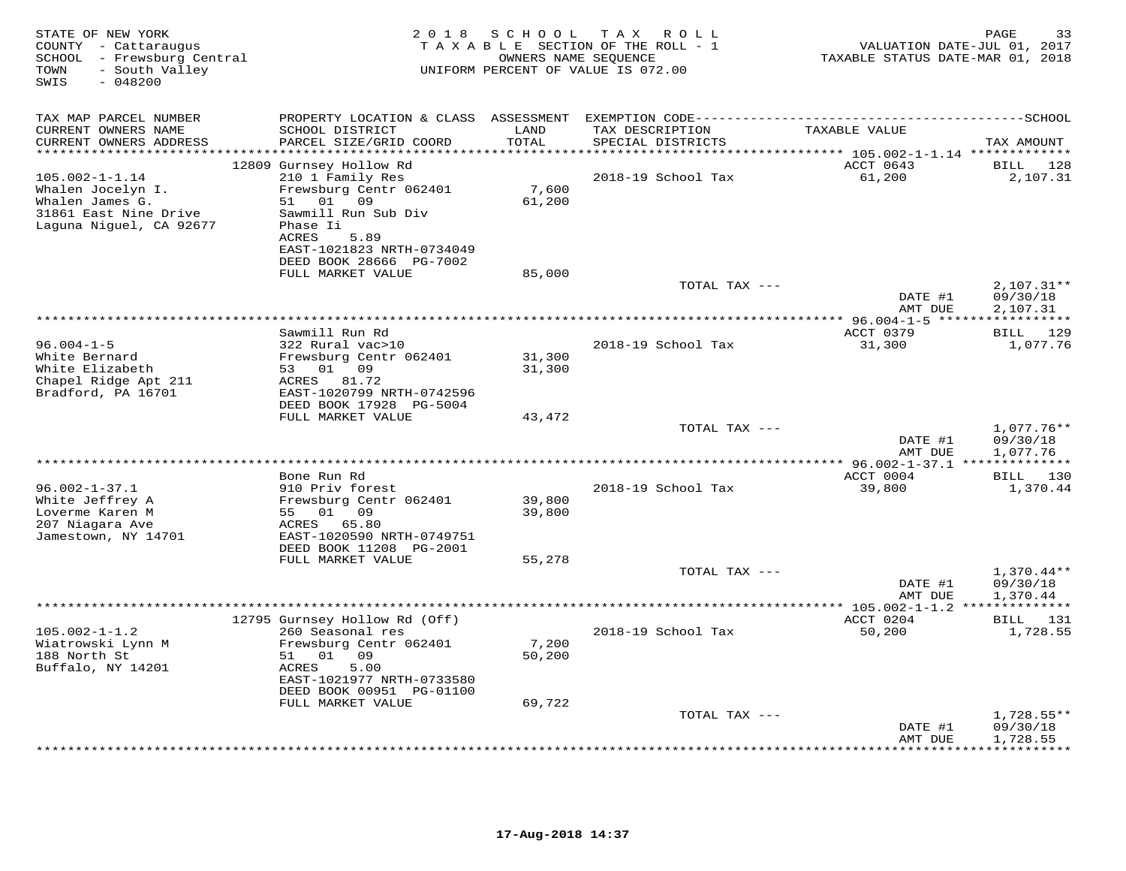| STATE OF NEW YORK<br>COUNTY - Cattaraugus<br>SCHOOL - Frewsburg Central<br>- South Valley<br>TOWN<br>SWIS<br>$-048200$ | 2 0 1 8                                                                                                                                  | S C H O O L      | TAX ROLL<br>TAXABLE SECTION OF THE ROLL - 1<br>OWNERS NAME SEQUENCE<br>UNIFORM PERCENT OF VALUE IS 072.00 | VALUATION DATE-JUL 01, 2017<br>TAXABLE STATUS DATE-MAR 01, 2018 | 33<br>PAGE                           |
|------------------------------------------------------------------------------------------------------------------------|------------------------------------------------------------------------------------------------------------------------------------------|------------------|-----------------------------------------------------------------------------------------------------------|-----------------------------------------------------------------|--------------------------------------|
| TAX MAP PARCEL NUMBER                                                                                                  | PROPERTY LOCATION & CLASS ASSESSMENT                                                                                                     |                  |                                                                                                           |                                                                 | $---SCHOOL$                          |
| CURRENT OWNERS NAME<br>CURRENT OWNERS ADDRESS                                                                          | SCHOOL DISTRICT<br>PARCEL SIZE/GRID COORD                                                                                                | LAND<br>TOTAL    | TAX DESCRIPTION<br>SPECIAL DISTRICTS                                                                      | TAXABLE VALUE                                                   | TAX AMOUNT                           |
| ***************                                                                                                        | 12809 Gurnsey Hollow Rd                                                                                                                  | ******           |                                                                                                           | ****** 105.002-1-1.14 **************<br>ACCT 0643               | <b>BILL</b><br>128                   |
| $105.002 - 1 - 1.14$<br>Whalen Jocelyn I.<br>Whalen James G.<br>31861 East Nine Drive<br>Laguna Niguel, CA 92677       | 210 1 Family Res<br>Frewsburg Centr 062401<br>51 01<br>09<br>Sawmill Run Sub Div<br>Phase Ii                                             | 7,600<br>61,200  | 2018-19 School Tax                                                                                        | 61,200                                                          | 2,107.31                             |
|                                                                                                                        | ACRES<br>5.89<br>EAST-1021823 NRTH-0734049<br>DEED BOOK 28666 PG-7002                                                                    |                  |                                                                                                           |                                                                 |                                      |
|                                                                                                                        | FULL MARKET VALUE                                                                                                                        | 85,000           | TOTAL TAX ---                                                                                             | DATE #1                                                         | $2,107.31**$<br>09/30/18             |
|                                                                                                                        |                                                                                                                                          |                  | **********************                                                                                    | AMT DUE                                                         | 2,107.31<br>* * * * * * * * * * *    |
|                                                                                                                        | Sawmill Run Rd                                                                                                                           |                  |                                                                                                           | * 96.004-1-5 ******<br>ACCT 0379                                | BILL 129                             |
| $96.004 - 1 - 5$<br>White Bernard<br>White Elizabeth<br>Chapel Ridge Apt 211<br>Bradford, PA 16701                     | 322 Rural vac>10<br>Frewsburg Centr 062401<br>0109<br>53<br>81.72<br>ACRES<br>EAST-1020799 NRTH-0742596                                  | 31,300<br>31,300 | 2018-19 School Tax                                                                                        | 31,300                                                          | 1,077.76                             |
|                                                                                                                        | DEED BOOK 17928 PG-5004                                                                                                                  |                  |                                                                                                           |                                                                 |                                      |
|                                                                                                                        | FULL MARKET VALUE                                                                                                                        | 43,472           |                                                                                                           |                                                                 |                                      |
|                                                                                                                        |                                                                                                                                          |                  | TOTAL TAX ---                                                                                             | DATE #1<br>AMT DUE                                              | 1,077.76**<br>09/30/18<br>1,077.76   |
|                                                                                                                        |                                                                                                                                          |                  |                                                                                                           | **** 96.002-1-37.1 ***                                          |                                      |
| $96.002 - 1 - 37.1$<br>White Jeffrey A                                                                                 | Bone Run Rd<br>910 Priv forest<br>Frewsburg Centr 062401                                                                                 | 39,800           | 2018-19 School Tax                                                                                        | ACCT 0004<br>39,800                                             | BILL 130<br>1,370.44                 |
| Loverme Karen M<br>207 Niagara Ave<br>Jamestown, NY 14701                                                              | 55<br>01<br>09<br>ACRES 65.80<br>EAST-1020590 NRTH-0749751<br>DEED BOOK 11208 PG-2001                                                    | 39,800           |                                                                                                           |                                                                 |                                      |
|                                                                                                                        | FULL MARKET VALUE                                                                                                                        | 55,278           |                                                                                                           |                                                                 |                                      |
|                                                                                                                        |                                                                                                                                          |                  | TOTAL TAX ---                                                                                             | DATE #1<br>AMT DUE                                              | $1,370.44**$<br>09/30/18<br>1,370.44 |
|                                                                                                                        |                                                                                                                                          |                  |                                                                                                           |                                                                 |                                      |
| $105.002 - 1 - 1.2$<br>Wiatrowski Lynn M<br>188 North St<br>Buffalo, NY 14201                                          | 12795 Gurnsey Hollow Rd (Off)<br>260 Seasonal res<br>Frewsburg Centr 062401<br>01 09<br>51<br>5.00<br>ACRES<br>EAST-1021977 NRTH-0733580 | 7,200<br>50,200  | 2018-19 School Tax                                                                                        | ACCT 0204<br>50,200                                             | BILL 131<br>1,728.55                 |
|                                                                                                                        | DEED BOOK 00951 PG-01100<br>FULL MARKET VALUE                                                                                            | 69,722           |                                                                                                           |                                                                 |                                      |
|                                                                                                                        |                                                                                                                                          |                  | TOTAL TAX ---                                                                                             | DATE #1<br>AMT DUE                                              | $1,728.55**$<br>09/30/18             |
|                                                                                                                        |                                                                                                                                          |                  |                                                                                                           |                                                                 | 1,728.55<br>.                        |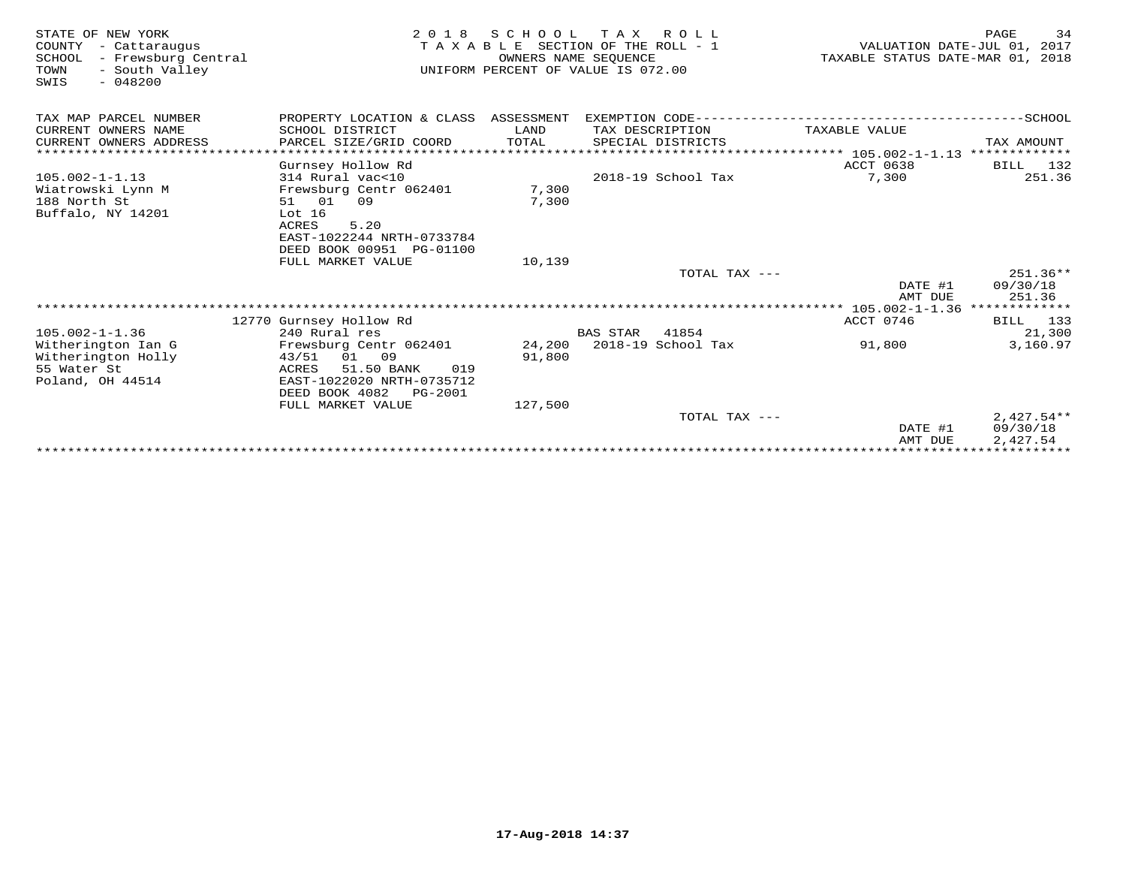| STATE OF NEW YORK<br>COUNTY<br>- Cattaraugus<br>SCHOOL<br>- Frewsburg Central<br>- South Valley<br>TOWN<br>$-048200$<br>SWIS | 2 0 1 8                                          | SCHOOL TAX ROLL<br>TAXABLE SECTION OF THE ROLL - 1<br>OWNERS NAME SEOUENCE<br>UNIFORM PERCENT OF VALUE IS 072.00 |                 |                    |                                                | PAGE<br>34<br>VALUATION DATE-JUL 01, 2017<br>TAXABLE STATUS DATE-MAR 01, 2018 |
|------------------------------------------------------------------------------------------------------------------------------|--------------------------------------------------|------------------------------------------------------------------------------------------------------------------|-----------------|--------------------|------------------------------------------------|-------------------------------------------------------------------------------|
| TAX MAP PARCEL NUMBER                                                                                                        | PROPERTY LOCATION & CLASS ASSESSMENT             |                                                                                                                  |                 |                    |                                                |                                                                               |
| CURRENT OWNERS NAME                                                                                                          | SCHOOL DISTRICT                                  | LAND                                                                                                             |                 | TAX DESCRIPTION    | TAXABLE VALUE                                  |                                                                               |
| CURRENT OWNERS ADDRESS                                                                                                       | PARCEL SIZE/GRID COORD                           | TOTAL                                                                                                            |                 | SPECIAL DISTRICTS  |                                                | TAX AMOUNT                                                                    |
|                                                                                                                              | ***************************                      |                                                                                                                  |                 |                    | ***************** 105.002-1-1.13 ************* |                                                                               |
|                                                                                                                              | Gurnsey Hollow Rd                                |                                                                                                                  |                 |                    | ACCT 0638                                      | <b>BILL</b> 132                                                               |
| $105.002 - 1 - 1.13$                                                                                                         | 314 Rural vac<10                                 |                                                                                                                  |                 | 2018-19 School Tax | 7,300                                          | 251.36                                                                        |
| Wiatrowski Lynn M                                                                                                            | Frewsburg Centr 062401                           | 7,300                                                                                                            |                 |                    |                                                |                                                                               |
| 188 North St<br>Buffalo, NY 14201                                                                                            | 51 01<br>09<br>Lot 16                            | 7,300                                                                                                            |                 |                    |                                                |                                                                               |
|                                                                                                                              | <b>ACRES</b><br>5.20                             |                                                                                                                  |                 |                    |                                                |                                                                               |
|                                                                                                                              | EAST-1022244 NRTH-0733784                        |                                                                                                                  |                 |                    |                                                |                                                                               |
|                                                                                                                              | DEED BOOK 00951 PG-01100                         |                                                                                                                  |                 |                    |                                                |                                                                               |
|                                                                                                                              | FULL MARKET VALUE                                | 10,139                                                                                                           |                 |                    |                                                |                                                                               |
|                                                                                                                              |                                                  |                                                                                                                  |                 | TOTAL TAX ---      |                                                | $251.36**$                                                                    |
|                                                                                                                              |                                                  |                                                                                                                  |                 |                    | DATE #1                                        | 09/30/18                                                                      |
|                                                                                                                              |                                                  |                                                                                                                  |                 |                    | AMT DUE                                        | 251.36                                                                        |
|                                                                                                                              |                                                  |                                                                                                                  |                 |                    |                                                | ** 105.002-1-1.36 **************                                              |
|                                                                                                                              | 12770 Gurnsey Hollow Rd                          |                                                                                                                  |                 |                    | ACCT 0746                                      | BILL 133                                                                      |
| $105.002 - 1 - 1.36$                                                                                                         | 240 Rural res                                    |                                                                                                                  | <b>BAS STAR</b> | 41854              |                                                | 21,300                                                                        |
| Witherington Ian G                                                                                                           | Frewsburg Centr 062401                           | 24,200<br>91,800                                                                                                 |                 | 2018-19 School Tax | 91,800                                         | 3,160.97                                                                      |
| Witherington Holly<br>55 Water St                                                                                            | 43/51 01 09<br>51.50 BANK<br><b>ACRES</b><br>019 |                                                                                                                  |                 |                    |                                                |                                                                               |
| Poland, OH 44514                                                                                                             | EAST-1022020 NRTH-0735712                        |                                                                                                                  |                 |                    |                                                |                                                                               |
|                                                                                                                              | DEED BOOK 4082<br>PG-2001                        |                                                                                                                  |                 |                    |                                                |                                                                               |
|                                                                                                                              | FULL MARKET VALUE                                | 127,500                                                                                                          |                 |                    |                                                |                                                                               |
|                                                                                                                              |                                                  |                                                                                                                  |                 | TOTAL TAX ---      |                                                | $2,427.54**$                                                                  |
|                                                                                                                              |                                                  |                                                                                                                  |                 |                    | DATE #1                                        | 09/30/18                                                                      |
|                                                                                                                              |                                                  |                                                                                                                  |                 |                    | AMT DUE                                        | 2,427.54                                                                      |
|                                                                                                                              |                                                  |                                                                                                                  |                 |                    |                                                |                                                                               |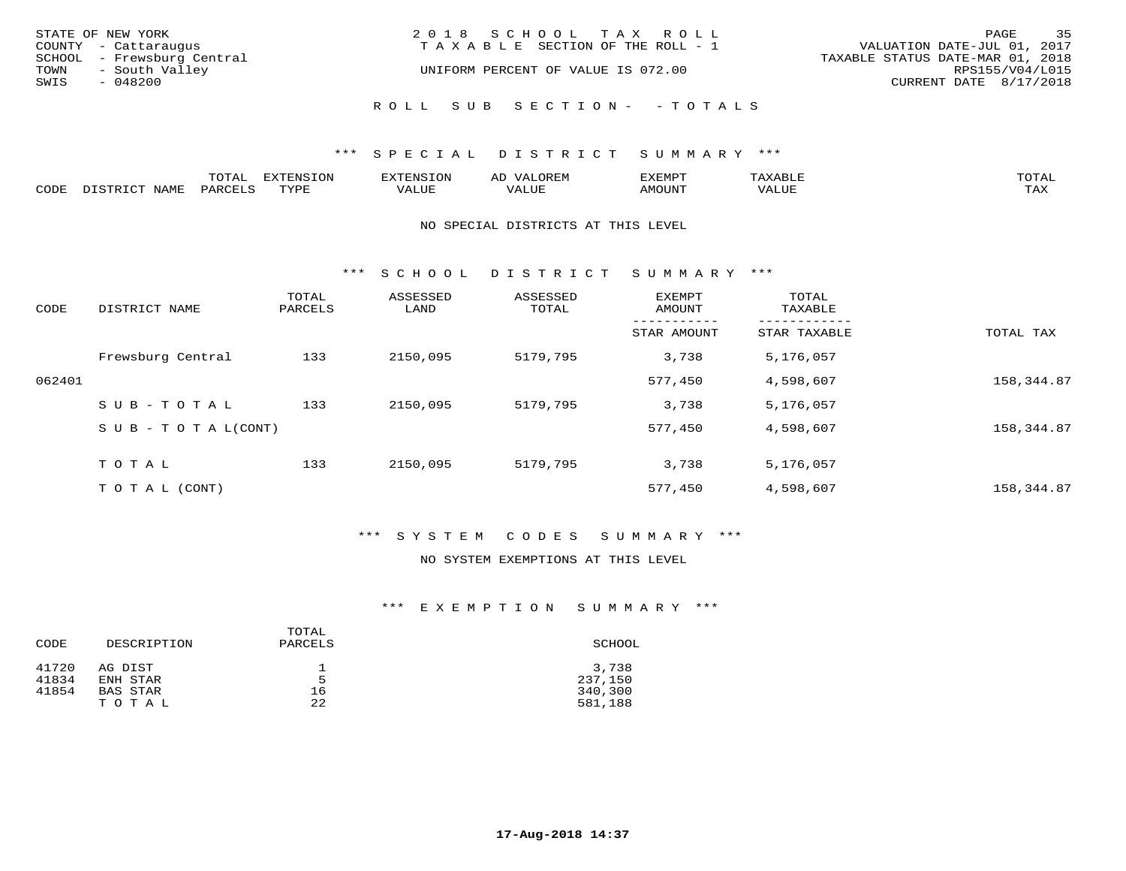|      | STATE OF NEW YORK<br>COUNTY - Cattaraugus    | 2018 SCHOOL TAX ROLL<br>T A X A B L E SECTION OF THE ROLL - 1 | PAGE<br>VALUATION DATE-JUL 01, 2017                 | 35 |
|------|----------------------------------------------|---------------------------------------------------------------|-----------------------------------------------------|----|
| TOWN | SCHOOL - Frewsburg Central<br>- South Valley | UNIFORM PERCENT OF VALUE IS 072.00                            | TAXABLE STATUS DATE-MAR 01, 2018<br>RPS155/V04/L015 |    |
| SWIS | - 048200                                     |                                                               | CURRENT DATE 8/17/2018                              |    |
|      |                                              | ROLL SUB SECTION- - TOTALS                                    |                                                     |    |

|      |                     | <b>ጥ</b> ଠጥ አ<br>- U I AL' | $\pi$<br>. U L' | N.S                 | )R EI<br>ΑL       | 13251050      |                                 | <b>TOTA</b> |
|------|---------------------|----------------------------|-----------------|---------------------|-------------------|---------------|---------------------------------|-------------|
| CODE | NIAMT<br>. סידים דר | PARO                       | TVDF            | <b>TTTT</b><br>ALUR | T T T<br>الالمسحب | <b>AMOUNT</b> | $+ + + + +$<br>$\Delta$<br>ALUP | TAY<br>∸∽∸  |

### NO SPECIAL DISTRICTS AT THIS LEVEL

\*\*\* S C H O O L D I S T R I C T S U M M A R Y \*\*\*

| CODE   | DISTRICT NAME                    | TOTAL<br>PARCELS | ASSESSED<br>LAND | ASSESSED<br>TOTAL | <b>EXEMPT</b><br>AMOUNT | TOTAL<br>TAXABLE |            |
|--------|----------------------------------|------------------|------------------|-------------------|-------------------------|------------------|------------|
|        |                                  |                  |                  |                   | STAR AMOUNT             | STAR TAXABLE     | TOTAL TAX  |
|        | Frewsburg Central                | 133              | 2150,095         | 5179,795          | 3,738                   | 5,176,057        |            |
| 062401 |                                  |                  |                  |                   | 577,450                 | 4,598,607        | 158,344.87 |
|        | SUB-TOTAL                        | 133              | 2150,095         | 5179,795          | 3,738                   | 5,176,057        |            |
|        | $S \cup B - T \cup T A L (CONT)$ |                  |                  |                   | 577,450                 | 4,598,607        | 158,344.87 |
|        | TOTAL                            | 133              | 2150,095         | 5179,795          | 3,738                   | 5,176,057        |            |
|        | T O T A L (CONT)                 |                  |                  |                   | 577,450                 | 4,598,607        | 158,344.87 |

# \*\*\* S Y S T E M C O D E S S U M M A R Y \*\*\*

# NO SYSTEM EXEMPTIONS AT THIS LEVEL

| CODE  | DESCRIPTION | TOTAL<br>PARCELS | SCHOOL  |
|-------|-------------|------------------|---------|
| 41720 | AG DIST     |                  | 3,738   |
| 41834 | ENH STAR    | 5                | 237,150 |
| 41854 | BAS STAR    | 16               | 340,300 |
|       | TOTAL       | 22               | 581,188 |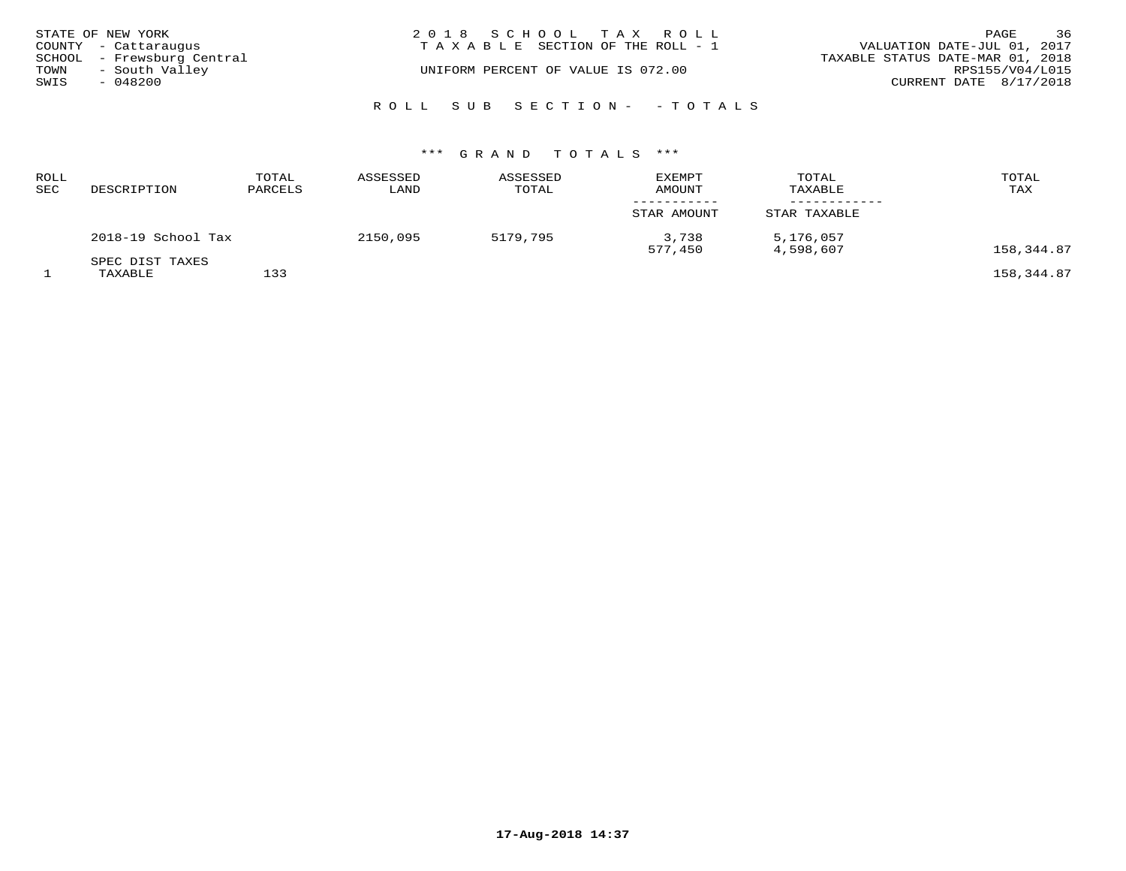|              | STATE OF NEW YORK<br>COUNTY - Cattaraugus | 2018 SCHOOL TAX ROLL<br>T A X A B L E SECTION OF THE ROLL - 1 | 36<br>PAGE<br>VALUATION DATE-JUL 01, 2017 |
|--------------|-------------------------------------------|---------------------------------------------------------------|-------------------------------------------|
|              | SCHOOL - Frewsburg Central                | UNIFORM PERCENT OF VALUE IS 072.00                            | TAXABLE STATUS DATE-MAR 01, 2018          |
| TOWN<br>SWIS | - South Valley<br>$-048200$               |                                                               | RPS155/V04/L015<br>CURRENT DATE 8/17/2018 |
|              |                                           | ROLL SUB SECTION- - TOTALS                                    |                                           |

| <b>ROLL</b><br>SEC | DESCRIPTION                | TOTAL<br>PARCELS | ASSESSED<br>LAND | ASSESSED<br>TOTAL | <b>EXEMPT</b><br><b>AMOUNT</b> | TOTAL<br>TAXABLE       | TOTAL<br>TAX |
|--------------------|----------------------------|------------------|------------------|-------------------|--------------------------------|------------------------|--------------|
|                    |                            |                  |                  |                   | STAR AMOUNT                    | STAR TAXABLE           |              |
|                    | 2018-19 School Tax         |                  | 2150,095         | 5179,795          | 3,738<br>577,450               | 5,176,057<br>4,598,607 | 158,344.87   |
|                    | SPEC DIST TAXES<br>TAXABLE | 133              |                  |                   |                                |                        | 158,344.87   |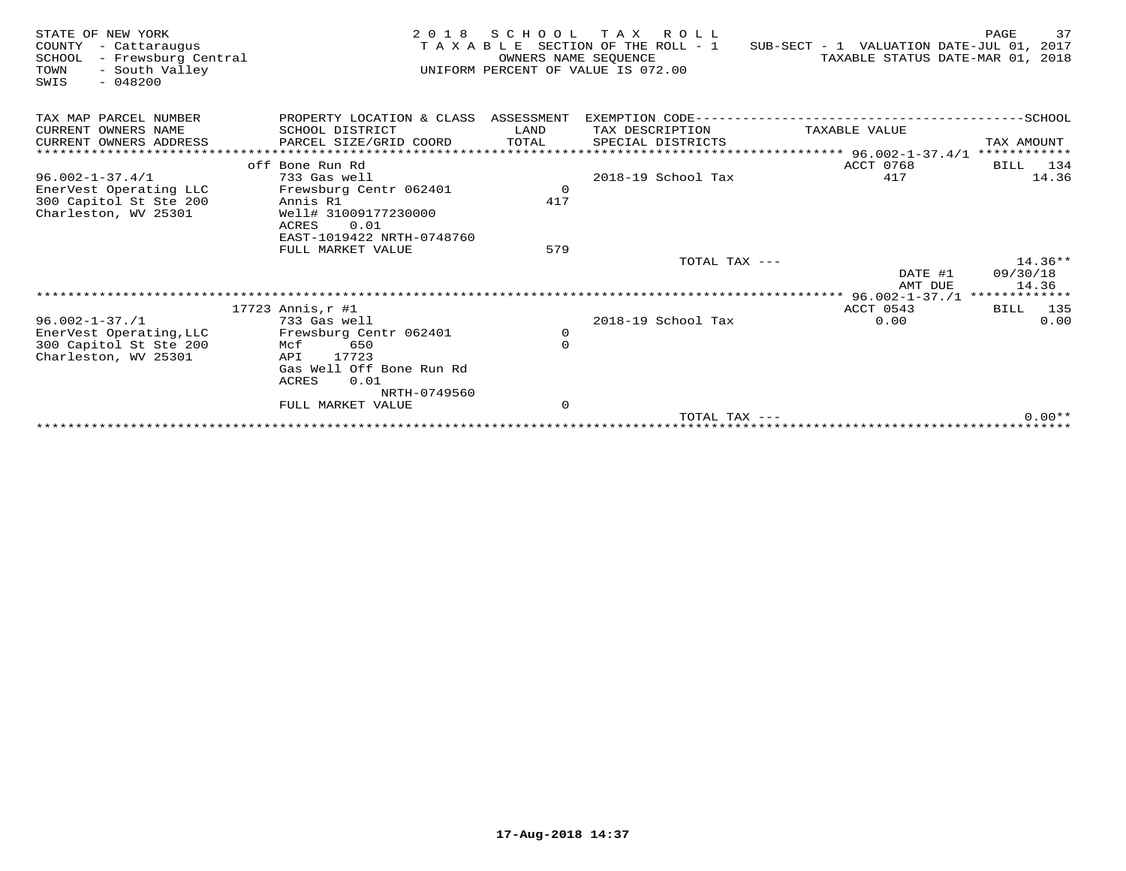| STATE OF NEW YORK<br>COUNTY<br>- Cattaraugus<br>- Frewsburg Central<br>SCHOOL<br>- South Valley<br>TOWN<br>$-048200$<br>SWIS | 2 0 1 8                                    | SCHOOL<br>OWNERS NAME SEOUENCE | T A X<br>R O L L<br>T A X A B L E SECTION OF THE ROLL - 1<br>UNIFORM PERCENT OF VALUE IS 072.00 | SUB-SECT - 1 VALUATION DATE-JUL 01, 2017<br>TAXABLE STATUS DATE-MAR 01, 2018 | 37<br>PAGE              |
|------------------------------------------------------------------------------------------------------------------------------|--------------------------------------------|--------------------------------|-------------------------------------------------------------------------------------------------|------------------------------------------------------------------------------|-------------------------|
| TAX MAP PARCEL NUMBER                                                                                                        | PROPERTY LOCATION & CLASS ASSESSMENT       |                                | EXEMPTION CODE-------------------------                                                         |                                                                              | --SCHOOL                |
| CURRENT OWNERS NAME                                                                                                          | SCHOOL DISTRICT                            | LAND                           | TAX DESCRIPTION                                                                                 | TAXABLE VALUE                                                                |                         |
| CURRENT OWNERS ADDRESS<br>************************                                                                           | PARCEL SIZE/GRID COORD                     | TOTAL                          | SPECIAL DISTRICTS                                                                               |                                                                              | TAX AMOUNT              |
|                                                                                                                              | off Bone Run Rd                            |                                |                                                                                                 | ACCT 0768                                                                    | 134<br>BILL             |
| $96.002 - 1 - 37.4/1$                                                                                                        | 733 Gas well                               |                                | 2018-19 School Tax                                                                              | 417                                                                          | 14.36                   |
| EnerVest Operating LLC                                                                                                       | Frewsburg Centr 062401                     | $\circ$                        |                                                                                                 |                                                                              |                         |
| 300 Capitol St Ste 200                                                                                                       | Annis R1                                   | 417                            |                                                                                                 |                                                                              |                         |
| Charleston, WV 25301                                                                                                         | Well# 31009177230000                       |                                |                                                                                                 |                                                                              |                         |
|                                                                                                                              | 0.01<br>ACRES<br>EAST-1019422 NRTH-0748760 |                                |                                                                                                 |                                                                              |                         |
|                                                                                                                              | FULL MARKET VALUE                          | 579                            |                                                                                                 |                                                                              |                         |
|                                                                                                                              |                                            |                                | TOTAL TAX ---                                                                                   |                                                                              | $14.36**$               |
|                                                                                                                              |                                            |                                |                                                                                                 | DATE #1                                                                      | 09/30/18                |
|                                                                                                                              |                                            |                                |                                                                                                 | AMT DUE                                                                      | 14.36                   |
|                                                                                                                              |                                            |                                |                                                                                                 | ***************** 96.002-1-37./1 *************                               |                         |
| $96.002 - 1 - 37.1$                                                                                                          | $17723$ Annis, $r$ #1<br>733 Gas well      |                                | 2018-19 School Tax                                                                              | ACCT 0543<br>0.00                                                            | <b>BILL</b> 135<br>0.00 |
| EnerVest Operating, LLC                                                                                                      | Frewsburg Centr 062401                     | $\mathbf 0$                    |                                                                                                 |                                                                              |                         |
| 300 Capitol St Ste 200                                                                                                       | 650<br>Mcf                                 | $\Omega$                       |                                                                                                 |                                                                              |                         |
| Charleston, WV 25301                                                                                                         | 17723<br>API                               |                                |                                                                                                 |                                                                              |                         |
|                                                                                                                              | Gas Well Off Bone Run Rd                   |                                |                                                                                                 |                                                                              |                         |
|                                                                                                                              | 0.01<br>ACRES                              |                                |                                                                                                 |                                                                              |                         |
|                                                                                                                              | NRTH-0749560<br>FULL MARKET VALUE          | $\mathbf 0$                    |                                                                                                 |                                                                              |                         |
|                                                                                                                              |                                            |                                | TOTAL TAX $---$                                                                                 |                                                                              | $0.00**$                |
|                                                                                                                              |                                            |                                |                                                                                                 |                                                                              |                         |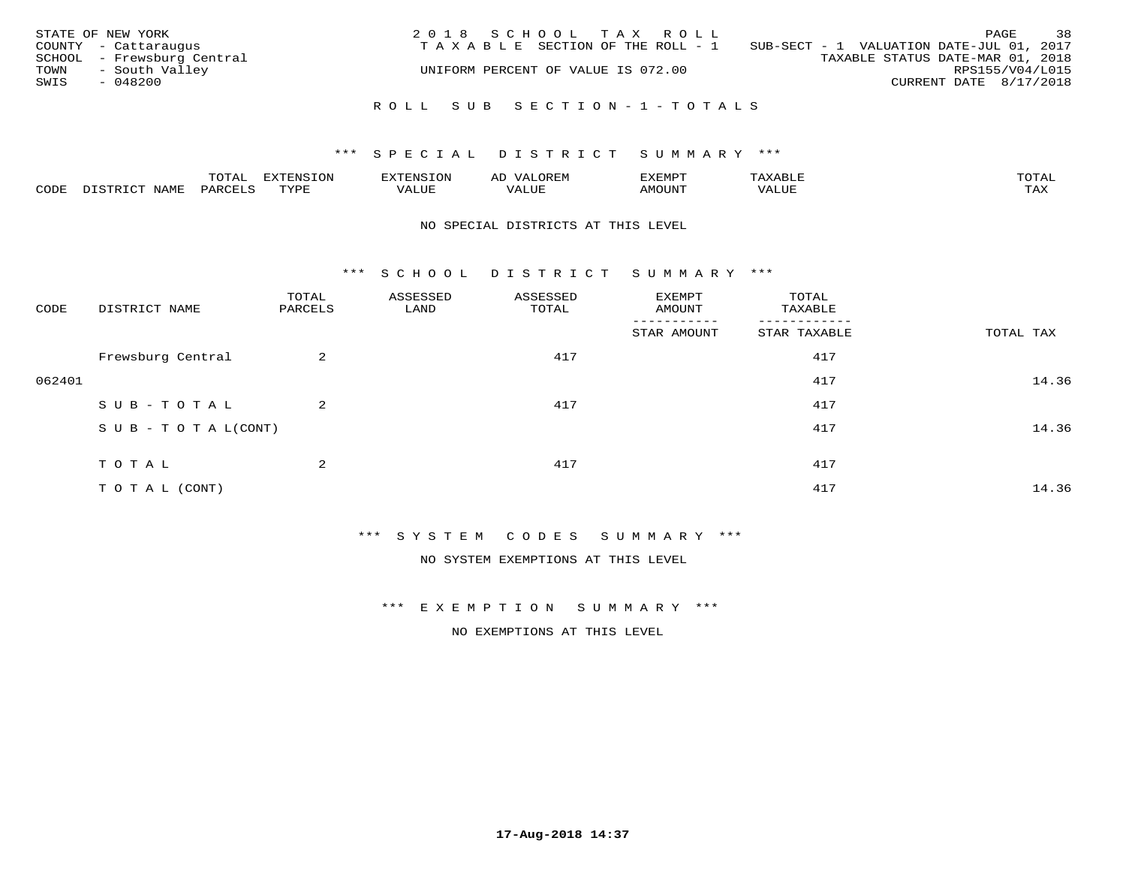| STATE OF NEW YORK<br>COUNTY - Cattaraugus<br>SCHOOL - Frewsburg Central<br>- South Valley<br>TOWN<br>SWIS<br>- 048200 | 2018 SCHOOL TAX ROLL<br>TAXABLE SECTION OF THE ROLL - 1<br>UNIFORM PERCENT OF VALUE IS 072.00 | 38<br>PAGE<br>SUB-SECT - 1 VALUATION DATE-JUL 01, 2017<br>TAXABLE STATUS DATE-MAR 01, 2018<br>RPS155/V04/L015<br>CURRENT DATE 8/17/2018 |
|-----------------------------------------------------------------------------------------------------------------------|-----------------------------------------------------------------------------------------------|-----------------------------------------------------------------------------------------------------------------------------------------|
|                                                                                                                       | ROLL SUB SECTION-1-TOTALS                                                                     |                                                                                                                                         |

|      |              | ™∩ͲϪ<br>بمحمد ب | -OP,             | <b>FNC</b> | ΑL    | ֿישוע         |       |                    |
|------|--------------|-----------------|------------------|------------|-------|---------------|-------|--------------------|
| CODE | NAME<br>– a- | PART            | mynne<br>- - - - | ALUF       | 'ALUE | <b>IMOUNT</b> | VALUE | <b>TRAV</b><br>∸∽∸ |

### NO SPECIAL DISTRICTS AT THIS LEVEL

\*\*\* S C H O O L D I S T R I C T S U M M A R Y \*\*\*

| CODE   | DISTRICT NAME                    | TOTAL<br>PARCELS | ASSESSED<br>LAND | ASSESSED<br>TOTAL | EXEMPT<br>AMOUNT | TOTAL<br>TAXABLE |           |
|--------|----------------------------------|------------------|------------------|-------------------|------------------|------------------|-----------|
|        |                                  |                  |                  |                   | STAR AMOUNT      | STAR TAXABLE     | TOTAL TAX |
|        | Frewsburg Central                | 2                |                  | 417               |                  | 417              |           |
| 062401 |                                  |                  |                  |                   |                  | 417              | 14.36     |
|        | SUB-TOTAL                        | $\overline{2}$   |                  | 417               |                  | 417              |           |
|        | $S \cup B - T \cup T A L (CONT)$ |                  |                  |                   |                  | 417              | 14.36     |
|        | TOTAL                            | 2                |                  | 417               |                  | 417              |           |
|        | T O T A L (CONT)                 |                  |                  |                   |                  | 417              | 14.36     |

\*\*\* S Y S T E M C O D E S S U M M A R Y \*\*\*

NO SYSTEM EXEMPTIONS AT THIS LEVEL

\*\*\* E X E M P T I O N S U M M A R Y \*\*\*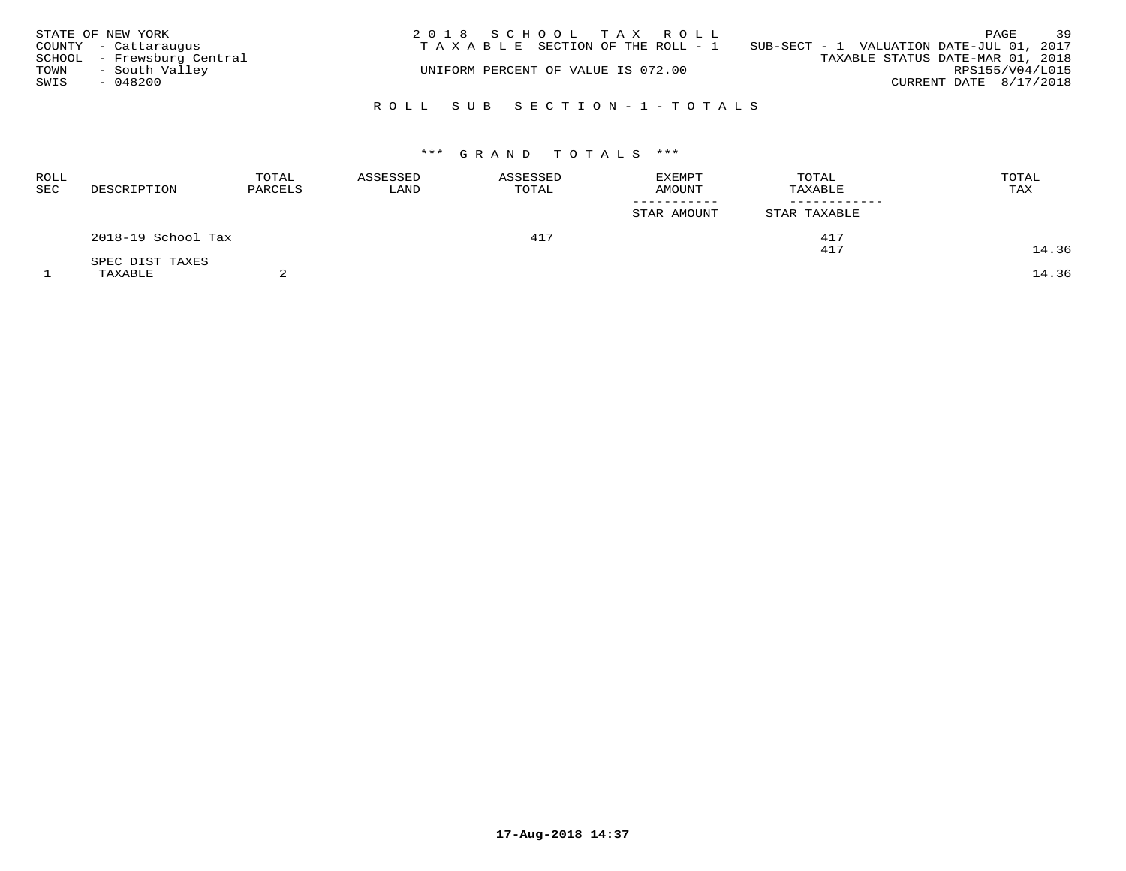|      | STATE OF NEW YORK          | 2018 SCHOOL TAX ROLL                  |                                          | PAGE                     | 39              |
|------|----------------------------|---------------------------------------|------------------------------------------|--------------------------|-----------------|
|      | COUNTY - Cattaraugus       | T A X A B L E SECTION OF THE ROLL - 1 | SUB-SECT - 1 VALUATION DATE-JUL 01, 2017 |                          |                 |
|      | SCHOOL - Frewsburg Central |                                       | TAXABLE STATUS DATE-MAR 01, 2018         |                          |                 |
| TOWN | - South Valley             | UNIFORM PERCENT OF VALUE IS 072.00    |                                          |                          | RPS155/V04/L015 |
| SWIS | - 048200                   |                                       |                                          | CURRENT DATE $8/17/2018$ |                 |
|      |                            |                                       |                                          |                          |                 |
|      |                            | ROLL SUB SECTION-1-TOTALS             |                                          |                          |                 |

| <b>ROLL</b><br>SEC | DESCRIPTION        | TOTAL<br>PARCELS | ASSESSED<br>LAND | ASSESSED<br>TOTAL | <b>EXEMPT</b><br><b>AMOUNT</b> | TOTAL<br>TAXABLE | TOTAL<br>TAX |
|--------------------|--------------------|------------------|------------------|-------------------|--------------------------------|------------------|--------------|
|                    |                    |                  |                  |                   | STAR AMOUNT                    | STAR TAXABLE     |              |
|                    | 2018-19 School Tax |                  |                  | 417               |                                | 417              |              |
|                    | SPEC DIST TAXES    |                  |                  |                   |                                | 417              | 14.36        |
|                    | TAXABLE            |                  |                  |                   |                                |                  | 14.36        |

 $\overline{a}$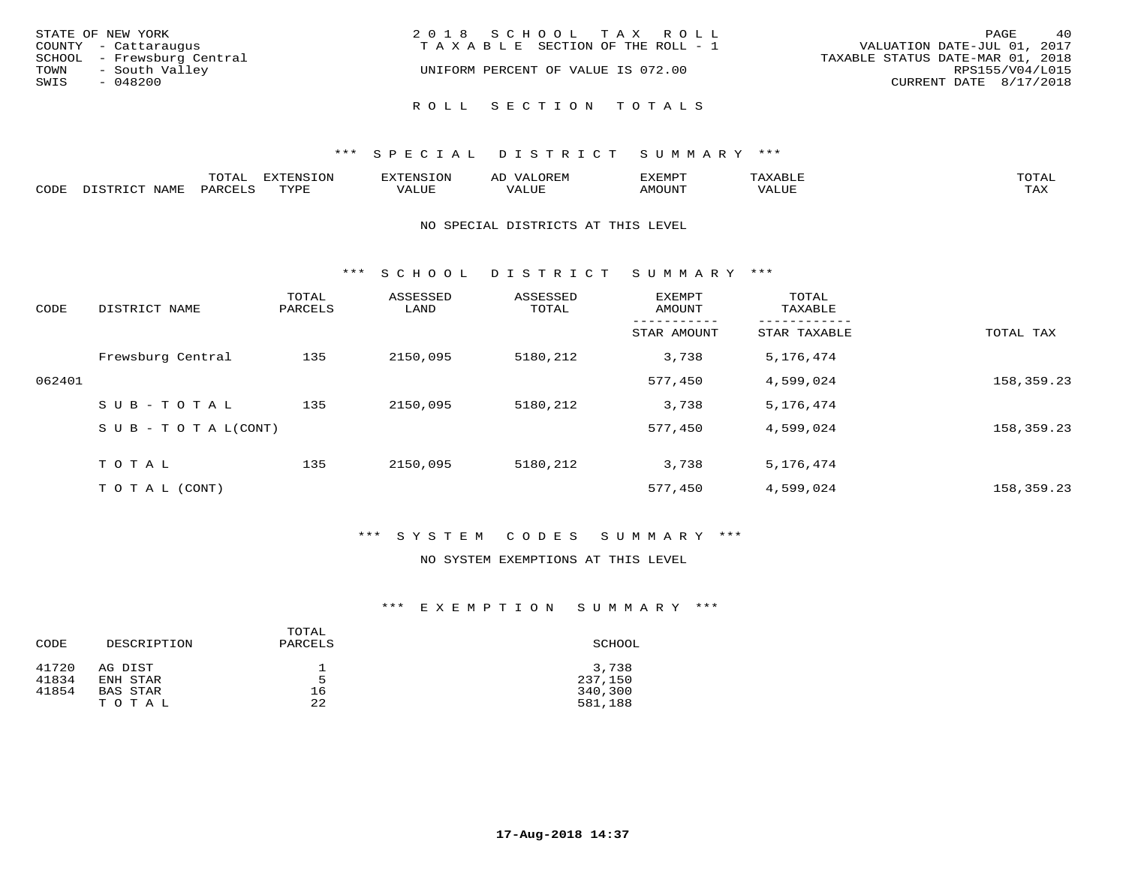| STATE OF NEW YORK<br>COUNTY - Cattaraugus<br>SCHOOL - Frewsburg Central | 2018 SCHOOL TAX ROLL<br>TAXABLE SECTION OF THE ROLL - 1   | 40<br>PAGE<br>VALUATION DATE-JUL 01, 2017<br>TAXABLE STATUS DATE-MAR 01, 2018 |
|-------------------------------------------------------------------------|-----------------------------------------------------------|-------------------------------------------------------------------------------|
| - South Valley<br>TOWN<br>SWIS<br>$-048200$                             | UNIFORM PERCENT OF VALUE IS 072.00<br>ROLL SECTION TOTALS | RPS155/V04/L015<br>CURRENT DATE 8/17/2018                                     |

|      |                 | ----<br>.UIAI     | $T \cap N$<br>FYTFNC |      | ⊬ட | פאים <i>צ</i> י<br>المستنقصات | .     | $m \wedge m \wedge r$<br>$\cdot$ $\sim$ $\cdot$ |
|------|-----------------|-------------------|----------------------|------|----|-------------------------------|-------|-------------------------------------------------|
| CODE | NAME<br>ּפִיחִי | PARC <sub>F</sub> | <b>TVDI</b>          | ALUE |    | <b>MOUNT</b>                  | VALUE | TA Y<br>⊥ ∠~∡∡                                  |

### NO SPECIAL DISTRICTS AT THIS LEVEL

\*\*\* S C H O O L D I S T R I C T S U M M A R Y \*\*\*

| CODE   | DISTRICT NAME                    | TOTAL<br>PARCELS | ASSESSED<br>LAND | ASSESSED<br>TOTAL | <b>EXEMPT</b><br>AMOUNT | TOTAL<br>TAXABLE |            |
|--------|----------------------------------|------------------|------------------|-------------------|-------------------------|------------------|------------|
|        |                                  |                  |                  |                   | STAR AMOUNT             | STAR TAXABLE     | TOTAL TAX  |
|        | Frewsburg Central                | 135              | 2150,095         | 5180,212          | 3,738                   | 5,176,474        |            |
| 062401 |                                  |                  |                  |                   | 577,450                 | 4,599,024        | 158,359.23 |
|        | SUB-TOTAL                        | 135              | 2150,095         | 5180,212          | 3,738                   | 5,176,474        |            |
|        | $S \cup B - T \cup T A L (CONT)$ |                  |                  |                   | 577,450                 | 4,599,024        | 158,359.23 |
|        | TOTAL                            | 135              | 2150,095         | 5180,212          | 3,738                   | 5,176,474        |            |
|        | T O T A L (CONT)                 |                  |                  |                   | 577,450                 | 4,599,024        | 158,359.23 |

# \*\*\* S Y S T E M C O D E S S U M M A R Y \*\*\*

### NO SYSTEM EXEMPTIONS AT THIS LEVEL

| DESCRIPTION<br>CODE |          | TOTAL<br>PARCELS | SCHOOL  |  |  |
|---------------------|----------|------------------|---------|--|--|
| 41720               | AG DIST  |                  | 3,738   |  |  |
| 41834               | ENH STAR | 5                | 237,150 |  |  |
| 41854               | BAS STAR | 16               | 340,300 |  |  |
|                     | TOTAL    | 22               | 581,188 |  |  |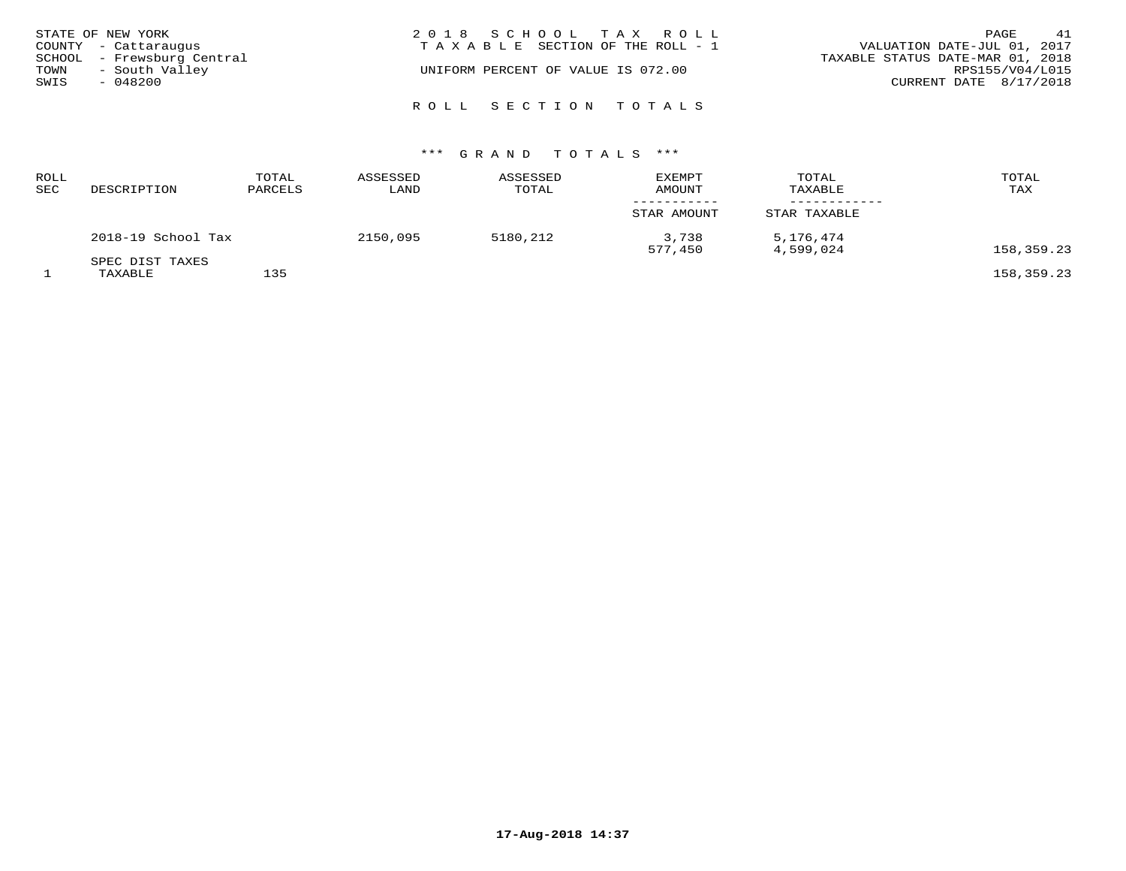| STATE OF NEW YORK | COUNTY - Cattaraugus                         | 2018 SCHOOL TAX ROLL<br>VALUATION DATE-JUL 01, 2017<br>T A X A B L E SECTION OF THE ROLL - 1 | PAGE            | 41 |
|-------------------|----------------------------------------------|----------------------------------------------------------------------------------------------|-----------------|----|
| TOWN              | SCHOOL - Frewsburg Central<br>- South Valley | TAXABLE STATUS DATE-MAR 01, 2018<br>UNIFORM PERCENT OF VALUE IS 072.00                       | RPS155/V04/L015 |    |
| SWIS              | - 048200                                     | CURRENT DATE 8/17/2018                                                                       |                 |    |
|                   |                                              | ROLL SECTION TOTALS                                                                          |                 |    |

| ROLL<br>SEC | DESCRIPTION                | TOTAL<br>PARCELS | ASSESSED<br>LAND | ASSESSED<br>TOTAL | <b>EXEMPT</b><br>AMOUNT | TOTAL<br>TAXABLE       | TOTAL<br>TAX |
|-------------|----------------------------|------------------|------------------|-------------------|-------------------------|------------------------|--------------|
|             |                            |                  |                  |                   | STAR AMOUNT             | STAR TAXABLE           |              |
|             | 2018-19 School Tax         |                  | 2150,095         | 5180,212          | 3,738<br>577,450        | 5,176,474<br>4,599,024 | 158,359.23   |
|             | SPEC DIST TAXES<br>TAXABLE | 135              |                  |                   |                         |                        | 158,359.23   |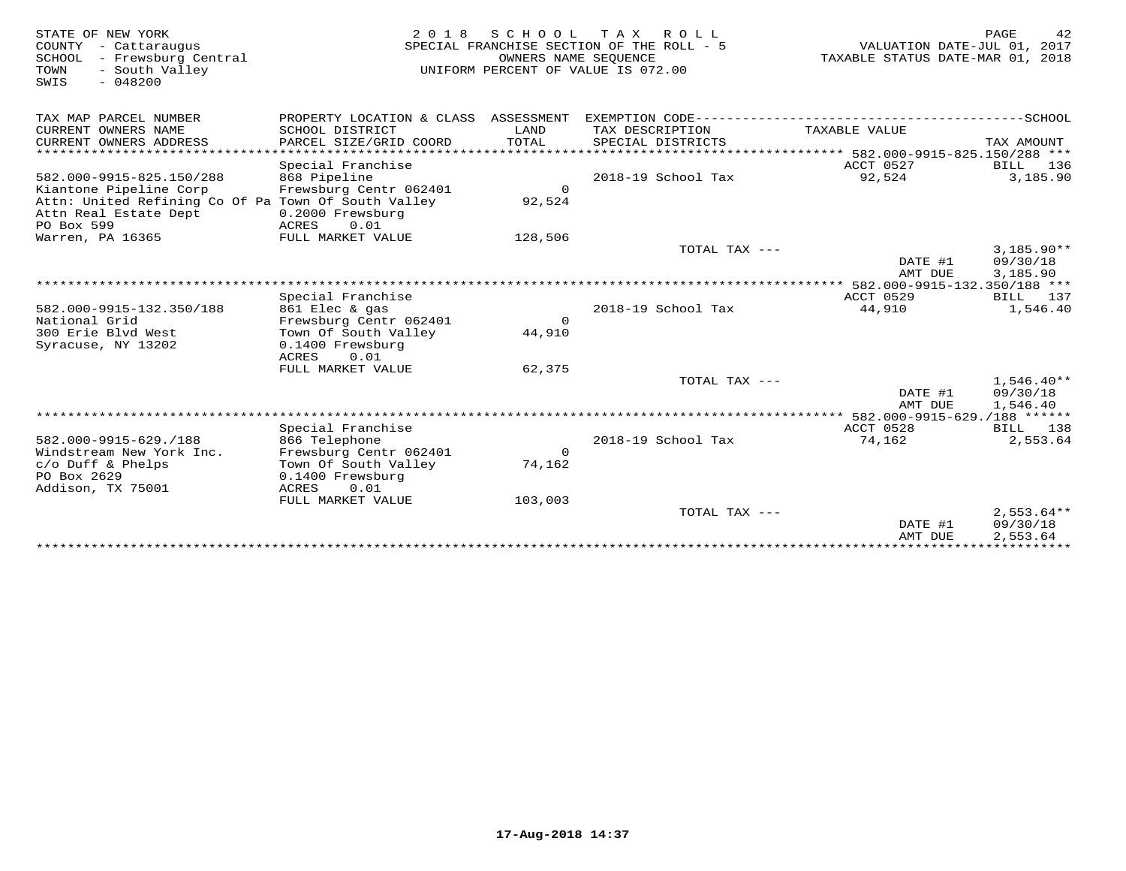| STATE OF NEW YORK<br>COUNTY - Cattaraugus<br>- Frewsburg Central<br>SCHOOL<br>TOWN<br>- South Valley<br>$-048200$<br>SWIS | 2 0 1 8                                                     | OWNERS NAME SEQUENCE | SCHOOL TAX ROLL<br>SPECIAL FRANCHISE SECTION OF THE ROLL - 5<br>UNIFORM PERCENT OF VALUE IS 072.00 | VALUATION DATE-JUL 01, 2017<br>TAXABLE STATUS DATE-MAR 01, 2018 | PAGE<br>42                           |
|---------------------------------------------------------------------------------------------------------------------------|-------------------------------------------------------------|----------------------|----------------------------------------------------------------------------------------------------|-----------------------------------------------------------------|--------------------------------------|
| TAX MAP PARCEL NUMBER                                                                                                     | PROPERTY LOCATION & CLASS ASSESSMENT                        |                      |                                                                                                    |                                                                 |                                      |
| CURRENT OWNERS NAME<br>CURRENT OWNERS ADDRESS<br>******************************                                           | SCHOOL DISTRICT<br>PARCEL SIZE/GRID COORD                   | LAND<br>TOTAL        | TAX DESCRIPTION<br>SPECIAL DISTRICTS                                                               | TAXABLE VALUE                                                   | TAX AMOUNT                           |
| 582.000-9915-825.150/288                                                                                                  | Special Franchise<br>868 Pipeline                           |                      | 2018-19 School Tax                                                                                 | ACCT 0527<br>92,524                                             | BILL<br>136<br>3,185.90              |
| Kiantone Pipeline Corp<br>Attn: United Refining Co Of Pa Town Of South Valley<br>Attn Real Estate Dept<br>PO Box 599      | Frewsburg Centr 062401<br>0.2000 Frewsburg<br>0.01<br>ACRES | $\Omega$<br>92,524   |                                                                                                    |                                                                 |                                      |
| Warren, PA 16365                                                                                                          | FULL MARKET VALUE                                           | 128,506              | TOTAL TAX $---$                                                                                    |                                                                 | $3,185.90**$                         |
|                                                                                                                           |                                                             |                      |                                                                                                    | DATE #1<br>AMT DUE                                              | 09/30/18<br>3,185.90                 |
|                                                                                                                           | Special Franchise                                           |                      |                                                                                                    | ACCT 0529                                                       | 137<br>BILL                          |
| 582.000-9915-132.350/188<br>National Grid                                                                                 | 861 Elec & gas<br>Frewsburg Centr 062401                    | $\Omega$             | 2018-19 School Tax                                                                                 | 44,910                                                          | 1,546.40                             |
| 300 Erie Blvd West<br>Syracuse, NY 13202                                                                                  | Town Of South Valley<br>0.1400 Frewsburg<br>0.01<br>ACRES   | 44,910               |                                                                                                    |                                                                 |                                      |
|                                                                                                                           | FULL MARKET VALUE                                           | 62,375               | TOTAL TAX ---                                                                                      |                                                                 | $1,546.40**$                         |
|                                                                                                                           |                                                             |                      |                                                                                                    | DATE #1<br>AMT DUE                                              | 09/30/18<br>1,546.40                 |
| *************************                                                                                                 | Special Franchise                                           |                      |                                                                                                    | ACCT 0528                                                       | BILL 138                             |
| 582.000-9915-629./188<br>Windstream New York Inc.                                                                         | 866 Telephone<br>Frewsburg Centr 062401                     | $\Omega$             | 2018-19 School Tax                                                                                 | 74,162                                                          | 2,553.64                             |
| c/o Duff & Phelps<br>PO Box 2629                                                                                          | Town Of South Valley<br>0.1400 Frewsburg                    | 74,162               |                                                                                                    |                                                                 |                                      |
| Addison, TX 75001                                                                                                         | 0.01<br>ACRES<br>FULL MARKET VALUE                          | 103,003              |                                                                                                    |                                                                 |                                      |
|                                                                                                                           |                                                             |                      | TOTAL TAX ---                                                                                      | DATE #1<br>AMT DUE                                              | $2,553.64**$<br>09/30/18<br>2,553.64 |
|                                                                                                                           |                                                             |                      |                                                                                                    |                                                                 |                                      |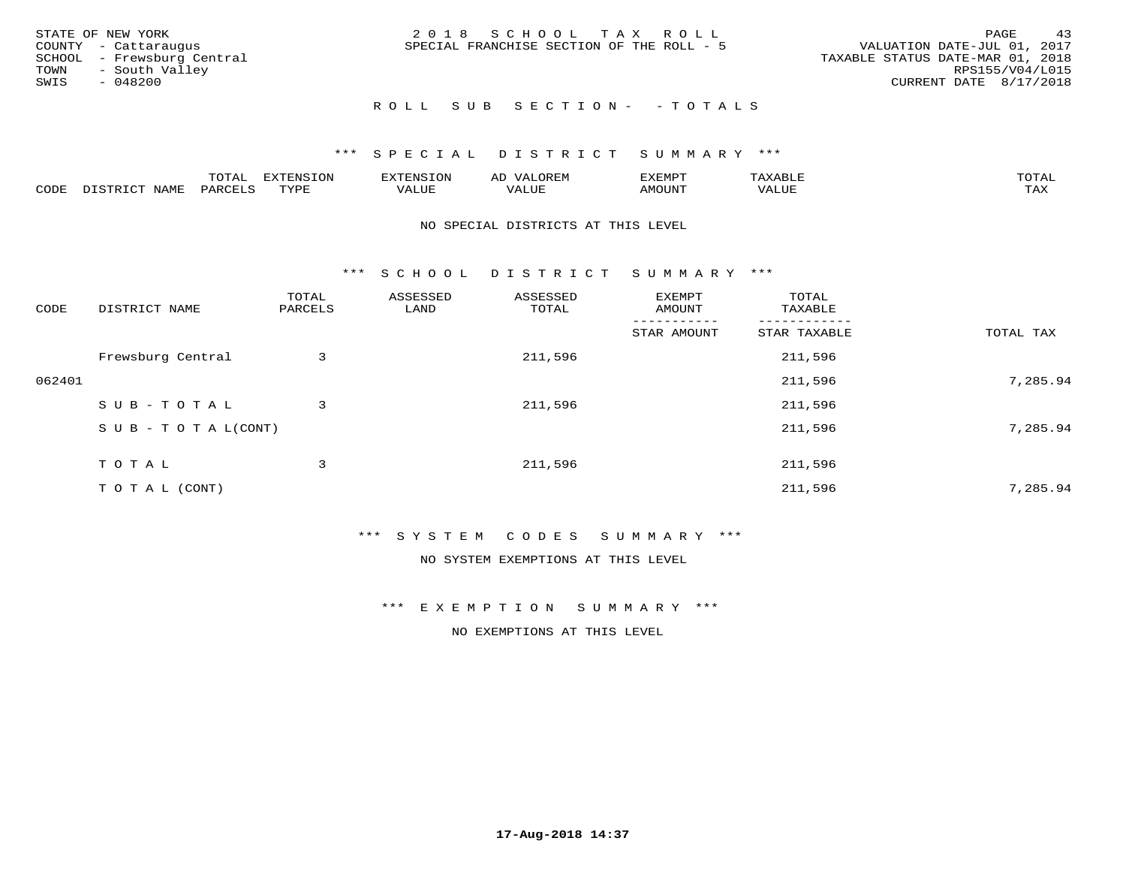| STATE OF NEW YORK<br>COUNTY - Cattaraugus<br>SCHOOL - Frewsburg Central<br>TOWN - South Valley<br>SWIS<br>- 048200 | 2018 SCHOOL TAX ROLL<br>SPECIAL FRANCHISE SECTION OF THE ROLL - 5 | 43<br>PAGE<br>VALUATION DATE-JUL 01, 2017<br>TAXABLE STATUS DATE-MAR 01, 2018<br>RPS155/V04/L015<br>CURRENT DATE 8/17/2018 |
|--------------------------------------------------------------------------------------------------------------------|-------------------------------------------------------------------|----------------------------------------------------------------------------------------------------------------------------|
|                                                                                                                    | ROLL SUB SECTION- - TOTALS                                        |                                                                                                                            |

|      |                            | ----<br>$\overline{\phantom{a}}$ | EXTENSION | <b>ENS</b>         | AL<br>$\cdots$ | דסאים אי     |                       | momn. |
|------|----------------------------|----------------------------------|-----------|--------------------|----------------|--------------|-----------------------|-------|
| CODE | $ \sim$ $-$<br><b>NAMP</b> | $\Omega$<br>'ARI                 | TVDF      | <b><i>ALUE</i></b> | 'ALUE          | <b>MOUNT</b> | . <del>.</del><br>JUI | TAX   |

### NO SPECIAL DISTRICTS AT THIS LEVEL

\*\*\* S C H O O L D I S T R I C T S U M M A R Y \*\*\*

| TOTAL TAX |
|-----------|
|           |
| 7,285.94  |
|           |
| 7,285.94  |
|           |
| 7,285.94  |
|           |

### \*\*\* S Y S T E M C O D E S S U M M A R Y \*\*\*

NO SYSTEM EXEMPTIONS AT THIS LEVEL

\*\*\* E X E M P T I O N S U M M A R Y \*\*\*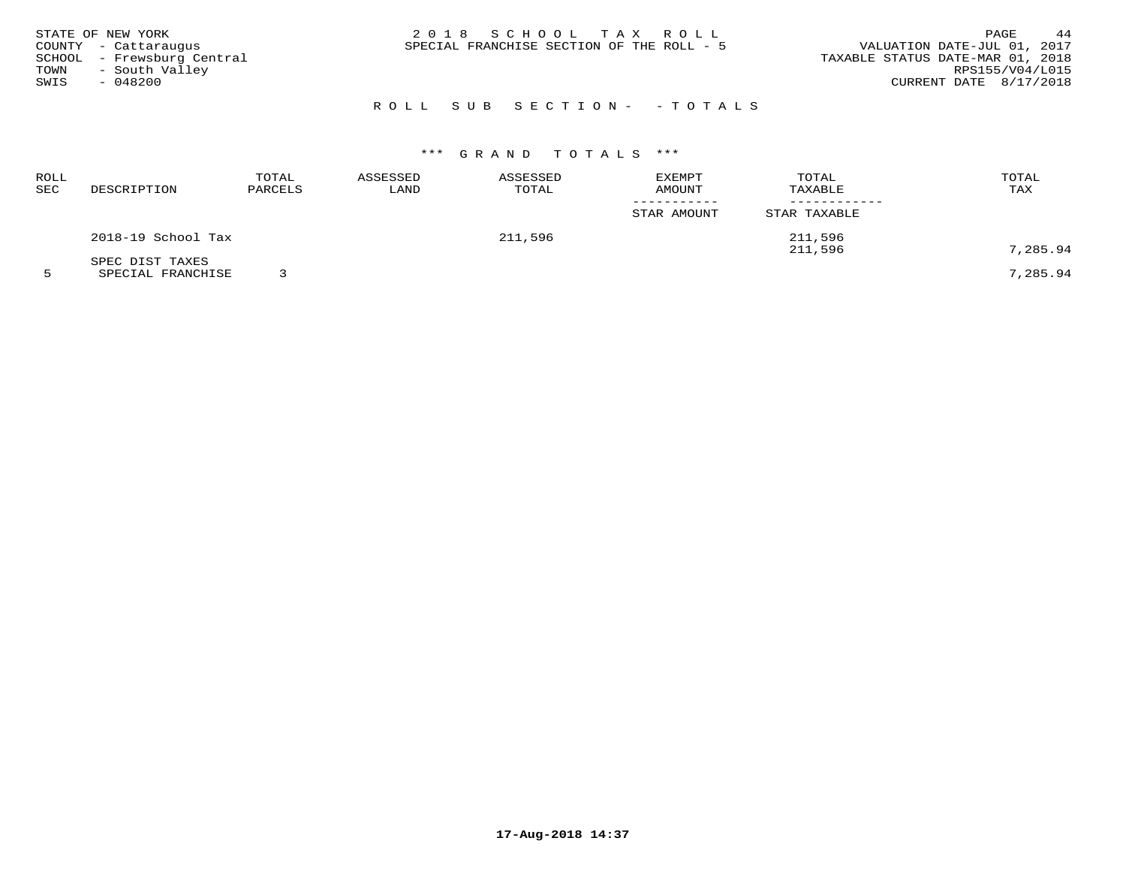|      | STATE OF NEW YORK          | 2018 SCHOOL TAX ROLL                                                     | PAGE            | 44 |
|------|----------------------------|--------------------------------------------------------------------------|-----------------|----|
|      | COUNTY - Cattaraugus       | VALUATION DATE-JUL 01, 2017<br>SPECIAL FRANCHISE SECTION OF THE ROLL - 5 |                 |    |
|      | SCHOOL - Frewsburg Central | TAXABLE STATUS DATE-MAR 01, 2018                                         |                 |    |
| TOWN | - South Valley             |                                                                          | RPS155/V04/L015 |    |
| SWIS | $-048200$                  | CURRENT DATE 8/17/2018                                                   |                 |    |
|      |                            |                                                                          |                 |    |

# R O L L S U B S E C T I O N - - T O T A L S

# \*\*\* G R A N D T O T A L S \*\*\*

| ROLL<br>SEC | DESCRIPTION        | TOTAL<br>PARCELS | ASSESSED<br>LAND | ASSESSED<br>TOTAL | EXEMPT<br>AMOUNT | TOTAL<br>TAXABLE | TOTAL<br>TAX                                                                                                                |
|-------------|--------------------|------------------|------------------|-------------------|------------------|------------------|-----------------------------------------------------------------------------------------------------------------------------|
|             |                    |                  |                  |                   | STAR AMOUNT      | STAR TAXABLE     |                                                                                                                             |
|             | 2018-19 School Tax |                  |                  | 211,596           |                  | 211,596          |                                                                                                                             |
|             | SPEC DIST TAXES    |                  |                  |                   |                  | 211,596          | 7,285.94<br>the contract of the contract of the contract of the contract of the contract of the contract of the contract of |

5 SPECIAL FRANCHISE 3 7,285.94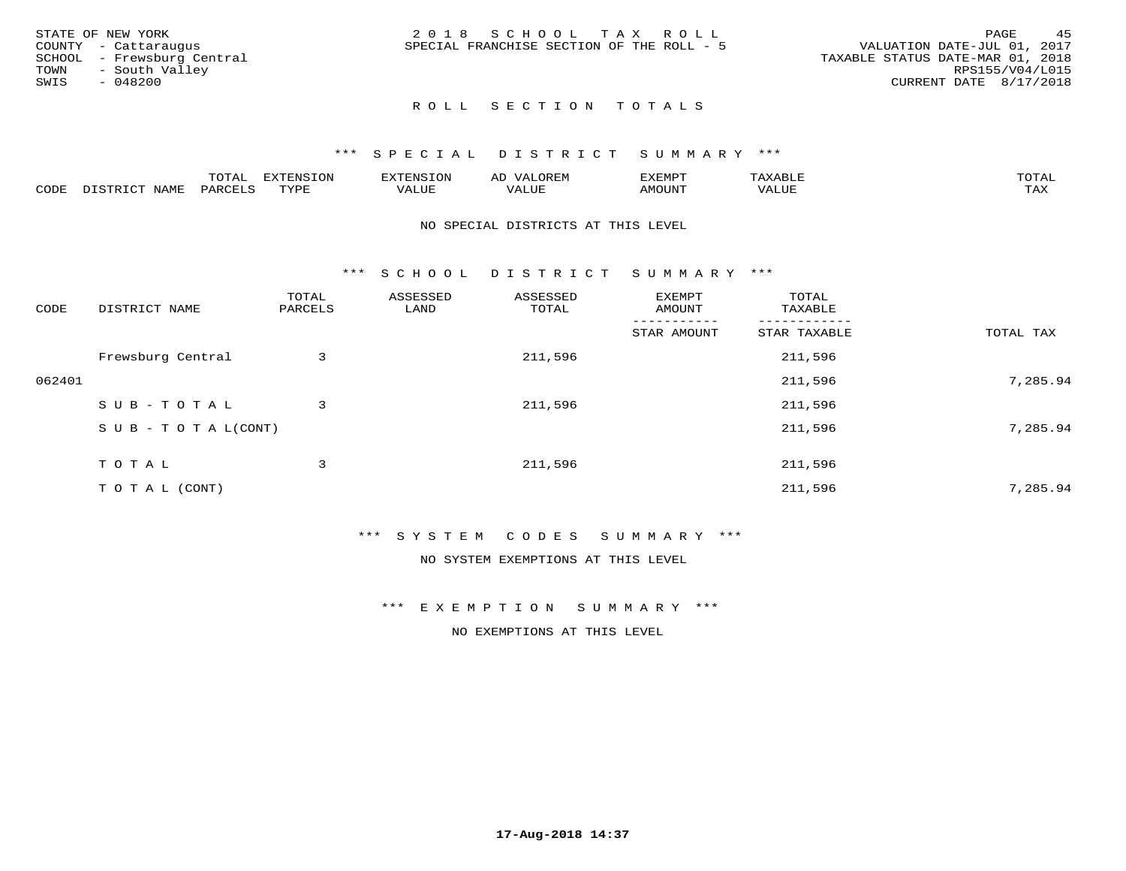| 2018 SCHOOL TAX ROLL<br>STATE OF NEW YORK                         | 4.5<br>PAGE                      |
|-------------------------------------------------------------------|----------------------------------|
| SPECIAL FRANCHISE SECTION OF THE ROLL - 5<br>COUNTY - Cattaraugus | VALUATION DATE-JUL 01, 2017      |
| SCHOOL - Frewsburg Central                                        | TAXABLE STATUS DATE-MAR 01, 2018 |
| TOWN<br>- South Valley                                            | RPS155/V04/L015                  |
| SWIS<br>$-048200$                                                 | CURRENT DATE 8/17/2018           |
|                                                                   |                                  |

# ROLL SECTION TOTALS

## \*\*\* S P E C I A L D I S T R I C T S U M M A R Y \*\*\*

|      |                                              | mom n<br>L∪IAL   | <b>DIZPOIATO TOMT</b><br>LUN | -----------<br>י ו יו   | AD<br>URLIV  | $\ldots$<br>″ –<br>. ۱٬۱۳۰٬۰۰۰ | max                  | $m \wedge m \wedge n$ |
|------|----------------------------------------------|------------------|------------------------------|-------------------------|--------------|--------------------------------|----------------------|-----------------------|
| CODE | $ -$<br><b>NAM<sup>T</sup></b><br>- 12 - 14⊔ | PAR <sub>U</sub> | TVDF                         | $- - - -$<br>$A \cup P$ | ----<br>ALUF | IMOUNT                         | $   -$<br>$\sqrt{A}$ | $m \times r$<br>- −-  |

### NO SPECIAL DISTRICTS AT THIS LEVEL

\*\*\* S C H O O L D I S T R I C T S U M M A R Y \*\*\*

| CODE   | DISTRICT NAME                    | TOTAL<br>PARCELS | ASSESSED<br>LAND | ASSESSED<br>TOTAL | EXEMPT<br>AMOUNT | TOTAL<br>TAXABLE |           |
|--------|----------------------------------|------------------|------------------|-------------------|------------------|------------------|-----------|
|        |                                  |                  |                  |                   | STAR AMOUNT      | STAR TAXABLE     | TOTAL TAX |
|        | Frewsburg Central                | 3                |                  | 211,596           |                  | 211,596          |           |
| 062401 |                                  |                  |                  |                   |                  | 211,596          | 7,285.94  |
|        | SUB-TOTAL                        | 3                |                  | 211,596           |                  | 211,596          |           |
|        | $S \cup B - T \cup T A L (CONT)$ |                  |                  |                   |                  | 211,596          | 7,285.94  |
|        | TOTAL                            | 3                |                  | 211,596           |                  | 211,596          |           |
|        | T O T A L (CONT)                 |                  |                  |                   |                  | 211,596          | 7,285.94  |

# \*\*\* S Y S T E M C O D E S S U M M A R Y \*\*\*

NO SYSTEM EXEMPTIONS AT THIS LEVEL

\*\*\* E X E M P T I O N S U M M A R Y \*\*\*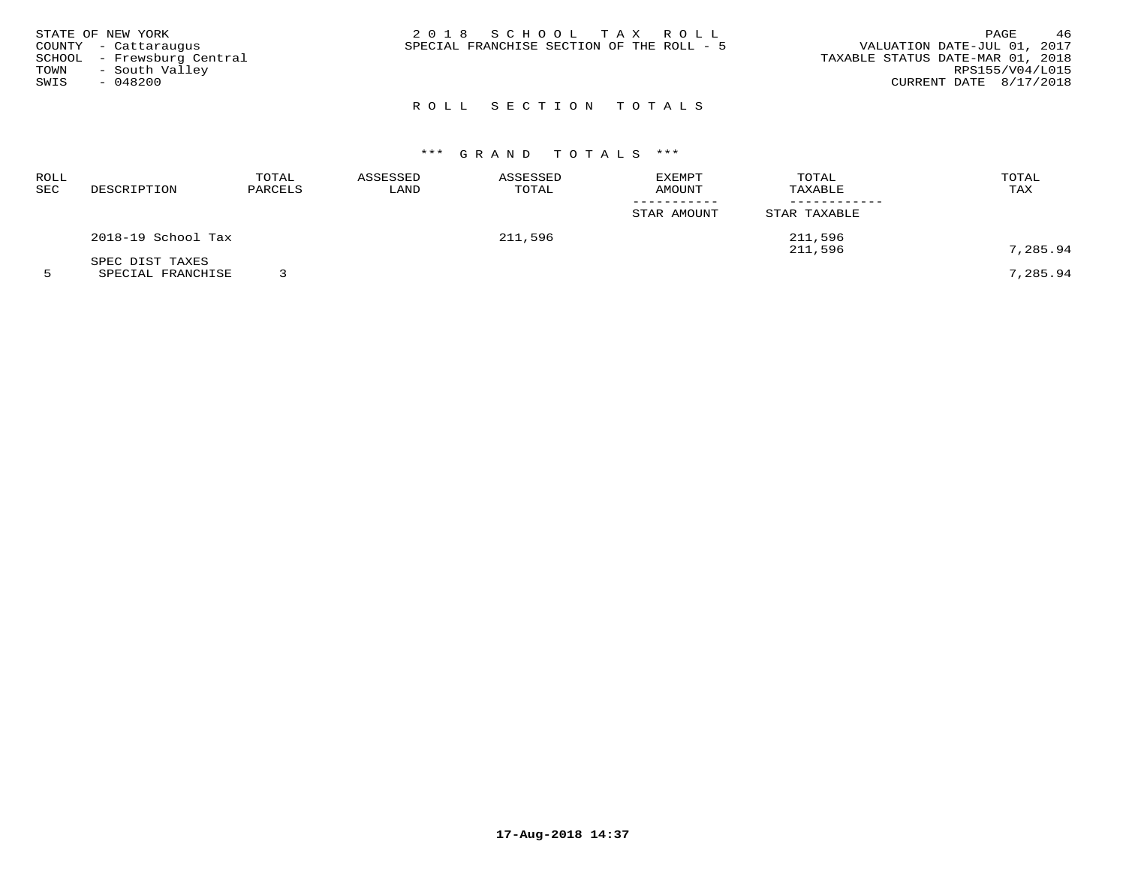|      | STATE OF NEW YORK          | 2018 SCHOOL TAX ROLL                                                     | PAGE            | 46 |
|------|----------------------------|--------------------------------------------------------------------------|-----------------|----|
|      | COUNTY - Cattaraugus       | VALUATION DATE-JUL 01, 2017<br>SPECIAL FRANCHISE SECTION OF THE ROLL - 5 |                 |    |
|      | SCHOOL - Frewsburg Central | TAXABLE STATUS DATE-MAR 01, 2018                                         |                 |    |
| TOWN | - South Valley             |                                                                          | RPS155/V04/L015 |    |
| SWIS | - 048200                   | CURRENT DATE 8/17/2018                                                   |                 |    |
|      |                            |                                                                          |                 |    |

# ROLL SECTION TOTALS

# \*\*\* G R A N D T O T A L S \*\*\*

| ROLL<br>SEC | DESCRIPTION        | TOTAL<br>PARCELS | ASSESSED<br>LAND | ASSESSED<br>TOTAL | EXEMPT<br>AMOUNT | TOTAL<br>TAXABLE | TOTAL<br>TAX |
|-------------|--------------------|------------------|------------------|-------------------|------------------|------------------|--------------|
|             |                    |                  |                  |                   | STAR AMOUNT      | STAR TAXABLE     |              |
|             | 2018-19 School Tax |                  |                  | 211,596           |                  | 211,596          |              |
|             | SPEC DIST TAXES    |                  |                  |                   |                  | 211,596          | 7,285.94     |

5 SPECIAL FRANCHISE 3 7,285.94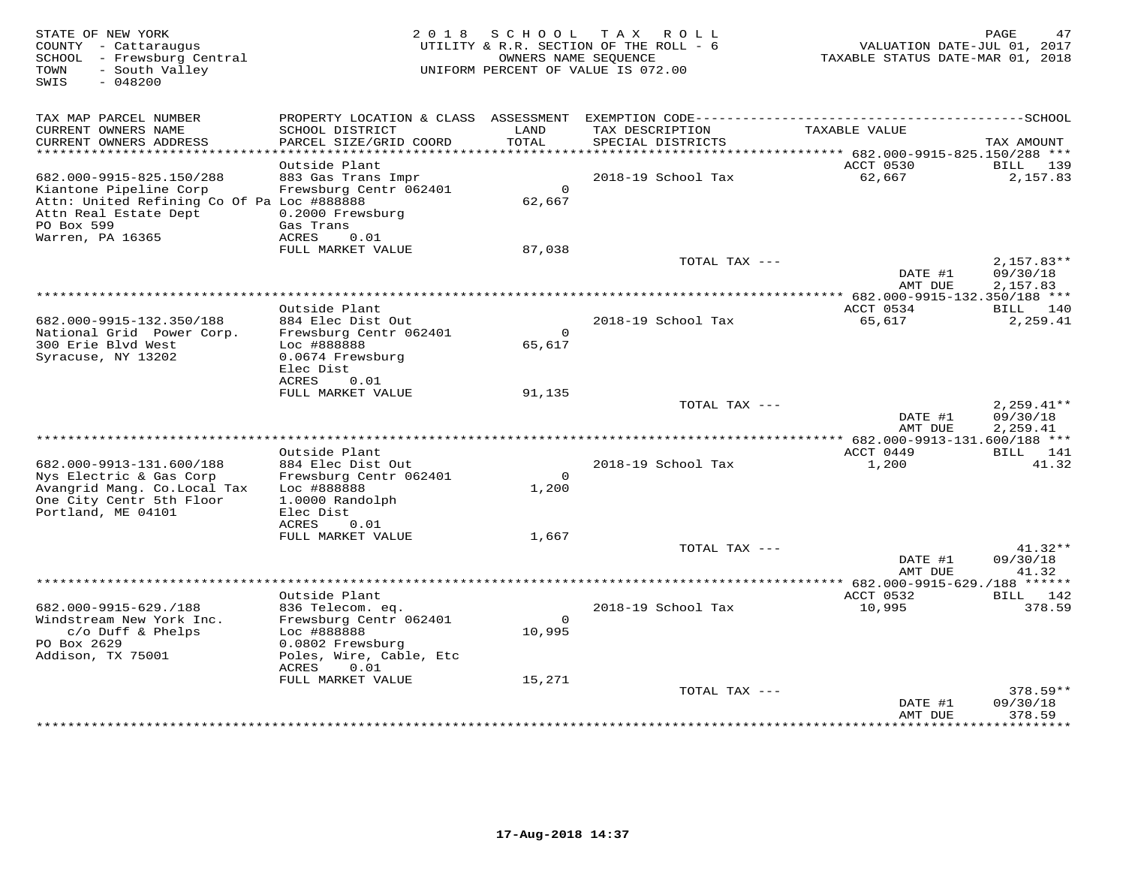| STATE OF NEW YORK<br>COUNTY - Cattaraugus<br>SCHOOL - Frewsburg Central<br>- South Valley<br>TOWN<br>SWIS<br>$-048200$          | 2018                                                                                    | S C H O O L              | TAX ROLL<br>UTILITY & R.R. SECTION OF THE ROLL - 6<br>OWNERS NAME SEQUENCE<br>UNIFORM PERCENT OF VALUE IS 072.00 | VALUATION DATE-JUL 01, 2017<br>TAXABLE STATUS DATE-MAR 01, 2018 | PAGE<br>47                           |
|---------------------------------------------------------------------------------------------------------------------------------|-----------------------------------------------------------------------------------------|--------------------------|------------------------------------------------------------------------------------------------------------------|-----------------------------------------------------------------|--------------------------------------|
| TAX MAP PARCEL NUMBER<br>CURRENT OWNERS NAME                                                                                    | SCHOOL DISTRICT                                                                         | LAND                     | TAX DESCRIPTION                                                                                                  | TAXABLE VALUE                                                   |                                      |
| CURRENT OWNERS ADDRESS                                                                                                          | PARCEL SIZE/GRID COORD                                                                  | TOTAL                    | SPECIAL DISTRICTS                                                                                                |                                                                 | TAX AMOUNT                           |
| ***********************                                                                                                         | Outside Plant                                                                           |                          |                                                                                                                  | ACCT 0530                                                       | BILL<br>139                          |
| 682.000-9915-825.150/288                                                                                                        | 883 Gas Trans Impr                                                                      |                          | 2018-19 School Tax                                                                                               | 62,667                                                          | 2,157.83                             |
| Kiantone Pipeline Corp<br>Attn: United Refining Co Of Pa Loc #888888<br>Attn Real Estate Dept<br>PO Box 599<br>Warren, PA 16365 | Frewsburg Centr 062401<br>0.2000 Frewsburg<br>Gas Trans<br>ACRES<br>0.01                | $\circ$<br>62,667        |                                                                                                                  |                                                                 |                                      |
|                                                                                                                                 | FULL MARKET VALUE                                                                       | 87,038                   |                                                                                                                  |                                                                 |                                      |
|                                                                                                                                 |                                                                                         |                          | TOTAL TAX ---                                                                                                    | DATE #1<br>AMT DUE                                              | $2,157.83**$<br>09/30/18<br>2,157.83 |
|                                                                                                                                 |                                                                                         |                          |                                                                                                                  | ************ 682.000-9915-132.350/188 ***                       |                                      |
| 682.000-9915-132.350/188                                                                                                        | Outside Plant<br>884 Elec Dist Out                                                      |                          | 2018-19 School Tax                                                                                               | ACCT 0534<br>65,617                                             | BILL 140<br>2,259.41                 |
| National Grid Power Corp.<br>300 Erie Blvd West<br>Syracuse, NY 13202                                                           | Frewsburg Centr 062401<br>Loc #888888<br>0.0674 Frewsburg<br>Elec Dist<br>ACRES<br>0.01 | $\overline{0}$<br>65,617 |                                                                                                                  |                                                                 |                                      |
|                                                                                                                                 | FULL MARKET VALUE                                                                       | 91,135                   |                                                                                                                  |                                                                 |                                      |
|                                                                                                                                 |                                                                                         |                          | TOTAL TAX ---                                                                                                    | DATE #1<br>AMT DUE                                              | $2,259.41**$<br>09/30/18<br>2,259.41 |
|                                                                                                                                 |                                                                                         |                          |                                                                                                                  | *********** 682.000-9913-131.600/188 ***<br>ACCT 0449           |                                      |
| 682.000-9913-131.600/188<br>Nys Electric & Gas Corp                                                                             | Outside Plant<br>884 Elec Dist Out<br>Frewsburg Centr 062401                            | $\Omega$                 | 2018-19 School Tax                                                                                               | 1,200                                                           | BILL 141<br>41.32                    |
| Avangrid Mang. Co. Local Tax<br>One City Centr 5th Floor<br>Portland, ME 04101                                                  | Loc #888888<br>1.0000 Randolph<br>Elec Dist<br>ACRES<br>0.01                            | 1,200                    |                                                                                                                  |                                                                 |                                      |
|                                                                                                                                 | FULL MARKET VALUE                                                                       | 1,667                    |                                                                                                                  |                                                                 |                                      |
|                                                                                                                                 |                                                                                         |                          | TOTAL TAX ---                                                                                                    | DATE #1<br>AMT DUE                                              | $41.32**$<br>09/30/18<br>41.32       |
|                                                                                                                                 |                                                                                         |                          |                                                                                                                  |                                                                 |                                      |
| 682.000-9915-629./188                                                                                                           | Outside Plant<br>836 Telecom. eq.                                                       |                          | 2018-19 School Tax                                                                                               | ACCT 0532<br>10,995                                             | BILL 142<br>378.59                   |
| Windstream New York Inc.<br>c/o Duff & Phelps                                                                                   | Frewsburg Centr 062401<br>Loc #888888                                                   | $\Omega$<br>10,995       |                                                                                                                  |                                                                 |                                      |
| PO Box 2629<br>Addison, TX 75001                                                                                                | 0.0802 Frewsburg<br>Poles, Wire, Cable, Etc<br><b>ACRES</b><br>0.01                     |                          |                                                                                                                  |                                                                 |                                      |
|                                                                                                                                 | FULL MARKET VALUE                                                                       | 15,271                   |                                                                                                                  |                                                                 |                                      |
|                                                                                                                                 |                                                                                         |                          | TOTAL TAX ---                                                                                                    | DATE #1<br>AMT DUE                                              | $378.59**$<br>09/30/18<br>378.59     |
|                                                                                                                                 |                                                                                         |                          |                                                                                                                  |                                                                 | * * * * * * * *                      |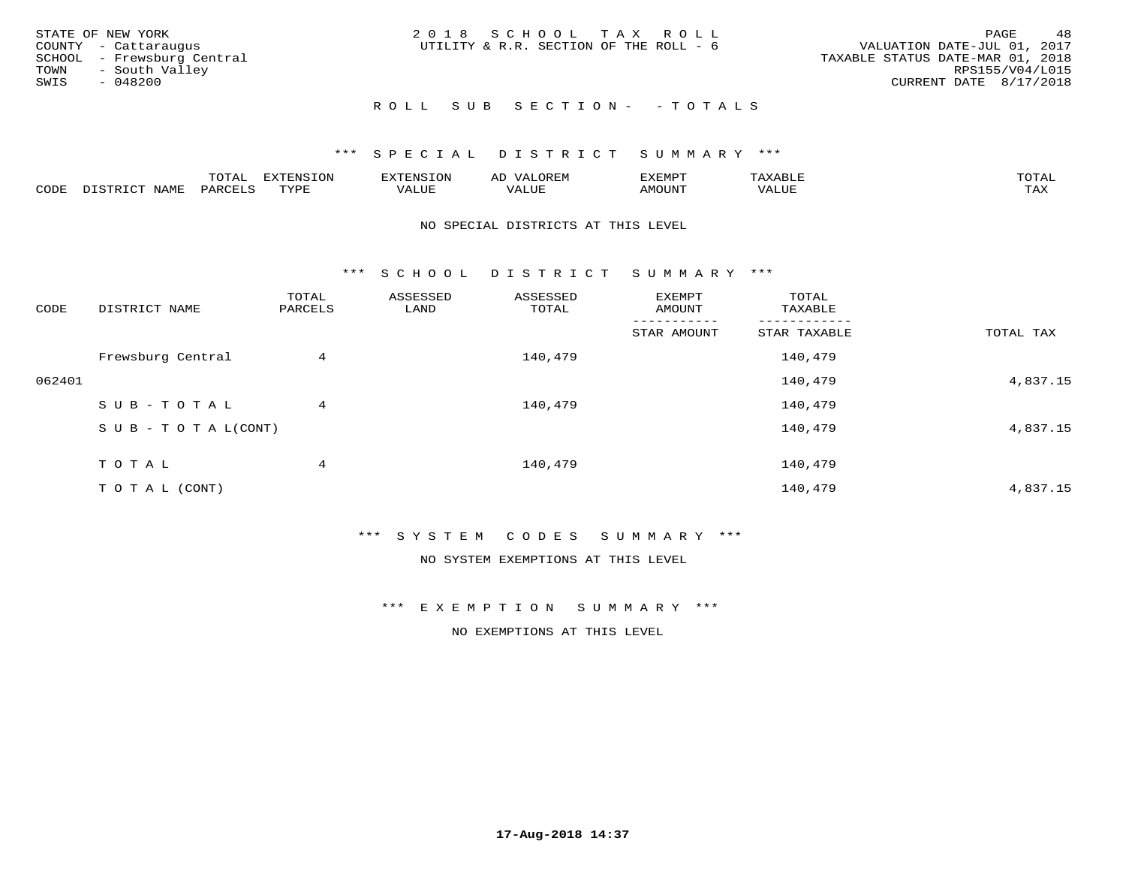| STATE OF NEW YORK<br>COUNTY - Cattaraugus<br>SCHOOL - Frewsburg Central<br>TOWN - South Valley<br>SWIS<br>- 048200 | 2018 SCHOOL TAX ROLL<br>UTILITY & R.R. SECTION OF THE ROLL - 6 | 48<br>PAGE<br>VALUATION DATE-JUL 01, 2017<br>TAXABLE STATUS DATE-MAR 01, 2018<br>RPS155/V04/L015<br>CURRENT DATE 8/17/2018 |
|--------------------------------------------------------------------------------------------------------------------|----------------------------------------------------------------|----------------------------------------------------------------------------------------------------------------------------|
|                                                                                                                    | ROLL SUB SECTION- - TOTALS                                     |                                                                                                                            |

|                  |              | $m \wedge m$ |      | FNT C                                   | AL                         | <u>'</u> XEMPT |       | $m \wedge m \wedge n$ |
|------------------|--------------|--------------|------|-----------------------------------------|----------------------------|----------------|-------|-----------------------|
| C <sub>CDI</sub> | $ -$<br>NAME | PARO         | TVDF | ,, , ,, <del>,</del><br>▵<br>۳۰ تابلد ک | , <del>,</del> , , , , , , | $\cdots$       | VALUE | $m \times r$<br>- −-  |

### NO SPECIAL DISTRICTS AT THIS LEVEL

\*\*\* S C H O O L D I S T R I C T S U M M A R Y \*\*\*

| CODE   | DISTRICT NAME                    | TOTAL<br>PARCELS | ASSESSED<br>LAND | ASSESSED<br>TOTAL | EXEMPT<br>AMOUNT | TOTAL<br>TAXABLE |           |
|--------|----------------------------------|------------------|------------------|-------------------|------------------|------------------|-----------|
|        |                                  |                  |                  |                   | STAR AMOUNT      | STAR TAXABLE     | TOTAL TAX |
|        | Frewsburg Central                | 4                |                  | 140,479           |                  | 140,479          |           |
| 062401 |                                  |                  |                  |                   |                  | 140,479          | 4,837.15  |
|        | SUB-TOTAL                        | 4                |                  | 140,479           |                  | 140,479          |           |
|        | $S \cup B - T \cup T A L (CONT)$ |                  |                  |                   |                  | 140,479          | 4,837.15  |
|        | TOTAL                            | 4                |                  | 140,479           |                  | 140,479          |           |
|        | T O T A L (CONT)                 |                  |                  |                   |                  | 140,479          | 4,837.15  |

# \*\*\* S Y S T E M C O D E S S U M M A R Y \*\*\*

NO SYSTEM EXEMPTIONS AT THIS LEVEL

\*\*\* E X E M P T I O N S U M M A R Y \*\*\*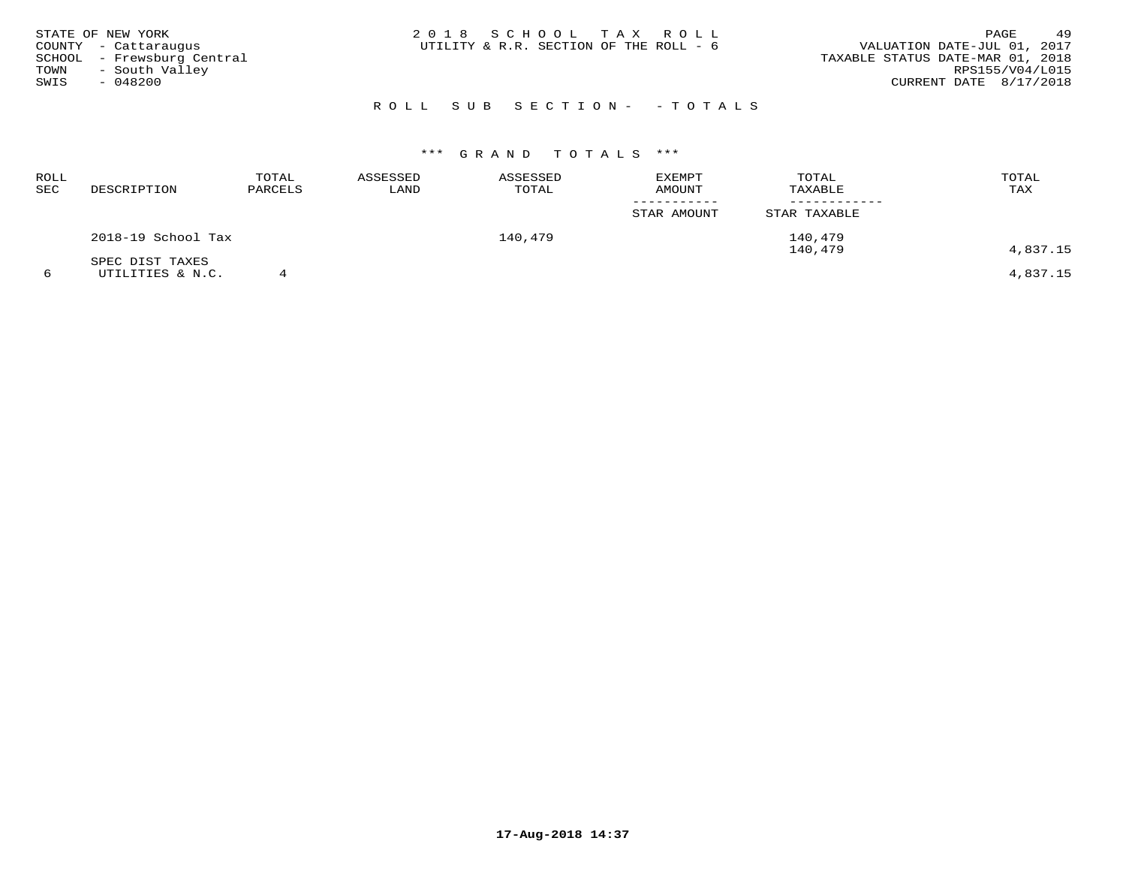| STATE OF NEW YORK<br>COUNTY - Cattaraugus<br>SCHOOL - Frewsburg Central<br>- South Valley<br>TOWN<br>SWIS<br>$-048200$ | 2018 SCHOOL TAX ROLL<br>UTILITY & R.R. SECTION OF THE ROLL - 6 | 49<br>PAGE<br>VALUATION DATE-JUL 01, 2017<br>TAXABLE STATUS DATE-MAR 01, 2018<br>RPS155/V04/L015<br>CURRENT DATE 8/17/2018 |
|------------------------------------------------------------------------------------------------------------------------|----------------------------------------------------------------|----------------------------------------------------------------------------------------------------------------------------|
|                                                                                                                        | ROLL SUB SECTION- - TOTALS                                     |                                                                                                                            |

| <b>ROLL</b><br><b>SEC</b> | DESCRIPTION                         | TOTAL<br>PARCELS | ASSESSED<br>LAND | ASSESSED<br>TOTAL | EXEMPT<br>AMOUNT | TOTAL<br>TAXABLE   | TOTAL<br>TAX |
|---------------------------|-------------------------------------|------------------|------------------|-------------------|------------------|--------------------|--------------|
|                           |                                     |                  |                  |                   | STAR AMOUNT      | STAR TAXABLE       |              |
|                           | 2018-19 School Tax                  |                  |                  | 140,479           |                  | 140,479<br>140,479 | 4,837.15     |
|                           | SPEC DIST TAXES<br>UTILITIES & N.C. |                  |                  |                   |                  |                    | 4,837.15     |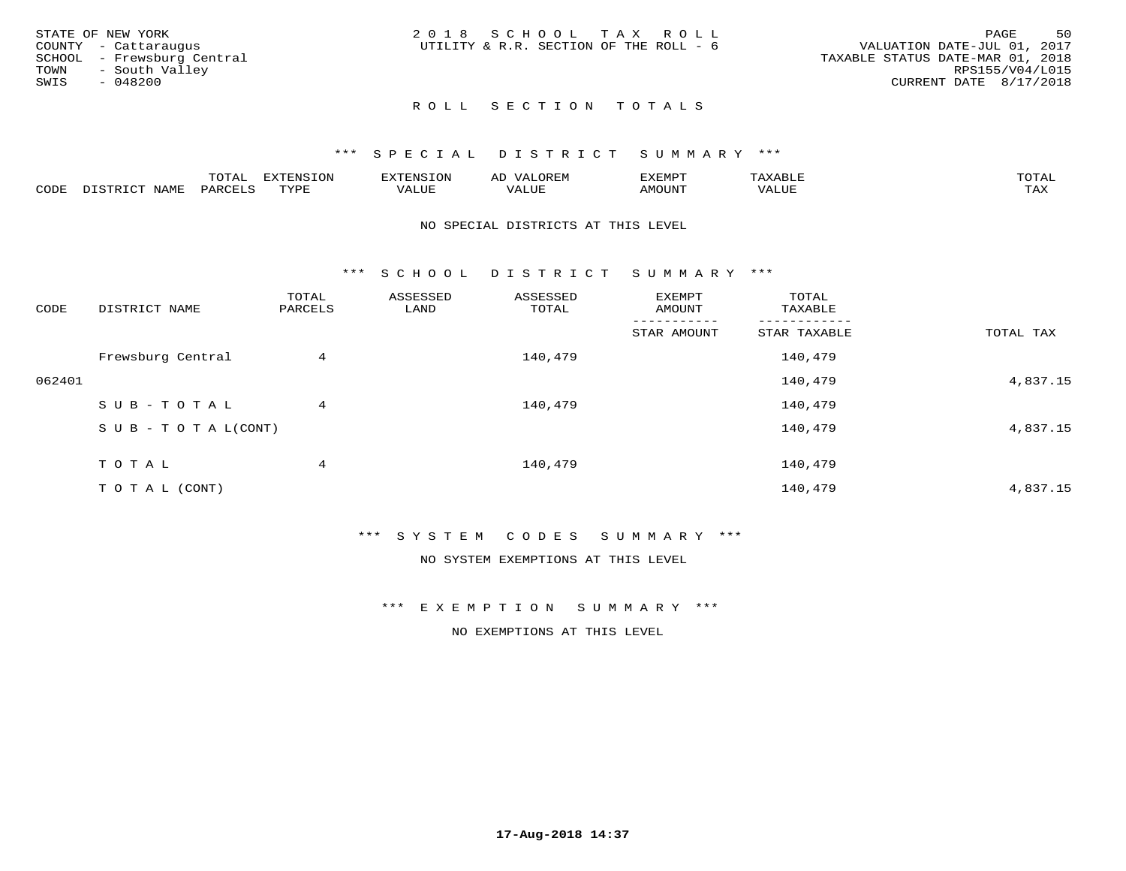| STATE OF NEW YORK<br>COUNTY - Cattaraugus<br>SCHOOL - Frewsburg Central<br>TOWN - South Valley<br>SWIS<br>- 048200 | 2018 SCHOOL TAX ROLL<br>UTILITY & R.R. SECTION OF THE ROLL - 6 | 50<br>PAGE<br>VALUATION DATE-JUL 01, 2017<br>TAXABLE STATUS DATE-MAR 01, 2018<br>RPS155/V04/L015<br>CURRENT DATE 8/17/2018 |
|--------------------------------------------------------------------------------------------------------------------|----------------------------------------------------------------|----------------------------------------------------------------------------------------------------------------------------|
|                                                                                                                    | ROLL SECTION TOTALS                                            |                                                                                                                            |

|      |             | ----           | : IN S | F.N.S         | ₩     | רסMד¥י |                       | momn |
|------|-------------|----------------|--------|---------------|-------|--------|-----------------------|------|
| CODE | <b>NAMP</b> | דהה מ<br>$H$ K | TVDF   | - ---<br>ALUE | 7ALUE | \MOUNT | TITT.<br>7 A.L<br>⊐∪r | TAX  |

### NO SPECIAL DISTRICTS AT THIS LEVEL

\*\*\* S C H O O L D I S T R I C T S U M M A R Y \*\*\*

| CODE   | DISTRICT NAME                    | TOTAL<br>PARCELS | ASSESSED<br>LAND | ASSESSED<br>TOTAL | EXEMPT<br>AMOUNT | TOTAL<br>TAXABLE |           |
|--------|----------------------------------|------------------|------------------|-------------------|------------------|------------------|-----------|
|        |                                  |                  |                  |                   | STAR AMOUNT      | STAR TAXABLE     | TOTAL TAX |
|        | Frewsburg Central                | 4                |                  | 140,479           |                  | 140,479          |           |
| 062401 |                                  |                  |                  |                   |                  | 140,479          | 4,837.15  |
|        | SUB-TOTAL                        | 4                |                  | 140,479           |                  | 140,479          |           |
|        | $S \cup B - T \cup T A L (CONT)$ |                  |                  |                   |                  | 140,479          | 4,837.15  |
|        | T O T A L                        | 4                |                  | 140,479           |                  | 140,479          |           |
|        |                                  |                  |                  |                   |                  |                  |           |
|        | T O T A L (CONT)                 |                  |                  |                   |                  | 140,479          | 4,837.15  |

# \*\*\* S Y S T E M C O D E S S U M M A R Y \*\*\*

NO SYSTEM EXEMPTIONS AT THIS LEVEL

\*\*\* E X E M P T I O N S U M M A R Y \*\*\*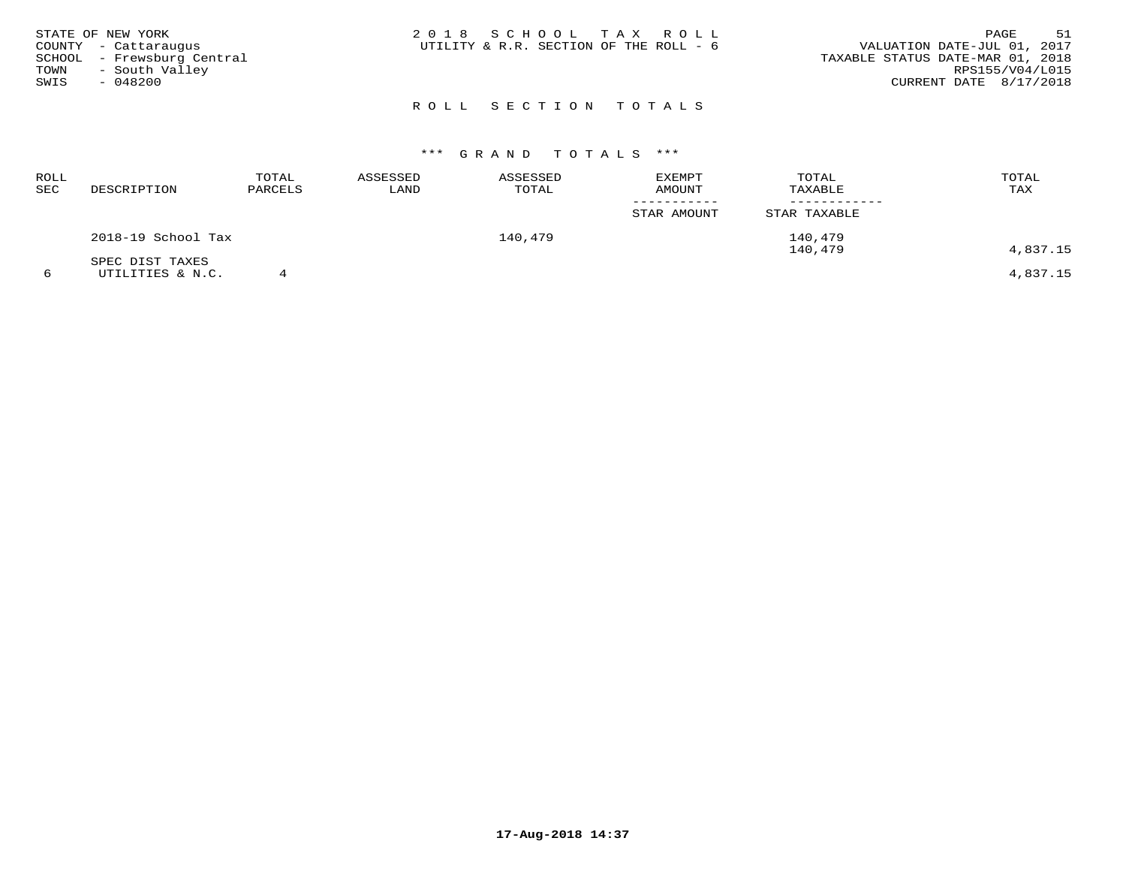| STATE OF NEW YORK<br>COUNTY - Cattaraugus<br>SCHOOL - Frewsburg Central<br>- South Valley<br>TOWN<br>SWIS<br>$-048200$ |  | 2018 SCHOOL TAX ROLL<br>UTILITY & R.R. SECTION OF THE ROLL - 6 |  | VALUATION DATE-JUL 01, 2017<br>TAXABLE STATUS DATE-MAR 01, 2018 | PAGE<br>RPS155/V04/L015<br>CURRENT DATE 8/17/2018 | 51 |
|------------------------------------------------------------------------------------------------------------------------|--|----------------------------------------------------------------|--|-----------------------------------------------------------------|---------------------------------------------------|----|
|                                                                                                                        |  | ROLL SECTION TOTALS                                            |  |                                                                 |                                                   |    |

| ROLL<br>SEC | DESCRIPTION        | TOTAL<br>PARCELS | ASSESSED<br>LAND | ASSESSED<br>TOTAL | EXEMPT<br><b>AMOUNT</b> | TOTAL<br>TAXABLE   | TOTAL<br>TAX |
|-------------|--------------------|------------------|------------------|-------------------|-------------------------|--------------------|--------------|
|             |                    |                  |                  |                   | STAR AMOUNT             | STAR TAXABLE       |              |
|             | 2018-19 School Tax |                  |                  | 140,479           |                         | 140,479<br>140,479 | 4,837.15     |
|             | SPEC DIST TAXES    |                  |                  |                   |                         |                    |              |
|             | UTILITIES & N.C.   |                  |                  |                   |                         |                    | 4,837.15     |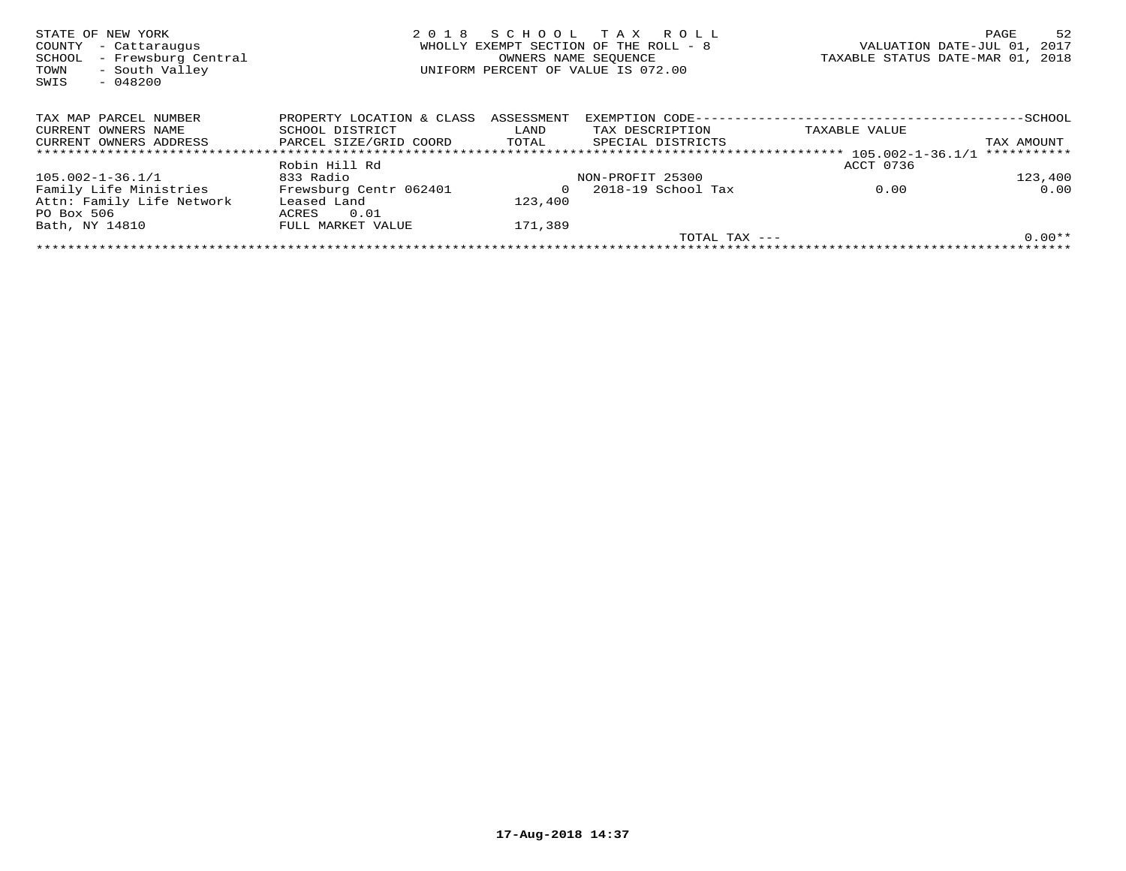| STATE OF NEW YORK<br>COUNTY<br>- Cattaraugus<br>- Frewsburg Central<br>SCHOOL<br>- South Valley<br>TOWN<br>SWIS<br>$-048200$ | 2018                      | S C H O O L<br>OWNERS NAME SEOUENCE | T A X<br>R O L L<br>WHOLLY EXEMPT SECTION OF THE ROLL - 8<br>UNIFORM PERCENT OF VALUE IS 072.00 | TAXABLE STATUS DATE-MAR 01, | 52<br>PAGE<br>VALUATION DATE-JUL 01,<br>2017<br>2018 |
|------------------------------------------------------------------------------------------------------------------------------|---------------------------|-------------------------------------|-------------------------------------------------------------------------------------------------|-----------------------------|------------------------------------------------------|
| TAX MAP PARCEL NUMBER                                                                                                        | PROPERTY LOCATION & CLASS | ASSESSMENT                          |                                                                                                 |                             |                                                      |
| CURRENT OWNERS NAME                                                                                                          | SCHOOL DISTRICT           | LAND                                | TAX DESCRIPTION                                                                                 | TAXABLE VALUE               |                                                      |
| CURRENT OWNERS ADDRESS                                                                                                       | PARCEL SIZE/GRID COORD    | TOTAL                               | SPECIAL DISTRICTS                                                                               |                             | TAX AMOUNT                                           |
|                                                                                                                              |                           |                                     |                                                                                                 |                             | ***********                                          |
|                                                                                                                              | Robin Hill Rd             |                                     |                                                                                                 | ACCT 0736                   |                                                      |
| 105.002-1-36.1/1                                                                                                             | 833 Radio                 |                                     | NON-PROFIT 25300                                                                                |                             | 123,400                                              |
| Family Life Ministries                                                                                                       | Frewsburg Centr 062401    | $\Omega$                            | 2018-19 School Tax                                                                              | 0.00                        | 0.00                                                 |
| Attn: Family Life Network                                                                                                    | Leased Land               | 123,400                             |                                                                                                 |                             |                                                      |
| PO Box 506                                                                                                                   | 0.01<br>ACRES             |                                     |                                                                                                 |                             |                                                      |
| Bath, NY 14810                                                                                                               | FULL MARKET VALUE         | 171,389                             |                                                                                                 |                             |                                                      |
|                                                                                                                              |                           |                                     |                                                                                                 | $TOTAL$ $TAX$ $---$         | $0.00**$                                             |
|                                                                                                                              |                           |                                     |                                                                                                 |                             |                                                      |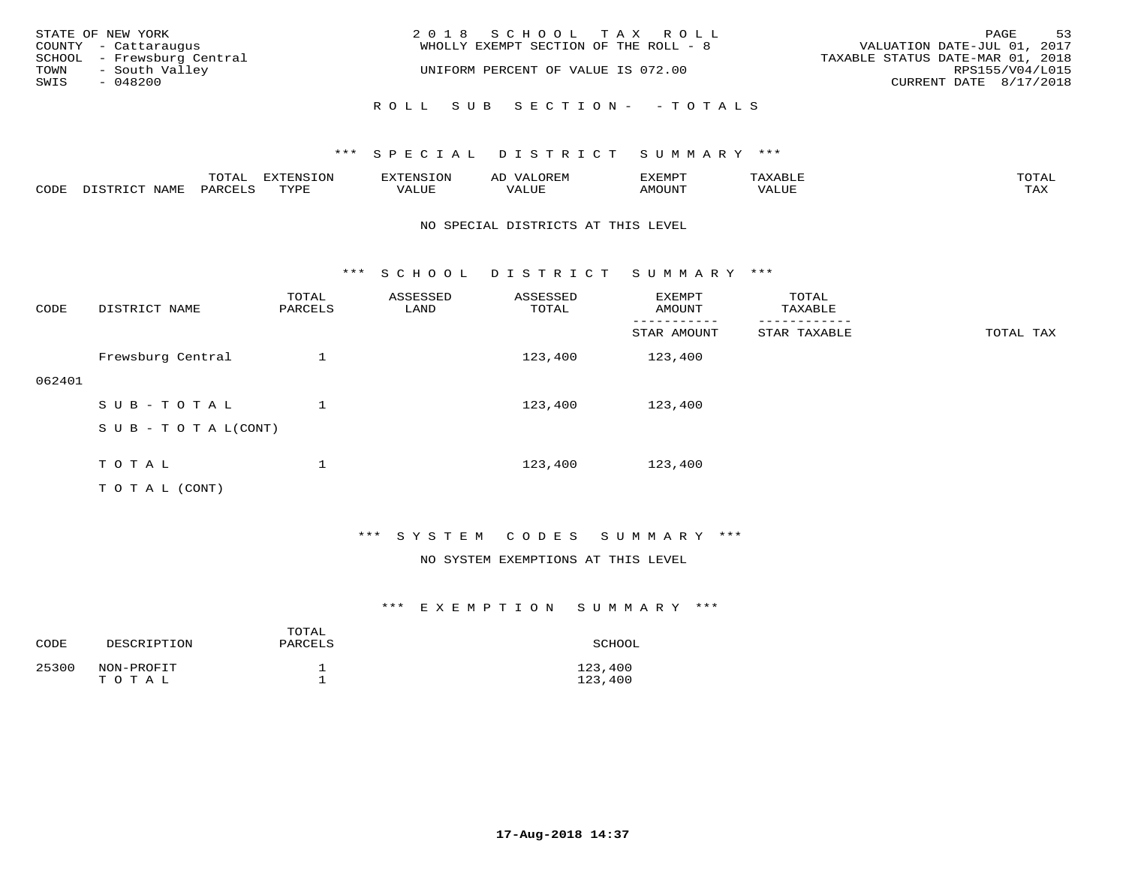| STATE OF NEW YORK          | 2018 SCHOOL TAX ROLL                  | 53<br>PAGE                       |
|----------------------------|---------------------------------------|----------------------------------|
| COUNTY - Cattaraugus       | WHOLLY EXEMPT SECTION OF THE ROLL - 8 | VALUATION DATE-JUL 01, 2017      |
| SCHOOL - Frewsburg Central |                                       | TAXABLE STATUS DATE-MAR 01, 2018 |
| TOWN<br>- South Valley     | UNIFORM PERCENT OF VALUE IS 072.00    | RPS155/V04/L015                  |
| SWIS<br>- 048200           |                                       | CURRENT DATE 8/17/2018           |
|                            | ROLL SUB SECTION- - TOTALS            |                                  |

|      |                  | TOTAL   | <b>DYMONIC TONT</b><br>7.NR TOIZ | 'ENS. | OREM<br>AL'             | דים איה צי | $x \sim$ $\sim$ | TOTAI |
|------|------------------|---------|----------------------------------|-------|-------------------------|------------|-----------------|-------|
| CODE | DISTRICT<br>NAME | PARCELS | TVDF<br>ت ہے۔                    | VALUE | . <del>.</del><br>VALUE | AMOUNT     | VALUE           | TAX   |

### NO SPECIAL DISTRICTS AT THIS LEVEL

\*\*\* S C H O O L D I S T R I C T S U M M A R Y \*\*\*

| CODE   | DISTRICT NAME                                                                                                   | TOTAL<br>PARCELS | ASSESSED<br>LAND | ASSESSED<br>TOTAL | <b>EXEMPT</b><br>AMOUNT | TOTAL<br>TAXABLE<br>-------- |           |
|--------|-----------------------------------------------------------------------------------------------------------------|------------------|------------------|-------------------|-------------------------|------------------------------|-----------|
|        |                                                                                                                 |                  |                  |                   | STAR AMOUNT             | STAR TAXABLE                 | TOTAL TAX |
|        | Frewsburg Central                                                                                               |                  |                  | 123,400           | 123,400                 |                              |           |
| 062401 |                                                                                                                 |                  |                  |                   |                         |                              |           |
|        | SUB-TOTAL                                                                                                       |                  |                  | 123,400           | 123,400                 |                              |           |
|        | $S \cup B - T \cup T A L (CONT)$                                                                                |                  |                  |                   |                         |                              |           |
|        |                                                                                                                 |                  |                  |                   |                         |                              |           |
|        | TOTAL                                                                                                           |                  |                  | 123,400           | 123,400                 |                              |           |
|        | the contract of the contract of the contract of the contract of the contract of the contract of the contract of |                  |                  |                   |                         |                              |           |

T O T A L (CONT)

# \*\*\* S Y S T E M C O D E S S U M M A R Y \*\*\*

### NO SYSTEM EXEMPTIONS AT THIS LEVEL

| CODE  | DESCRIPTION         | TOTAL<br>PARCELS | SCHOOL             |
|-------|---------------------|------------------|--------------------|
| 25300 | NON-PROFIT<br>TOTAL |                  | 123,400<br>123,400 |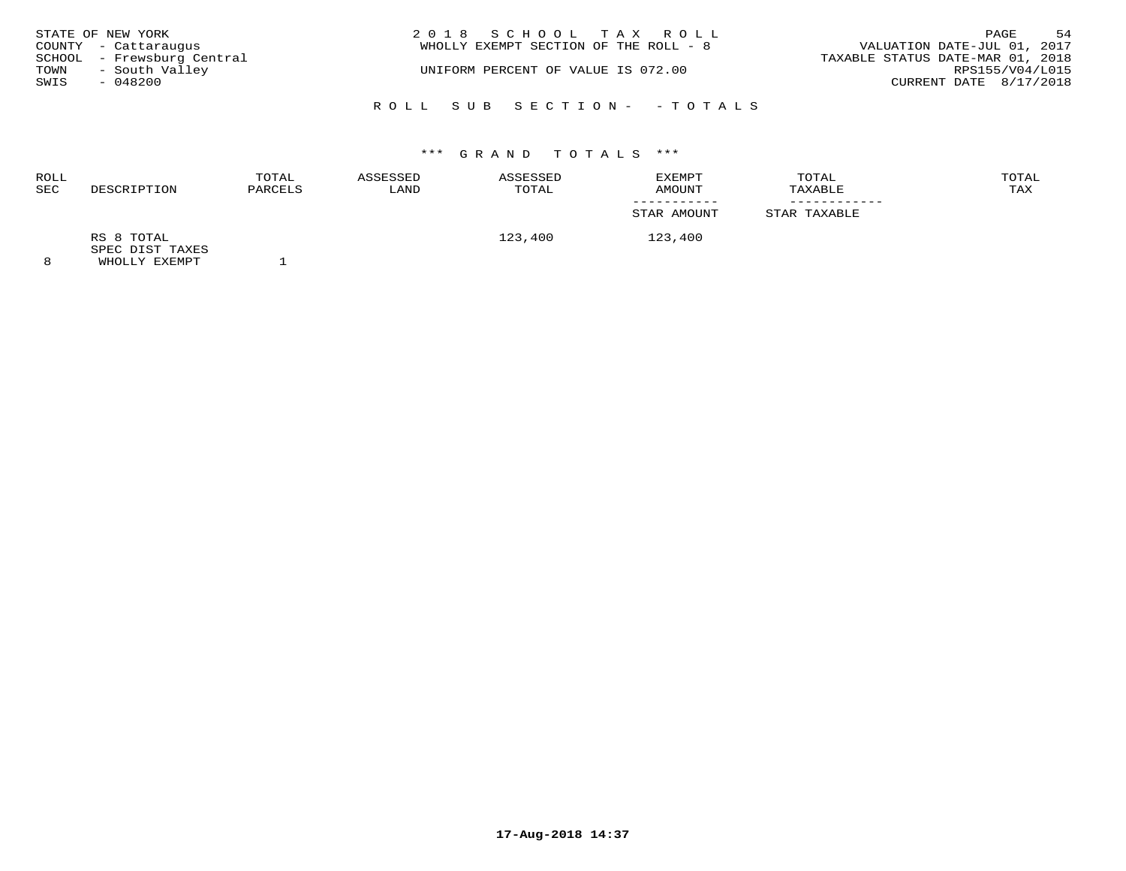| STATE OF NEW YORK          | 2018 SCHOOL TAX ROLL                  | - 54<br>PAGE                     |
|----------------------------|---------------------------------------|----------------------------------|
| COUNTY - Cattaraugus       | WHOLLY EXEMPT SECTION OF THE ROLL - 8 | VALUATION DATE-JUL 01, 2017      |
| SCHOOL - Frewsburg Central |                                       | TAXABLE STATUS DATE-MAR 01, 2018 |
| - South Valley<br>TOWN     | UNIFORM PERCENT OF VALUE IS 072.00    | RPS155/V04/L015                  |
| SWIS<br>- 048200           |                                       | CURRENT DATE 8/17/2018           |
|                            |                                       |                                  |
|                            | ROLL SUB SECTION- - TOTALS            |                                  |

| ROLL<br><b>SEC</b> | DESCRIPTION                                    | TOTAL<br>PARCELS | ASSESSED<br>LAND | ASSESSED<br>TOTAL | EXEMPT<br>AMOUNT | TOTAL<br>TAXABLE | TOTAL<br>TAX |
|--------------------|------------------------------------------------|------------------|------------------|-------------------|------------------|------------------|--------------|
|                    |                                                |                  |                  |                   | STAR AMOUNT      | STAR TAXABLE     |              |
|                    | RS 8 TOTAL<br>SPEC DIST TAXES<br>WHOLLY EXEMPT |                  |                  | 123,400           | 123,400          |                  |              |

**17-Aug-2018 14:37**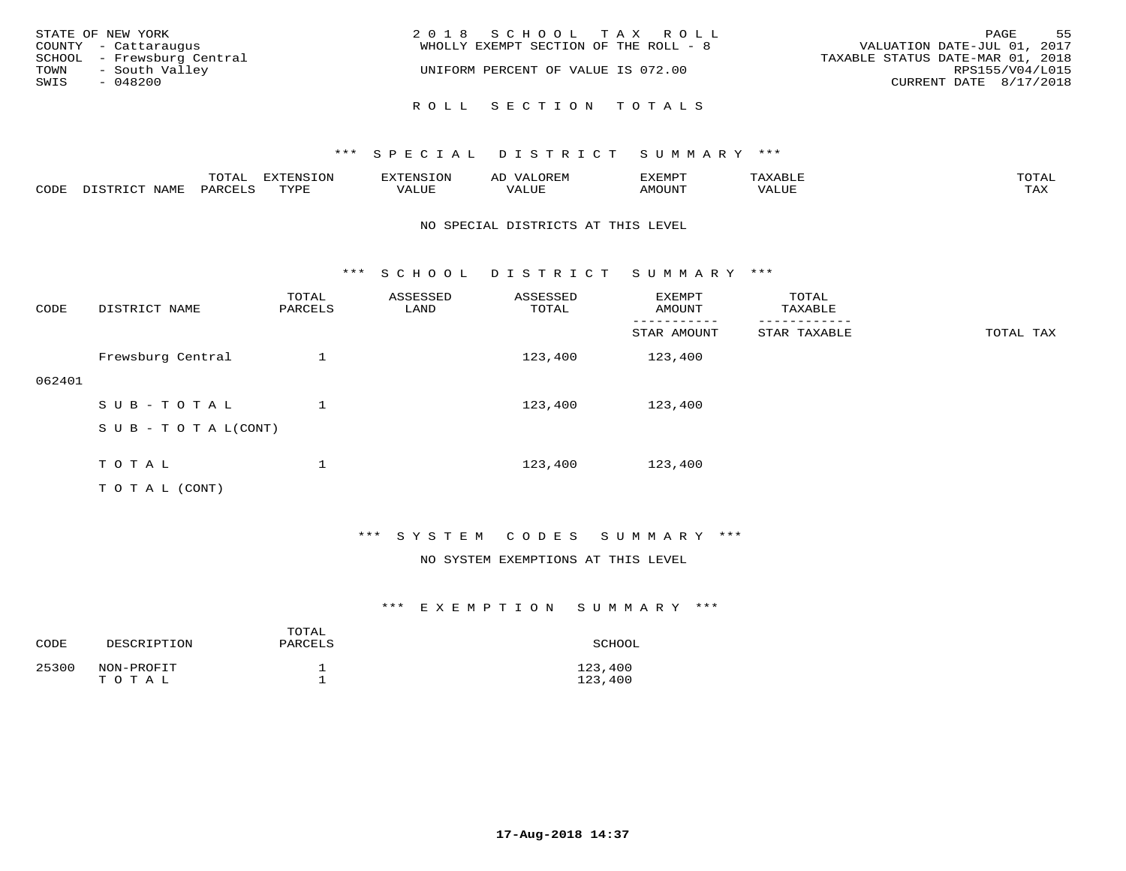| STATE OF NEW YORK<br>COUNTY - Cattaraugus<br>SCHOOL - Frewsburg Central<br>TOWN<br>- South Valley | 2018 SCHOOL TAX ROLL<br>WHOLLY EXEMPT SECTION OF THE ROLL - 8<br>UNIFORM PERCENT OF VALUE IS 072.00 | 55<br>PAGE<br>VALUATION DATE-JUL 01, 2017<br>TAXABLE STATUS DATE-MAR 01, 2018<br>RPS155/V04/L015 |
|---------------------------------------------------------------------------------------------------|-----------------------------------------------------------------------------------------------------|--------------------------------------------------------------------------------------------------|
| SWIS<br>- 048200                                                                                  | ROLL SECTION TOTALS                                                                                 | CURRENT DATE 8/17/2018                                                                           |

|      |                                       | mom n<br>⊥∪⊥AL | $maxC = 21$<br>mazma<br>⊥∪⊥ | 'H'IN - | ΑIJ<br>urei | <i>S</i> XEMPT | `XABL∟<br>$\rightarrow$ | TOTA <sup>.</sup>   |
|------|---------------------------------------|----------------|-----------------------------|---------|-------------|----------------|-------------------------|---------------------|
| CODE | NAME<br>. ו פידי פידר<br>$T^{\prime}$ | PARO           | TVDL<br><u>ی ہے</u> ۔       | VALUE   | , Alut      | MOUNT          | VALUE                   | $m \times r$<br>LΑΔ |

### NO SPECIAL DISTRICTS AT THIS LEVEL

\*\*\* S C H O O L D I S T R I C T S U M M A R Y \*\*\*

| CODE   | DISTRICT NAME                                                                                                   | TOTAL<br>PARCELS | ASSESSED<br>LAND | ASSESSED<br>TOTAL | EXEMPT<br>AMOUNT | TOTAL<br>TAXABLE |           |
|--------|-----------------------------------------------------------------------------------------------------------------|------------------|------------------|-------------------|------------------|------------------|-----------|
|        |                                                                                                                 |                  |                  |                   | STAR AMOUNT      | STAR TAXABLE     | TOTAL TAX |
|        | Frewsburg Central                                                                                               |                  |                  | 123,400           | 123,400          |                  |           |
| 062401 |                                                                                                                 |                  |                  |                   |                  |                  |           |
|        | SUB-TOTAL                                                                                                       |                  |                  | 123,400           | 123,400          |                  |           |
|        | S U B - T O T A $L(CONT)$                                                                                       |                  |                  |                   |                  |                  |           |
|        |                                                                                                                 |                  |                  |                   |                  |                  |           |
|        | TOTAL                                                                                                           | $\mathbf{1}$     |                  | 123,400           | 123,400          |                  |           |
|        | the contract of the contract of the contract of the contract of the contract of the contract of the contract of |                  |                  |                   |                  |                  |           |

T O T A L (CONT)

# \*\*\* S Y S T E M C O D E S S U M M A R Y \*\*\*

### NO SYSTEM EXEMPTIONS AT THIS LEVEL

| CODE  | DESCRIPTION         | TOTAL<br>PARCELS | SCHOOL             |
|-------|---------------------|------------------|--------------------|
| 25300 | NON-PROFIT<br>TOTAL |                  | 123,400<br>123,400 |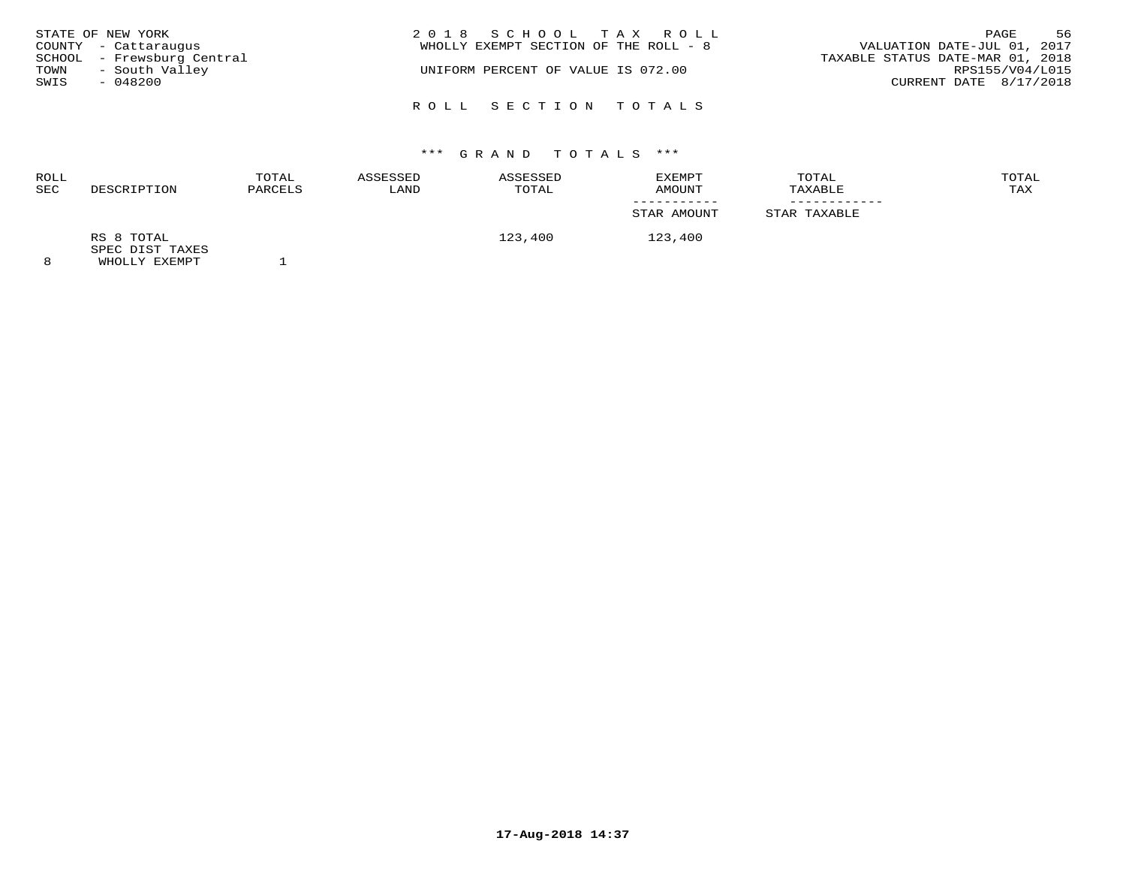| STATE OF NEW YORK<br>COUNTY - Cattaraugus<br>TOWN<br>SWIS<br>- 048200 | SCHOOL - Frewsburg Central<br>- South Valley | 2018 SCHOOL TAX ROLL<br>WHOLLY EXEMPT SECTION OF THE ROLL - 8<br>UNIFORM PERCENT OF VALUE IS 072.00 |  | VALUATION DATE-JUL 01, 2017<br>TAXABLE STATUS DATE-MAR 01, 2018<br>CURRENT DATE 8/17/2018 | PAGE<br>RPS155/V04/L015 | 56 |
|-----------------------------------------------------------------------|----------------------------------------------|-----------------------------------------------------------------------------------------------------|--|-------------------------------------------------------------------------------------------|-------------------------|----|
|                                                                       |                                              | ROLL SECTION TOTALS                                                                                 |  |                                                                                           |                         |    |

| ROLL<br><b>SEC</b> | DESCRIPTION                   | TOTAL<br>PARCELS | ASSESSED<br>LAND | ASSESSED<br>TOTAL | EXEMPT<br>AMOUNT | TOTAL<br>TAXABLE | TOTAL<br>TAX |
|--------------------|-------------------------------|------------------|------------------|-------------------|------------------|------------------|--------------|
|                    |                               |                  |                  |                   | STAR AMOUNT      | STAR TAXABLE     |              |
|                    | RS 8 TOTAL<br>SPEC DIST TAXES |                  |                  | 123,400           | 123,400          |                  |              |
| $\circ$            | <b>WUOTIV EVEMBT</b>          |                  |                  |                   |                  |                  |              |

8 WHOLLY EXEMPT 1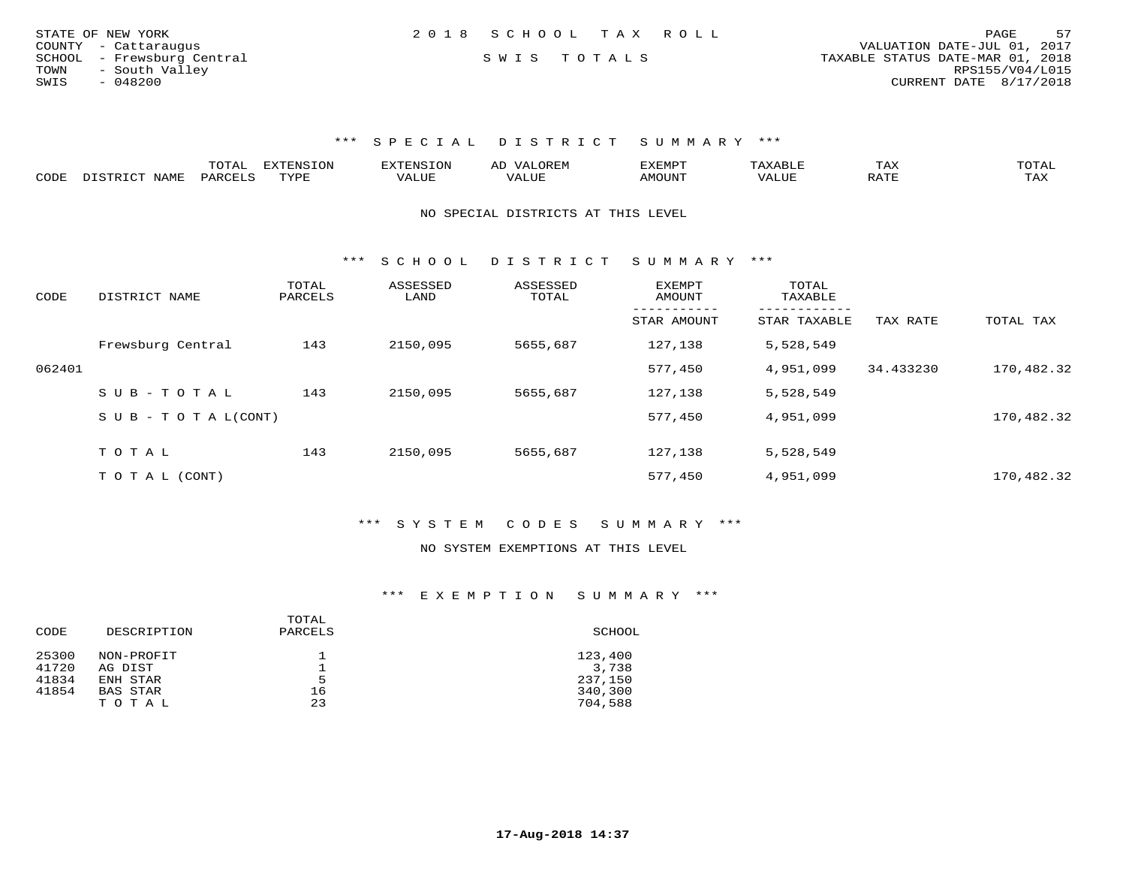| STATE OF NEW YORK          | 2018 SCHOOL TAX ROLL | 57<br>PAGE                       |
|----------------------------|----------------------|----------------------------------|
| COUNTY - Cattaraugus       |                      | VALUATION DATE-JUL 01, 2017      |
| SCHOOL - Frewsburg Central | SWIS TOTALS          | TAXABLE STATUS DATE-MAR 01, 2018 |
| TOWN<br>- South Valley     |                      | RPS155/V04/L015                  |
| $-048200$<br>SWIS          |                      | CURRENT DATE 8/17/2018           |

|      |                       | UIAL     | <b>EXTENSION</b> |               | A <sub>1</sub> | 'XEMP'        |                          | ⊥AA   | TOTAL |
|------|-----------------------|----------|------------------|---------------|----------------|---------------|--------------------------|-------|-------|
| CODE | <b>NLAME</b><br>comp: | DAPCFT.C | TVDF             | <i>J</i> ALUE |                | <b>AMOUNT</b> | , 7 7 T T T T T<br>VALUE | יחת ה | TAX   |

NO SPECIAL DISTRICTS AT THIS LEVEL

\*\*\* S C H O O L D I S T R I C T S U M M A R Y \*\*\*

| CODE   | DISTRICT NAME              | TOTAL<br>PARCELS | ASSESSED<br>LAND | ASSESSED<br>TOTAL | EXEMPT<br>AMOUNT | TOTAL<br>TAXABLE |           |            |
|--------|----------------------------|------------------|------------------|-------------------|------------------|------------------|-----------|------------|
|        |                            |                  |                  |                   | STAR AMOUNT      | STAR TAXABLE     | TAX RATE  | TOTAL TAX  |
|        | Frewsburg Central          | 143              | 2150,095         | 5655,687          | 127,138          | 5,528,549        |           |            |
| 062401 |                            |                  |                  |                   | 577,450          | 4,951,099        | 34.433230 | 170,482.32 |
|        | SUB-TOTAL                  | 143              | 2150,095         | 5655,687          | 127,138          | 5,528,549        |           |            |
|        | S U B - T O T A $L$ (CONT) |                  |                  |                   | 577,450          | 4,951,099        |           | 170,482.32 |
|        |                            |                  |                  |                   |                  |                  |           |            |
|        | TOTAL                      | 143              | 2150,095         | 5655,687          | 127,138          | 5,528,549        |           |            |
|        | T O T A L (CONT)           |                  |                  |                   | 577,450          | 4,951,099        |           | 170,482.32 |

\*\*\* S Y S T E M C O D E S S U M M A R Y \*\*\*

NO SYSTEM EXEMPTIONS AT THIS LEVEL

| SCHOOL                                            |
|---------------------------------------------------|
|                                                   |
|                                                   |
|                                                   |
|                                                   |
|                                                   |
| 123,400<br>3,738<br>237,150<br>340,300<br>704,588 |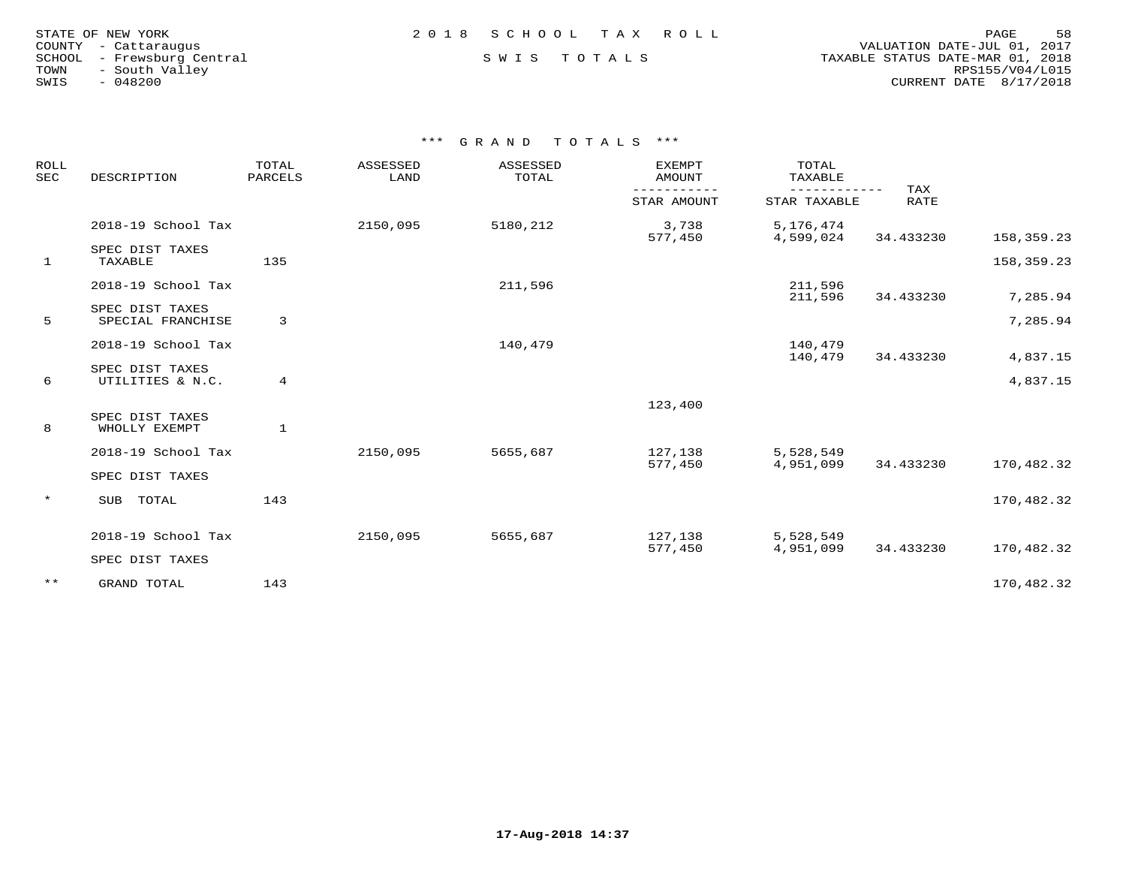| STATE OF NEW YORK    |  |           |                |                     |  |
|----------------------|--|-----------|----------------|---------------------|--|
| COUNTY - Cattaraugus |  |           |                |                     |  |
| SCHOOL               |  |           |                | - Frewsburg Central |  |
| TOWN                 |  |           | - South Valley |                     |  |
| SWIS                 |  | $-048200$ |                |                     |  |
|                      |  |           |                |                     |  |

# STATE OF NEW YORK 2 0 1 8 S C H O O L T A X R O L L PAGE 58

 COUNTY - Cattaraugus VALUATION DATE-JUL 01, 2017 SCHOOL - Frewsburg Central S W I S T O T A L S TAXABLE STATUS DATE-MAR 01, 2018 TOWN - South Valley RPS155/V04/L015SWIS - 048200 CURRENT DATE 8/17/2018

| <b>ROLL</b><br><b>SEC</b> | DESCRIPTION                          | TOTAL<br>PARCELS | ASSESSED<br>LAND | ASSESSED<br>TOTAL | <b>EXEMPT</b><br>AMOUNT | TOTAL<br>TAXABLE       |                    |            |
|---------------------------|--------------------------------------|------------------|------------------|-------------------|-------------------------|------------------------|--------------------|------------|
|                           |                                      |                  |                  |                   | STAR AMOUNT             | STAR TAXABLE           | TAX<br><b>RATE</b> |            |
|                           | 2018-19 School Tax                   |                  | 2150,095         | 5180,212          | 3,738<br>577,450        | 5,176,474<br>4,599,024 | 34.433230          | 158,359.23 |
| 1                         | SPEC DIST TAXES<br>TAXABLE           | 135              |                  |                   |                         |                        |                    | 158,359.23 |
|                           | 2018-19 School Tax                   |                  |                  | 211,596           |                         | 211,596<br>211,596     | 34.433230          | 7,285.94   |
| 5                         | SPEC DIST TAXES<br>SPECIAL FRANCHISE | 3                |                  |                   |                         |                        |                    | 7,285.94   |
|                           | 2018-19 School Tax                   |                  |                  | 140,479           |                         | 140,479<br>140,479     | 34.433230          | 4,837.15   |
| 6                         | SPEC DIST TAXES<br>UTILITIES & N.C.  | 4                |                  |                   |                         |                        |                    | 4,837.15   |
|                           |                                      |                  |                  |                   | 123,400                 |                        |                    |            |
| 8                         | SPEC DIST TAXES<br>WHOLLY EXEMPT     | $\mathbf{1}$     |                  |                   |                         |                        |                    |            |
|                           | 2018-19 School Tax                   |                  | 2150,095         | 5655,687          | 127,138<br>577,450      | 5,528,549<br>4,951,099 | 34.433230          | 170,482.32 |
|                           | SPEC DIST TAXES                      |                  |                  |                   |                         |                        |                    |            |
| $\star$                   | SUB TOTAL                            | 143              |                  |                   |                         |                        |                    | 170,482.32 |
|                           | 2018-19 School Tax                   |                  | 2150,095         | 5655,687          | 127,138<br>577,450      | 5,528,549<br>4,951,099 | 34.433230          | 170,482.32 |
|                           | SPEC DIST TAXES                      |                  |                  |                   |                         |                        |                    |            |
| $***$                     | GRAND TOTAL                          | 143              |                  |                   |                         |                        |                    | 170,482.32 |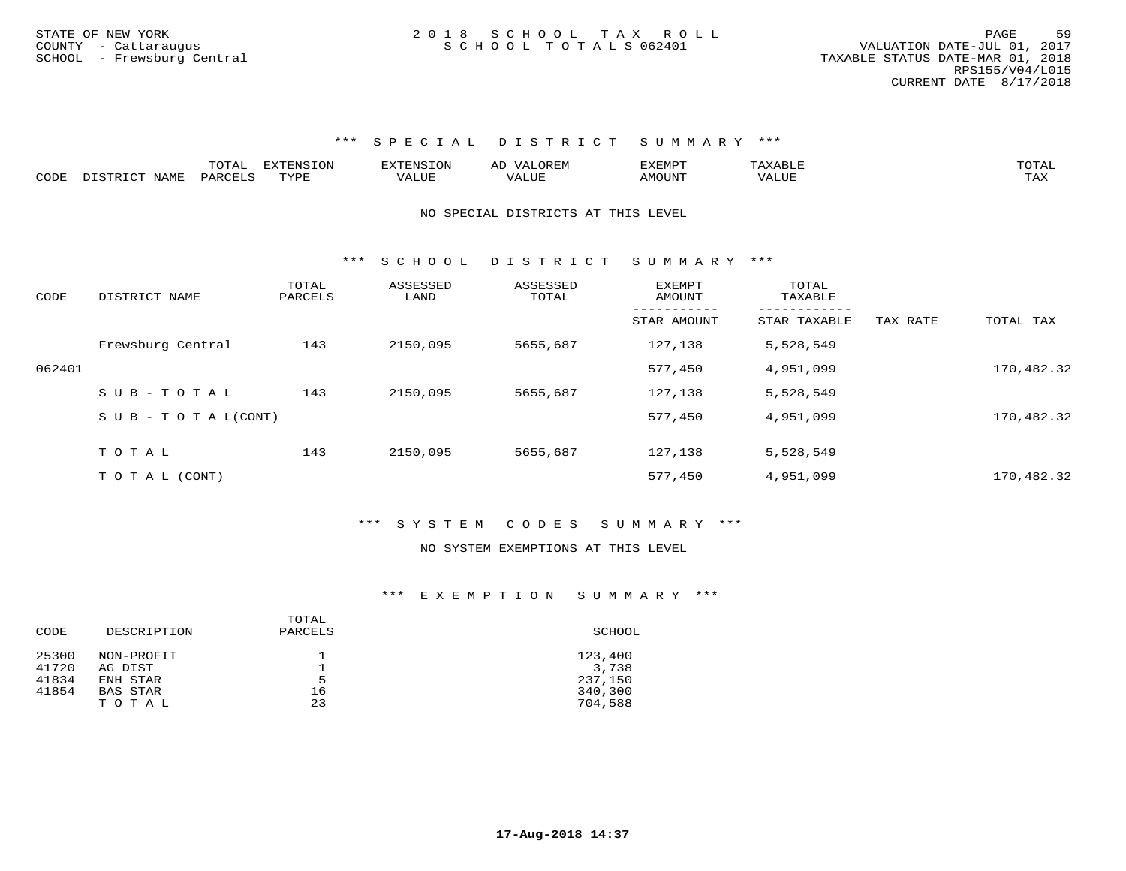|      |         | -----<br>- 777 | $mm$ $\lambda$ $\tau$ $\alpha$ $\tau$ $\alpha$ $\tau$<br>.<br>v | $117$ mm $1707070$ | $\rightarrow$ | . YEML       |      | ጦ∩ጥ⊼<br>---- |
|------|---------|----------------|-----------------------------------------------------------------|--------------------|---------------|--------------|------|--------------|
| CODI | … △ M F | ◡▵◡            | $\frac{1}{2}$                                                   |                    | بابا          | n <i>п с</i> | 77 A |              |

## NO SPECIAL DISTRICTS AT THIS LEVEL

\*\*\* S C H O O L D I S T R I C T S U M M A R Y \*\*\*

| CODE   | DISTRICT NAME                    | TOTAL<br>PARCELS | ASSESSED<br>LAND | ASSESSED<br>TOTAL | <b>EXEMPT</b><br>AMOUNT | TOTAL<br>TAXABLE |          |            |
|--------|----------------------------------|------------------|------------------|-------------------|-------------------------|------------------|----------|------------|
|        |                                  |                  |                  |                   | STAR AMOUNT             | STAR TAXABLE     | TAX RATE | TOTAL TAX  |
|        | Frewsburg Central                | 143              | 2150,095         | 5655,687          | 127,138                 | 5,528,549        |          |            |
| 062401 |                                  |                  |                  |                   | 577,450                 | 4,951,099        |          | 170,482.32 |
|        | SUB-TOTAL                        | 143              | 2150,095         | 5655,687          | 127,138                 | 5,528,549        |          |            |
|        | $S \cup B - T \cup T A L (CONT)$ |                  |                  |                   | 577,450                 | 4,951,099        |          | 170,482.32 |
|        |                                  |                  |                  |                   |                         |                  |          |            |
|        | TOTAL                            | 143              | 2150,095         | 5655,687          | 127,138                 | 5,528,549        |          |            |
|        | T O T A L (CONT)                 |                  |                  |                   | 577,450                 | 4,951,099        |          | 170,482.32 |

## \*\*\* S Y S T E M C O D E S S U M M A R Y \*\*\*

### NO SYSTEM EXEMPTIONS AT THIS LEVEL

| CODE  | DESCRIPTION | TOTAL<br>PARCELS | SCHOOL  |
|-------|-------------|------------------|---------|
| 25300 | NON-PROFIT  |                  | 123,400 |
| 41720 | AG DIST     |                  | 3,738   |
| 41834 | ENH STAR    | 5                | 237,150 |
| 41854 | BAS STAR    | 16               | 340,300 |
|       | TOTAL       | 23               | 704,588 |